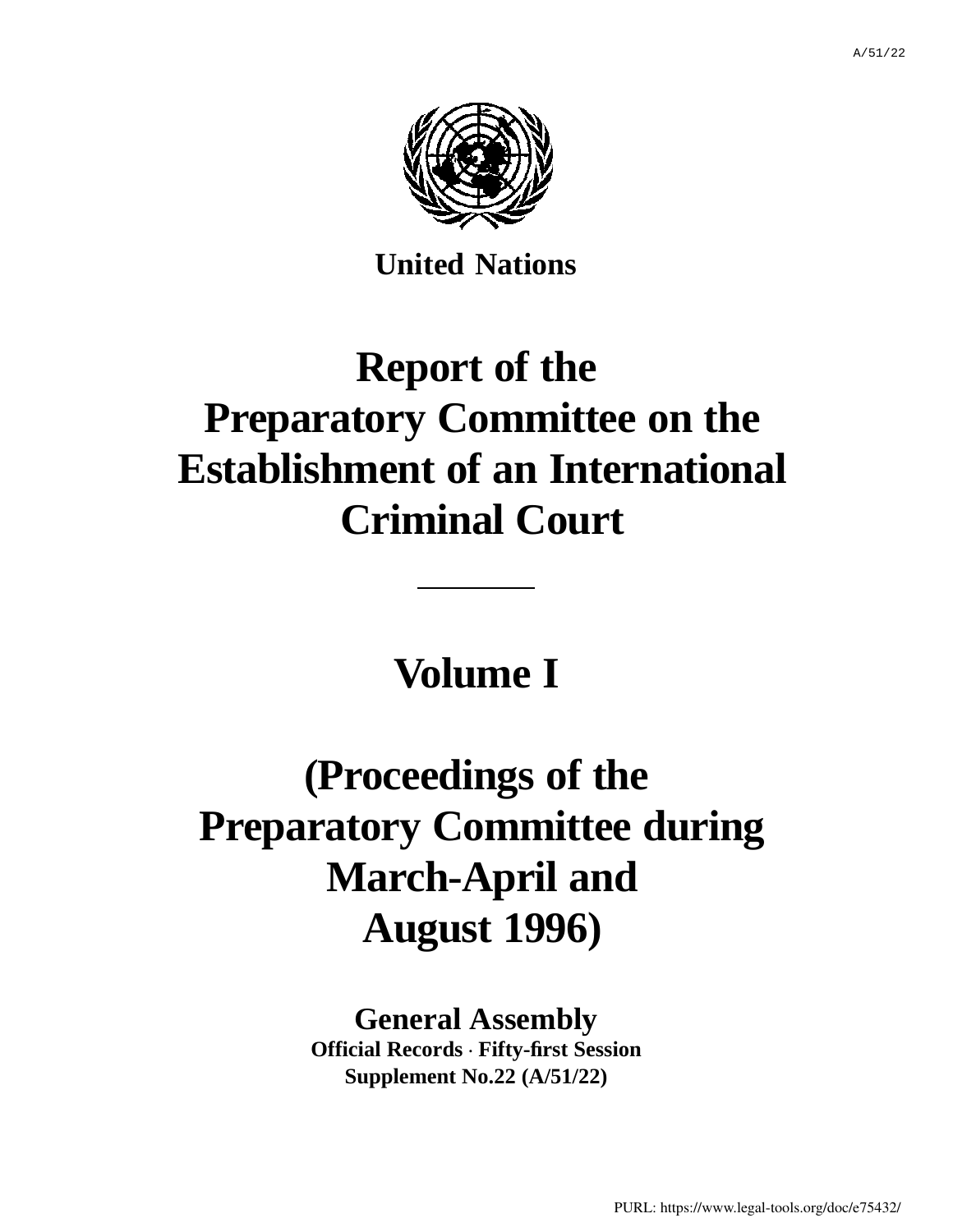

**United Nations**

# **Report of the Preparatory Committee on the Establishment of an International Criminal Court**

# **Volume I**

# **(Proceedings of the Preparatory Committee during March-April and August 1996)**

# **General Assembly**

**Official Records · Fifty-first Session Supplement No.22 (A/51/22)**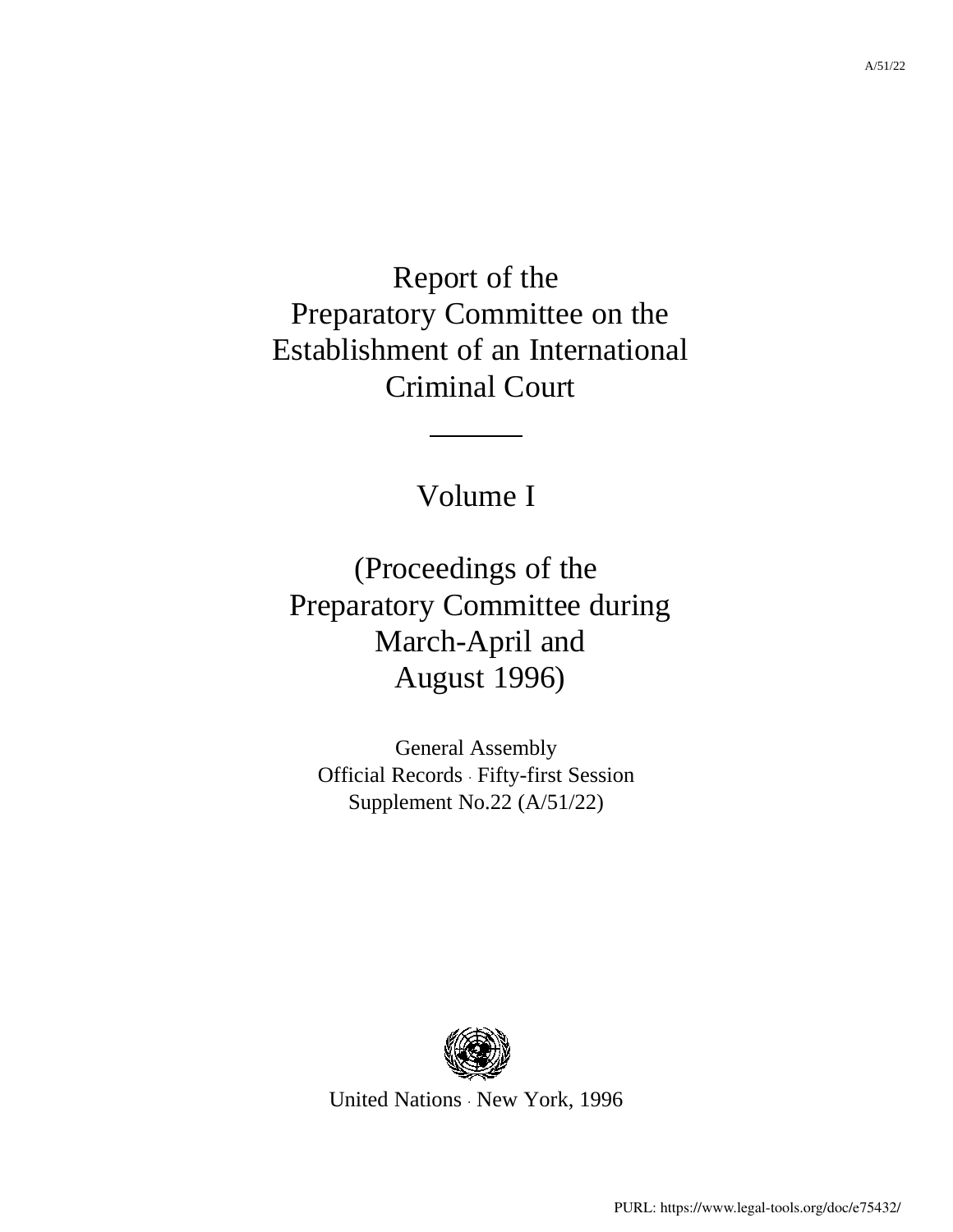Report of the Preparatory Committee on the Establishment of an International Criminal Court

# Volume I

(Proceedings of the Preparatory Committee during March-April and August 1996)

General Assembly Official Records · Fifty-first Session Supplement No.22 (A/51/22)



United Nations · New York, 1996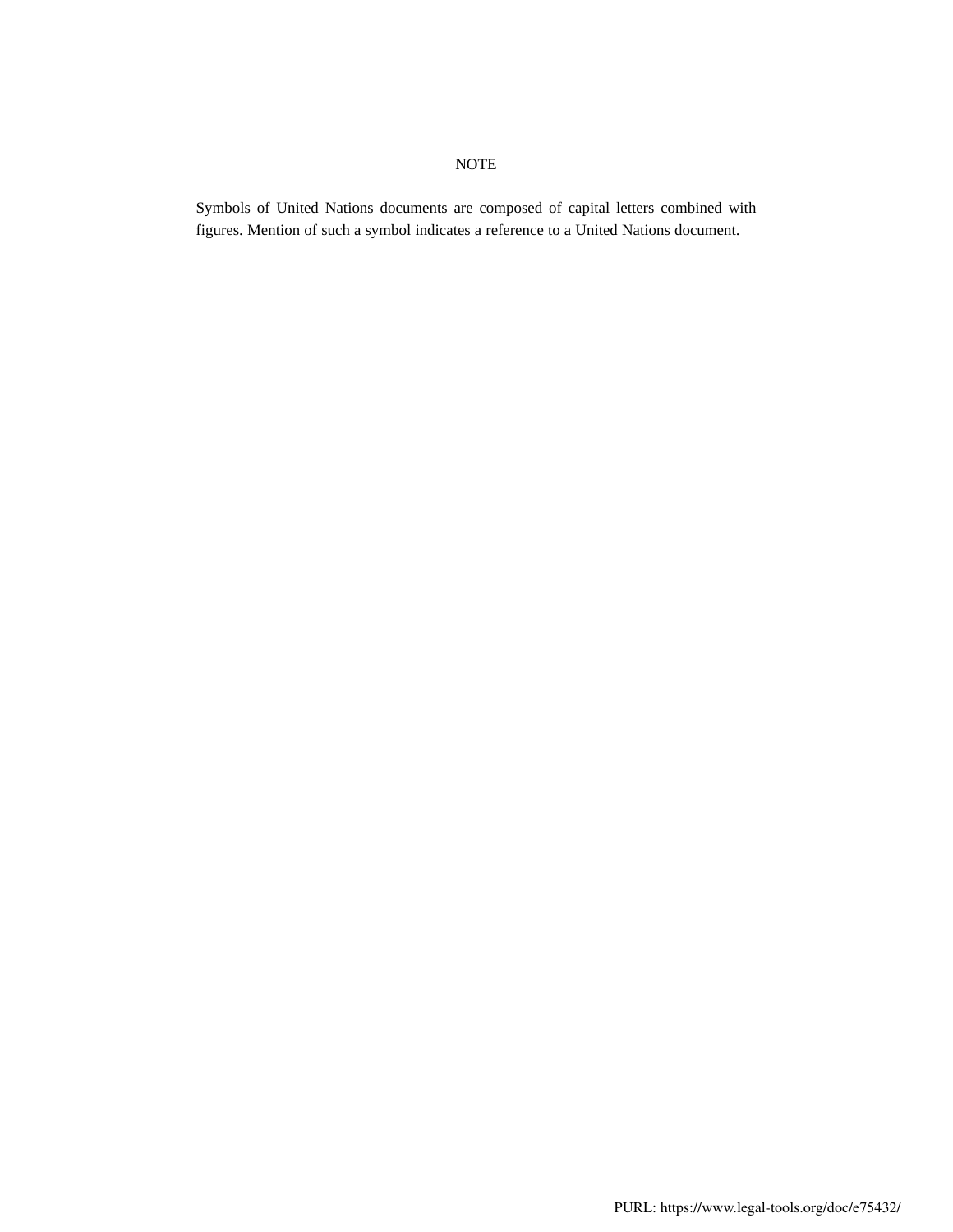# **NOTE**

Symbols of United Nations documents are composed of capital letters combined with figures. Mention of such a symbol indicates a reference to a United Nations document.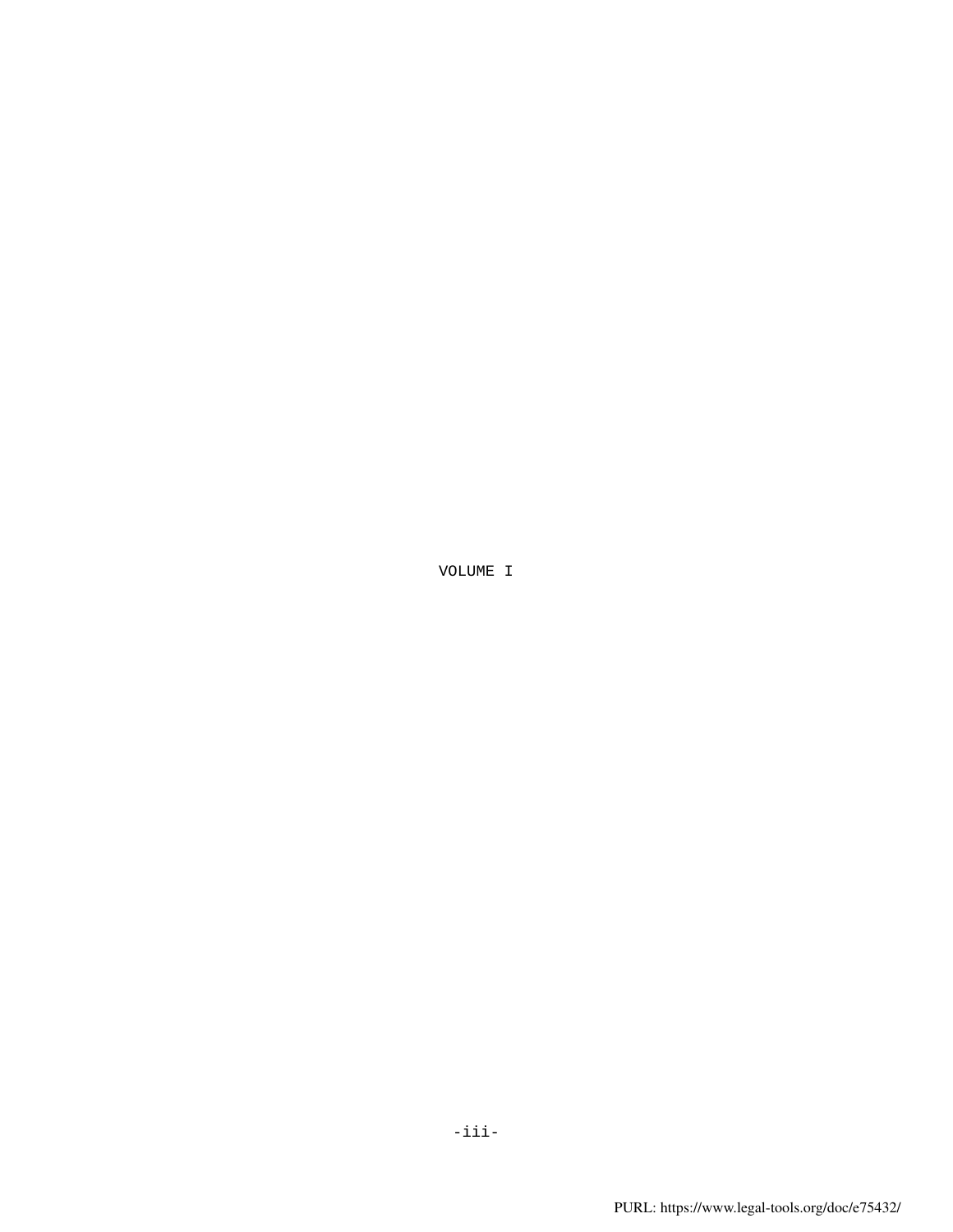VOLUME I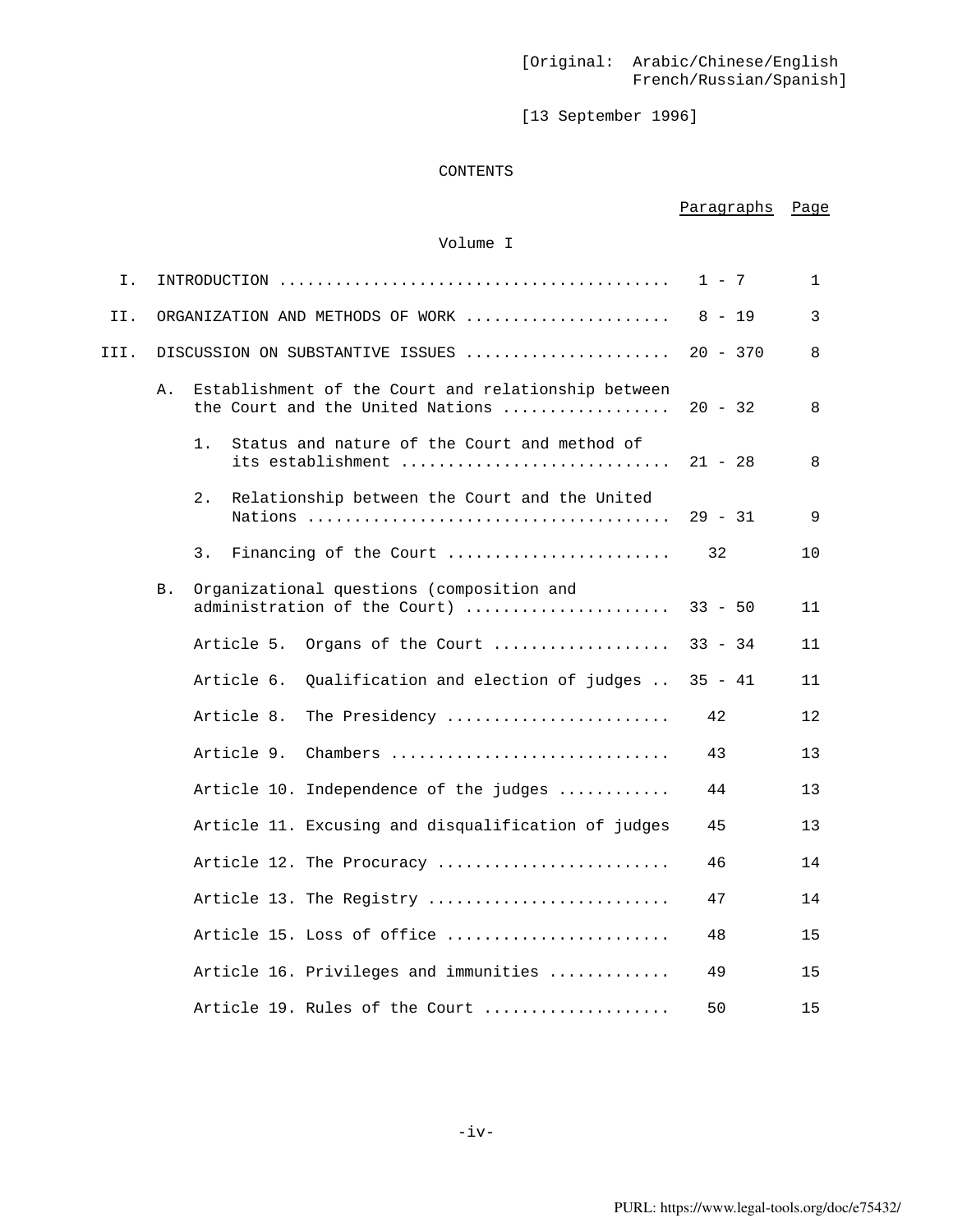[Original: Arabic/Chinese/English French/Russian/Spanish]

[13 September 1996]

## CONTENTS

|      |    |                                                                                         | Paragraphs | Page        |
|------|----|-----------------------------------------------------------------------------------------|------------|-------------|
|      |    | Volume I                                                                                |            |             |
| Ι.   |    |                                                                                         |            | $\mathbf 1$ |
| II.  |    | ORGANIZATION AND METHODS OF WORK                                                        | 8 - 19     | 3           |
| III. |    | DISCUSSION ON SUBSTANTIVE ISSUES                                                        | $20 - 370$ | 8           |
|      | Α. | Establishment of the Court and relationship between<br>the Court and the United Nations | $20 - 32$  | 8           |
|      |    | Status and nature of the Court and method of<br>1.<br>its establishment                 | $21 - 28$  | 8           |
|      |    | Relationship between the Court and the United<br>2.                                     | $29 - 31$  | 9           |
|      |    | Financing of the Court<br>3.                                                            | 32         | 10          |
|      | Β. | Organizational questions (composition and<br>administration of the Court)               | $33 - 50$  | 11          |
|      |    | Article 5.<br>Organs of the Court                                                       | $33 - 34$  | 11          |
|      |    | Article 6.<br>Qualification and election of judges                                      | $35 - 41$  | 11          |
|      |    | Article 8.<br>The Presidency                                                            | 42         | 12          |
|      |    | Article 9.<br>Chambers                                                                  | 43         | 13          |
|      |    | Article 10. Independence of the judges                                                  | 44         | 13          |
|      |    | Article 11. Excusing and disqualification of judges                                     | 45         | 13          |
|      |    | Article 12. The Procuracy                                                               | 46         | 14          |
|      |    | Article 13. The Registry                                                                | 47         | 14          |
|      |    | Article 15. Loss of office                                                              | 48         | 15          |
|      |    | Article 16. Privileges and immunities                                                   | 49         | 15          |
|      |    | Article 19. Rules of the Court                                                          | 50         | 15          |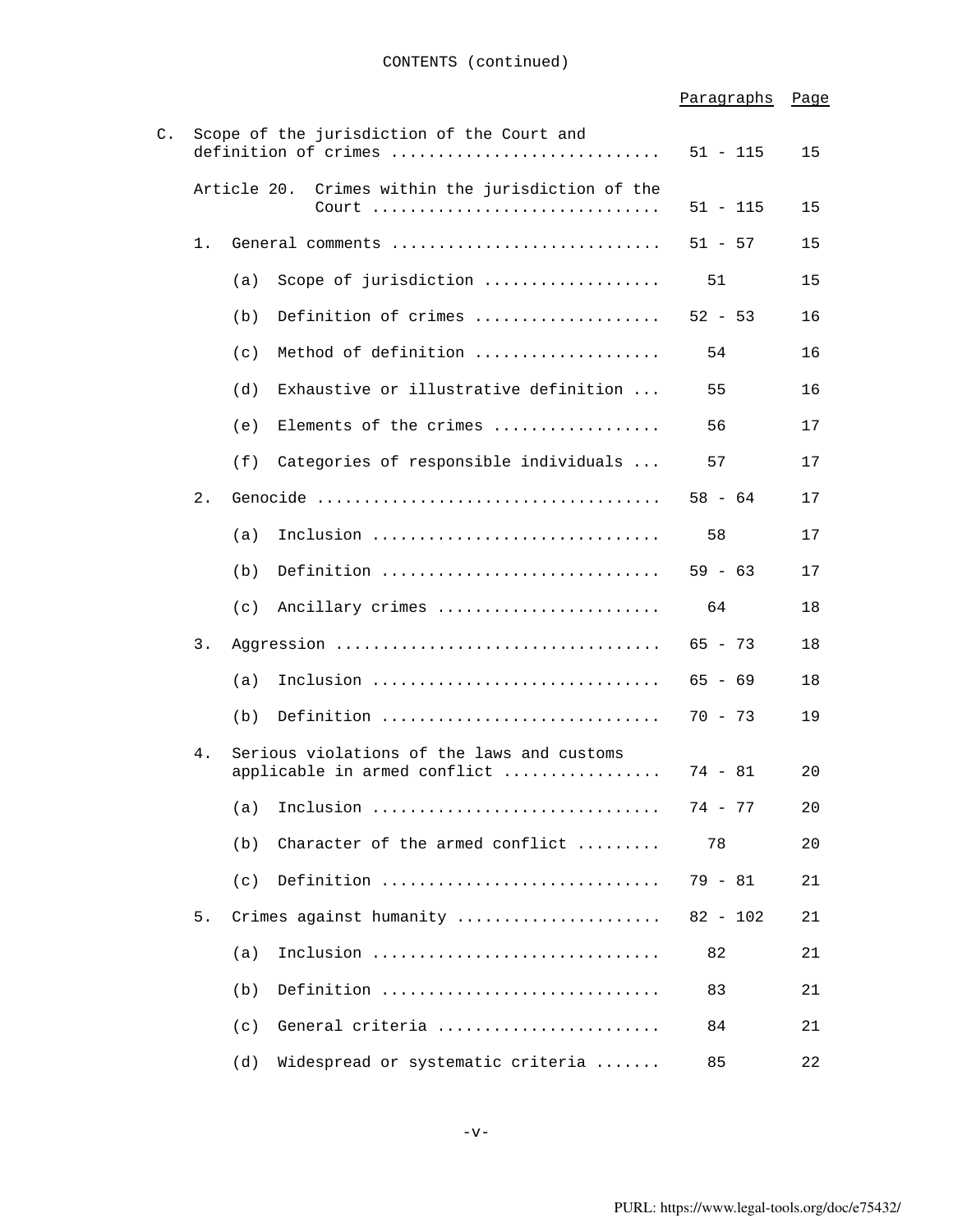|    |    |     |                                                                                      | Paragraphs | Page |
|----|----|-----|--------------------------------------------------------------------------------------|------------|------|
| С. |    |     | Scope of the jurisdiction of the Court and<br>definition of crimes                   | $51 - 115$ | 15   |
|    |    |     | Article 20. Crimes within the jurisdiction of the<br>Court                           | $51 - 115$ | 15   |
|    | 1. |     | General comments                                                                     | $51 - 57$  | 15   |
|    |    | (a) | Scope of jurisdiction                                                                | 51         | 15   |
|    |    | (b) | Definition of crimes                                                                 | $52 - 53$  | 16   |
|    |    | (c) | Method of definition                                                                 | 54         | 16   |
|    |    | (d) | Exhaustive or illustrative definition                                                | 55         | 16   |
|    |    | (e) | Elements of the crimes                                                               | 56         | 17   |
|    |    | (f) | Categories of responsible individuals                                                | 57         | 17   |
|    | 2. |     |                                                                                      | $58 - 64$  | 17   |
|    |    | (a) | Inclusion                                                                            | 58         | 17   |
|    |    | (b) | Definition                                                                           | $59 - 63$  | 17   |
|    |    | (c) | Ancillary crimes                                                                     | 64         | 18   |
|    | 3. |     | Aggression                                                                           | $65 - 73$  | 18   |
|    |    | (a) | Inclusion                                                                            | $65 - 69$  | 18   |
|    |    | (b) | Definition                                                                           | $70 - 73$  | 19   |
|    | 4. |     | Serious violations of the laws and customs<br>applicable in armed conflict $74 - 81$ |            | 20   |
|    |    | (a) | Inclusion                                                                            | 74 - 77    | 20   |
|    |    | (b) | Character of the armed conflict                                                      | 78         | 20   |
|    |    | (c) | Definition                                                                           | $79 - 81$  | 21   |
|    | 5. |     | Crimes against humanity                                                              | $82 - 102$ | 21   |
|    |    | (a) | Inclusion                                                                            | 82         | 21   |
|    |    | (b) | Definition                                                                           | 83         | 21   |
|    |    | (c) | General criteria                                                                     | 84         | 21   |
|    |    | (d) | Widespread or systematic criteria                                                    | 85         | 22   |
|    |    |     |                                                                                      |            |      |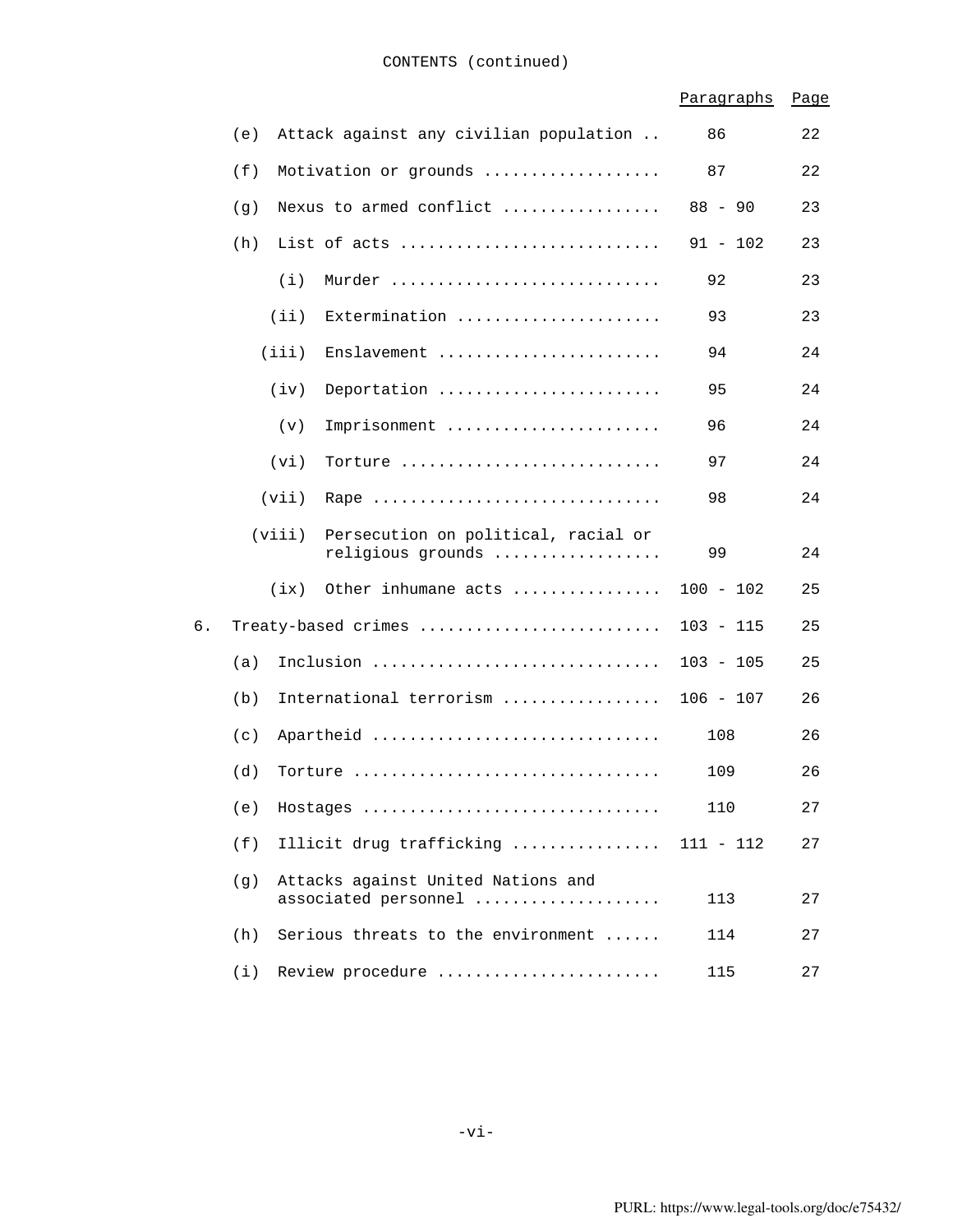## CONTENTS (continued)

|    |                                                                    | Paragraphs  | Page |
|----|--------------------------------------------------------------------|-------------|------|
|    | Attack against any civilian population<br>(e)                      | 86          | 22   |
|    | (f)<br>Motivation or grounds                                       | 87          | 22   |
|    | Nexus to armed conflict<br>(g)                                     | $88 - 90$   | 23   |
|    | (h)<br>List of acts                                                | $91 - 102$  | 23   |
|    | (i)<br>Murder                                                      | 92          | 23   |
|    | (iii)<br>Extermination                                             | 93          | 23   |
|    | (iii)<br>Enslavement                                               | 94          | 24   |
|    | (iv)<br>Deportation                                                | 95          | 24   |
|    | (v)<br>Imprisonment                                                | 96          | 24   |
|    | (vi)<br>Torture                                                    | 97          | 24   |
|    | (vii)<br>Rape                                                      | 98          | 24   |
|    | Persecution on political, racial or<br>(viii)<br>religious grounds | 99          | 24   |
|    | Other inhumane acts<br>(ix)                                        | $100 - 102$ | 25   |
| б. | Treaty-based crimes                                                | $103 - 115$ | 25   |
|    | Inclusion<br>(a)                                                   | $103 - 105$ | 25   |
|    | (b)<br>International terrorism                                     | $106 - 107$ | 26   |
|    | (c)<br>Apartheid                                                   | 108         | 26   |
|    | (d)<br>Torture                                                     | 109         | 26   |
|    | (e)<br>Hostages                                                    | 110         | 27   |
|    | (f)<br>Illicit drug trafficking                                    | $111 - 112$ | 27   |
|    | Attacks against United Nations and<br>(g)<br>associated personnel  | 113         | 27   |
|    | Serious threats to the environment<br>(h)                          | 114         | 27   |
|    | (i)<br>Review procedure                                            | 115         | 27   |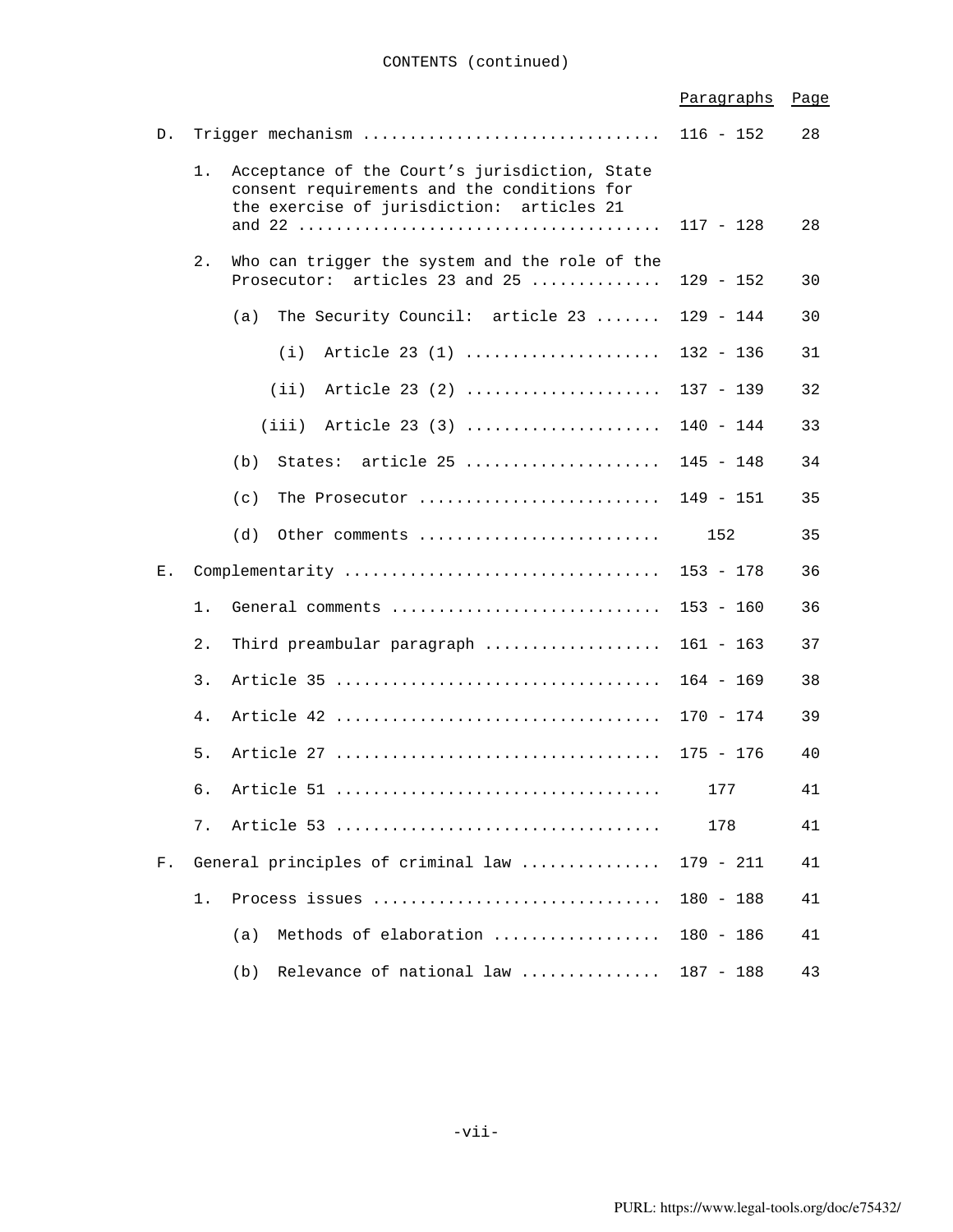|               |                                                                                                                                                 | Paragraphs  | Page |
|---------------|-------------------------------------------------------------------------------------------------------------------------------------------------|-------------|------|
| D.            | Trigger mechanism                                                                                                                               | $116 - 152$ | 28   |
|               | 1.<br>Acceptance of the Court's jurisdiction, State<br>consent requirements and the conditions for<br>the exercise of jurisdiction: articles 21 | $117 - 128$ | 28   |
|               | $2$ .<br>Who can trigger the system and the role of the<br>articles 23 and 25<br>Prosecutor:                                                    | $129 - 152$ | 30   |
|               | The Security Council: article 23<br>(a)                                                                                                         | $129 - 144$ | 30   |
|               | (i)<br>Article 23 $(1)$                                                                                                                         | $132 - 136$ | 31   |
|               | (iii)<br>Article 23 $(2)$                                                                                                                       | $137 - 139$ | 32   |
|               | $(iii)$ Article 23 (3)                                                                                                                          | $140 - 144$ | 33   |
|               | States: article 25<br>(b)                                                                                                                       | $145 - 148$ | 34   |
|               | The Prosecutor<br>(c)                                                                                                                           | $149 - 151$ | 35   |
|               | (d)<br>Other comments                                                                                                                           | 152         | 35   |
| Ε.            | Complementarity                                                                                                                                 | $153 - 178$ | 36   |
|               | $1$ .<br>General comments                                                                                                                       | $153 - 160$ | 36   |
|               | $2$ .<br>Third preambular paragraph                                                                                                             | $161 - 163$ | 37   |
|               | 3.                                                                                                                                              | $164 - 169$ | 38   |
|               | 4.                                                                                                                                              | 170 - 174   | 39   |
|               | 5.                                                                                                                                              | 175 - 176   | 40   |
|               | 6. Article 51                                                                                                                                   | 177         | 41   |
|               | 7.                                                                                                                                              | 178         | 41   |
| $\mathbb F$ . | General principles of criminal law                                                                                                              | $179 - 211$ | 41   |
|               | Process issues<br>1.                                                                                                                            | $180 - 188$ | 41   |
|               | Methods of elaboration<br>(a)                                                                                                                   | $180 - 186$ | 41   |
|               | Relevance of national law<br>(b)                                                                                                                | $187 - 188$ | 43   |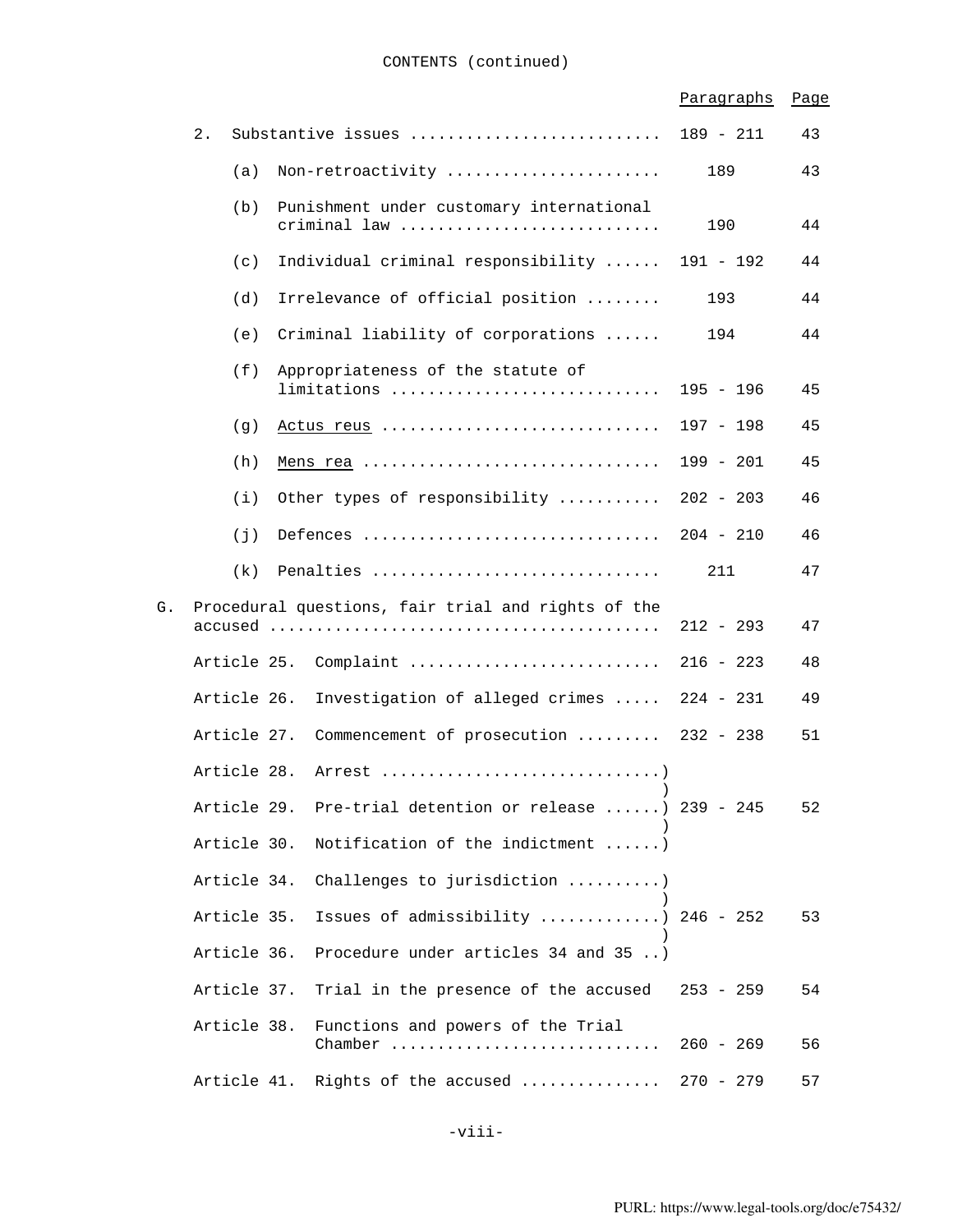|    |    |             |             |                                                            | Paragraphs  | Page |
|----|----|-------------|-------------|------------------------------------------------------------|-------------|------|
|    | 2. |             |             | Substantive issues                                         | $189 - 211$ | 43   |
|    |    | (a)         |             | Non-retroactivity                                          | 189         | 43   |
|    |    | (b)         |             | Punishment under customary international<br>criminal law   | 190         | 44   |
|    |    | (c)         |             | Individual criminal responsibility  191 - 192              |             | 44   |
|    |    | (d)         |             | Irrelevance of official position                           | 193         | 44   |
|    |    | (e)         |             | Criminal liability of corporations                         | 194         | 44   |
|    |    | (f)         |             | Appropriateness of the statute of                          | $195 - 196$ | 45   |
|    |    | (g)         |             | Actus reus                                                 | $197 - 198$ | 45   |
|    |    | (h)         |             | Mens rea                                                   | $199 - 201$ | 45   |
|    |    | (i)         |             | Other types of responsibility                              | $202 - 203$ | 46   |
|    |    | (j)         |             | Defences                                                   | $204 - 210$ | 46   |
|    |    | (k)         |             | Penalties                                                  | 211         | 47   |
| G. |    |             |             | Procedural questions, fair trial and rights of the         | $212 - 293$ | 47   |
|    |    |             |             | Article 25. Complaint                                      | $216 - 223$ | 48   |
|    |    | Article 26. |             | Investigation of alleged crimes  224 - 231                 |             | 49   |
|    |    |             | Article 27. | Commencement of prosecution  232 - 238                     |             | 51   |
|    |    |             |             | $\overline{\phantom{a}}$                                   |             |      |
|    |    |             |             | Article 29. Pre-trial detention or release ) 239 - 245     |             | 52   |
|    |    |             |             | Article 30. Notification of the indictment )               |             |      |
|    |    |             |             | Article 34. Challenges to jurisdiction )                   |             |      |
|    |    |             |             | Article 35. Issues of admissibility ) 246 - 252            |             | 53   |
|    |    |             |             | Article 36. Procedure under articles 34 and 35 )           |             |      |
|    |    |             |             | Article 37. Trial in the presence of the accused 253 - 259 |             | 54   |
|    |    |             |             | Article 38. Functions and powers of the Trial<br>Chamber   | $260 - 269$ | 56   |
|    |    |             |             | Article 41. Rights of the accused                          | $270 - 279$ | 57   |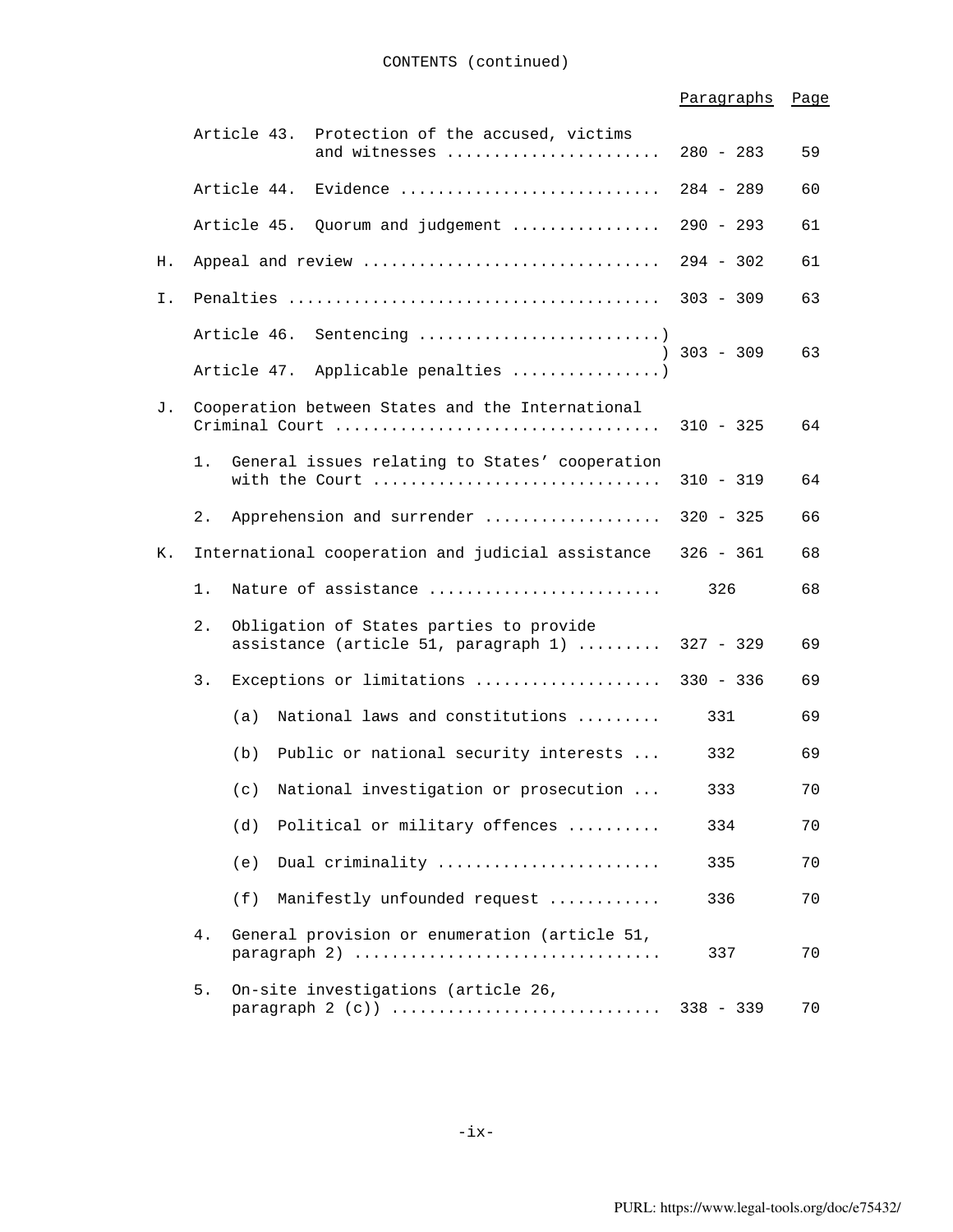# Paragraphs Page

|    |       | Article 43. | Protection of the accused, victims<br>and witnesses                                                                          | $280 - 283$   | 59 |
|----|-------|-------------|------------------------------------------------------------------------------------------------------------------------------|---------------|----|
|    |       | Article 44. | Evidence                                                                                                                     | $284 - 289$   | 60 |
|    |       |             | Article 45. Quorum and judgement                                                                                             | $290 - 293$   | 61 |
| Η. |       |             | Appeal and review                                                                                                            | $294 - 302$   | 61 |
| Ι. |       |             |                                                                                                                              | $303 - 309$   | 63 |
|    |       | Article 46. | Sentencing $\dots\dots\dots\dots\dots\dots\dots\dots\dots\dots$                                                              | $) 303 - 309$ | 63 |
|    |       | Article 47. | Applicable penalties )                                                                                                       |               |    |
| J. |       |             | Cooperation between States and the International<br>Criminal Court                                                           | $310 - 325$   | 64 |
|    | $1$ . |             | General issues relating to States' cooperation<br>with the Court                                                             | $310 - 319$   | 64 |
|    | 2.    |             | Apprehension and surrender                                                                                                   | $320 - 325$   | 66 |
| К. |       |             | International cooperation and judicial assistance                                                                            | $326 - 361$   | 68 |
|    | 1.    |             | Nature of assistance                                                                                                         | 326           | 68 |
|    | 2.    |             | Obligation of States parties to provide<br>assistance (article 51, paragraph 1)                                              | $327 - 329$   | 69 |
|    | 3.    |             | Exceptions or limitations                                                                                                    | $330 - 336$   | 69 |
|    |       | (a)         | National laws and constitutions                                                                                              | 331           | 69 |
|    |       | (b)         | Public or national security interests                                                                                        | 332           | 69 |
|    |       | (c)         | National investigation or prosecution                                                                                        | 333           | 70 |
|    |       | (d)         | Political or military offences                                                                                               | 334           | 70 |
|    |       | (e)         | Dual criminality                                                                                                             | 335           | 70 |
|    |       |             |                                                                                                                              |               | 70 |
|    |       | (f)         | Manifestly unfounded request                                                                                                 | 336           |    |
|    | 4.    |             | General provision or enumeration (article 51,<br>paragraph 2) $\dots\dots\dots\dots\dots\dots\dots\dots\dots\dots\dots\dots$ | 337           | 70 |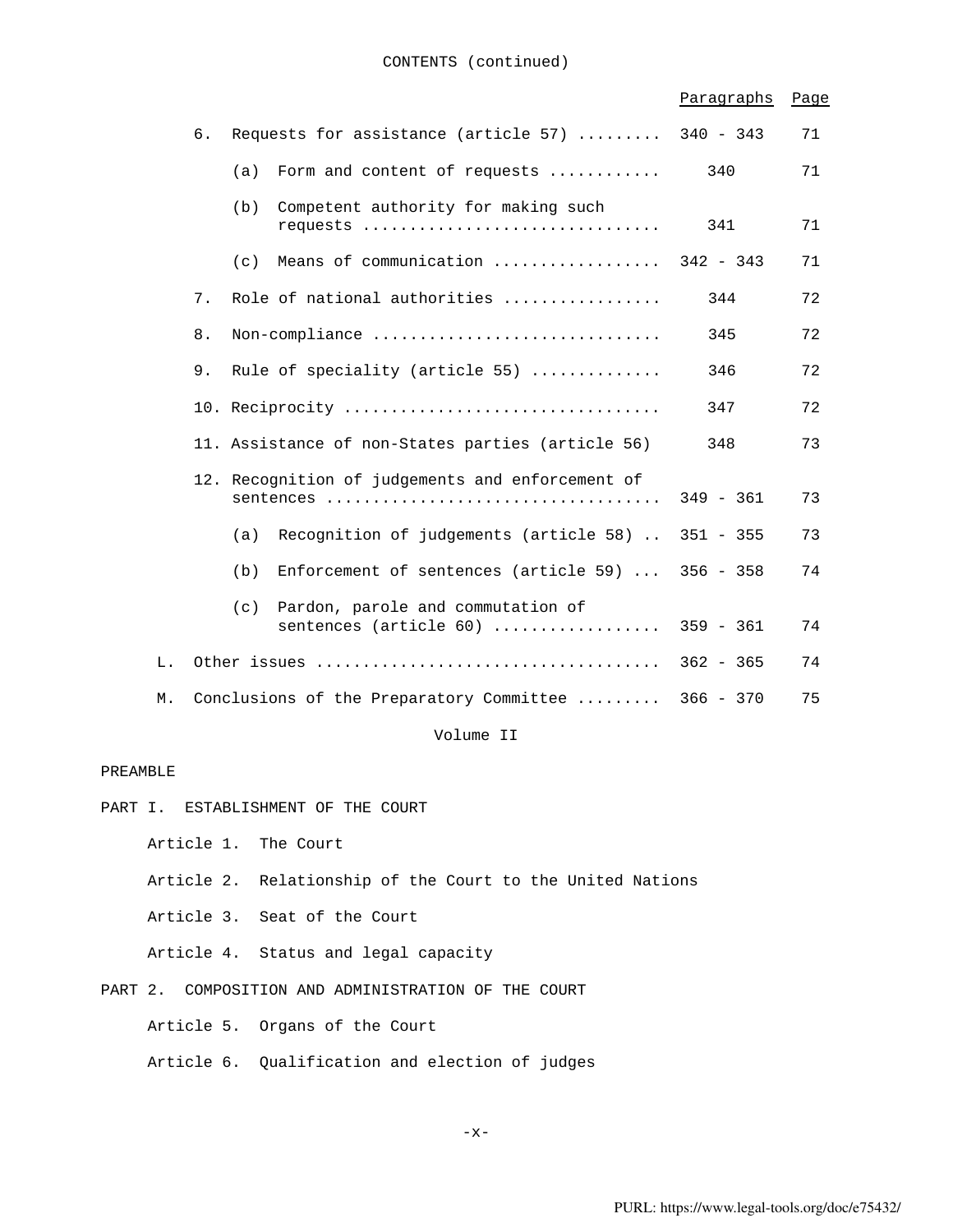|    |    |     |                                                                        | Paragraphs  | Page |
|----|----|-----|------------------------------------------------------------------------|-------------|------|
|    | б. |     | Requests for assistance (article 57) $\ldots \ldots$ 340 - 343         |             | 71   |
|    |    | (a) | Form and content of requests                                           | 340         | 71   |
|    |    | (b) | Competent authority for making such<br>requests                        | 341         | 71   |
|    |    | (c) | Means of communication  342 - 343                                      |             | 71   |
|    | 7. |     | Role of national authorities                                           | 344         | 72   |
|    | 8. |     | Non-compliance                                                         | 345         | 72   |
|    | 9. |     | Rule of speciality (article 55)                                        | 346         | 72   |
|    |    |     | 10. Reciprocity                                                        | 347         | 72   |
|    |    |     | 11. Assistance of non-States parties (article 56)                      | 348         | 73   |
|    |    |     | 12. Recognition of judgements and enforcement of                       | $349 - 361$ | 73   |
|    |    | (a) | Recognition of judgements (article 58)                                 | $351 - 355$ | 73   |
|    |    | (b) | Enforcement of sentences (article 59) $\ldots$ 356 - 358               |             | 74   |
|    |    | (c) | Pardon, parole and commutation of<br>sentences (article 60)  359 - 361 |             | 74   |
| L. |    |     |                                                                        | $362 - 365$ | 74   |
| М. |    |     | Conclusions of the Preparatory Committee                               | $366 - 370$ | 75   |
|    |    |     |                                                                        |             |      |

Volume II

#### PREAMBLE

PART I. ESTABLISHMENT OF THE COURT

Article 1. The Court

Article 2. Relationship of the Court to the United Nations

Article 3. Seat of the Court

Article 4. Status and legal capacity

PART 2. COMPOSITION AND ADMINISTRATION OF THE COURT

Article 5. Organs of the Court

Article 6. Qualification and election of judges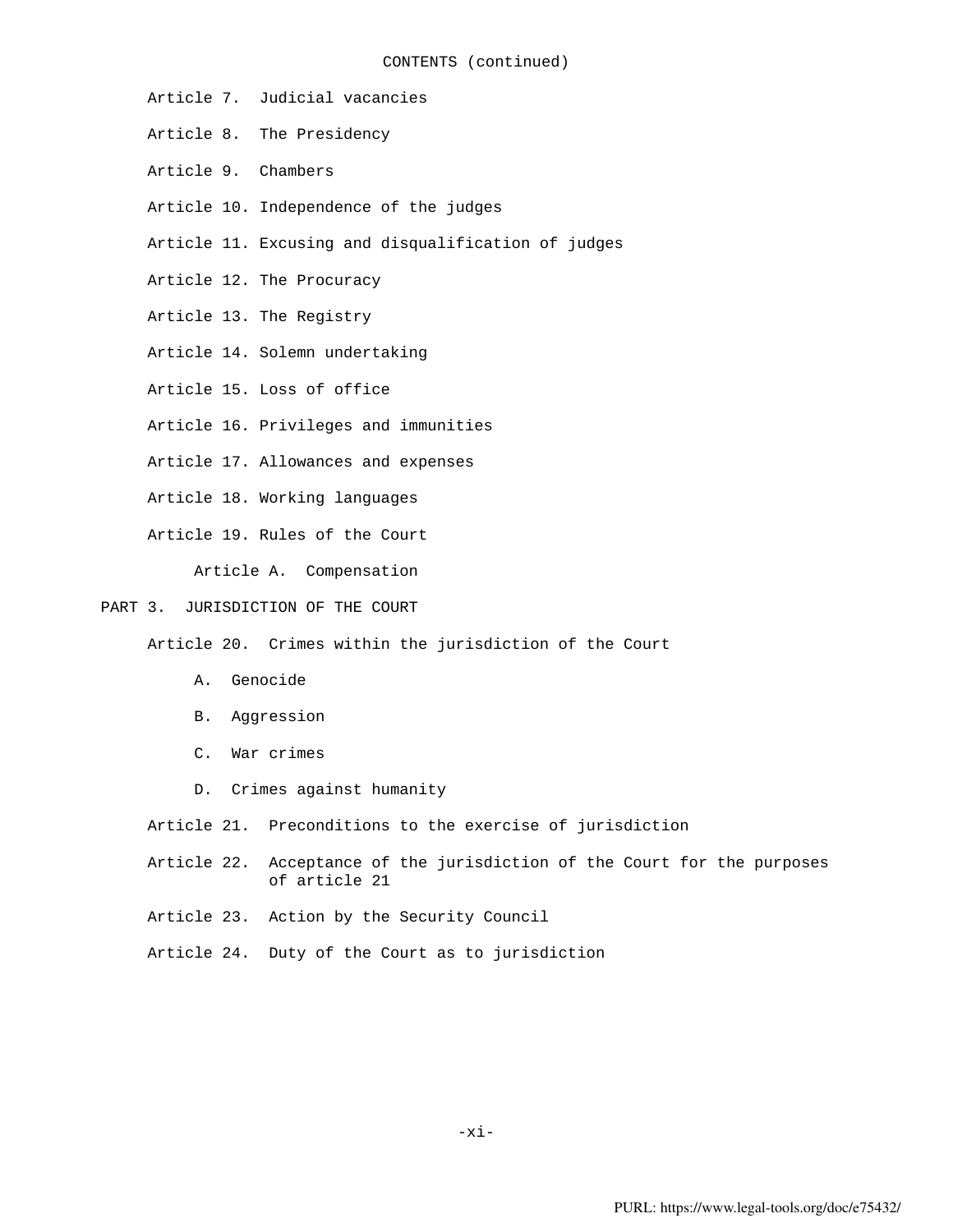- Article 7. Judicial vacancies
- Article 8. The Presidency
- Article 9. Chambers
- Article 10. Independence of the judges
- Article 11. Excusing and disqualification of judges
- Article 12. The Procuracy
- Article 13. The Registry
- Article 14. Solemn undertaking
- Article 15. Loss of office
- Article 16. Privileges and immunities
- Article 17. Allowances and expenses
- Article 18. Working languages
- Article 19. Rules of the Court

Article A. Compensation

#### PART 3. JURISDICTION OF THE COURT

Article 20. Crimes within the jurisdiction of the Court

- A. Genocide
- B. Aggression
- C. War crimes
- D. Crimes against humanity
- Article 21. Preconditions to the exercise of jurisdiction
- Article 22. Acceptance of the jurisdiction of the Court for the purposes of article 21
- Article 23. Action by the Security Council
- Article 24. Duty of the Court as to jurisdiction

-xi-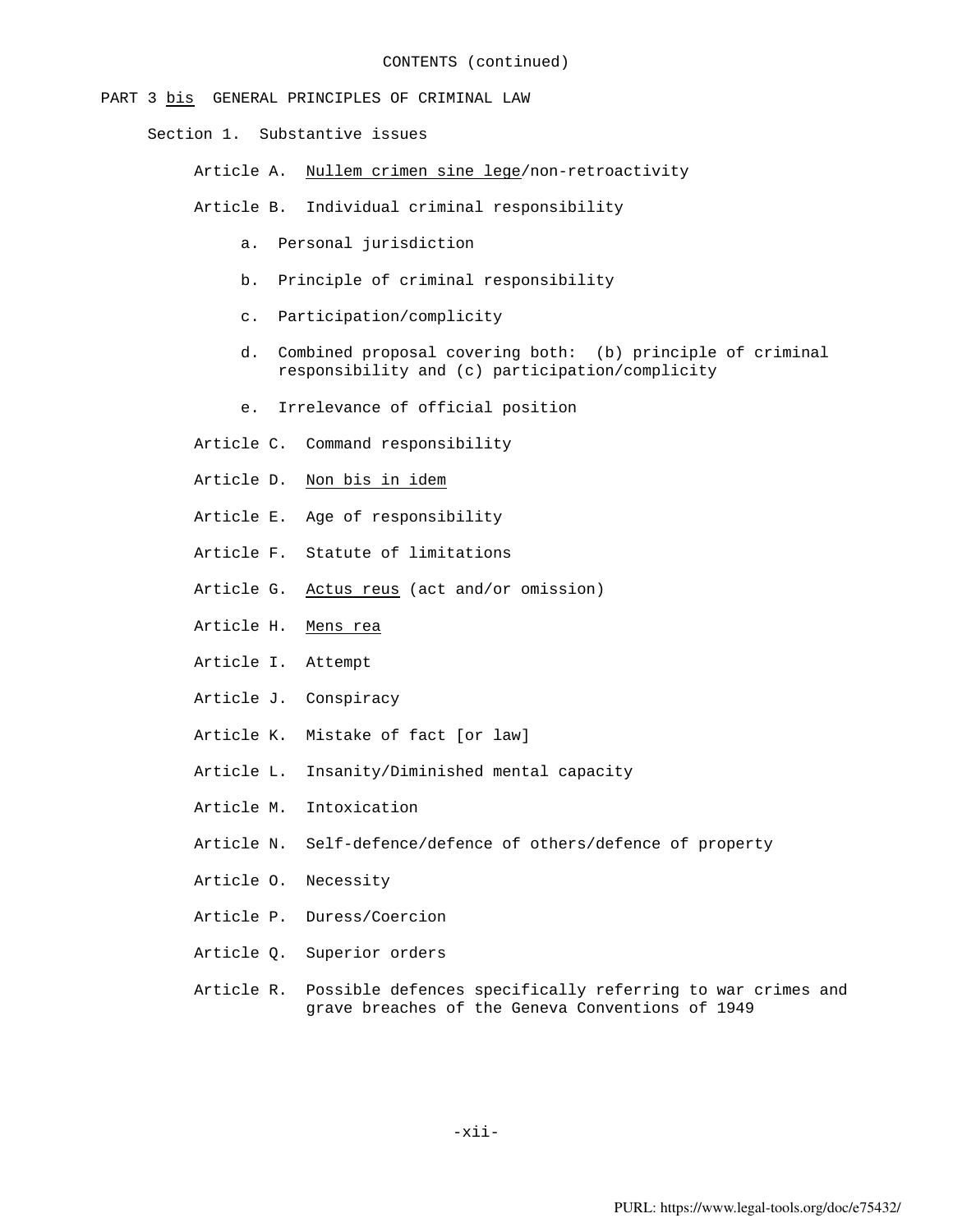#### PART 3 bis GENERAL PRINCIPLES OF CRIMINAL LAW

Section 1. Substantive issues

Article A. Nullem crimen sine lege/non-retroactivity

Article B. Individual criminal responsibility

- a. Personal jurisdiction
- b. Principle of criminal responsibility
- c. Participation/complicity
- d. Combined proposal covering both: (b) principle of criminal responsibility and (c) participation/complicity
- e. Irrelevance of official position
- Article C. Command responsibility
- Article D. Non bis in idem
- Article E. Age of responsibility
- Article F. Statute of limitations
- Article G. Actus reus (act and/or omission)
- Article H. Mens rea
- Article I. Attempt
- Article J. Conspiracy
- Article K. Mistake of fact [or law]
- Article L. Insanity/Diminished mental capacity
- Article M. Intoxication
- Article N. Self-defence/defence of others/defence of property
- Article O. Necessity
- Article P. Duress/Coercion
- Article Q. Superior orders
- Article R. Possible defences specifically referring to war crimes and grave breaches of the Geneva Conventions of 1949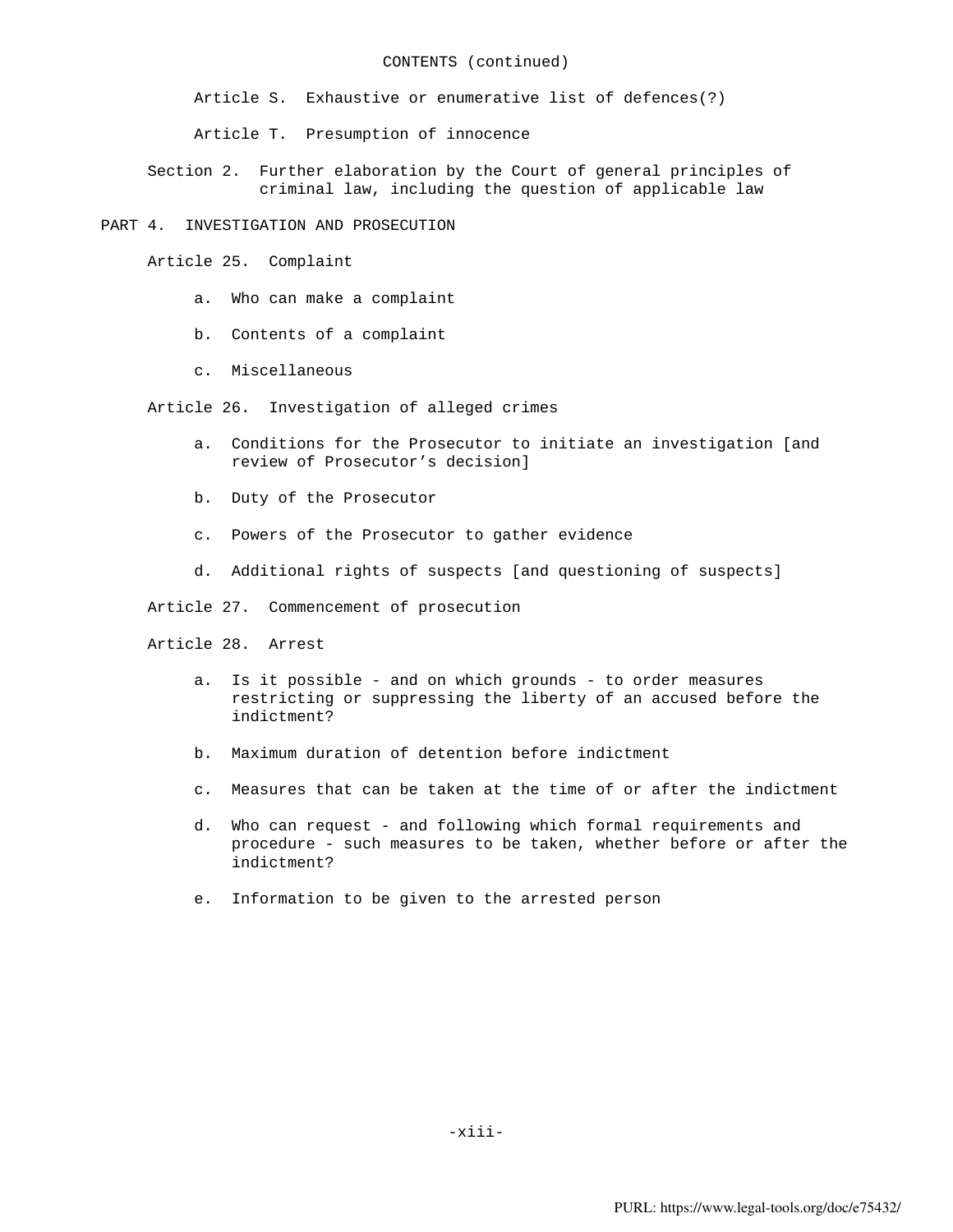Article S. Exhaustive or enumerative list of defences(?)

Article T. Presumption of innocence

Section 2. Further elaboration by the Court of general principles of criminal law, including the question of applicable law

PART 4. INVESTIGATION AND PROSECUTION

Article 25. Complaint

- a. Who can make a complaint
- b. Contents of a complaint
- c. Miscellaneous

Article 26. Investigation of alleged crimes

- a. Conditions for the Prosecutor to initiate an investigation [and review of Prosecutor's decision]
- b. Duty of the Prosecutor
- c. Powers of the Prosecutor to gather evidence
- d. Additional rights of suspects [and questioning of suspects]

Article 27. Commencement of prosecution

Article 28. Arrest

- a. Is it possible and on which grounds to order measures restricting or suppressing the liberty of an accused before the indictment?
- b. Maximum duration of detention before indictment
- c. Measures that can be taken at the time of or after the indictment
- d. Who can request and following which formal requirements and procedure - such measures to be taken, whether before or after the indictment?
- e. Information to be given to the arrested person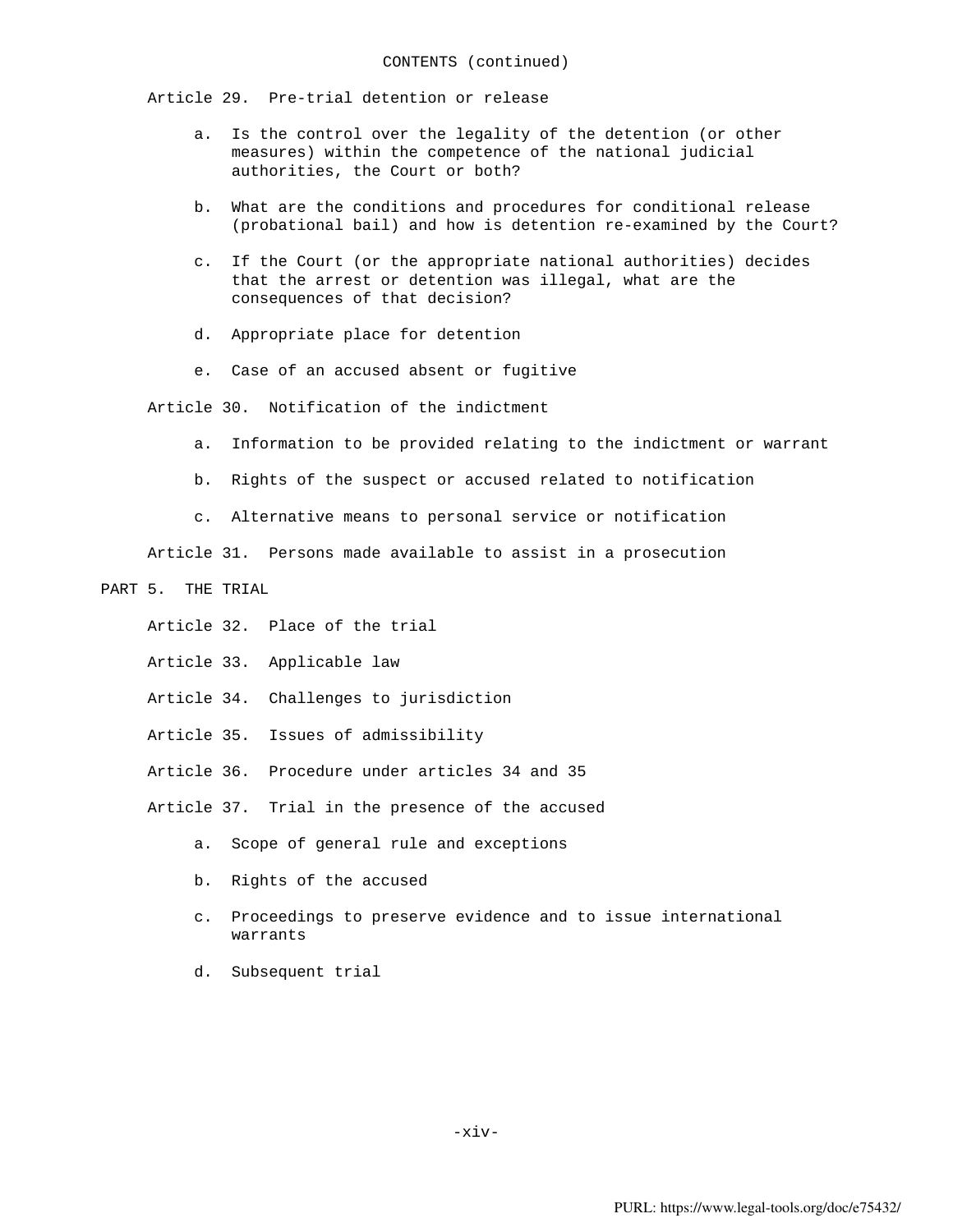Article 29. Pre-trial detention or release

- a. Is the control over the legality of the detention (or other measures) within the competence of the national judicial authorities, the Court or both?
- b. What are the conditions and procedures for conditional release (probational bail) and how is detention re-examined by the Court?
- c. If the Court (or the appropriate national authorities) decides that the arrest or detention was illegal, what are the consequences of that decision?
- d. Appropriate place for detention
- e. Case of an accused absent or fugitive
- Article 30. Notification of the indictment
	- a. Information to be provided relating to the indictment or warrant
	- b. Rights of the suspect or accused related to notification
	- c. Alternative means to personal service or notification

Article 31. Persons made available to assist in a prosecution

- PART 5. THE TRIAL
	- Article 32. Place of the trial
	- Article 33. Applicable law
	- Article 34. Challenges to jurisdiction
	- Article 35. Issues of admissibility
	- Article 36. Procedure under articles 34 and 35
	- Article 37. Trial in the presence of the accused
		- a. Scope of general rule and exceptions
		- b. Rights of the accused
		- c. Proceedings to preserve evidence and to issue international warrants
		- d. Subsequent trial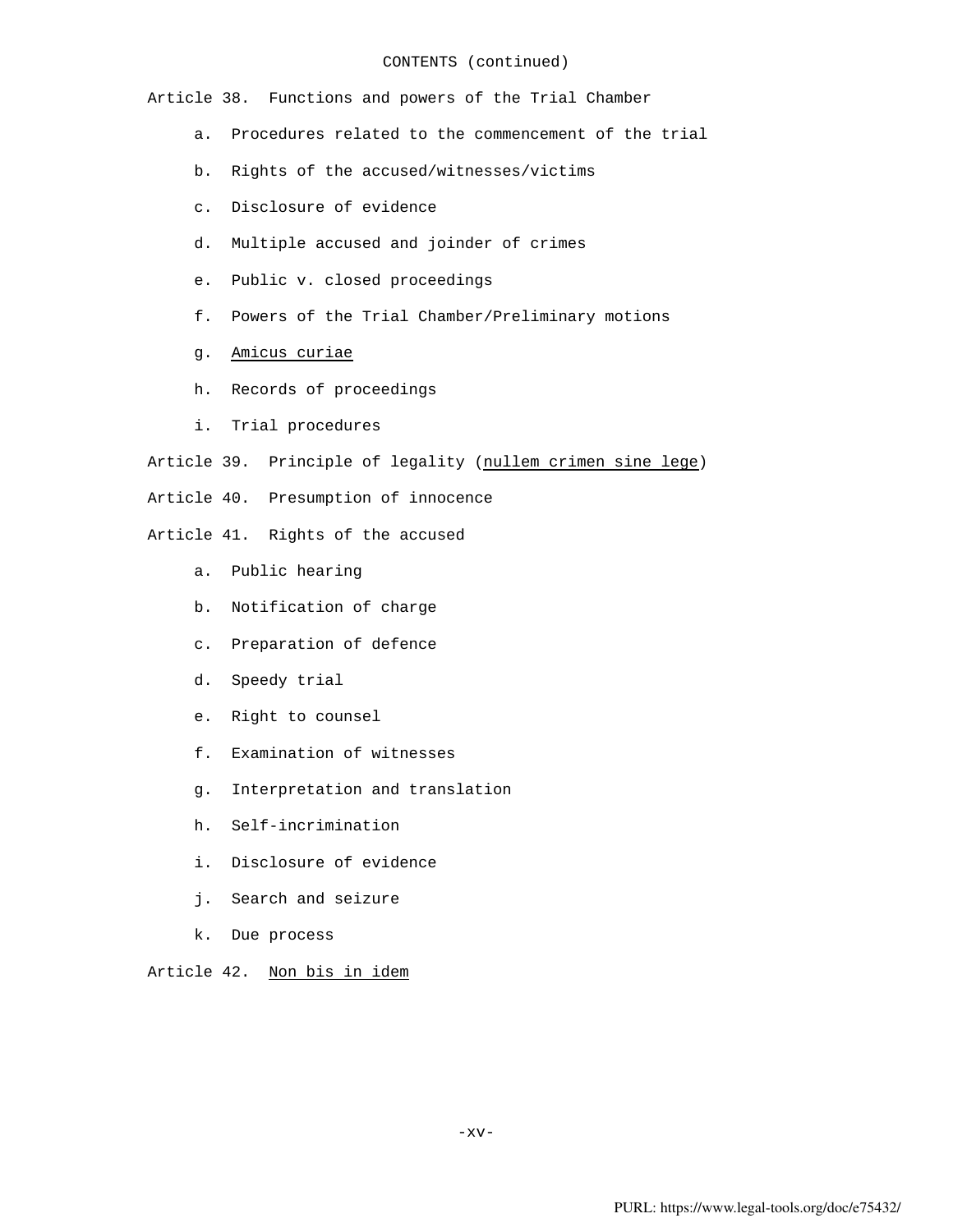#### CONTENTS (continued)

Article 38. Functions and powers of the Trial Chamber

- a. Procedures related to the commencement of the trial
- b. Rights of the accused/witnesses/victims
- c. Disclosure of evidence
- d. Multiple accused and joinder of crimes
- e. Public v. closed proceedings
- f. Powers of the Trial Chamber/Preliminary motions
- g. Amicus curiae
- h. Records of proceedings
- i. Trial procedures
- Article 39. Principle of legality (nullem crimen sine lege)
- Article 40. Presumption of innocence

Article 41. Rights of the accused

- a. Public hearing
- b. Notification of charge
- c. Preparation of defence
- d. Speedy trial
- e. Right to counsel
- f. Examination of witnesses
- g. Interpretation and translation
- h. Self-incrimination
- i. Disclosure of evidence
- j. Search and seizure
- k. Due process

Article 42. Non bis in idem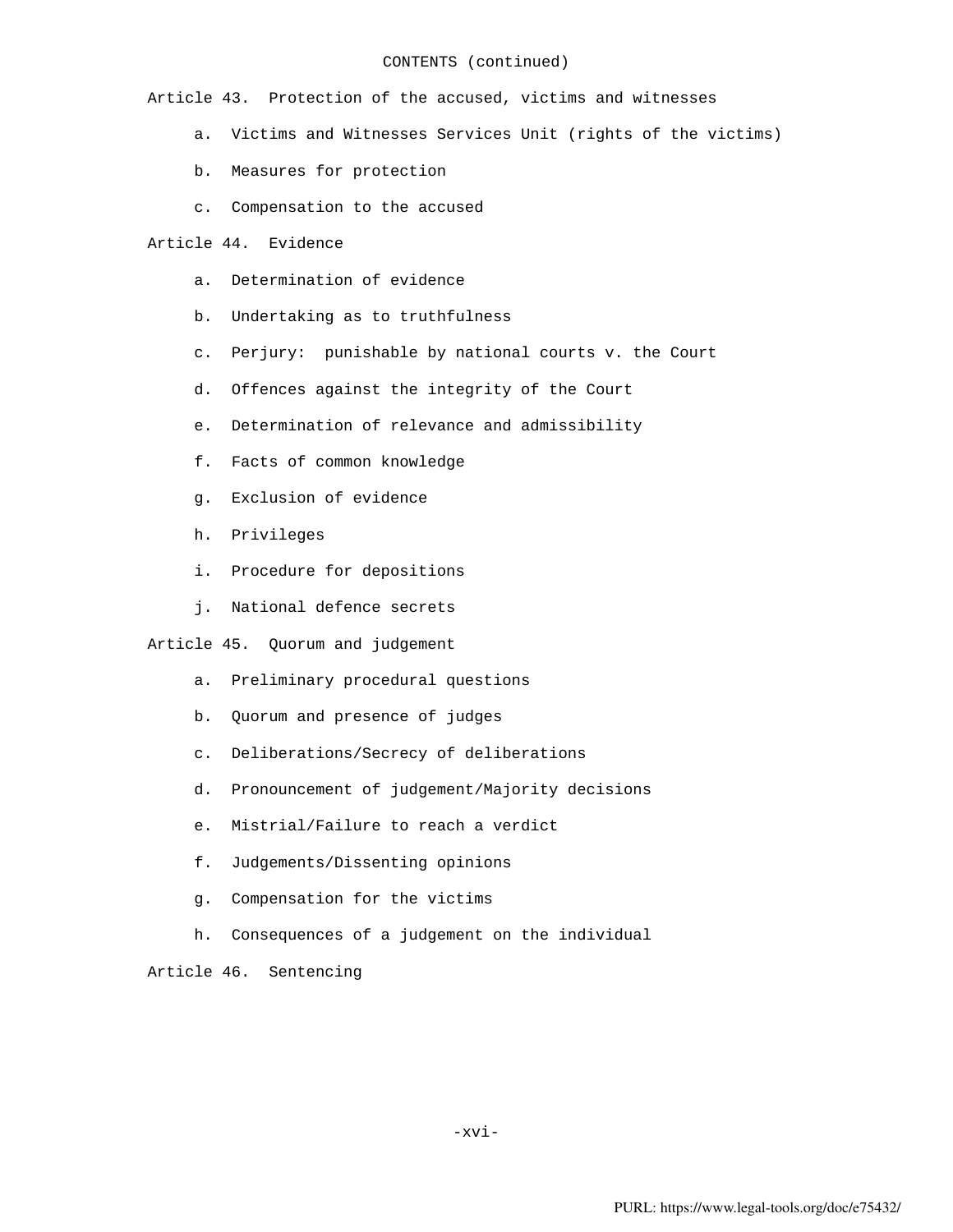#### CONTENTS (continued)

Article 43. Protection of the accused, victims and witnesses

- a. Victims and Witnesses Services Unit (rights of the victims)
- b. Measures for protection
- c. Compensation to the accused

#### Article 44. Evidence

- a. Determination of evidence
- b. Undertaking as to truthfulness
- c. Perjury: punishable by national courts v. the Court
- d. Offences against the integrity of the Court
- e. Determination of relevance and admissibility
- f. Facts of common knowledge
- g. Exclusion of evidence
- h. Privileges
- i. Procedure for depositions
- j. National defence secrets

#### Article 45. Quorum and judgement

- a. Preliminary procedural questions
- b. Quorum and presence of judges
- c. Deliberations/Secrecy of deliberations
- d. Pronouncement of judgement/Majority decisions
- e. Mistrial/Failure to reach a verdict
- f. Judgements/Dissenting opinions
- g. Compensation for the victims
- h. Consequences of a judgement on the individual

Article 46. Sentencing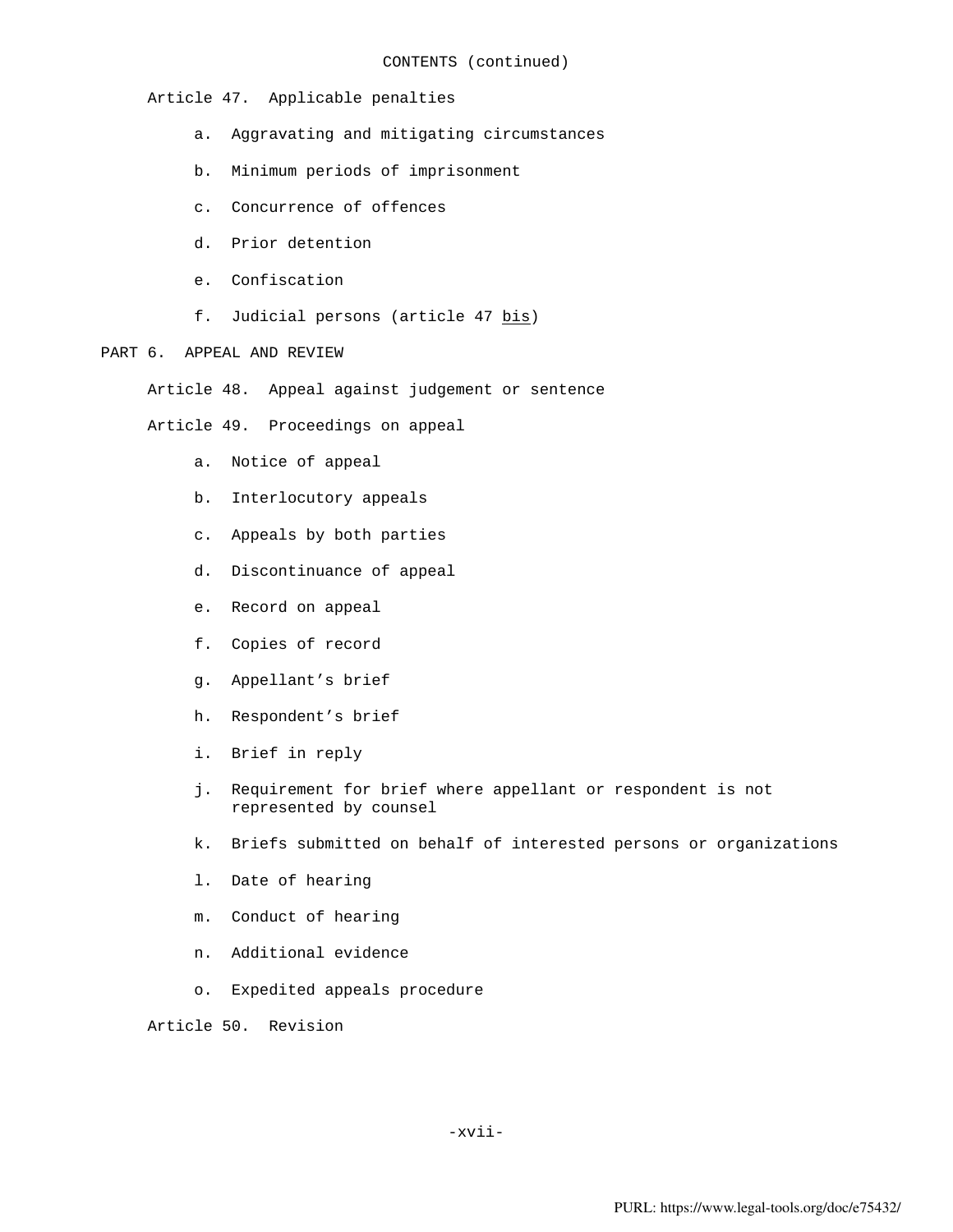Article 47. Applicable penalties

- a. Aggravating and mitigating circumstances
- b. Minimum periods of imprisonment
- c. Concurrence of offences
- d. Prior detention
- e. Confiscation
- f. Judicial persons (article 47 bis)

#### PART 6. APPEAL AND REVIEW

- Article 48. Appeal against judgement or sentence
- Article 49. Proceedings on appeal
	- a. Notice of appeal
	- b. Interlocutory appeals
	- c. Appeals by both parties
	- d. Discontinuance of appeal
	- e. Record on appeal
	- f. Copies of record
	- g. Appellant's brief
	- h. Respondent's brief
	- i. Brief in reply
	- j. Requirement for brief where appellant or respondent is not represented by counsel
	- k. Briefs submitted on behalf of interested persons or organizations
	- l. Date of hearing
	- m. Conduct of hearing
	- n. Additional evidence
	- o. Expedited appeals procedure

Article 50. Revision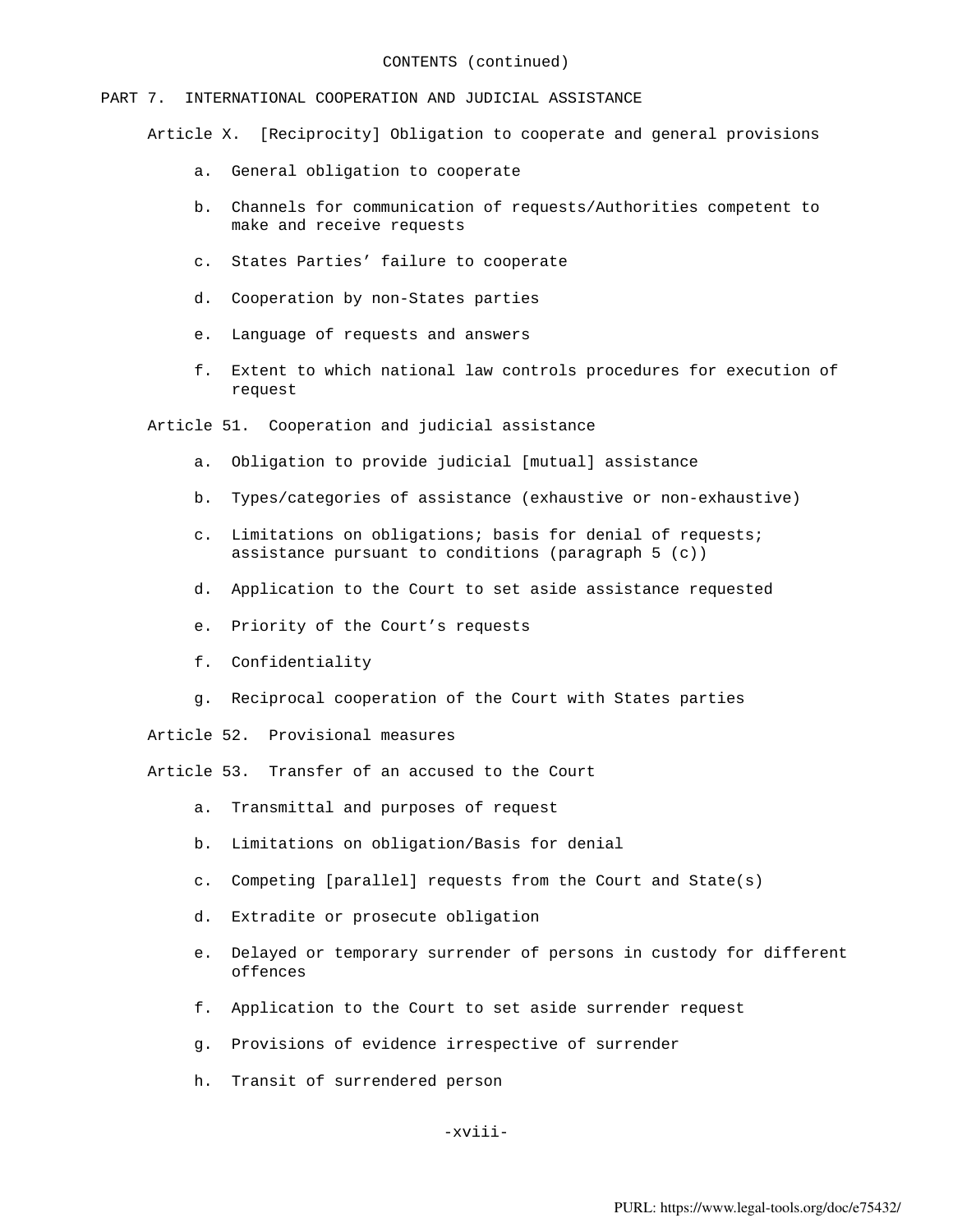#### PART 7. INTERNATIONAL COOPERATION AND JUDICIAL ASSISTANCE

Article X. [Reciprocity] Obligation to cooperate and general provisions

- a. General obligation to cooperate
- b. Channels for communication of requests/Authorities competent to make and receive requests
- c. States Parties' failure to cooperate
- d. Cooperation by non-States parties
- e. Language of requests and answers
- f. Extent to which national law controls procedures for execution of request

Article 51. Cooperation and judicial assistance

- a. Obligation to provide judicial [mutual] assistance
- b. Types/categories of assistance (exhaustive or non-exhaustive)
- c. Limitations on obligations; basis for denial of requests; assistance pursuant to conditions (paragraph 5 (c))
- d. Application to the Court to set aside assistance requested
- e. Priority of the Court's requests
- f. Confidentiality
- g. Reciprocal cooperation of the Court with States parties

Article 52. Provisional measures

Article 53. Transfer of an accused to the Court

- a. Transmittal and purposes of request
- b. Limitations on obligation/Basis for denial
- c. Competing [parallel] requests from the Court and State(s)
- d. Extradite or prosecute obligation
- e. Delayed or temporary surrender of persons in custody for different offences
- f. Application to the Court to set aside surrender request
- g. Provisions of evidence irrespective of surrender
- h. Transit of surrendered person

-xviii-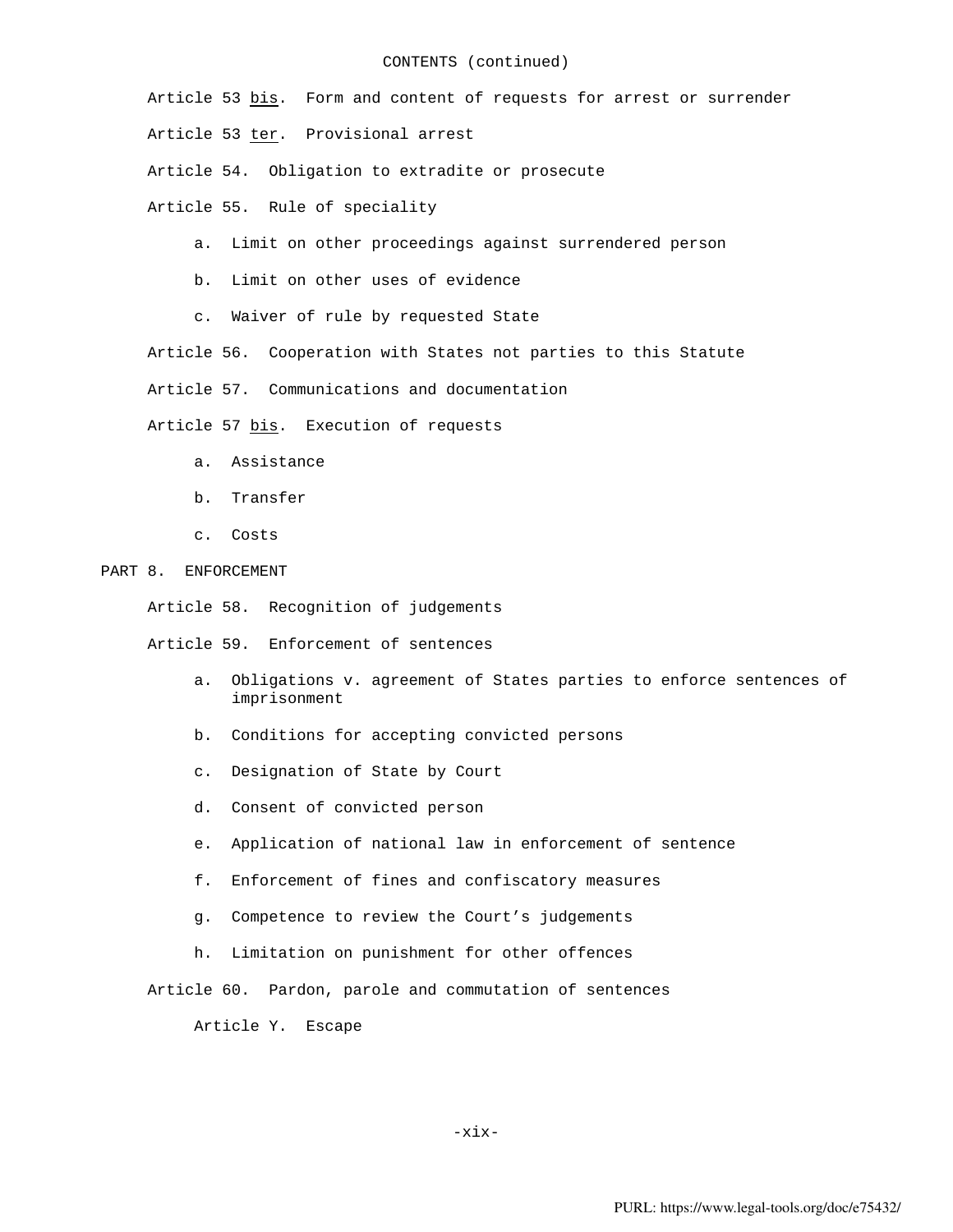#### CONTENTS (continued)

Article 53 bis. Form and content of requests for arrest or surrender Article 53 ter. Provisional arrest

Article 54. Obligation to extradite or prosecute

Article 55. Rule of speciality

a. Limit on other proceedings against surrendered person

- b. Limit on other uses of evidence
- c. Waiver of rule by requested State

Article 56. Cooperation with States not parties to this Statute

Article 57. Communications and documentation

Article 57 bis. Execution of requests

- a. Assistance
- b. Transfer
- c. Costs

#### PART 8. ENFORCEMENT

Article 58. Recognition of judgements

Article 59. Enforcement of sentences

- a. Obligations v. agreement of States parties to enforce sentences of imprisonment
- b. Conditions for accepting convicted persons
- c. Designation of State by Court
- d. Consent of convicted person
- e. Application of national law in enforcement of sentence
- f. Enforcement of fines and confiscatory measures
- g. Competence to review the Court's judgements
- h. Limitation on punishment for other offences

Article 60. Pardon, parole and commutation of sentences

Article Y. Escape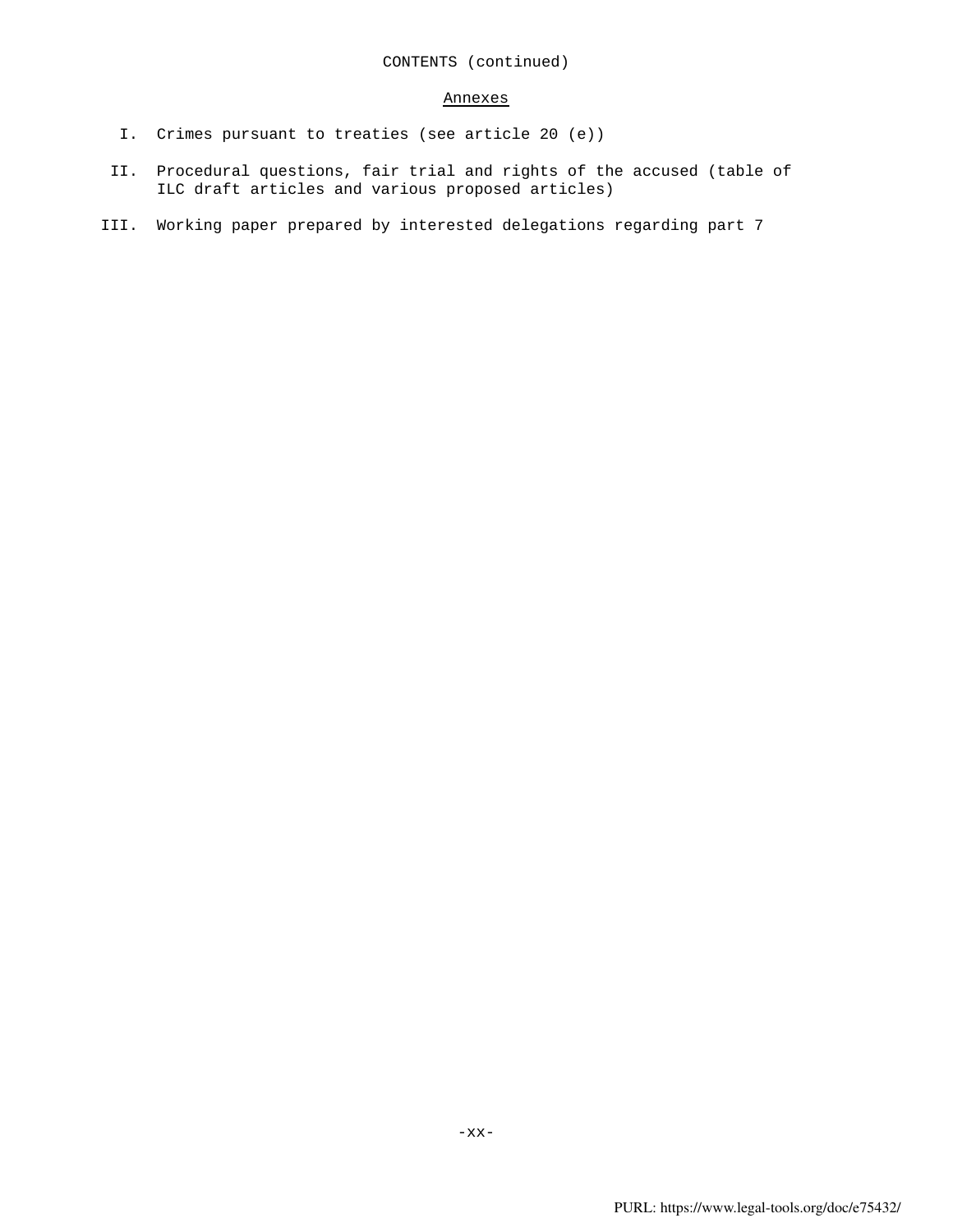#### Annexes

- I. Crimes pursuant to treaties (see article 20 (e))
- II. Procedural questions, fair trial and rights of the accused (table of ILC draft articles and various proposed articles)
- III. Working paper prepared by interested delegations regarding part 7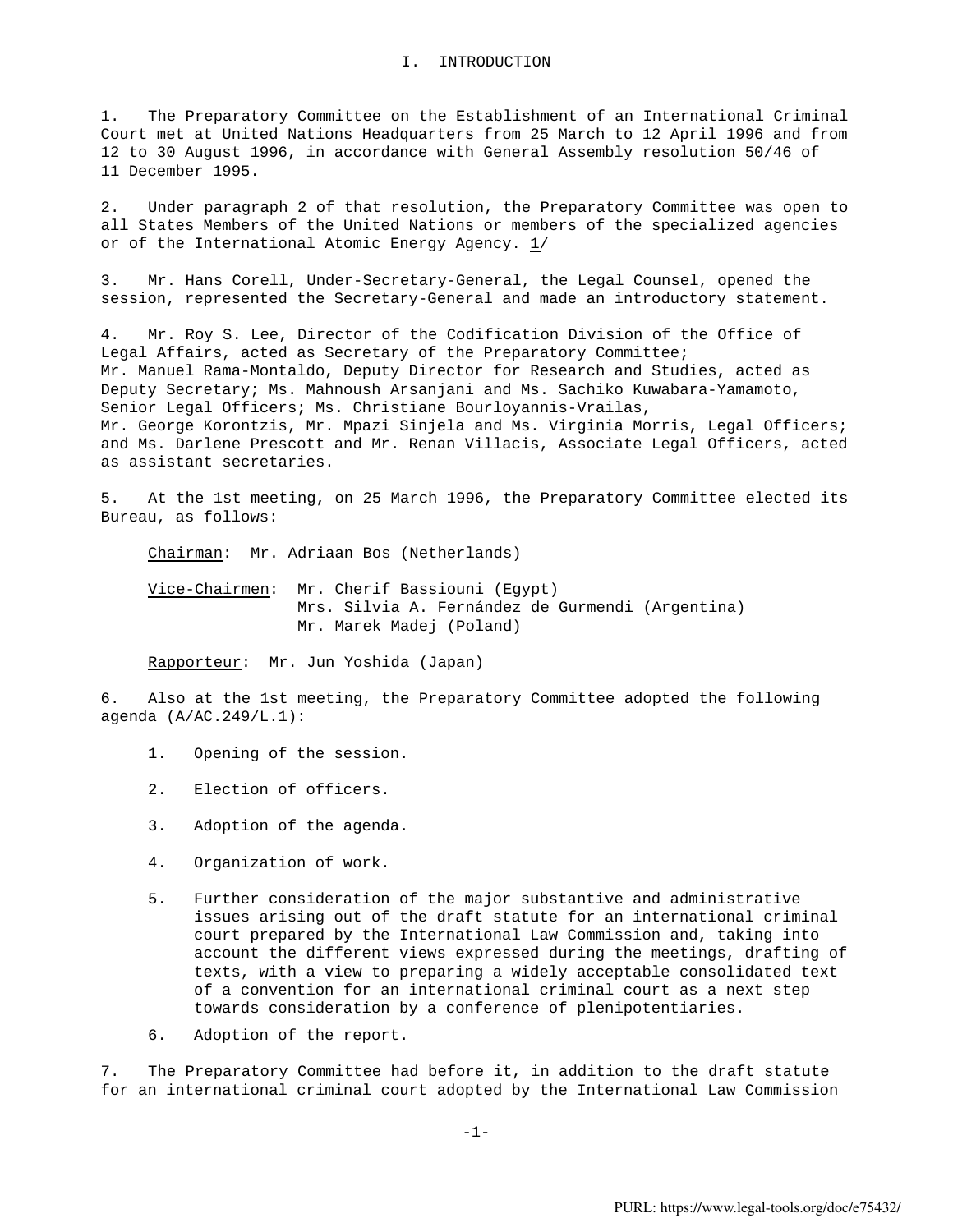#### I. INTRODUCTION

1. The Preparatory Committee on the Establishment of an International Criminal Court met at United Nations Headquarters from 25 March to 12 April 1996 and from 12 to 30 August 1996, in accordance with General Assembly resolution 50/46 of 11 December 1995.

2. Under paragraph 2 of that resolution, the Preparatory Committee was open to all States Members of the United Nations or members of the specialized agencies or of the International Atomic Energy Agency. 1/

3. Mr. Hans Corell, Under-Secretary-General, the Legal Counsel, opened the session, represented the Secretary-General and made an introductory statement.

4. Mr. Roy S. Lee, Director of the Codification Division of the Office of Legal Affairs, acted as Secretary of the Preparatory Committee; Mr. Manuel Rama-Montaldo, Deputy Director for Research and Studies, acted as Deputy Secretary; Ms. Mahnoush Arsanjani and Ms. Sachiko Kuwabara-Yamamoto, Senior Legal Officers; Ms. Christiane Bourloyannis-Vrailas, Mr. George Korontzis, Mr. Mpazi Sinjela and Ms. Virginia Morris, Legal Officers; and Ms. Darlene Prescott and Mr. Renan Villacis, Associate Legal Officers, acted as assistant secretaries.

5. At the 1st meeting, on 25 March 1996, the Preparatory Committee elected its Bureau, as follows:

Chairman: Mr. Adriaan Bos (Netherlands)

Vice-Chairmen: Mr. Cherif Bassiouni (Egypt) Mrs. Silvia A. Fernández de Gurmendi (Argentina) Mr. Marek Madej (Poland)

Rapporteur: Mr. Jun Yoshida (Japan)

6. Also at the 1st meeting, the Preparatory Committee adopted the following agenda (A/AC.249/L.1):

- 1. Opening of the session.
- 2. Election of officers.
- 3. Adoption of the agenda.
- 4. Organization of work.
- 5. Further consideration of the major substantive and administrative issues arising out of the draft statute for an international criminal court prepared by the International Law Commission and, taking into account the different views expressed during the meetings, drafting of texts, with a view to preparing a widely acceptable consolidated text of a convention for an international criminal court as a next step towards consideration by a conference of plenipotentiaries.
- 6. Adoption of the report.

7. The Preparatory Committee had before it, in addition to the draft statute for an international criminal court adopted by the International Law Commission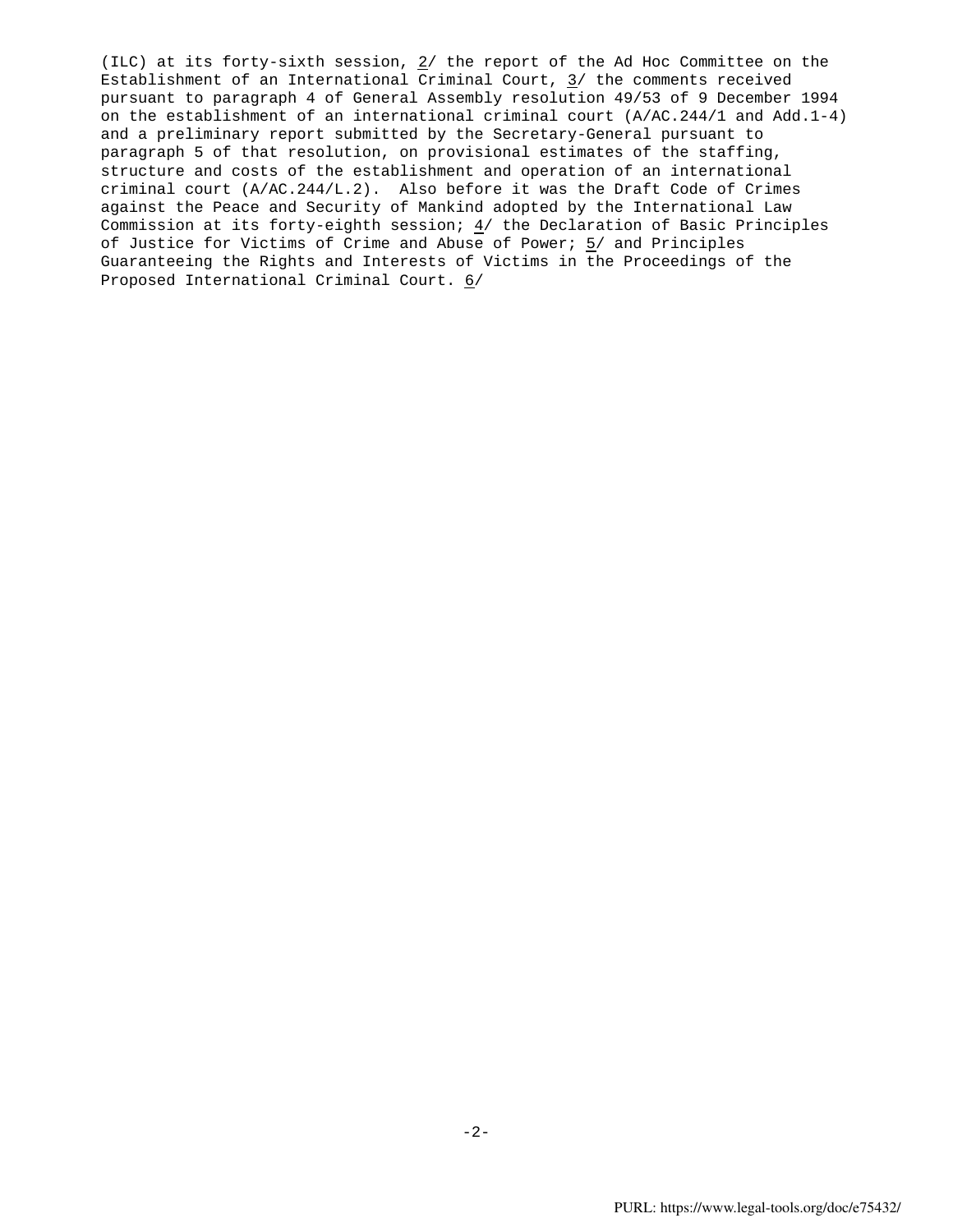(ILC) at its forty-sixth session, 2/ the report of the Ad Hoc Committee on the Establishment of an International Criminal Court, 3/ the comments received pursuant to paragraph 4 of General Assembly resolution 49/53 of 9 December 1994 on the establishment of an international criminal court (A/AC.244/1 and Add.1-4) and a preliminary report submitted by the Secretary-General pursuant to paragraph 5 of that resolution, on provisional estimates of the staffing, structure and costs of the establishment and operation of an international criminal court (A/AC.244/L.2). Also before it was the Draft Code of Crimes against the Peace and Security of Mankind adopted by the International Law Commission at its forty-eighth session; 4/ the Declaration of Basic Principles of Justice for Victims of Crime and Abuse of Power; 5/ and Principles Guaranteeing the Rights and Interests of Victims in the Proceedings of the Proposed International Criminal Court. 6/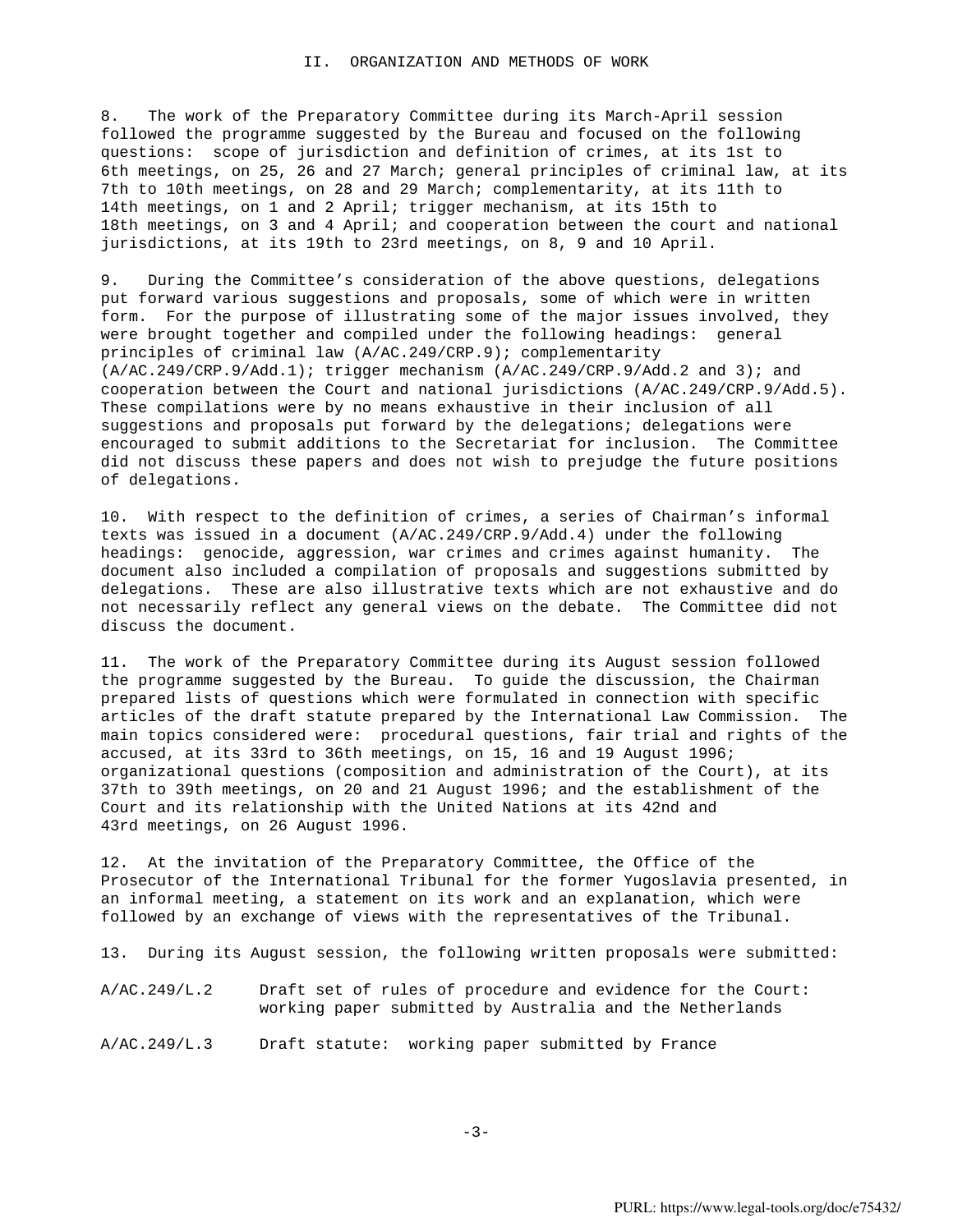8. The work of the Preparatory Committee during its March-April session followed the programme suggested by the Bureau and focused on the following questions: scope of jurisdiction and definition of crimes, at its 1st to 6th meetings, on 25, 26 and 27 March; general principles of criminal law, at its 7th to 10th meetings, on 28 and 29 March; complementarity, at its 11th to 14th meetings, on 1 and 2 April; trigger mechanism, at its 15th to 18th meetings, on 3 and 4 April; and cooperation between the court and national jurisdictions, at its 19th to 23rd meetings, on 8, 9 and 10 April.

9. During the Committee's consideration of the above questions, delegations put forward various suggestions and proposals, some of which were in written form. For the purpose of illustrating some of the major issues involved, they were brought together and compiled under the following headings: general principles of criminal law (A/AC.249/CRP.9); complementarity (A/AC.249/CRP.9/Add.1); trigger mechanism (A/AC.249/CRP.9/Add.2 and 3); and cooperation between the Court and national jurisdictions (A/AC.249/CRP.9/Add.5). These compilations were by no means exhaustive in their inclusion of all suggestions and proposals put forward by the delegations; delegations were encouraged to submit additions to the Secretariat for inclusion. The Committee did not discuss these papers and does not wish to prejudge the future positions of delegations.

10. With respect to the definition of crimes, a series of Chairman's informal texts was issued in a document (A/AC.249/CRP.9/Add.4) under the following headings: genocide, aggression, war crimes and crimes against humanity. The document also included a compilation of proposals and suggestions submitted by delegations. These are also illustrative texts which are not exhaustive and do not necessarily reflect any general views on the debate. The Committee did not discuss the document.

11. The work of the Preparatory Committee during its August session followed the programme suggested by the Bureau. To guide the discussion, the Chairman prepared lists of questions which were formulated in connection with specific articles of the draft statute prepared by the International Law Commission. The main topics considered were: procedural questions, fair trial and rights of the accused, at its 33rd to 36th meetings, on 15, 16 and 19 August 1996; organizational questions (composition and administration of the Court), at its 37th to 39th meetings, on 20 and 21 August 1996; and the establishment of the Court and its relationship with the United Nations at its 42nd and 43rd meetings, on 26 August 1996.

12. At the invitation of the Preparatory Committee, the Office of the Prosecutor of the International Tribunal for the former Yugoslavia presented, in an informal meeting, a statement on its work and an explanation, which were followed by an exchange of views with the representatives of the Tribunal.

13. During its August session, the following written proposals were submitted:

A/AC.249/L.2 Draft set of rules of procedure and evidence for the Court: working paper submitted by Australia and the Netherlands

A/AC.249/L.3 Draft statute: working paper submitted by France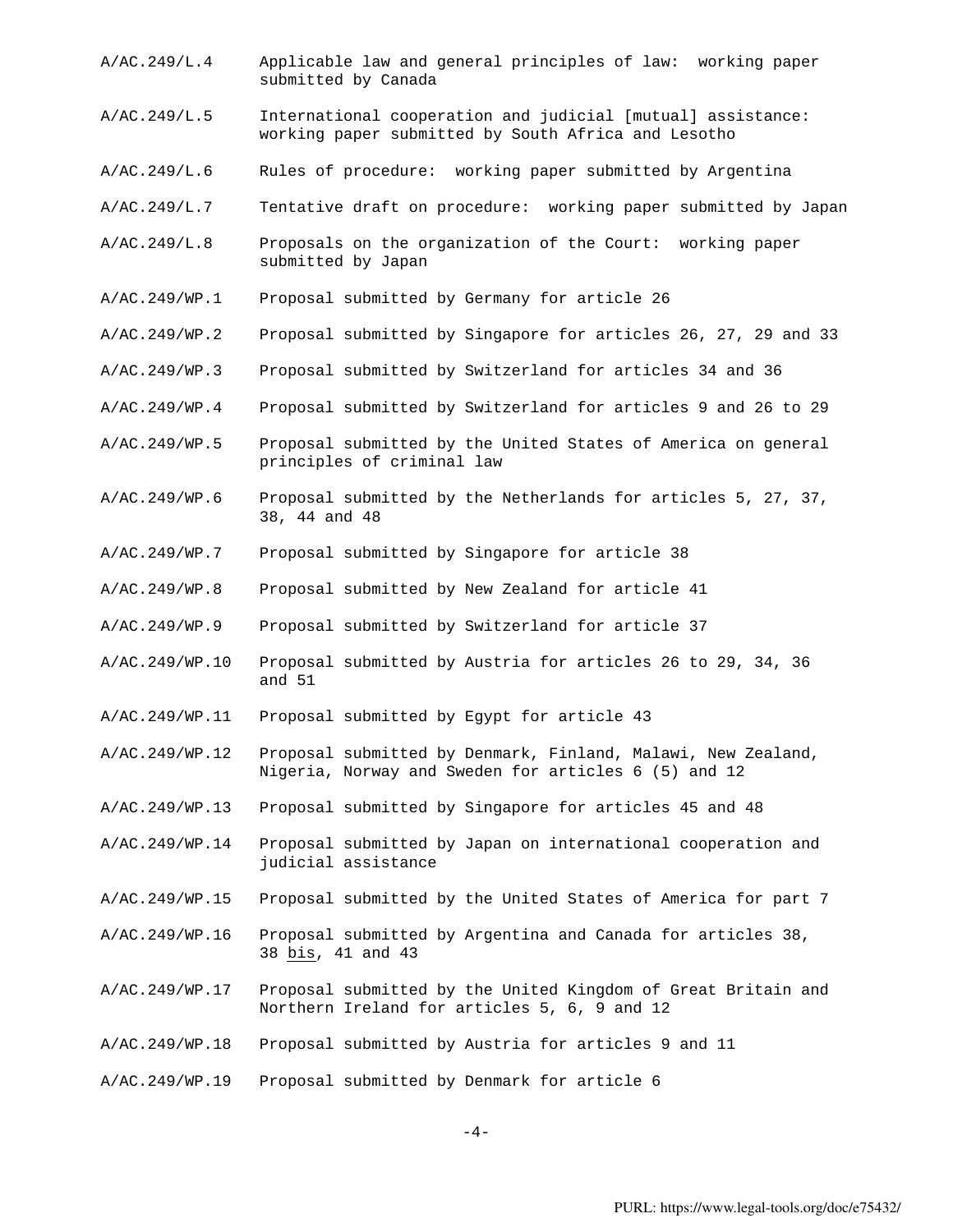- A/AC.249/L.4 Applicable law and general principles of law: working paper submitted by Canada
- A/AC.249/L.5 International cooperation and judicial [mutual] assistance: working paper submitted by South Africa and Lesotho
- A/AC.249/L.6 Rules of procedure: working paper submitted by Argentina
- A/AC.249/L.7 Tentative draft on procedure: working paper submitted by Japan
- A/AC.249/L.8 Proposals on the organization of the Court: working paper submitted by Japan
- A/AC.249/WP.1 Proposal submitted by Germany for article 26
- A/AC.249/WP.2 Proposal submitted by Singapore for articles 26, 27, 29 and 33
- A/AC.249/WP.3 Proposal submitted by Switzerland for articles 34 and 36
- A/AC.249/WP.4 Proposal submitted by Switzerland for articles 9 and 26 to 29
- A/AC.249/WP.5 Proposal submitted by the United States of America on general principles of criminal law
- A/AC.249/WP.6 Proposal submitted by the Netherlands for articles 5, 27, 37, 38, 44 and 48
- A/AC.249/WP.7 Proposal submitted by Singapore for article 38
- A/AC.249/WP.8 Proposal submitted by New Zealand for article 41
- A/AC.249/WP.9 Proposal submitted by Switzerland for article 37
- A/AC.249/WP.10 Proposal submitted by Austria for articles 26 to 29, 34, 36 and 51
- A/AC.249/WP.11 Proposal submitted by Egypt for article 43
- A/AC.249/WP.12 Proposal submitted by Denmark, Finland, Malawi, New Zealand, Nigeria, Norway and Sweden for articles 6 (5) and 12
- A/AC.249/WP.13 Proposal submitted by Singapore for articles 45 and 48
- A/AC.249/WP.14 Proposal submitted by Japan on international cooperation and judicial assistance
- A/AC.249/WP.15 Proposal submitted by the United States of America for part 7
- A/AC.249/WP.16 Proposal submitted by Argentina and Canada for articles 38, 38 bis, 41 and 43
- A/AC.249/WP.17 Proposal submitted by the United Kingdom of Great Britain and Northern Ireland for articles 5, 6, 9 and 12
- A/AC.249/WP.18 Proposal submitted by Austria for articles 9 and 11
- A/AC.249/WP.19 Proposal submitted by Denmark for article 6

 $-4-$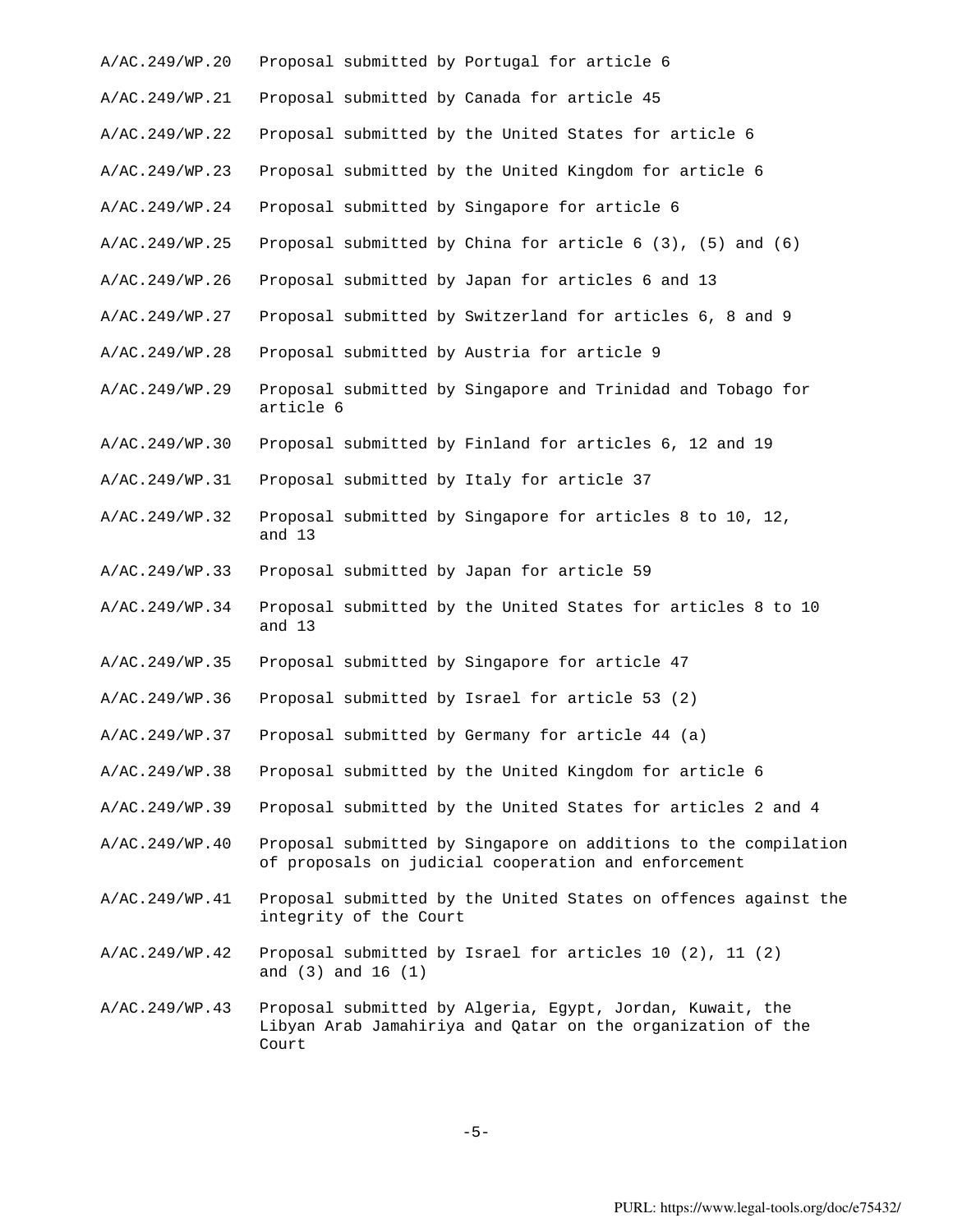| A/AC.249/WP.20 | Proposal submitted by Portugal for article 6                                                                                      |
|----------------|-----------------------------------------------------------------------------------------------------------------------------------|
| A/AC.249/WP.21 | Proposal submitted by Canada for article 45                                                                                       |
| A/AC.249/WP.22 | Proposal submitted by the United States for article 6                                                                             |
| A/AC.249/WP.23 | Proposal submitted by the United Kingdom for article 6                                                                            |
| A/AC.249/WP.24 | Proposal submitted by Singapore for article 6                                                                                     |
| A/AC.249/WP.25 | Proposal submitted by China for article $6$ (3), (5) and (6)                                                                      |
| A/AC.249/WP.26 | Proposal submitted by Japan for articles 6 and 13                                                                                 |
| A/AC.249/WP.27 | Proposal submitted by Switzerland for articles 6, 8 and 9                                                                         |
| A/AC.249/WP.28 | Proposal submitted by Austria for article 9                                                                                       |
| A/AC.249/WP.29 | Proposal submitted by Singapore and Trinidad and Tobago for<br>article 6                                                          |
| A/AC.249/WP.30 | Proposal submitted by Finland for articles 6, 12 and 19                                                                           |
| A/AC.249/WP.31 | Proposal submitted by Italy for article 37                                                                                        |
| A/AC.249/WP.32 | Proposal submitted by Singapore for articles 8 to 10, 12,<br>and 13                                                               |
| A/AC.249/WP.33 | Proposal submitted by Japan for article 59                                                                                        |
| A/AC.249/WP.34 | Proposal submitted by the United States for articles 8 to 10<br>and 13                                                            |
| A/AC.249/WP.35 | Proposal submitted by Singapore for article 47                                                                                    |
| A/AC.249/WP.36 | Proposal submitted by Israel for article 53 (2)                                                                                   |
| A/AC.249/WP.37 | Proposal submitted by Germany for article 44 (a)                                                                                  |
| A/AC.249/WP.38 | Proposal submitted by the United Kingdom for article 6                                                                            |
| A/AC.249/WP.39 | Proposal submitted by the United States for articles 2 and 4                                                                      |
| A/AC.249/WP.40 | Proposal submitted by Singapore on additions to the compilation<br>of proposals on judicial cooperation and enforcement           |
| A/AC.249/WP.41 | Proposal submitted by the United States on offences against the<br>integrity of the Court                                         |
| A/AC.249/WP.42 | Proposal submitted by Israel for articles 10 (2), 11 (2)<br>and $(3)$ and $16$ $(1)$                                              |
| A/AC.249/WP.43 | Proposal submitted by Algeria, Egypt, Jordan, Kuwait, the<br>Libyan Arab Jamahiriya and Qatar on the organization of the<br>Court |

-5-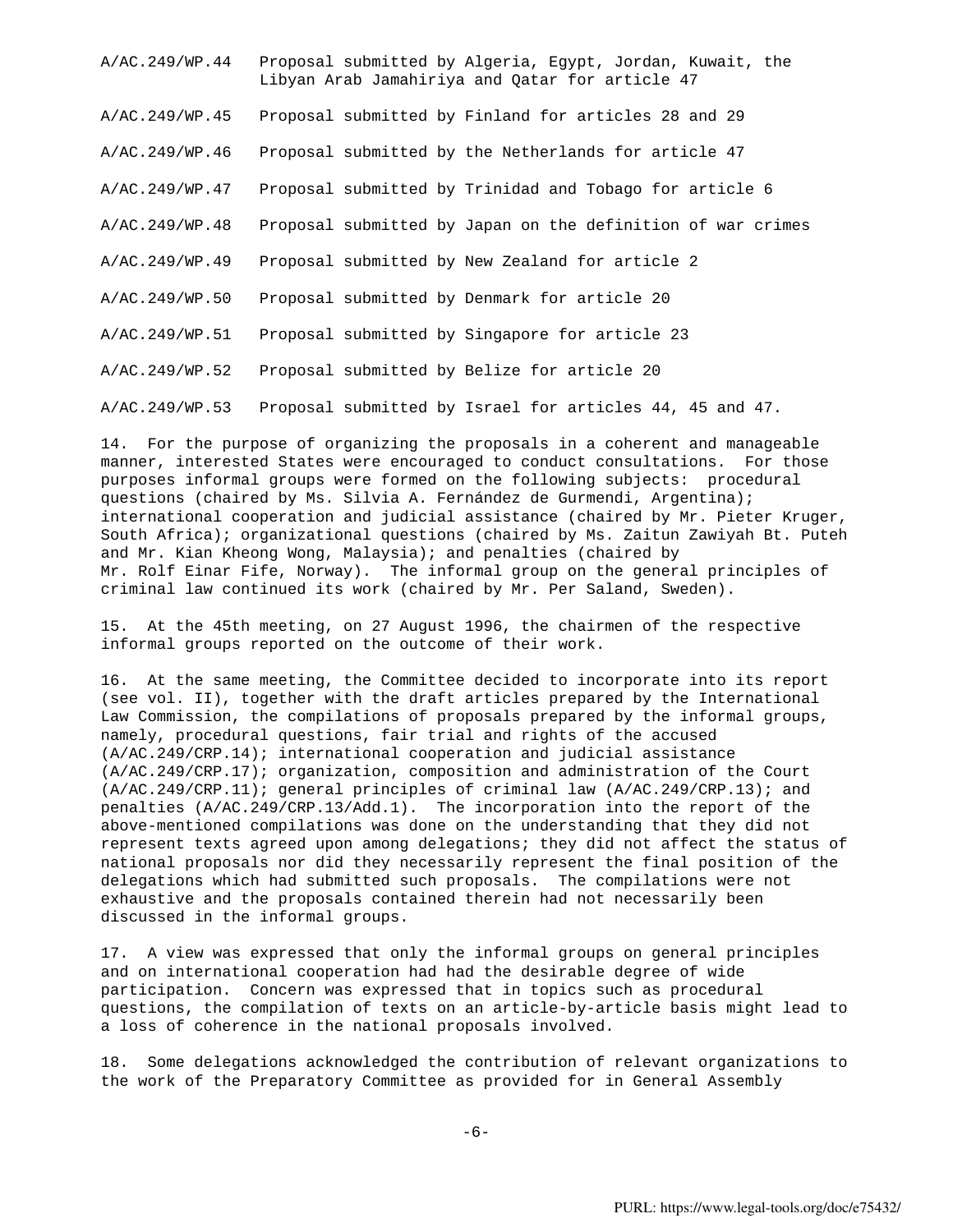| A/AC.249/WP.44 | Proposal submitted by Algeria, Egypt, Jordan, Kuwait, the<br>Libyan Arab Jamahiriya and Qatar for article 47 |
|----------------|--------------------------------------------------------------------------------------------------------------|
| A/AC.249/WP.45 | Proposal submitted by Finland for articles 28 and 29                                                         |
| A/AC.249/WP.46 | Proposal submitted by the Netherlands for article 47                                                         |
| A/AC.249/WP.47 | Proposal submitted by Trinidad and Tobago for article 6                                                      |
| A/AC.249/WP.48 | Proposal submitted by Japan on the definition of war crimes                                                  |
| A/AC.249/WP.49 | Proposal submitted by New Zealand for article 2                                                              |
| A/AC.249/WP.50 | Proposal submitted by Denmark for article 20                                                                 |
| A/AC.249/WP.51 | Proposal submitted by Singapore for article 23                                                               |
| A/AC.249/WP.52 | Proposal submitted by Belize for article 20                                                                  |
| A/AC.249/WP.53 | Proposal submitted by Israel for articles 44, 45 and 47.                                                     |

14. For the purpose of organizing the proposals in a coherent and manageable manner, interested States were encouraged to conduct consultations. For those purposes informal groups were formed on the following subjects: procedural questions (chaired by Ms. Silvia A. Fernández de Gurmendi, Argentina); international cooperation and judicial assistance (chaired by Mr. Pieter Kruger, South Africa); organizational questions (chaired by Ms. Zaitun Zawiyah Bt. Puteh and Mr. Kian Kheong Wong, Malaysia); and penalties (chaired by Mr. Rolf Einar Fife, Norway). The informal group on the general principles of criminal law continued its work (chaired by Mr. Per Saland, Sweden).

15. At the 45th meeting, on 27 August 1996, the chairmen of the respective informal groups reported on the outcome of their work.

16. At the same meeting, the Committee decided to incorporate into its report (see vol. II), together with the draft articles prepared by the International Law Commission, the compilations of proposals prepared by the informal groups, namely, procedural questions, fair trial and rights of the accused (A/AC.249/CRP.14); international cooperation and judicial assistance (A/AC.249/CRP.17); organization, composition and administration of the Court (A/AC.249/CRP.11); general principles of criminal law (A/AC.249/CRP.13); and penalties (A/AC.249/CRP.13/Add.1). The incorporation into the report of the above-mentioned compilations was done on the understanding that they did not represent texts agreed upon among delegations; they did not affect the status of national proposals nor did they necessarily represent the final position of the delegations which had submitted such proposals. The compilations were not exhaustive and the proposals contained therein had not necessarily been discussed in the informal groups.

17. A view was expressed that only the informal groups on general principles and on international cooperation had had the desirable degree of wide participation. Concern was expressed that in topics such as procedural questions, the compilation of texts on an article-by-article basis might lead to a loss of coherence in the national proposals involved.

18. Some delegations acknowledged the contribution of relevant organizations to the work of the Preparatory Committee as provided for in General Assembly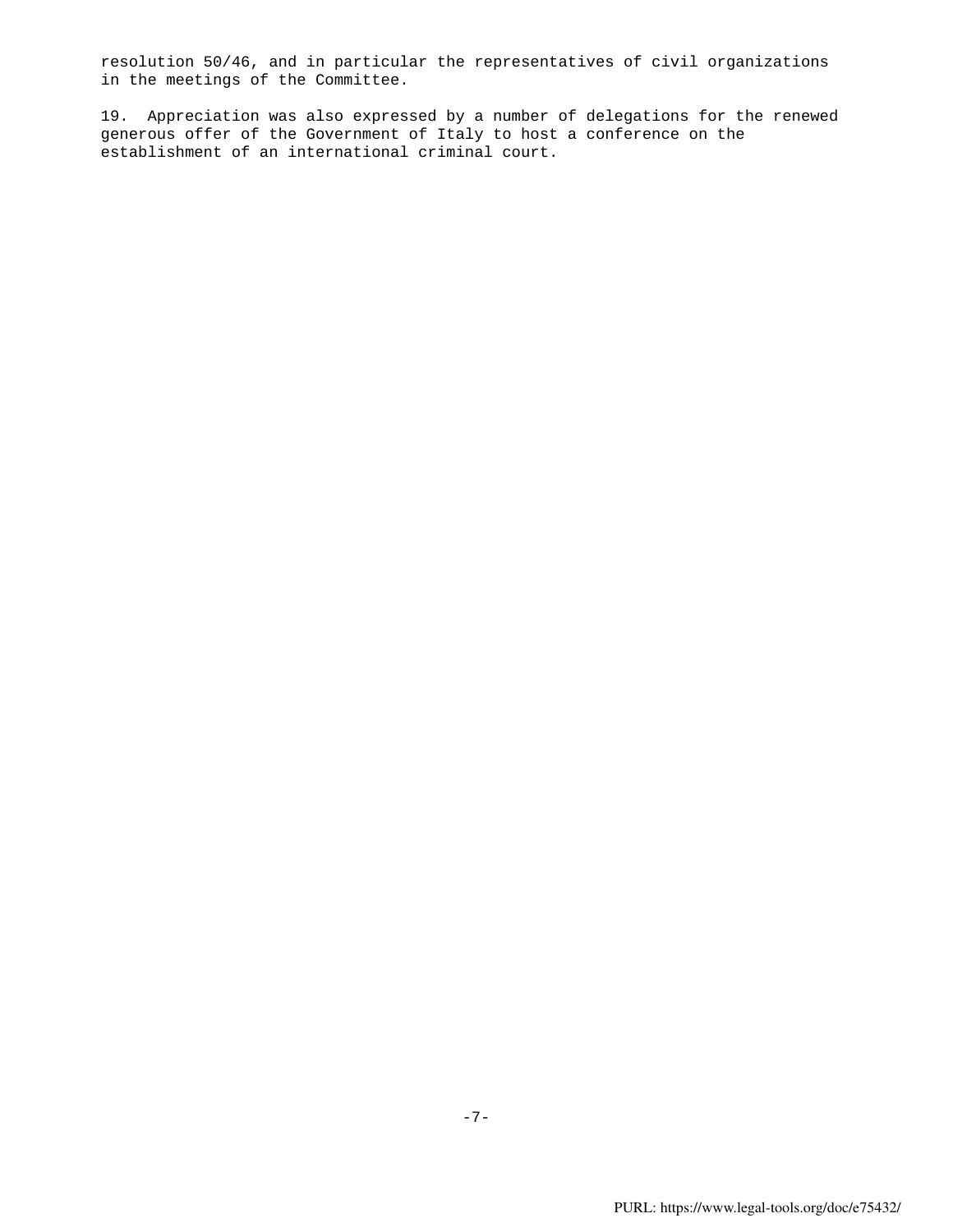resolution 50/46, and in particular the representatives of civil organizations in the meetings of the Committee.

19. Appreciation was also expressed by a number of delegations for the renewed generous offer of the Government of Italy to host a conference on the establishment of an international criminal court.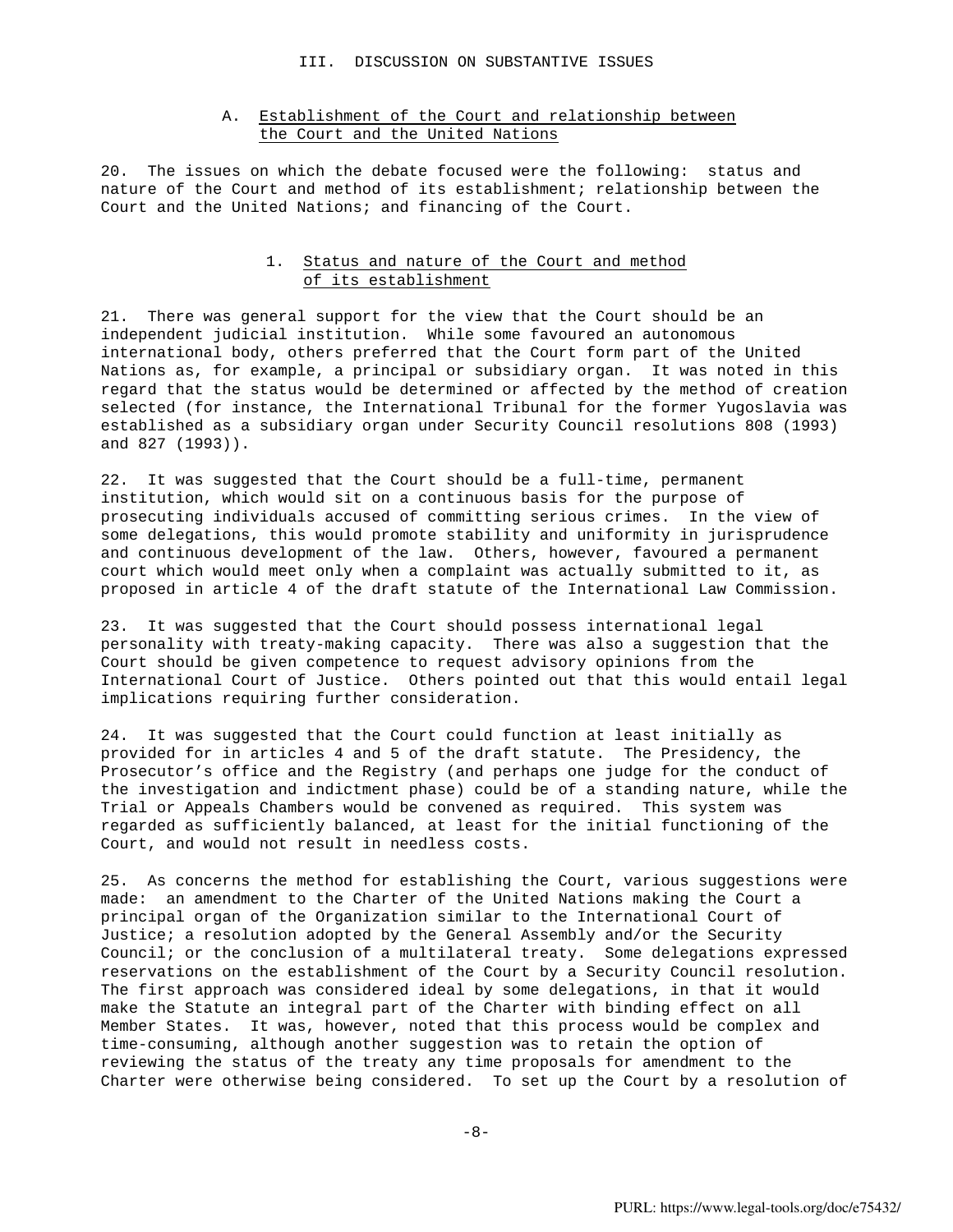#### A. Establishment of the Court and relationship between the Court and the United Nations

20. The issues on which the debate focused were the following: status and nature of the Court and method of its establishment; relationship between the Court and the United Nations; and financing of the Court.

#### 1. Status and nature of the Court and method of its establishment

21. There was general support for the view that the Court should be an independent judicial institution. While some favoured an autonomous international body, others preferred that the Court form part of the United Nations as, for example, a principal or subsidiary organ. It was noted in this regard that the status would be determined or affected by the method of creation selected (for instance, the International Tribunal for the former Yugoslavia was established as a subsidiary organ under Security Council resolutions 808 (1993) and 827 (1993)).

22. It was suggested that the Court should be a full-time, permanent institution, which would sit on a continuous basis for the purpose of prosecuting individuals accused of committing serious crimes. In the view of some delegations, this would promote stability and uniformity in jurisprudence and continuous development of the law. Others, however, favoured a permanent court which would meet only when a complaint was actually submitted to it, as proposed in article 4 of the draft statute of the International Law Commission.

23. It was suggested that the Court should possess international legal personality with treaty-making capacity. There was also a suggestion that the Court should be given competence to request advisory opinions from the International Court of Justice. Others pointed out that this would entail legal implications requiring further consideration.

24. It was suggested that the Court could function at least initially as provided for in articles 4 and 5 of the draft statute. The Presidency, the Prosecutor's office and the Registry (and perhaps one judge for the conduct of the investigation and indictment phase) could be of a standing nature, while the Trial or Appeals Chambers would be convened as required. This system was regarded as sufficiently balanced, at least for the initial functioning of the Court, and would not result in needless costs.

25. As concerns the method for establishing the Court, various suggestions were made: an amendment to the Charter of the United Nations making the Court a principal organ of the Organization similar to the International Court of Justice; a resolution adopted by the General Assembly and/or the Security Council; or the conclusion of a multilateral treaty. Some delegations expressed reservations on the establishment of the Court by a Security Council resolution. The first approach was considered ideal by some delegations, in that it would make the Statute an integral part of the Charter with binding effect on all Member States. It was, however, noted that this process would be complex and time-consuming, although another suggestion was to retain the option of reviewing the status of the treaty any time proposals for amendment to the Charter were otherwise being considered. To set up the Court by a resolution of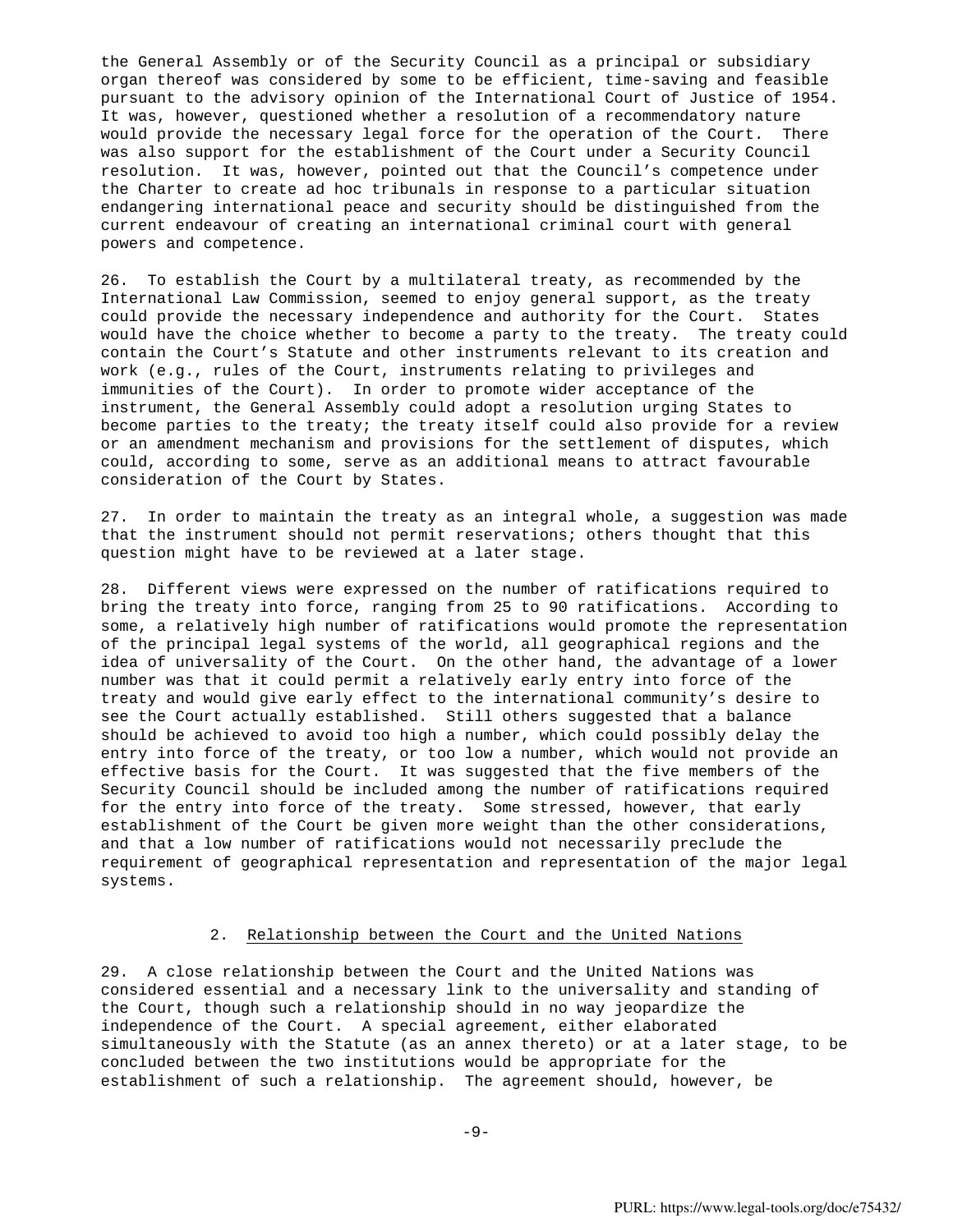the General Assembly or of the Security Council as a principal or subsidiary organ thereof was considered by some to be efficient, time-saving and feasible pursuant to the advisory opinion of the International Court of Justice of 1954. It was, however, questioned whether a resolution of a recommendatory nature would provide the necessary legal force for the operation of the Court. There was also support for the establishment of the Court under a Security Council resolution. It was, however, pointed out that the Council's competence under the Charter to create ad hoc tribunals in response to a particular situation endangering international peace and security should be distinguished from the current endeavour of creating an international criminal court with general powers and competence.

26. To establish the Court by a multilateral treaty, as recommended by the International Law Commission, seemed to enjoy general support, as the treaty could provide the necessary independence and authority for the Court. States would have the choice whether to become a party to the treaty. The treaty could contain the Court's Statute and other instruments relevant to its creation and work (e.g., rules of the Court, instruments relating to privileges and immunities of the Court). In order to promote wider acceptance of the instrument, the General Assembly could adopt a resolution urging States to become parties to the treaty; the treaty itself could also provide for a review or an amendment mechanism and provisions for the settlement of disputes, which could, according to some, serve as an additional means to attract favourable consideration of the Court by States.

27. In order to maintain the treaty as an integral whole, a suggestion was made that the instrument should not permit reservations; others thought that this question might have to be reviewed at a later stage.

28. Different views were expressed on the number of ratifications required to bring the treaty into force, ranging from 25 to 90 ratifications. According to some, a relatively high number of ratifications would promote the representation of the principal legal systems of the world, all geographical regions and the idea of universality of the Court. On the other hand, the advantage of a lower number was that it could permit a relatively early entry into force of the treaty and would give early effect to the international community's desire to see the Court actually established. Still others suggested that a balance should be achieved to avoid too high a number, which could possibly delay the entry into force of the treaty, or too low a number, which would not provide an effective basis for the Court. It was suggested that the five members of the Security Council should be included among the number of ratifications required for the entry into force of the treaty. Some stressed, however, that early establishment of the Court be given more weight than the other considerations, and that a low number of ratifications would not necessarily preclude the requirement of geographical representation and representation of the major legal systems.

#### 2. Relationship between the Court and the United Nations

29. A close relationship between the Court and the United Nations was considered essential and a necessary link to the universality and standing of the Court, though such a relationship should in no way jeopardize the independence of the Court. A special agreement, either elaborated simultaneously with the Statute (as an annex thereto) or at a later stage, to be concluded between the two institutions would be appropriate for the establishment of such a relationship. The agreement should, however, be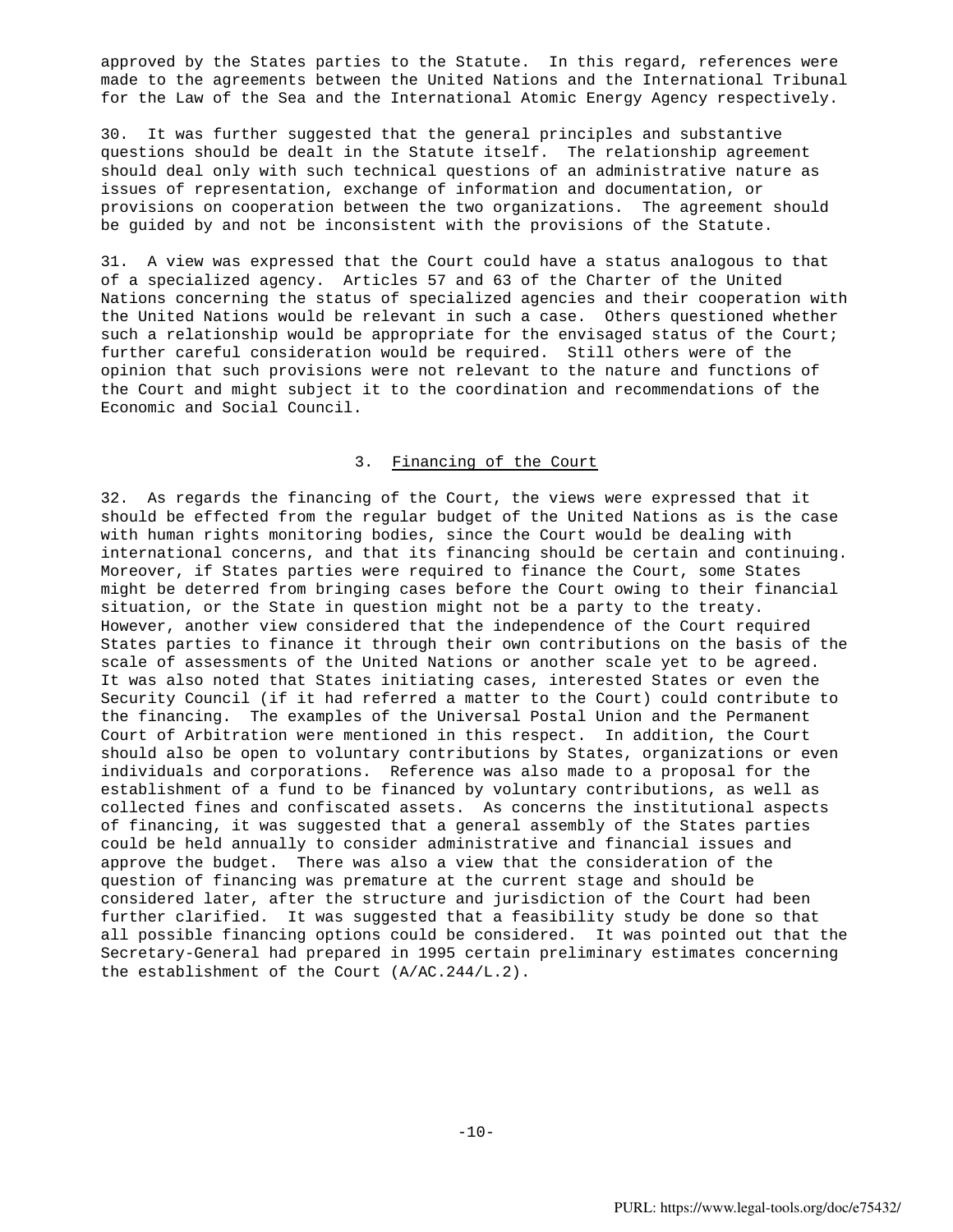approved by the States parties to the Statute. In this regard, references were made to the agreements between the United Nations and the International Tribunal for the Law of the Sea and the International Atomic Energy Agency respectively.

30. It was further suggested that the general principles and substantive questions should be dealt in the Statute itself. The relationship agreement should deal only with such technical questions of an administrative nature as issues of representation, exchange of information and documentation, or provisions on cooperation between the two organizations. The agreement should be guided by and not be inconsistent with the provisions of the Statute.

31. A view was expressed that the Court could have a status analogous to that of a specialized agency. Articles 57 and 63 of the Charter of the United Nations concerning the status of specialized agencies and their cooperation with the United Nations would be relevant in such a case. Others questioned whether such a relationship would be appropriate for the envisaged status of the Court; further careful consideration would be required. Still others were of the opinion that such provisions were not relevant to the nature and functions of the Court and might subject it to the coordination and recommendations of the Economic and Social Council.

## 3. Financing of the Court

32. As regards the financing of the Court, the views were expressed that it should be effected from the regular budget of the United Nations as is the case with human rights monitoring bodies, since the Court would be dealing with international concerns, and that its financing should be certain and continuing. Moreover, if States parties were required to finance the Court, some States might be deterred from bringing cases before the Court owing to their financial situation, or the State in question might not be a party to the treaty. However, another view considered that the independence of the Court required States parties to finance it through their own contributions on the basis of the scale of assessments of the United Nations or another scale yet to be agreed. It was also noted that States initiating cases, interested States or even the Security Council (if it had referred a matter to the Court) could contribute to the financing. The examples of the Universal Postal Union and the Permanent Court of Arbitration were mentioned in this respect. In addition, the Court should also be open to voluntary contributions by States, organizations or even individuals and corporations. Reference was also made to a proposal for the establishment of a fund to be financed by voluntary contributions, as well as collected fines and confiscated assets. As concerns the institutional aspects of financing, it was suggested that a general assembly of the States parties could be held annually to consider administrative and financial issues and approve the budget. There was also a view that the consideration of the question of financing was premature at the current stage and should be considered later, after the structure and jurisdiction of the Court had been further clarified. It was suggested that a feasibility study be done so that all possible financing options could be considered. It was pointed out that the Secretary-General had prepared in 1995 certain preliminary estimates concerning the establishment of the Court (A/AC.244/L.2).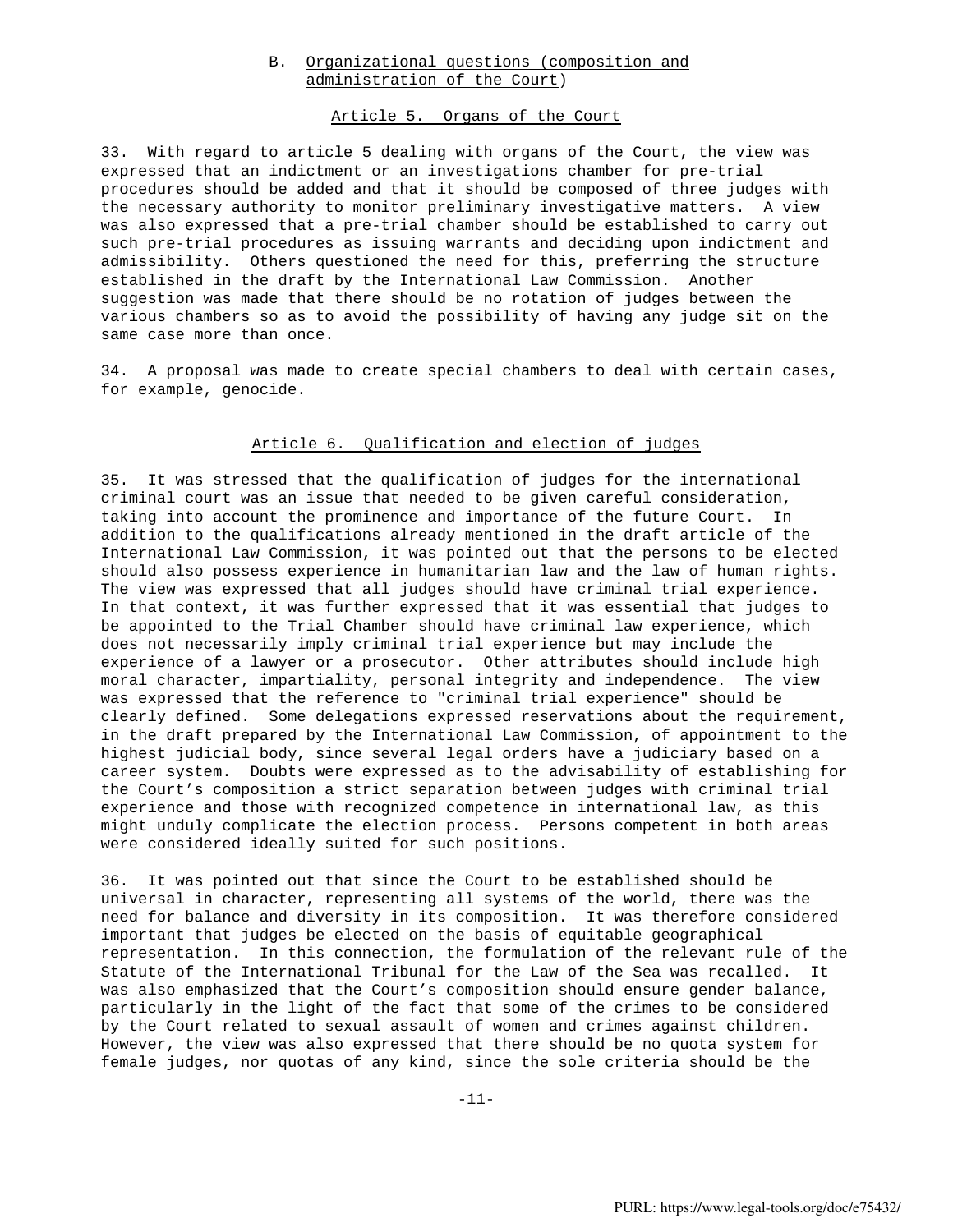#### B. Organizational questions (composition and administration of the Court)

#### Article 5. Organs of the Court

33. With regard to article 5 dealing with organs of the Court, the view was expressed that an indictment or an investigations chamber for pre-trial procedures should be added and that it should be composed of three judges with the necessary authority to monitor preliminary investigative matters. A view was also expressed that a pre-trial chamber should be established to carry out such pre-trial procedures as issuing warrants and deciding upon indictment and admissibility. Others questioned the need for this, preferring the structure established in the draft by the International Law Commission. Another suggestion was made that there should be no rotation of judges between the various chambers so as to avoid the possibility of having any judge sit on the same case more than once.

34. A proposal was made to create special chambers to deal with certain cases, for example, genocide.

#### Article 6. Qualification and election of judges

35. It was stressed that the qualification of judges for the international criminal court was an issue that needed to be given careful consideration, taking into account the prominence and importance of the future Court. In addition to the qualifications already mentioned in the draft article of the International Law Commission, it was pointed out that the persons to be elected should also possess experience in humanitarian law and the law of human rights. The view was expressed that all judges should have criminal trial experience. In that context, it was further expressed that it was essential that judges to be appointed to the Trial Chamber should have criminal law experience, which does not necessarily imply criminal trial experience but may include the experience of a lawyer or a prosecutor. Other attributes should include high moral character, impartiality, personal integrity and independence. The view was expressed that the reference to "criminal trial experience" should be clearly defined. Some delegations expressed reservations about the requirement, in the draft prepared by the International Law Commission, of appointment to the highest judicial body, since several legal orders have a judiciary based on a career system. Doubts were expressed as to the advisability of establishing for the Court's composition a strict separation between judges with criminal trial experience and those with recognized competence in international law, as this might unduly complicate the election process. Persons competent in both areas were considered ideally suited for such positions.

36. It was pointed out that since the Court to be established should be universal in character, representing all systems of the world, there was the need for balance and diversity in its composition. It was therefore considered important that judges be elected on the basis of equitable geographical representation. In this connection, the formulation of the relevant rule of the Statute of the International Tribunal for the Law of the Sea was recalled. It was also emphasized that the Court's composition should ensure gender balance, particularly in the light of the fact that some of the crimes to be considered by the Court related to sexual assault of women and crimes against children. However, the view was also expressed that there should be no quota system for female judges, nor quotas of any kind, since the sole criteria should be the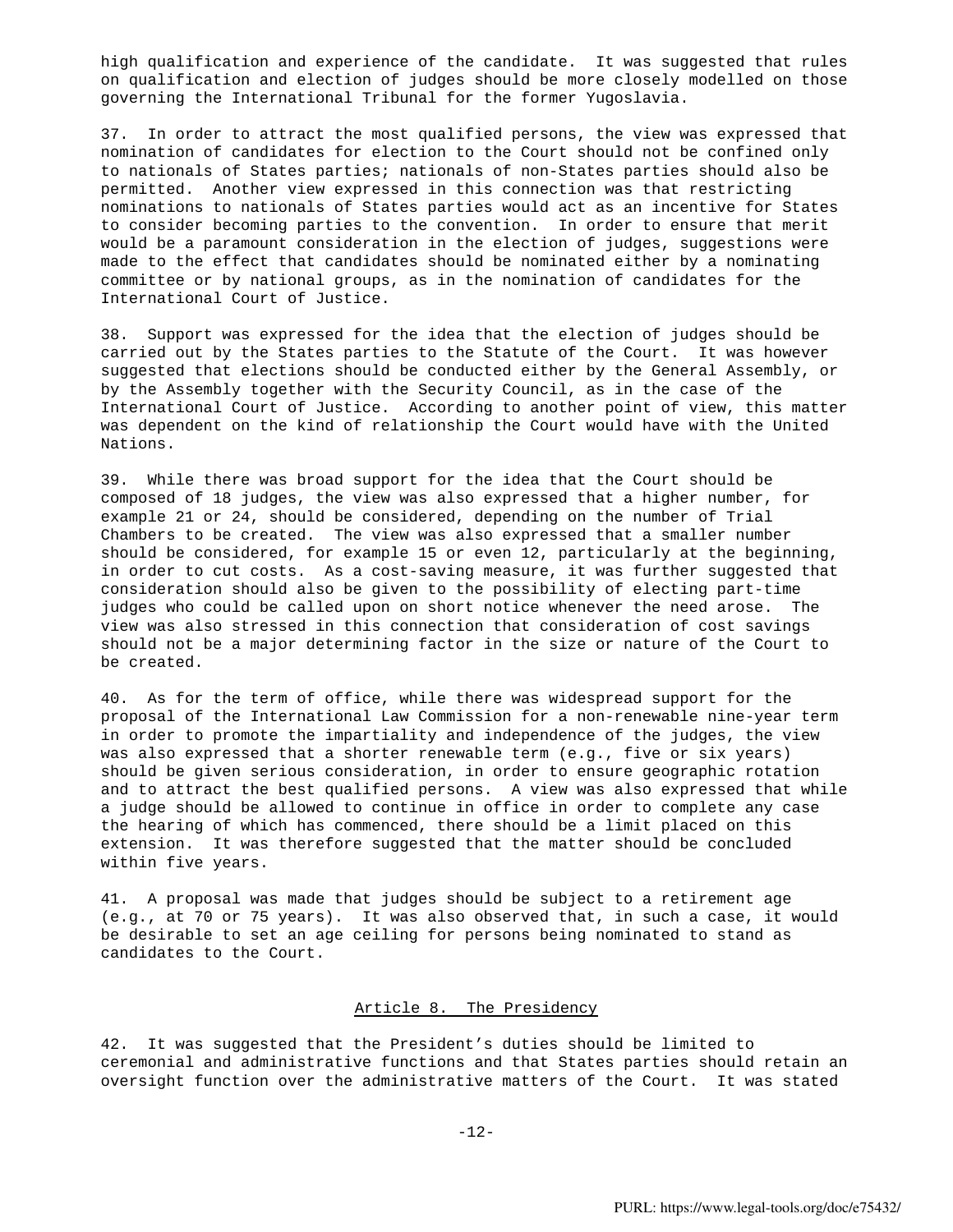high qualification and experience of the candidate. It was suggested that rules on qualification and election of judges should be more closely modelled on those governing the International Tribunal for the former Yugoslavia.

37. In order to attract the most qualified persons, the view was expressed that nomination of candidates for election to the Court should not be confined only to nationals of States parties; nationals of non-States parties should also be permitted. Another view expressed in this connection was that restricting nominations to nationals of States parties would act as an incentive for States to consider becoming parties to the convention. In order to ensure that merit would be a paramount consideration in the election of judges, suggestions were made to the effect that candidates should be nominated either by a nominating committee or by national groups, as in the nomination of candidates for the International Court of Justice.

38. Support was expressed for the idea that the election of judges should be carried out by the States parties to the Statute of the Court. It was however suggested that elections should be conducted either by the General Assembly, or by the Assembly together with the Security Council, as in the case of the International Court of Justice. According to another point of view, this matter was dependent on the kind of relationship the Court would have with the United Nations.

39. While there was broad support for the idea that the Court should be composed of 18 judges, the view was also expressed that a higher number, for example 21 or 24, should be considered, depending on the number of Trial Chambers to be created. The view was also expressed that a smaller number should be considered, for example 15 or even 12, particularly at the beginning, in order to cut costs. As a cost-saving measure, it was further suggested that consideration should also be given to the possibility of electing part-time judges who could be called upon on short notice whenever the need arose. The view was also stressed in this connection that consideration of cost savings should not be a major determining factor in the size or nature of the Court to be created.

40. As for the term of office, while there was widespread support for the proposal of the International Law Commission for a non-renewable nine-year term in order to promote the impartiality and independence of the judges, the view was also expressed that a shorter renewable term (e.g., five or six years) should be given serious consideration, in order to ensure geographic rotation and to attract the best qualified persons. A view was also expressed that while a judge should be allowed to continue in office in order to complete any case the hearing of which has commenced, there should be a limit placed on this extension. It was therefore suggested that the matter should be concluded within five years.

41. A proposal was made that judges should be subject to a retirement age (e.g., at 70 or 75 years). It was also observed that, in such a case, it would be desirable to set an age ceiling for persons being nominated to stand as candidates to the Court.

#### Article 8. The Presidency

42. It was suggested that the President's duties should be limited to ceremonial and administrative functions and that States parties should retain an oversight function over the administrative matters of the Court. It was stated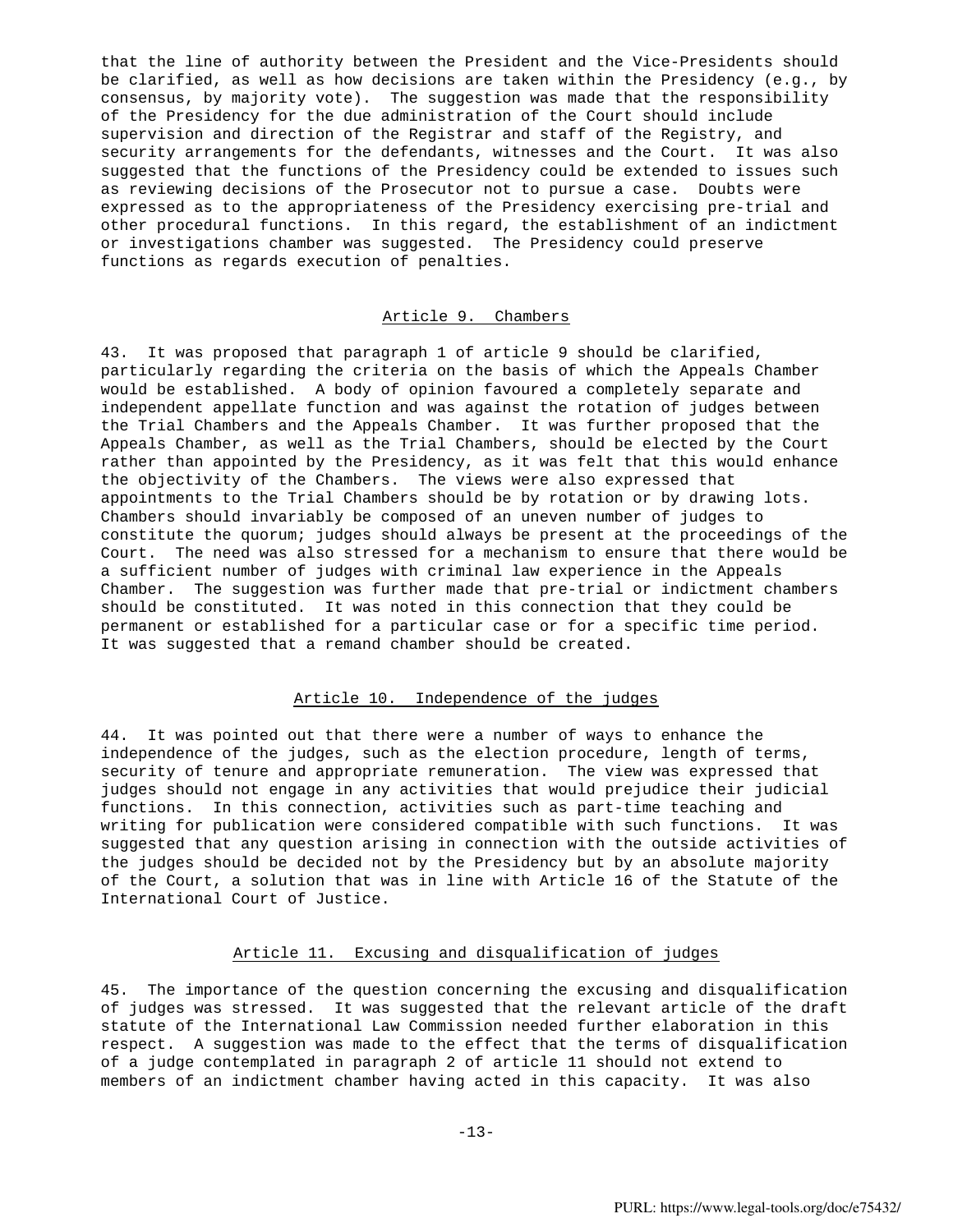that the line of authority between the President and the Vice-Presidents should be clarified, as well as how decisions are taken within the Presidency (e.g., by consensus, by majority vote). The suggestion was made that the responsibility of the Presidency for the due administration of the Court should include supervision and direction of the Registrar and staff of the Registry, and security arrangements for the defendants, witnesses and the Court. It was also suggested that the functions of the Presidency could be extended to issues such as reviewing decisions of the Prosecutor not to pursue a case. Doubts were expressed as to the appropriateness of the Presidency exercising pre-trial and other procedural functions. In this regard, the establishment of an indictment or investigations chamber was suggested. The Presidency could preserve functions as regards execution of penalties.

#### Article 9. Chambers

43. It was proposed that paragraph 1 of article 9 should be clarified, particularly regarding the criteria on the basis of which the Appeals Chamber would be established. A body of opinion favoured a completely separate and independent appellate function and was against the rotation of judges between the Trial Chambers and the Appeals Chamber. It was further proposed that the Appeals Chamber, as well as the Trial Chambers, should be elected by the Court rather than appointed by the Presidency, as it was felt that this would enhance the objectivity of the Chambers. The views were also expressed that appointments to the Trial Chambers should be by rotation or by drawing lots. Chambers should invariably be composed of an uneven number of judges to constitute the quorum; judges should always be present at the proceedings of the Court. The need was also stressed for a mechanism to ensure that there would be a sufficient number of judges with criminal law experience in the Appeals Chamber. The suggestion was further made that pre-trial or indictment chambers should be constituted. It was noted in this connection that they could be permanent or established for a particular case or for a specific time period. It was suggested that a remand chamber should be created.

#### Article 10. Independence of the judges

44. It was pointed out that there were a number of ways to enhance the independence of the judges, such as the election procedure, length of terms, security of tenure and appropriate remuneration. The view was expressed that judges should not engage in any activities that would prejudice their judicial functions. In this connection, activities such as part-time teaching and writing for publication were considered compatible with such functions. It was suggested that any question arising in connection with the outside activities of the judges should be decided not by the Presidency but by an absolute majority of the Court, a solution that was in line with Article 16 of the Statute of the International Court of Justice.

#### Article 11. Excusing and disqualification of judges

45. The importance of the question concerning the excusing and disqualification of judges was stressed. It was suggested that the relevant article of the draft statute of the International Law Commission needed further elaboration in this respect. A suggestion was made to the effect that the terms of disqualification of a judge contemplated in paragraph 2 of article 11 should not extend to members of an indictment chamber having acted in this capacity. It was also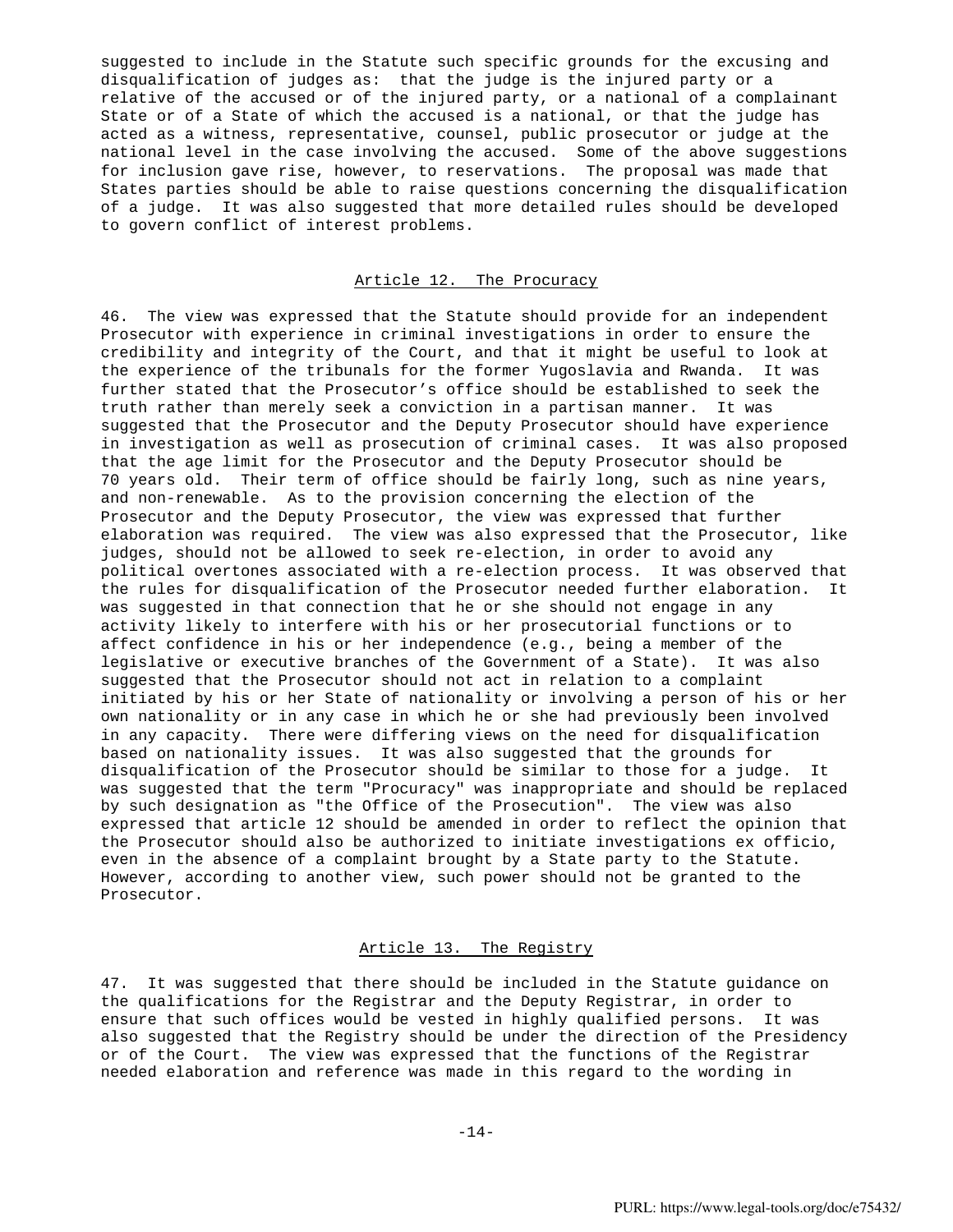suggested to include in the Statute such specific grounds for the excusing and disqualification of judges as: that the judge is the injured party or a relative of the accused or of the injured party, or a national of a complainant State or of a State of which the accused is a national, or that the judge has acted as a witness, representative, counsel, public prosecutor or judge at the national level in the case involving the accused. Some of the above suggestions for inclusion gave rise, however, to reservations. The proposal was made that States parties should be able to raise questions concerning the disqualification of a judge. It was also suggested that more detailed rules should be developed to govern conflict of interest problems.

## Article 12. The Procuracy

46. The view was expressed that the Statute should provide for an independent Prosecutor with experience in criminal investigations in order to ensure the credibility and integrity of the Court, and that it might be useful to look at the experience of the tribunals for the former Yugoslavia and Rwanda. It was further stated that the Prosecutor's office should be established to seek the truth rather than merely seek a conviction in a partisan manner. It was suggested that the Prosecutor and the Deputy Prosecutor should have experience in investigation as well as prosecution of criminal cases. It was also proposed that the age limit for the Prosecutor and the Deputy Prosecutor should be 70 years old. Their term of office should be fairly long, such as nine years, and non-renewable. As to the provision concerning the election of the Prosecutor and the Deputy Prosecutor, the view was expressed that further elaboration was required. The view was also expressed that the Prosecutor, like judges, should not be allowed to seek re-election, in order to avoid any political overtones associated with a re-election process. It was observed that the rules for disqualification of the Prosecutor needed further elaboration. It was suggested in that connection that he or she should not engage in any activity likely to interfere with his or her prosecutorial functions or to affect confidence in his or her independence (e.g., being a member of the legislative or executive branches of the Government of a State). It was also suggested that the Prosecutor should not act in relation to a complaint initiated by his or her State of nationality or involving a person of his or her own nationality or in any case in which he or she had previously been involved in any capacity. There were differing views on the need for disqualification based on nationality issues. It was also suggested that the grounds for disqualification of the Prosecutor should be similar to those for a judge. It was suggested that the term "Procuracy" was inappropriate and should be replaced by such designation as "the Office of the Prosecution". The view was also expressed that article 12 should be amended in order to reflect the opinion that the Prosecutor should also be authorized to initiate investigations ex officio, even in the absence of a complaint brought by a State party to the Statute. However, according to another view, such power should not be granted to the Prosecutor.

### Article 13. The Registry

47. It was suggested that there should be included in the Statute guidance on the qualifications for the Registrar and the Deputy Registrar, in order to ensure that such offices would be vested in highly qualified persons. It was also suggested that the Registry should be under the direction of the Presidency or of the Court. The view was expressed that the functions of the Registrar needed elaboration and reference was made in this regard to the wording in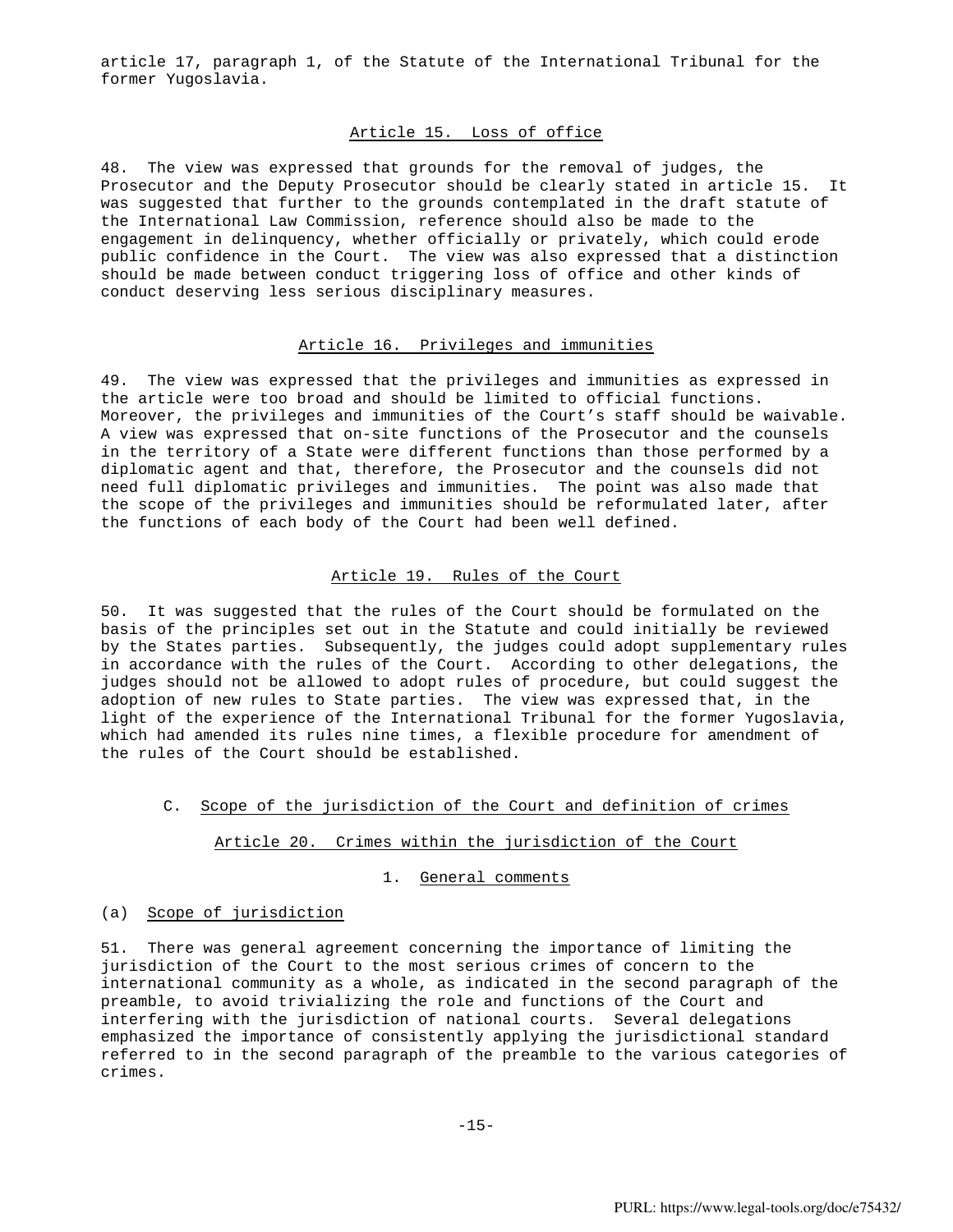article 17, paragraph 1, of the Statute of the International Tribunal for the former Yugoslavia.

#### Article 15. Loss of office

48. The view was expressed that grounds for the removal of judges, the Prosecutor and the Deputy Prosecutor should be clearly stated in article 15. It was suggested that further to the grounds contemplated in the draft statute of the International Law Commission, reference should also be made to the engagement in delinquency, whether officially or privately, which could erode public confidence in the Court. The view was also expressed that a distinction should be made between conduct triggering loss of office and other kinds of conduct deserving less serious disciplinary measures.

#### Article 16. Privileges and immunities

49. The view was expressed that the privileges and immunities as expressed in the article were too broad and should be limited to official functions. Moreover, the privileges and immunities of the Court's staff should be waivable. A view was expressed that on-site functions of the Prosecutor and the counsels in the territory of a State were different functions than those performed by a diplomatic agent and that, therefore, the Prosecutor and the counsels did not need full diplomatic privileges and immunities. The point was also made that the scope of the privileges and immunities should be reformulated later, after the functions of each body of the Court had been well defined.

#### Article 19. Rules of the Court

50. It was suggested that the rules of the Court should be formulated on the basis of the principles set out in the Statute and could initially be reviewed by the States parties. Subsequently, the judges could adopt supplementary rules in accordance with the rules of the Court. According to other delegations, the judges should not be allowed to adopt rules of procedure, but could suggest the adoption of new rules to State parties. The view was expressed that, in the light of the experience of the International Tribunal for the former Yugoslavia, which had amended its rules nine times, a flexible procedure for amendment of the rules of the Court should be established.

#### C. Scope of the jurisdiction of the Court and definition of crimes

#### Article 20. Crimes within the jurisdiction of the Court

#### 1. General comments

#### (a) Scope of jurisdiction

51. There was general agreement concerning the importance of limiting the jurisdiction of the Court to the most serious crimes of concern to the international community as a whole, as indicated in the second paragraph of the preamble, to avoid trivializing the role and functions of the Court and interfering with the jurisdiction of national courts. Several delegations emphasized the importance of consistently applying the jurisdictional standard referred to in the second paragraph of the preamble to the various categories of crimes.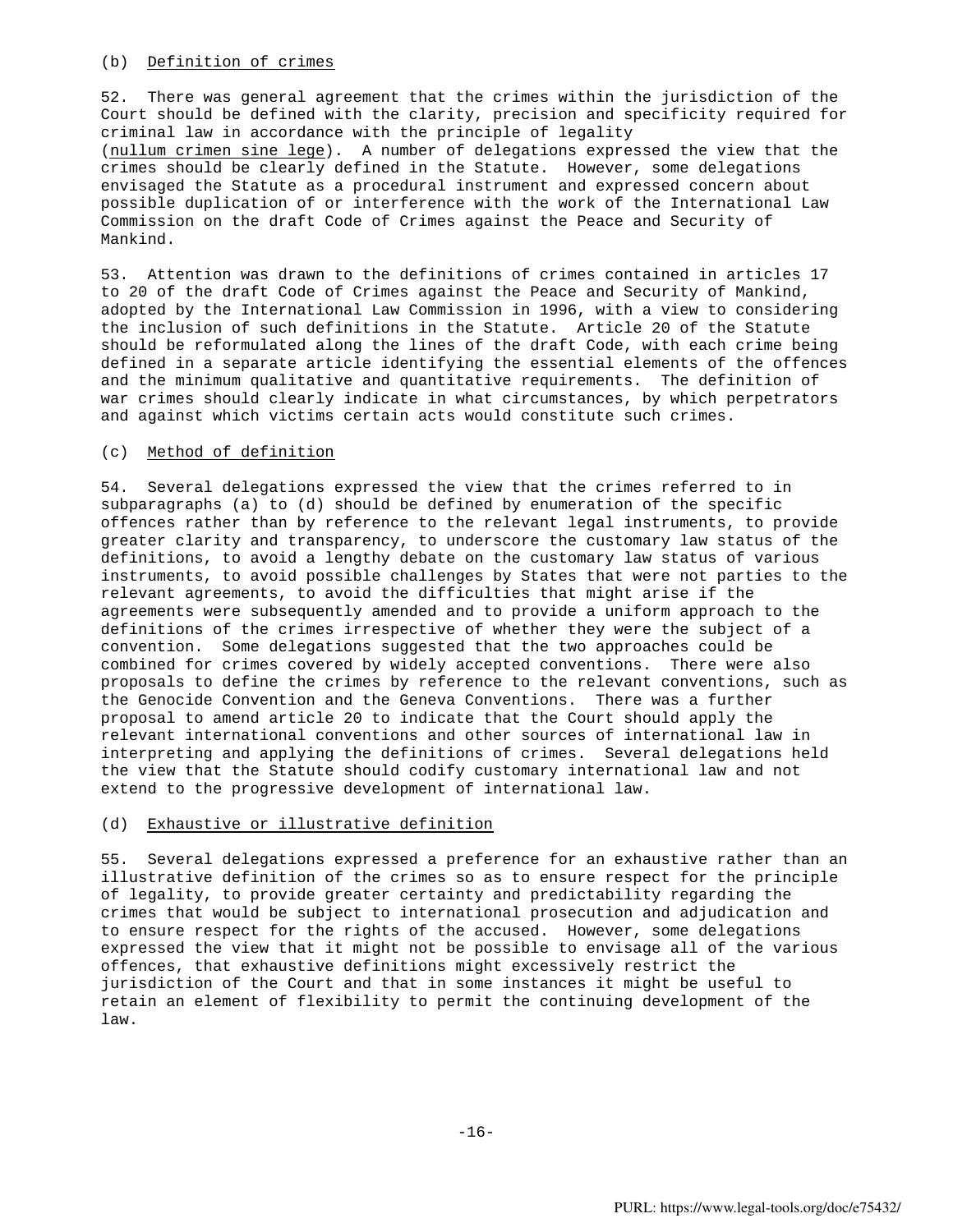## (b) Definition of crimes

52. There was general agreement that the crimes within the jurisdiction of the Court should be defined with the clarity, precision and specificity required for criminal law in accordance with the principle of legality (nullum crimen sine lege). A number of delegations expressed the view that the crimes should be clearly defined in the Statute. However, some delegations envisaged the Statute as a procedural instrument and expressed concern about possible duplication of or interference with the work of the International Law Commission on the draft Code of Crimes against the Peace and Security of Mankind.

53. Attention was drawn to the definitions of crimes contained in articles 17 to 20 of the draft Code of Crimes against the Peace and Security of Mankind, adopted by the International Law Commission in 1996, with a view to considering the inclusion of such definitions in the Statute. Article 20 of the Statute should be reformulated along the lines of the draft Code, with each crime being defined in a separate article identifying the essential elements of the offences and the minimum qualitative and quantitative requirements. The definition of war crimes should clearly indicate in what circumstances, by which perpetrators and against which victims certain acts would constitute such crimes.

## (c) Method of definition

54. Several delegations expressed the view that the crimes referred to in subparagraphs (a) to (d) should be defined by enumeration of the specific offences rather than by reference to the relevant legal instruments, to provide greater clarity and transparency, to underscore the customary law status of the definitions, to avoid a lengthy debate on the customary law status of various instruments, to avoid possible challenges by States that were not parties to the relevant agreements, to avoid the difficulties that might arise if the agreements were subsequently amended and to provide a uniform approach to the definitions of the crimes irrespective of whether they were the subject of a convention. Some delegations suggested that the two approaches could be combined for crimes covered by widely accepted conventions. There were also proposals to define the crimes by reference to the relevant conventions, such as the Genocide Convention and the Geneva Conventions. There was a further proposal to amend article 20 to indicate that the Court should apply the relevant international conventions and other sources of international law in interpreting and applying the definitions of crimes. Several delegations held the view that the Statute should codify customary international law and not extend to the progressive development of international law.

### (d) Exhaustive or illustrative definition

55. Several delegations expressed a preference for an exhaustive rather than an illustrative definition of the crimes so as to ensure respect for the principle of legality, to provide greater certainty and predictability regarding the crimes that would be subject to international prosecution and adjudication and to ensure respect for the rights of the accused. However, some delegations expressed the view that it might not be possible to envisage all of the various offences, that exhaustive definitions might excessively restrict the jurisdiction of the Court and that in some instances it might be useful to retain an element of flexibility to permit the continuing development of the law.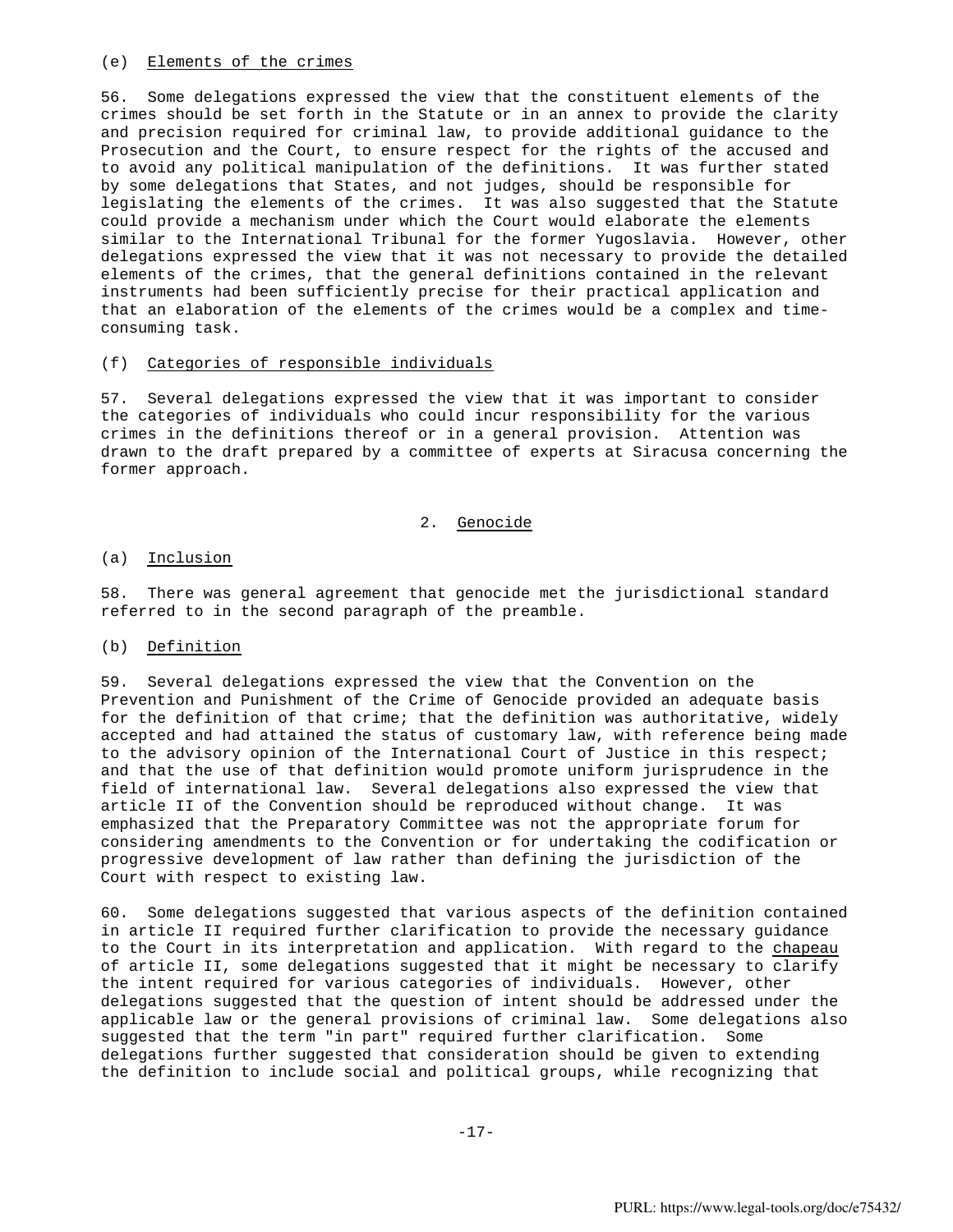## (e) Elements of the crimes

56. Some delegations expressed the view that the constituent elements of the crimes should be set forth in the Statute or in an annex to provide the clarity and precision required for criminal law, to provide additional guidance to the Prosecution and the Court, to ensure respect for the rights of the accused and to avoid any political manipulation of the definitions. It was further stated by some delegations that States, and not judges, should be responsible for legislating the elements of the crimes. It was also suggested that the Statute could provide a mechanism under which the Court would elaborate the elements similar to the International Tribunal for the former Yugoslavia. However, other delegations expressed the view that it was not necessary to provide the detailed elements of the crimes, that the general definitions contained in the relevant instruments had been sufficiently precise for their practical application and that an elaboration of the elements of the crimes would be a complex and timeconsuming task.

# (f) Categories of responsible individuals

57. Several delegations expressed the view that it was important to consider the categories of individuals who could incur responsibility for the various crimes in the definitions thereof or in a general provision. Attention was drawn to the draft prepared by a committee of experts at Siracusa concerning the former approach.

# 2. Genocide

(a) Inclusion

58. There was general agreement that genocide met the jurisdictional standard referred to in the second paragraph of the preamble.

### (b) Definition

59. Several delegations expressed the view that the Convention on the Prevention and Punishment of the Crime of Genocide provided an adequate basis for the definition of that crime; that the definition was authoritative, widely accepted and had attained the status of customary law, with reference being made to the advisory opinion of the International Court of Justice in this respect; and that the use of that definition would promote uniform jurisprudence in the field of international law. Several delegations also expressed the view that article II of the Convention should be reproduced without change. It was emphasized that the Preparatory Committee was not the appropriate forum for considering amendments to the Convention or for undertaking the codification or progressive development of law rather than defining the jurisdiction of the Court with respect to existing law.

60. Some delegations suggested that various aspects of the definition contained in article II required further clarification to provide the necessary guidance to the Court in its interpretation and application. With regard to the chapeau of article II, some delegations suggested that it might be necessary to clarify the intent required for various categories of individuals. However, other delegations suggested that the question of intent should be addressed under the applicable law or the general provisions of criminal law. Some delegations also suggested that the term "in part" required further clarification. Some delegations further suggested that consideration should be given to extending the definition to include social and political groups, while recognizing that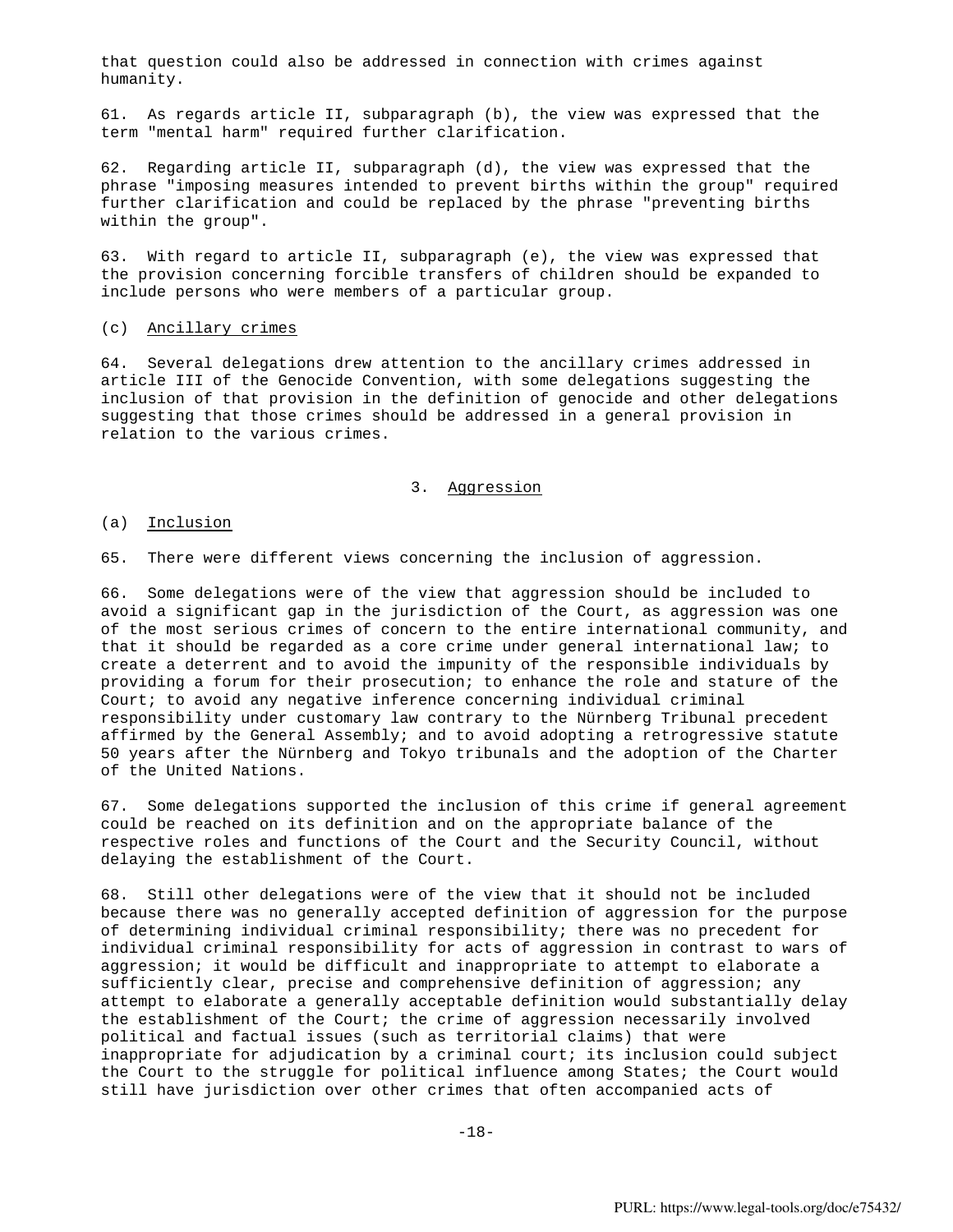that question could also be addressed in connection with crimes against humanity.

61. As regards article II, subparagraph (b), the view was expressed that the term "mental harm" required further clarification.

62. Regarding article II, subparagraph (d), the view was expressed that the phrase "imposing measures intended to prevent births within the group" required further clarification and could be replaced by the phrase "preventing births within the group".

63. With regard to article II, subparagraph (e), the view was expressed that the provision concerning forcible transfers of children should be expanded to include persons who were members of a particular group.

# (c) Ancillary crimes

64. Several delegations drew attention to the ancillary crimes addressed in article III of the Genocide Convention, with some delegations suggesting the inclusion of that provision in the definition of genocide and other delegations suggesting that those crimes should be addressed in a general provision in relation to the various crimes.

### 3. Aggression

(a) Inclusion

65. There were different views concerning the inclusion of aggression.

66. Some delegations were of the view that aggression should be included to avoid a significant gap in the jurisdiction of the Court, as aggression was one of the most serious crimes of concern to the entire international community, and that it should be regarded as a core crime under general international law; to create a deterrent and to avoid the impunity of the responsible individuals by providing a forum for their prosecution; to enhance the role and stature of the Court; to avoid any negative inference concerning individual criminal responsibility under customary law contrary to the Nürnberg Tribunal precedent affirmed by the General Assembly; and to avoid adopting a retrogressive statute 50 years after the Nürnberg and Tokyo tribunals and the adoption of the Charter of the United Nations.

67. Some delegations supported the inclusion of this crime if general agreement could be reached on its definition and on the appropriate balance of the respective roles and functions of the Court and the Security Council, without delaying the establishment of the Court.

68. Still other delegations were of the view that it should not be included because there was no generally accepted definition of aggression for the purpose of determining individual criminal responsibility; there was no precedent for individual criminal responsibility for acts of aggression in contrast to wars of aggression; it would be difficult and inappropriate to attempt to elaborate a sufficiently clear, precise and comprehensive definition of aggression; any attempt to elaborate a generally acceptable definition would substantially delay the establishment of the Court; the crime of aggression necessarily involved political and factual issues (such as territorial claims) that were inappropriate for adjudication by a criminal court; its inclusion could subject the Court to the struggle for political influence among States; the Court would still have jurisdiction over other crimes that often accompanied acts of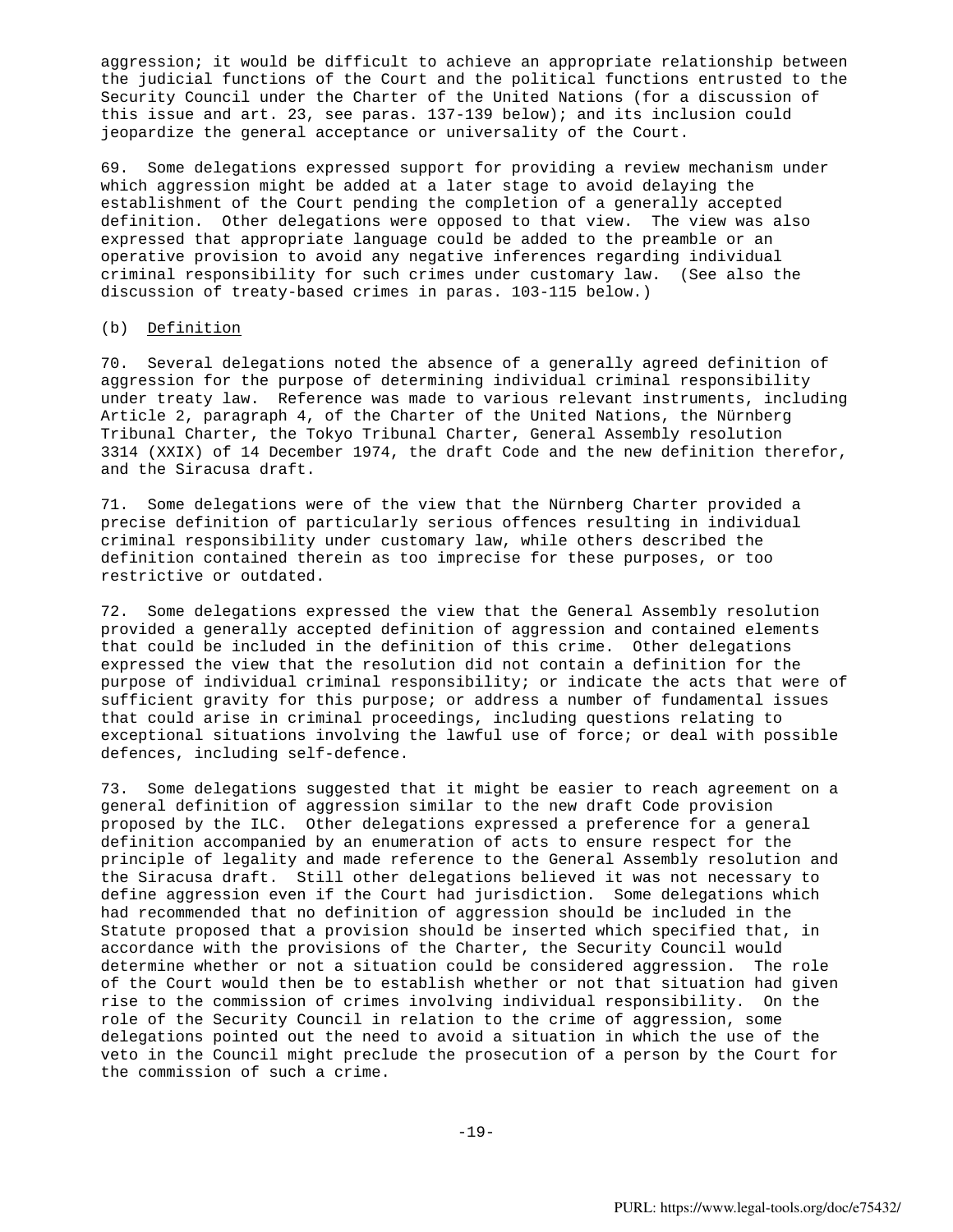aggression; it would be difficult to achieve an appropriate relationship between the judicial functions of the Court and the political functions entrusted to the Security Council under the Charter of the United Nations (for a discussion of this issue and art. 23, see paras. 137-139 below); and its inclusion could jeopardize the general acceptance or universality of the Court.

69. Some delegations expressed support for providing a review mechanism under which aggression might be added at a later stage to avoid delaying the establishment of the Court pending the completion of a generally accepted definition. Other delegations were opposed to that view. The view was also expressed that appropriate language could be added to the preamble or an operative provision to avoid any negative inferences regarding individual criminal responsibility for such crimes under customary law. (See also the discussion of treaty-based crimes in paras. 103-115 below.)

### (b) Definition

70. Several delegations noted the absence of a generally agreed definition of aggression for the purpose of determining individual criminal responsibility under treaty law. Reference was made to various relevant instruments, including Article 2, paragraph 4, of the Charter of the United Nations, the Nürnberg Tribunal Charter, the Tokyo Tribunal Charter, General Assembly resolution 3314 (XXIX) of 14 December 1974, the draft Code and the new definition therefor, and the Siracusa draft.

71. Some delegations were of the view that the Nürnberg Charter provided a precise definition of particularly serious offences resulting in individual criminal responsibility under customary law, while others described the definition contained therein as too imprecise for these purposes, or too restrictive or outdated.

72. Some delegations expressed the view that the General Assembly resolution provided a generally accepted definition of aggression and contained elements that could be included in the definition of this crime. Other delegations expressed the view that the resolution did not contain a definition for the purpose of individual criminal responsibility; or indicate the acts that were of sufficient gravity for this purpose; or address a number of fundamental issues that could arise in criminal proceedings, including questions relating to exceptional situations involving the lawful use of force; or deal with possible defences, including self-defence.

73. Some delegations suggested that it might be easier to reach agreement on a general definition of aggression similar to the new draft Code provision proposed by the ILC. Other delegations expressed a preference for a general definition accompanied by an enumeration of acts to ensure respect for the principle of legality and made reference to the General Assembly resolution and the Siracusa draft. Still other delegations believed it was not necessary to define aggression even if the Court had jurisdiction. Some delegations which had recommended that no definition of aggression should be included in the Statute proposed that a provision should be inserted which specified that, in accordance with the provisions of the Charter, the Security Council would determine whether or not a situation could be considered aggression. The role of the Court would then be to establish whether or not that situation had given rise to the commission of crimes involving individual responsibility. On the role of the Security Council in relation to the crime of aggression, some delegations pointed out the need to avoid a situation in which the use of the veto in the Council might preclude the prosecution of a person by the Court for the commission of such a crime.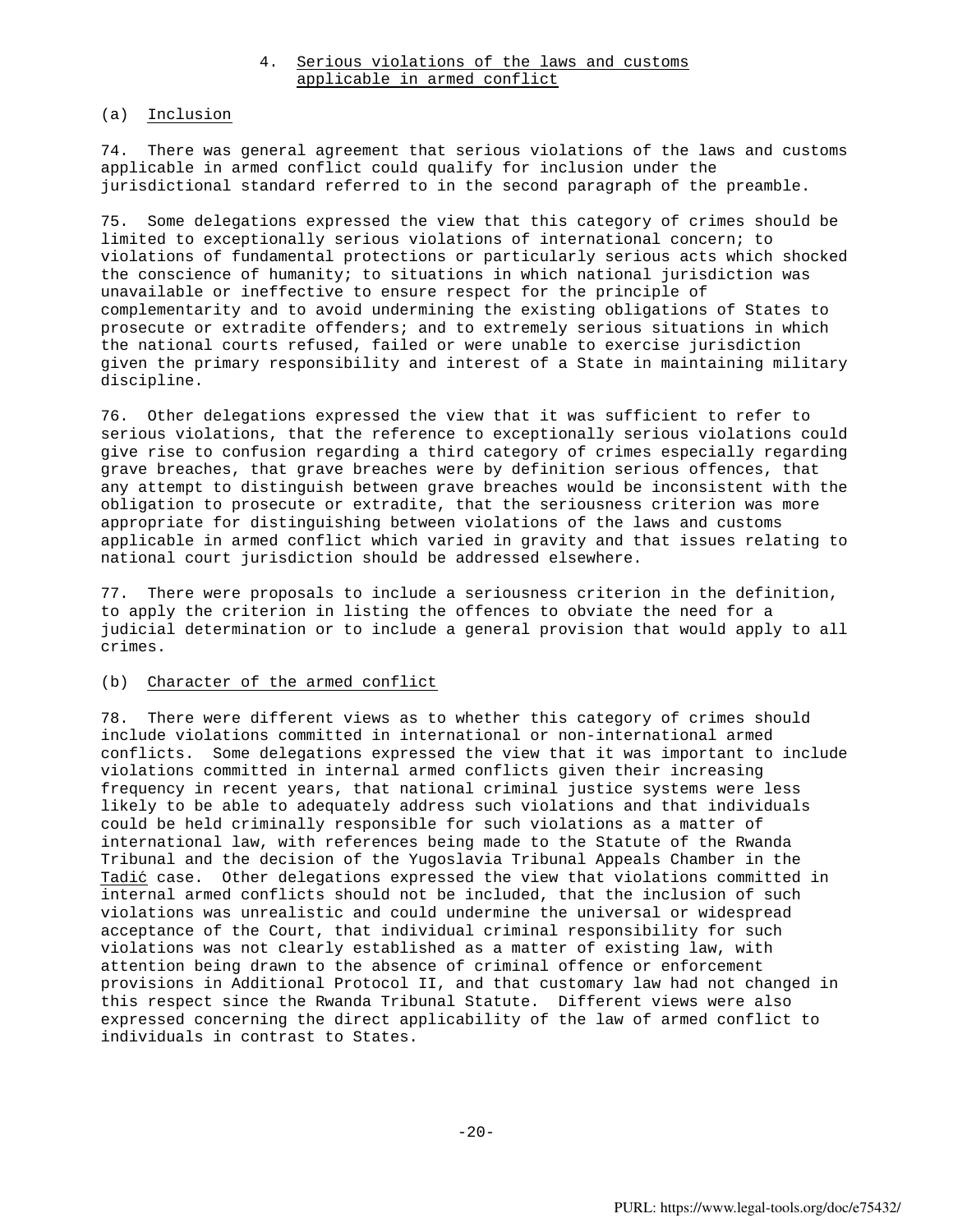# 4. Serious violations of the laws and customs applicable in armed conflict

# (a) Inclusion

74. There was general agreement that serious violations of the laws and customs applicable in armed conflict could qualify for inclusion under the jurisdictional standard referred to in the second paragraph of the preamble.

75. Some delegations expressed the view that this category of crimes should be limited to exceptionally serious violations of international concern; to violations of fundamental protections or particularly serious acts which shocked the conscience of humanity; to situations in which national jurisdiction was unavailable or ineffective to ensure respect for the principle of complementarity and to avoid undermining the existing obligations of States to prosecute or extradite offenders; and to extremely serious situations in which the national courts refused, failed or were unable to exercise jurisdiction given the primary responsibility and interest of a State in maintaining military discipline.

76. Other delegations expressed the view that it was sufficient to refer to serious violations, that the reference to exceptionally serious violations could give rise to confusion regarding a third category of crimes especially regarding grave breaches, that grave breaches were by definition serious offences, that any attempt to distinguish between grave breaches would be inconsistent with the obligation to prosecute or extradite, that the seriousness criterion was more appropriate for distinguishing between violations of the laws and customs applicable in armed conflict which varied in gravity and that issues relating to national court jurisdiction should be addressed elsewhere.

77. There were proposals to include a seriousness criterion in the definition, to apply the criterion in listing the offences to obviate the need for a judicial determination or to include a general provision that would apply to all crimes.

# (b) Character of the armed conflict

78. There were different views as to whether this category of crimes should include violations committed in international or non-international armed conflicts. Some delegations expressed the view that it was important to include violations committed in internal armed conflicts given their increasing frequency in recent years, that national criminal justice systems were less likely to be able to adequately address such violations and that individuals could be held criminally responsible for such violations as a matter of international law, with references being made to the Statute of the Rwanda Tribunal and the decision of the Yugoslavia Tribunal Appeals Chamber in the Tadić case. Other delegations expressed the view that violations committed in internal armed conflicts should not be included, that the inclusion of such violations was unrealistic and could undermine the universal or widespread acceptance of the Court, that individual criminal responsibility for such violations was not clearly established as a matter of existing law, with attention being drawn to the absence of criminal offence or enforcement provisions in Additional Protocol II, and that customary law had not changed in this respect since the Rwanda Tribunal Statute. Different views were also expressed concerning the direct applicability of the law of armed conflict to individuals in contrast to States.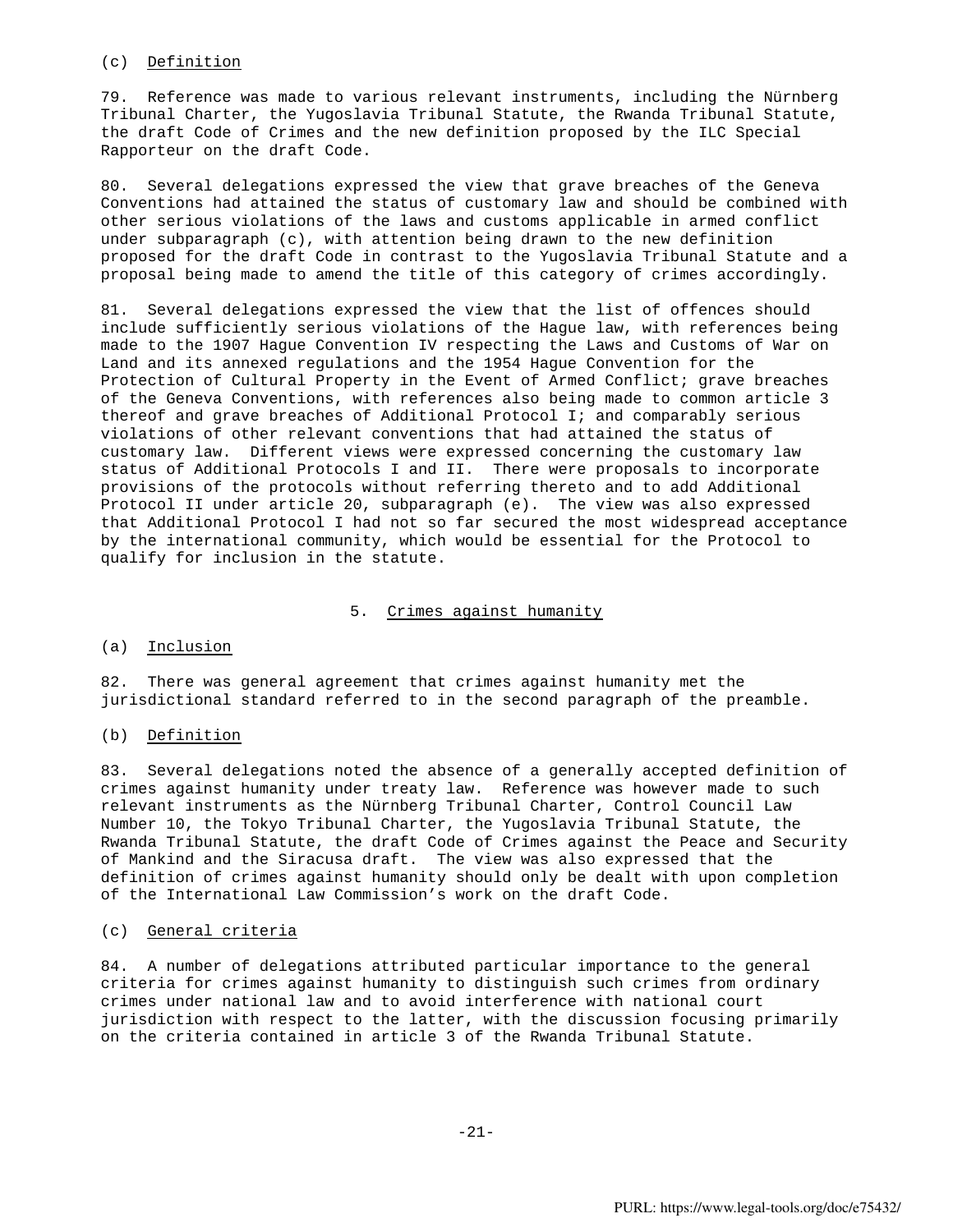# (c) Definition

79. Reference was made to various relevant instruments, including the Nürnberg Tribunal Charter, the Yugoslavia Tribunal Statute, the Rwanda Tribunal Statute, the draft Code of Crimes and the new definition proposed by the ILC Special Rapporteur on the draft Code.

80. Several delegations expressed the view that grave breaches of the Geneva Conventions had attained the status of customary law and should be combined with other serious violations of the laws and customs applicable in armed conflict under subparagraph (c), with attention being drawn to the new definition proposed for the draft Code in contrast to the Yugoslavia Tribunal Statute and a proposal being made to amend the title of this category of crimes accordingly.

81. Several delegations expressed the view that the list of offences should include sufficiently serious violations of the Hague law, with references being made to the 1907 Hague Convention IV respecting the Laws and Customs of War on Land and its annexed regulations and the 1954 Hague Convention for the Protection of Cultural Property in the Event of Armed Conflict; grave breaches of the Geneva Conventions, with references also being made to common article 3 thereof and grave breaches of Additional Protocol I; and comparably serious violations of other relevant conventions that had attained the status of customary law. Different views were expressed concerning the customary law status of Additional Protocols I and II. There were proposals to incorporate provisions of the protocols without referring thereto and to add Additional Protocol II under article 20, subparagraph (e). The view was also expressed that Additional Protocol I had not so far secured the most widespread acceptance by the international community, which would be essential for the Protocol to qualify for inclusion in the statute.

#### 5. Crimes against humanity

# (a) Inclusion

82. There was general agreement that crimes against humanity met the jurisdictional standard referred to in the second paragraph of the preamble.

# (b) Definition

83. Several delegations noted the absence of a generally accepted definition of crimes against humanity under treaty law. Reference was however made to such relevant instruments as the Nürnberg Tribunal Charter, Control Council Law Number 10, the Tokyo Tribunal Charter, the Yugoslavia Tribunal Statute, the Rwanda Tribunal Statute, the draft Code of Crimes against the Peace and Security of Mankind and the Siracusa draft. The view was also expressed that the definition of crimes against humanity should only be dealt with upon completion of the International Law Commission's work on the draft Code.

# (c) General criteria

84. A number of delegations attributed particular importance to the general criteria for crimes against humanity to distinguish such crimes from ordinary crimes under national law and to avoid interference with national court jurisdiction with respect to the latter, with the discussion focusing primarily on the criteria contained in article 3 of the Rwanda Tribunal Statute.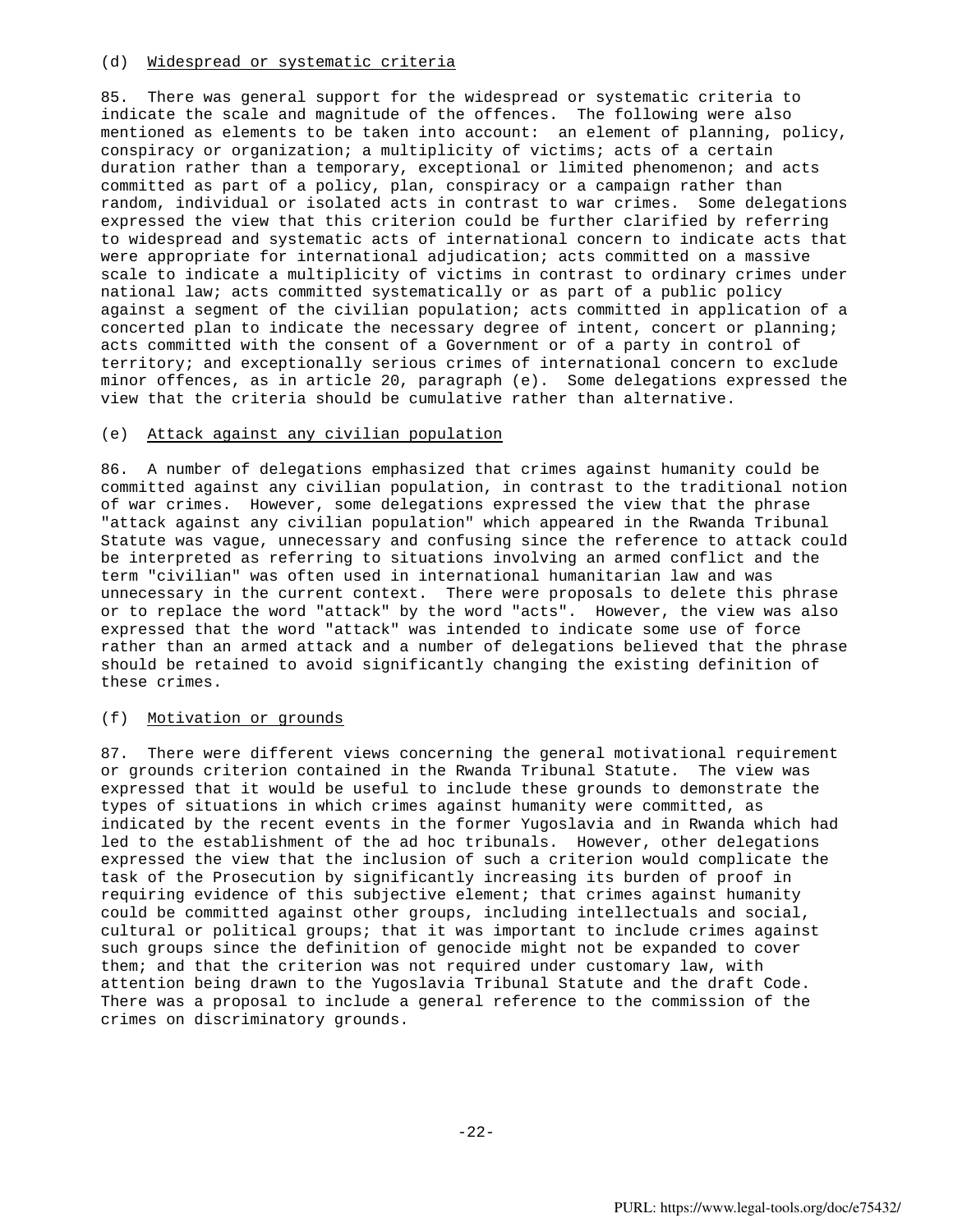## (d) Widespread or systematic criteria

85. There was general support for the widespread or systematic criteria to indicate the scale and magnitude of the offences. The following were also mentioned as elements to be taken into account: an element of planning, policy, conspiracy or organization; a multiplicity of victims; acts of a certain duration rather than a temporary, exceptional or limited phenomenon; and acts committed as part of a policy, plan, conspiracy or a campaign rather than random, individual or isolated acts in contrast to war crimes. Some delegations expressed the view that this criterion could be further clarified by referring to widespread and systematic acts of international concern to indicate acts that were appropriate for international adjudication; acts committed on a massive scale to indicate a multiplicity of victims in contrast to ordinary crimes under national law; acts committed systematically or as part of a public policy against a segment of the civilian population; acts committed in application of a concerted plan to indicate the necessary degree of intent, concert or planning; acts committed with the consent of a Government or of a party in control of territory; and exceptionally serious crimes of international concern to exclude minor offences, as in article 20, paragraph (e). Some delegations expressed the view that the criteria should be cumulative rather than alternative.

# (e) Attack against any civilian population

86. A number of delegations emphasized that crimes against humanity could be committed against any civilian population, in contrast to the traditional notion of war crimes. However, some delegations expressed the view that the phrase "attack against any civilian population" which appeared in the Rwanda Tribunal Statute was vague, unnecessary and confusing since the reference to attack could be interpreted as referring to situations involving an armed conflict and the term "civilian" was often used in international humanitarian law and was unnecessary in the current context. There were proposals to delete this phrase or to replace the word "attack" by the word "acts". However, the view was also expressed that the word "attack" was intended to indicate some use of force rather than an armed attack and a number of delegations believed that the phrase should be retained to avoid significantly changing the existing definition of these crimes.

# (f) Motivation or grounds

87. There were different views concerning the general motivational requirement or grounds criterion contained in the Rwanda Tribunal Statute. The view was expressed that it would be useful to include these grounds to demonstrate the types of situations in which crimes against humanity were committed, as indicated by the recent events in the former Yugoslavia and in Rwanda which had led to the establishment of the ad hoc tribunals. However, other delegations expressed the view that the inclusion of such a criterion would complicate the task of the Prosecution by significantly increasing its burden of proof in requiring evidence of this subjective element; that crimes against humanity could be committed against other groups, including intellectuals and social, cultural or political groups; that it was important to include crimes against such groups since the definition of genocide might not be expanded to cover them; and that the criterion was not required under customary law, with attention being drawn to the Yugoslavia Tribunal Statute and the draft Code. There was a proposal to include a general reference to the commission of the crimes on discriminatory grounds.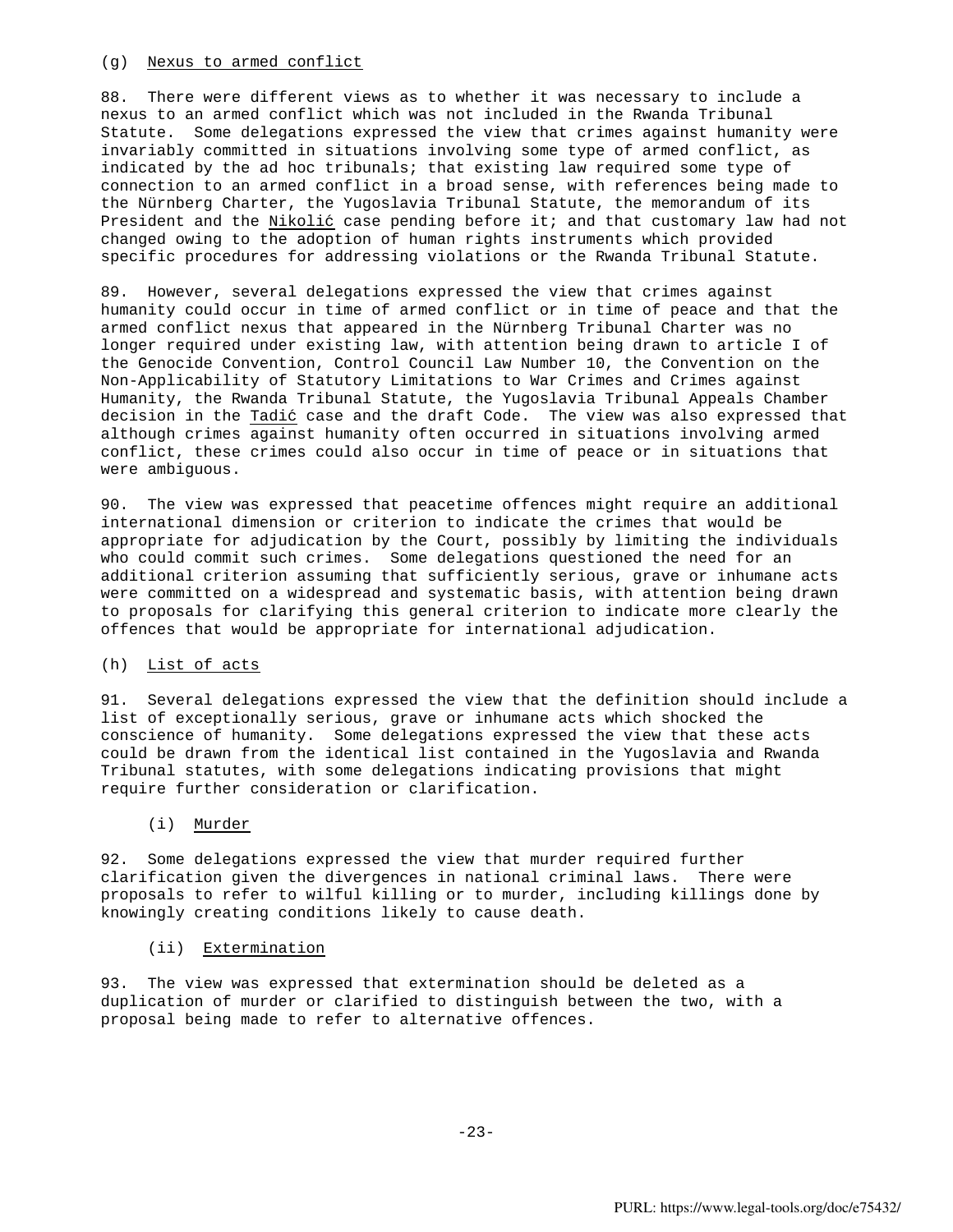## (g) Nexus to armed conflict

88. There were different views as to whether it was necessary to include a nexus to an armed conflict which was not included in the Rwanda Tribunal Statute. Some delegations expressed the view that crimes against humanity were invariably committed in situations involving some type of armed conflict, as indicated by the ad hoc tribunals; that existing law required some type of connection to an armed conflict in a broad sense, with references being made to the Nürnberg Charter, the Yugoslavia Tribunal Statute, the memorandum of its President and the Nikolić case pending before it; and that customary law had not changed owing to the adoption of human rights instruments which provided specific procedures for addressing violations or the Rwanda Tribunal Statute.

89. However, several delegations expressed the view that crimes against humanity could occur in time of armed conflict or in time of peace and that the armed conflict nexus that appeared in the Nürnberg Tribunal Charter was no longer required under existing law, with attention being drawn to article I of the Genocide Convention, Control Council Law Number 10, the Convention on the Non-Applicability of Statutory Limitations to War Crimes and Crimes against Humanity, the Rwanda Tribunal Statute, the Yugoslavia Tribunal Appeals Chamber decision in the Tadić case and the draft Code. The view was also expressed that although crimes against humanity often occurred in situations involving armed conflict, these crimes could also occur in time of peace or in situations that were ambiguous.

90. The view was expressed that peacetime offences might require an additional international dimension or criterion to indicate the crimes that would be appropriate for adjudication by the Court, possibly by limiting the individuals who could commit such crimes. Some delegations questioned the need for an additional criterion assuming that sufficiently serious, grave or inhumane acts were committed on a widespread and systematic basis, with attention being drawn to proposals for clarifying this general criterion to indicate more clearly the offences that would be appropriate for international adjudication.

# (h) List of acts

91. Several delegations expressed the view that the definition should include a list of exceptionally serious, grave or inhumane acts which shocked the conscience of humanity. Some delegations expressed the view that these acts could be drawn from the identical list contained in the Yugoslavia and Rwanda Tribunal statutes, with some delegations indicating provisions that might require further consideration or clarification.

### (i) Murder

92. Some delegations expressed the view that murder required further clarification given the divergences in national criminal laws. There were proposals to refer to wilful killing or to murder, including killings done by knowingly creating conditions likely to cause death.

## (ii) Extermination

93. The view was expressed that extermination should be deleted as a duplication of murder or clarified to distinguish between the two, with a proposal being made to refer to alternative offences.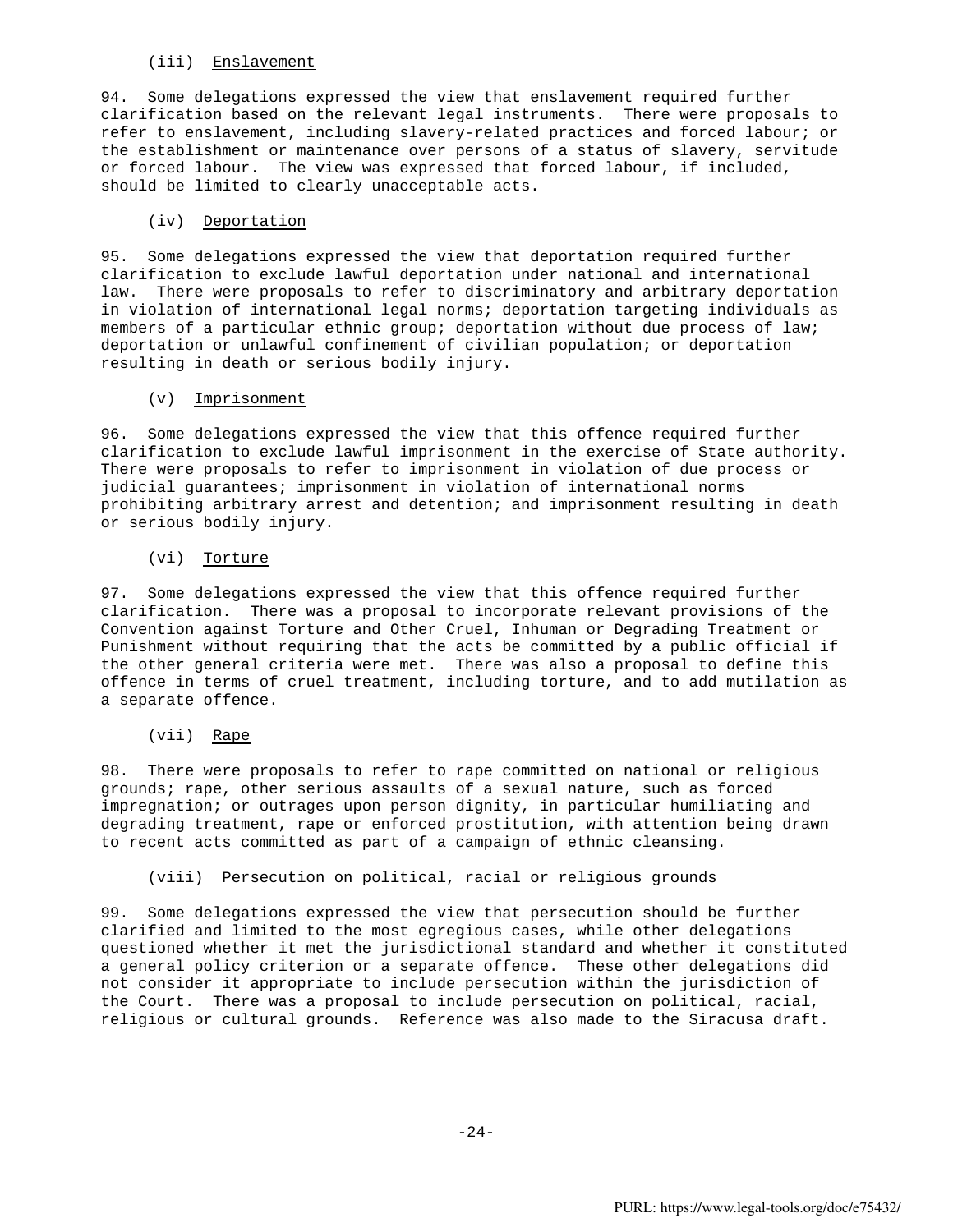## (iii) Enslavement

94. Some delegations expressed the view that enslavement required further clarification based on the relevant legal instruments. There were proposals to refer to enslavement, including slavery-related practices and forced labour; or the establishment or maintenance over persons of a status of slavery, servitude or forced labour. The view was expressed that forced labour, if included, should be limited to clearly unacceptable acts.

# (iv) Deportation

95. Some delegations expressed the view that deportation required further clarification to exclude lawful deportation under national and international law. There were proposals to refer to discriminatory and arbitrary deportation in violation of international legal norms; deportation targeting individuals as members of a particular ethnic group; deportation without due process of law; deportation or unlawful confinement of civilian population; or deportation resulting in death or serious bodily injury.

## (v) Imprisonment

96. Some delegations expressed the view that this offence required further clarification to exclude lawful imprisonment in the exercise of State authority. There were proposals to refer to imprisonment in violation of due process or judicial guarantees; imprisonment in violation of international norms prohibiting arbitrary arrest and detention; and imprisonment resulting in death or serious bodily injury.

# (vi) Torture

97. Some delegations expressed the view that this offence required further clarification. There was a proposal to incorporate relevant provisions of the Convention against Torture and Other Cruel, Inhuman or Degrading Treatment or Punishment without requiring that the acts be committed by a public official if the other general criteria were met. There was also a proposal to define this offence in terms of cruel treatment, including torture, and to add mutilation as a separate offence.

# (vii) Rape

98. There were proposals to refer to rape committed on national or religious grounds; rape, other serious assaults of a sexual nature, such as forced impregnation; or outrages upon person dignity, in particular humiliating and degrading treatment, rape or enforced prostitution, with attention being drawn to recent acts committed as part of a campaign of ethnic cleansing.

## (viii) Persecution on political, racial or religious grounds

99. Some delegations expressed the view that persecution should be further clarified and limited to the most egregious cases, while other delegations questioned whether it met the jurisdictional standard and whether it constituted a general policy criterion or a separate offence. These other delegations did not consider it appropriate to include persecution within the jurisdiction of the Court. There was a proposal to include persecution on political, racial, religious or cultural grounds. Reference was also made to the Siracusa draft.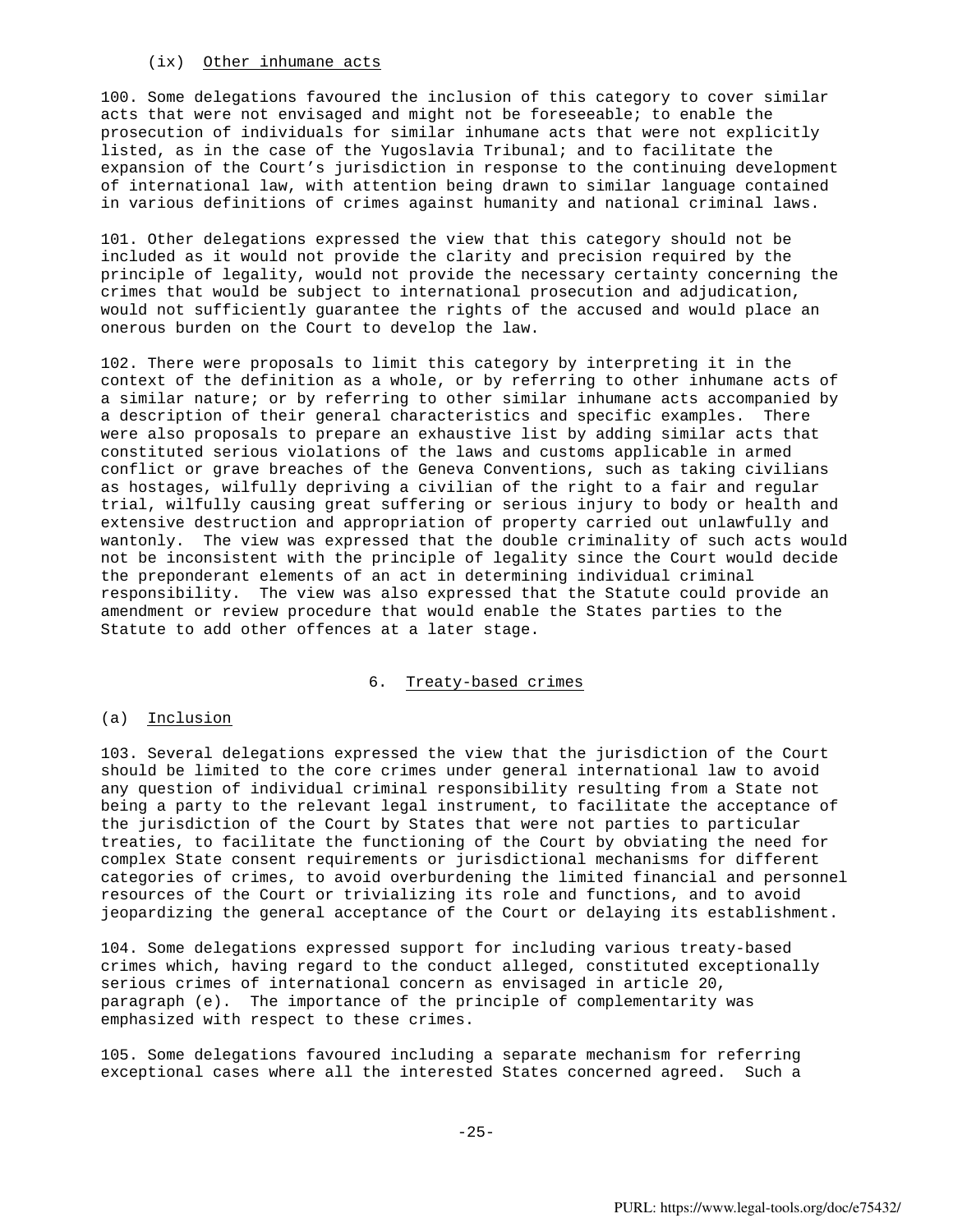# (ix) Other inhumane acts

100. Some delegations favoured the inclusion of this category to cover similar acts that were not envisaged and might not be foreseeable; to enable the prosecution of individuals for similar inhumane acts that were not explicitly listed, as in the case of the Yugoslavia Tribunal; and to facilitate the expansion of the Court's jurisdiction in response to the continuing development of international law, with attention being drawn to similar language contained in various definitions of crimes against humanity and national criminal laws.

101. Other delegations expressed the view that this category should not be included as it would not provide the clarity and precision required by the principle of legality, would not provide the necessary certainty concerning the crimes that would be subject to international prosecution and adjudication, would not sufficiently guarantee the rights of the accused and would place an onerous burden on the Court to develop the law.

102. There were proposals to limit this category by interpreting it in the context of the definition as a whole, or by referring to other inhumane acts of a similar nature; or by referring to other similar inhumane acts accompanied by a description of their general characteristics and specific examples. There were also proposals to prepare an exhaustive list by adding similar acts that constituted serious violations of the laws and customs applicable in armed conflict or grave breaches of the Geneva Conventions, such as taking civilians as hostages, wilfully depriving a civilian of the right to a fair and regular trial, wilfully causing great suffering or serious injury to body or health and extensive destruction and appropriation of property carried out unlawfully and wantonly. The view was expressed that the double criminality of such acts would not be inconsistent with the principle of legality since the Court would decide the preponderant elements of an act in determining individual criminal responsibility. The view was also expressed that the Statute could provide an amendment or review procedure that would enable the States parties to the Statute to add other offences at a later stage.

# 6. Treaty-based crimes

## (a) Inclusion

103. Several delegations expressed the view that the jurisdiction of the Court should be limited to the core crimes under general international law to avoid any question of individual criminal responsibility resulting from a State not being a party to the relevant legal instrument, to facilitate the acceptance of the jurisdiction of the Court by States that were not parties to particular treaties, to facilitate the functioning of the Court by obviating the need for complex State consent requirements or jurisdictional mechanisms for different categories of crimes, to avoid overburdening the limited financial and personnel resources of the Court or trivializing its role and functions, and to avoid jeopardizing the general acceptance of the Court or delaying its establishment.

104. Some delegations expressed support for including various treaty-based crimes which, having regard to the conduct alleged, constituted exceptionally serious crimes of international concern as envisaged in article 20, paragraph (e). The importance of the principle of complementarity was emphasized with respect to these crimes.

105. Some delegations favoured including a separate mechanism for referring exceptional cases where all the interested States concerned agreed. Such a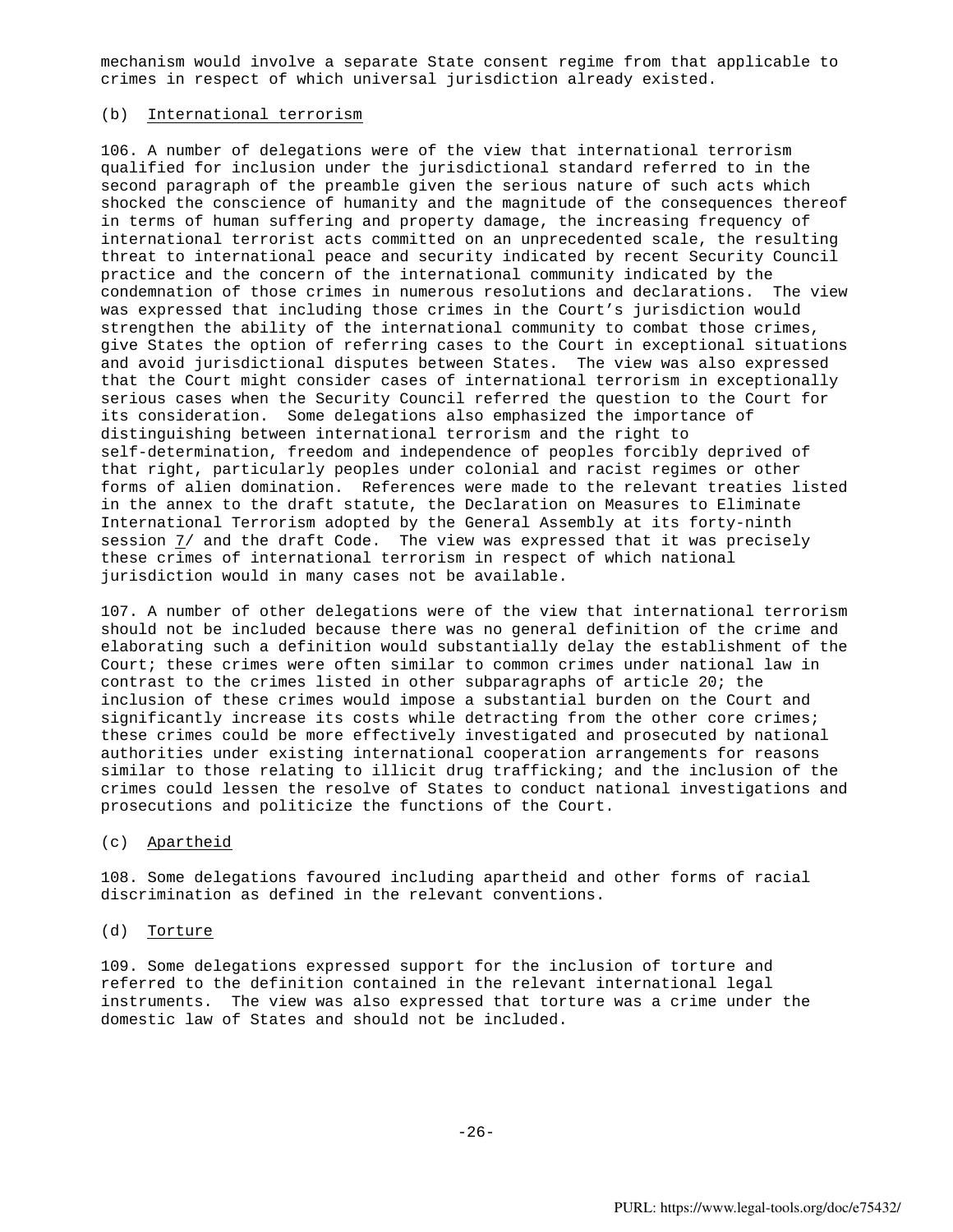mechanism would involve a separate State consent regime from that applicable to crimes in respect of which universal jurisdiction already existed.

### (b) International terrorism

106. A number of delegations were of the view that international terrorism qualified for inclusion under the jurisdictional standard referred to in the second paragraph of the preamble given the serious nature of such acts which shocked the conscience of humanity and the magnitude of the consequences thereof in terms of human suffering and property damage, the increasing frequency of international terrorist acts committed on an unprecedented scale, the resulting threat to international peace and security indicated by recent Security Council practice and the concern of the international community indicated by the condemnation of those crimes in numerous resolutions and declarations. The view was expressed that including those crimes in the Court's jurisdiction would strengthen the ability of the international community to combat those crimes, give States the option of referring cases to the Court in exceptional situations and avoid jurisdictional disputes between States. The view was also expressed that the Court might consider cases of international terrorism in exceptionally serious cases when the Security Council referred the question to the Court for its consideration. Some delegations also emphasized the importance of distinguishing between international terrorism and the right to self-determination, freedom and independence of peoples forcibly deprived of that right, particularly peoples under colonial and racist regimes or other forms of alien domination. References were made to the relevant treaties listed in the annex to the draft statute, the Declaration on Measures to Eliminate International Terrorism adopted by the General Assembly at its forty-ninth session 7/ and the draft Code. The view was expressed that it was precisely these crimes of international terrorism in respect of which national jurisdiction would in many cases not be available.

107. A number of other delegations were of the view that international terrorism should not be included because there was no general definition of the crime and elaborating such a definition would substantially delay the establishment of the Court; these crimes were often similar to common crimes under national law in contrast to the crimes listed in other subparagraphs of article 20; the inclusion of these crimes would impose a substantial burden on the Court and significantly increase its costs while detracting from the other core crimes; these crimes could be more effectively investigated and prosecuted by national authorities under existing international cooperation arrangements for reasons similar to those relating to illicit drug trafficking; and the inclusion of the crimes could lessen the resolve of States to conduct national investigations and prosecutions and politicize the functions of the Court.

### (c) Apartheid

108. Some delegations favoured including apartheid and other forms of racial discrimination as defined in the relevant conventions.

### (d) Torture

109. Some delegations expressed support for the inclusion of torture and referred to the definition contained in the relevant international legal instruments. The view was also expressed that torture was a crime under the domestic law of States and should not be included.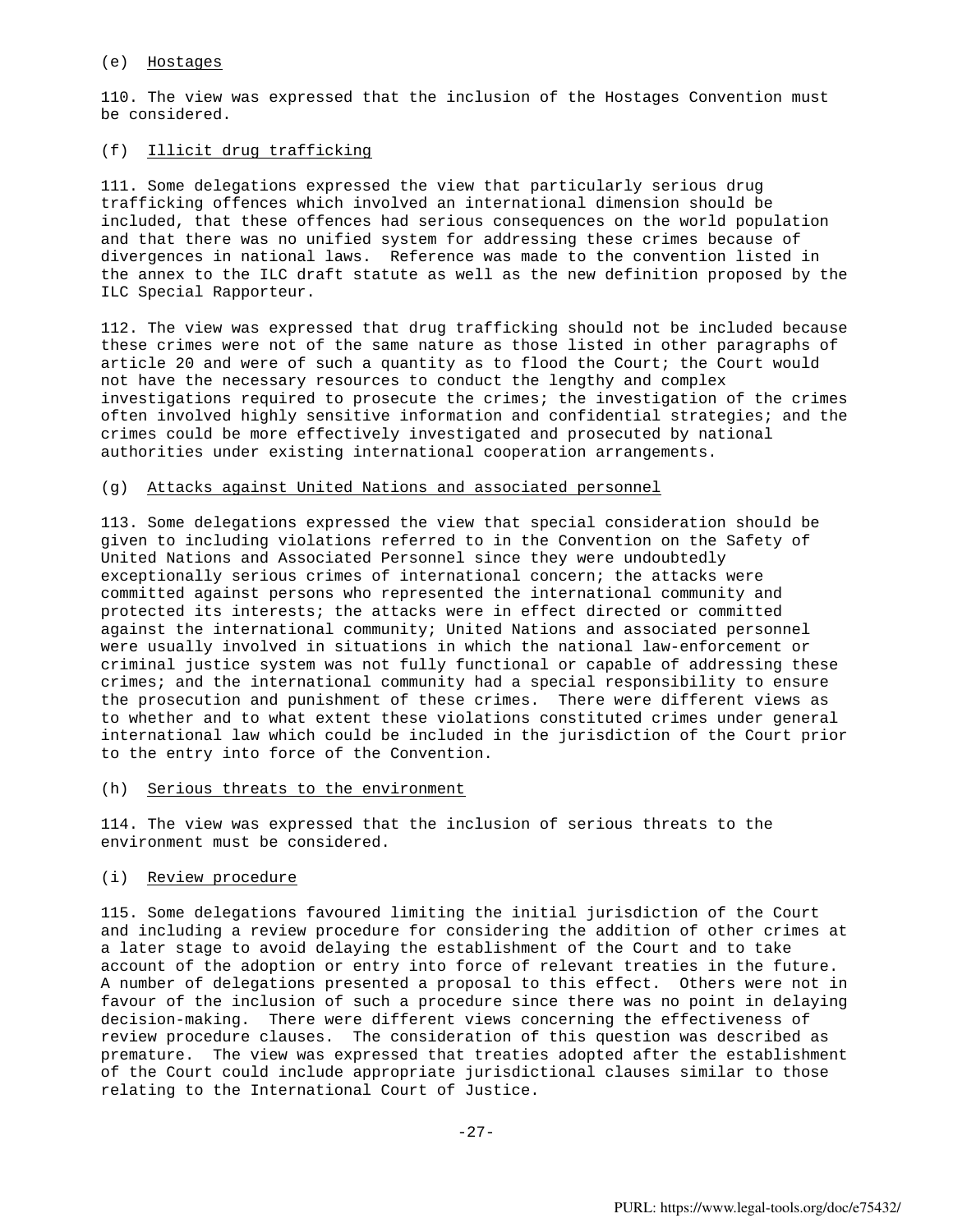### (e) Hostages

110. The view was expressed that the inclusion of the Hostages Convention must be considered.

## (f) Illicit drug trafficking

111. Some delegations expressed the view that particularly serious drug trafficking offences which involved an international dimension should be included, that these offences had serious consequences on the world population and that there was no unified system for addressing these crimes because of divergences in national laws. Reference was made to the convention listed in the annex to the ILC draft statute as well as the new definition proposed by the ILC Special Rapporteur.

112. The view was expressed that drug trafficking should not be included because these crimes were not of the same nature as those listed in other paragraphs of article 20 and were of such a quantity as to flood the Court; the Court would not have the necessary resources to conduct the lengthy and complex investigations required to prosecute the crimes; the investigation of the crimes often involved highly sensitive information and confidential strategies; and the crimes could be more effectively investigated and prosecuted by national authorities under existing international cooperation arrangements.

## (g) Attacks against United Nations and associated personnel

113. Some delegations expressed the view that special consideration should be given to including violations referred to in the Convention on the Safety of United Nations and Associated Personnel since they were undoubtedly exceptionally serious crimes of international concern; the attacks were committed against persons who represented the international community and protected its interests; the attacks were in effect directed or committed against the international community; United Nations and associated personnel were usually involved in situations in which the national law-enforcement or criminal justice system was not fully functional or capable of addressing these crimes; and the international community had a special responsibility to ensure the prosecution and punishment of these crimes. There were different views as to whether and to what extent these violations constituted crimes under general international law which could be included in the jurisdiction of the Court prior to the entry into force of the Convention.

## (h) Serious threats to the environment

114. The view was expressed that the inclusion of serious threats to the environment must be considered.

### (i) Review procedure

115. Some delegations favoured limiting the initial jurisdiction of the Court and including a review procedure for considering the addition of other crimes at a later stage to avoid delaying the establishment of the Court and to take account of the adoption or entry into force of relevant treaties in the future. A number of delegations presented a proposal to this effect. Others were not in favour of the inclusion of such a procedure since there was no point in delaying decision-making. There were different views concerning the effectiveness of review procedure clauses. The consideration of this question was described as premature. The view was expressed that treaties adopted after the establishment of the Court could include appropriate jurisdictional clauses similar to those relating to the International Court of Justice.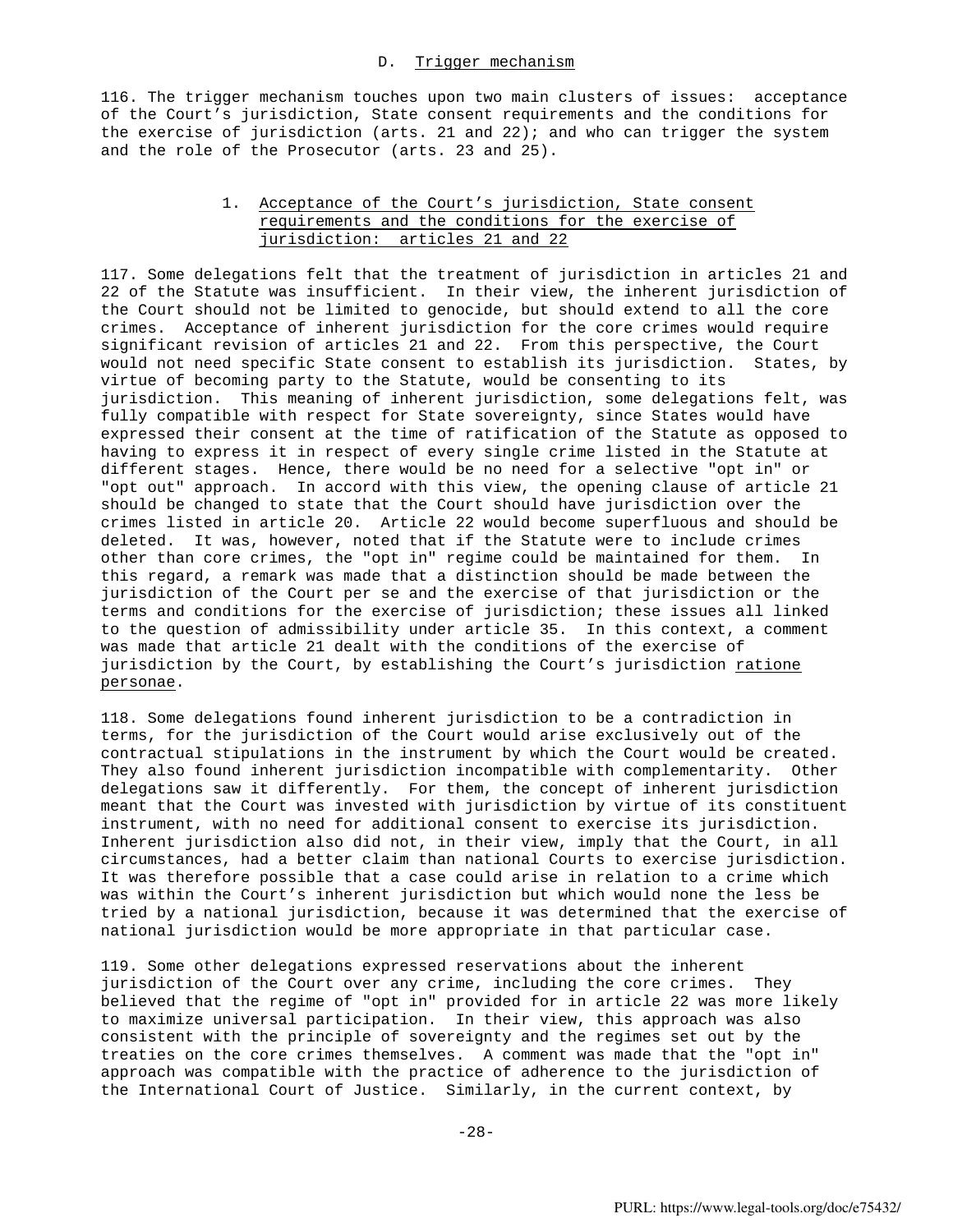116. The trigger mechanism touches upon two main clusters of issues: acceptance of the Court's jurisdiction, State consent requirements and the conditions for the exercise of jurisdiction (arts. 21 and 22); and who can trigger the system and the role of the Prosecutor (arts. 23 and 25).

# 1. Acceptance of the Court's jurisdiction, State consent requirements and the conditions for the exercise of jurisdiction: articles 21 and 22

117. Some delegations felt that the treatment of jurisdiction in articles 21 and 22 of the Statute was insufficient. In their view, the inherent jurisdiction of the Court should not be limited to genocide, but should extend to all the core crimes. Acceptance of inherent jurisdiction for the core crimes would require significant revision of articles 21 and 22. From this perspective, the Court would not need specific State consent to establish its jurisdiction. States, by virtue of becoming party to the Statute, would be consenting to its jurisdiction. This meaning of inherent jurisdiction, some delegations felt, was fully compatible with respect for State sovereignty, since States would have expressed their consent at the time of ratification of the Statute as opposed to having to express it in respect of every single crime listed in the Statute at different stages. Hence, there would be no need for a selective "opt in" or "opt out" approach. In accord with this view, the opening clause of article 21 should be changed to state that the Court should have jurisdiction over the crimes listed in article 20. Article 22 would become superfluous and should be deleted. It was, however, noted that if the Statute were to include crimes other than core crimes, the "opt in" regime could be maintained for them. In this regard, a remark was made that a distinction should be made between the jurisdiction of the Court per se and the exercise of that jurisdiction or the terms and conditions for the exercise of jurisdiction; these issues all linked to the question of admissibility under article 35. In this context, a comment was made that article 21 dealt with the conditions of the exercise of jurisdiction by the Court, by establishing the Court's jurisdiction ratione personae.

118. Some delegations found inherent jurisdiction to be a contradiction in terms, for the jurisdiction of the Court would arise exclusively out of the contractual stipulations in the instrument by which the Court would be created. They also found inherent jurisdiction incompatible with complementarity. Other delegations saw it differently. For them, the concept of inherent jurisdiction meant that the Court was invested with jurisdiction by virtue of its constituent instrument, with no need for additional consent to exercise its jurisdiction. Inherent jurisdiction also did not, in their view, imply that the Court, in all circumstances, had a better claim than national Courts to exercise jurisdiction. It was therefore possible that a case could arise in relation to a crime which was within the Court's inherent jurisdiction but which would none the less be tried by a national jurisdiction, because it was determined that the exercise of national jurisdiction would be more appropriate in that particular case.

119. Some other delegations expressed reservations about the inherent jurisdiction of the Court over any crime, including the core crimes. They believed that the regime of "opt in" provided for in article 22 was more likely to maximize universal participation. In their view, this approach was also consistent with the principle of sovereignty and the regimes set out by the treaties on the core crimes themselves. A comment was made that the "opt in" approach was compatible with the practice of adherence to the jurisdiction of the International Court of Justice. Similarly, in the current context, by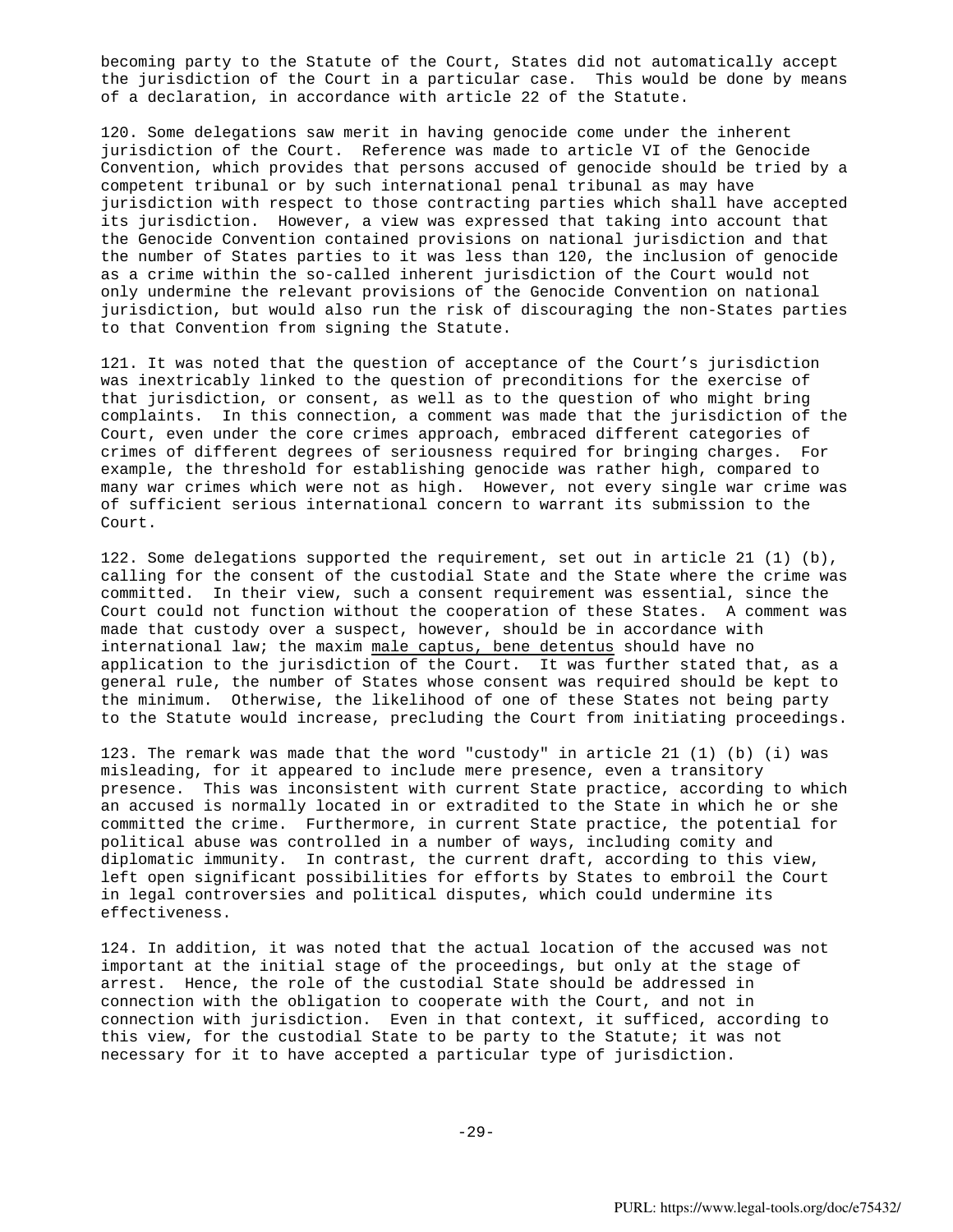becoming party to the Statute of the Court, States did not automatically accept the jurisdiction of the Court in a particular case. This would be done by means of a declaration, in accordance with article 22 of the Statute.

120. Some delegations saw merit in having genocide come under the inherent jurisdiction of the Court. Reference was made to article VI of the Genocide Convention, which provides that persons accused of genocide should be tried by a competent tribunal or by such international penal tribunal as may have jurisdiction with respect to those contracting parties which shall have accepted its jurisdiction. However, a view was expressed that taking into account that the Genocide Convention contained provisions on national jurisdiction and that the number of States parties to it was less than 120, the inclusion of genocide as a crime within the so-called inherent jurisdiction of the Court would not only undermine the relevant provisions of the Genocide Convention on national jurisdiction, but would also run the risk of discouraging the non-States parties to that Convention from signing the Statute.

121. It was noted that the question of acceptance of the Court's jurisdiction was inextricably linked to the question of preconditions for the exercise of that jurisdiction, or consent, as well as to the question of who might bring complaints. In this connection, a comment was made that the jurisdiction of the Court, even under the core crimes approach, embraced different categories of crimes of different degrees of seriousness required for bringing charges. For example, the threshold for establishing genocide was rather high, compared to many war crimes which were not as high. However, not every single war crime was of sufficient serious international concern to warrant its submission to the Court.

122. Some delegations supported the requirement, set out in article 21 (1) (b), calling for the consent of the custodial State and the State where the crime was committed. In their view, such a consent requirement was essential, since the Court could not function without the cooperation of these States. A comment was made that custody over a suspect, however, should be in accordance with international law; the maxim male captus, bene detentus should have no application to the jurisdiction of the Court. It was further stated that, as a general rule, the number of States whose consent was required should be kept to the minimum. Otherwise, the likelihood of one of these States not being party to the Statute would increase, precluding the Court from initiating proceedings.

123. The remark was made that the word "custody" in article 21 (1) (b) (i) was misleading, for it appeared to include mere presence, even a transitory presence. This was inconsistent with current State practice, according to which an accused is normally located in or extradited to the State in which he or she committed the crime. Furthermore, in current State practice, the potential for political abuse was controlled in a number of ways, including comity and diplomatic immunity. In contrast, the current draft, according to this view, left open significant possibilities for efforts by States to embroil the Court in legal controversies and political disputes, which could undermine its effectiveness.

124. In addition, it was noted that the actual location of the accused was not important at the initial stage of the proceedings, but only at the stage of arrest. Hence, the role of the custodial State should be addressed in connection with the obligation to cooperate with the Court, and not in connection with jurisdiction. Even in that context, it sufficed, according to this view, for the custodial State to be party to the Statute; it was not necessary for it to have accepted a particular type of jurisdiction.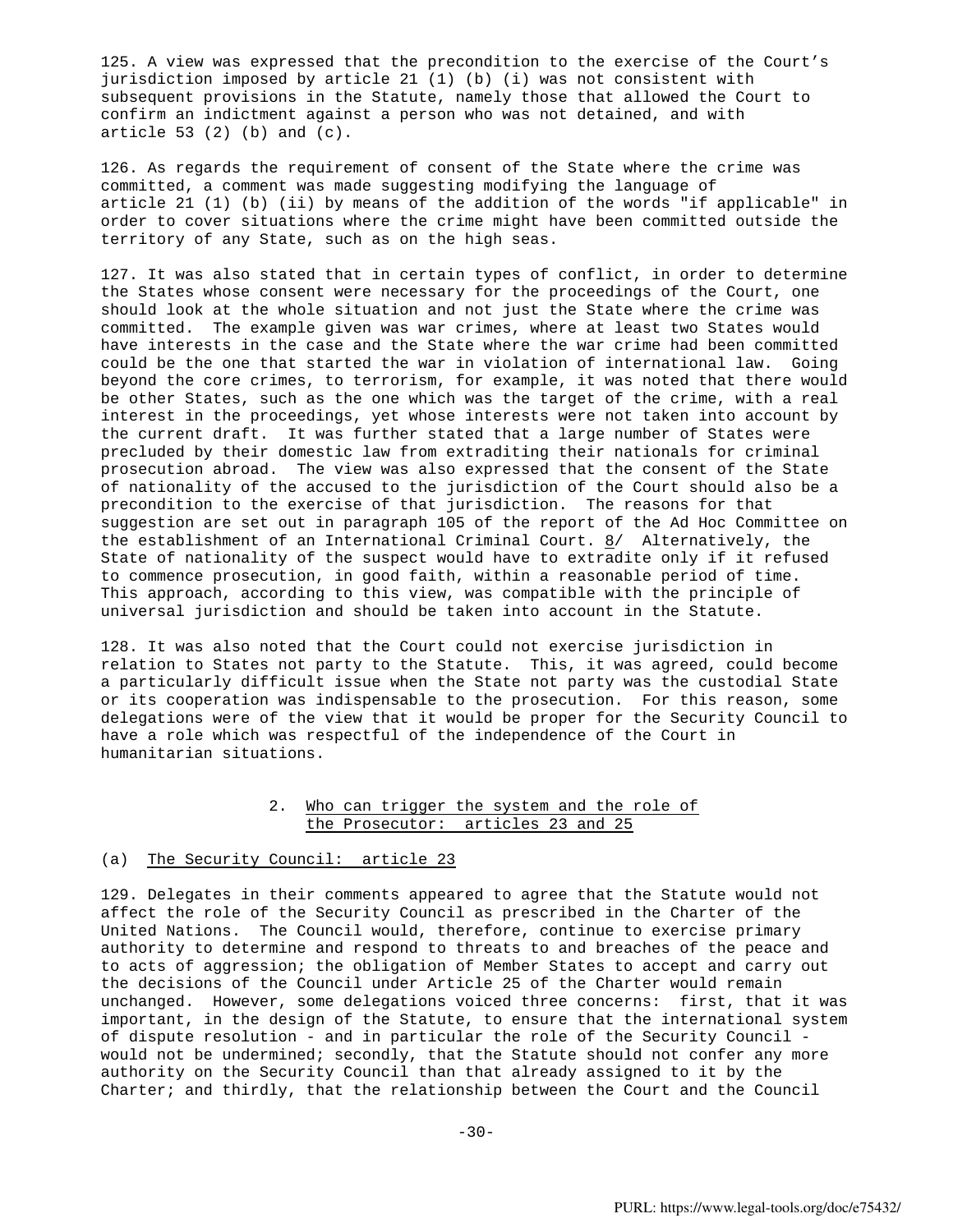125. A view was expressed that the precondition to the exercise of the Court's jurisdiction imposed by article 21 (1) (b) (i) was not consistent with subsequent provisions in the Statute, namely those that allowed the Court to confirm an indictment against a person who was not detained, and with article 53 (2) (b) and (c).

126. As regards the requirement of consent of the State where the crime was committed, a comment was made suggesting modifying the language of article 21 (1) (b) (ii) by means of the addition of the words "if applicable" in order to cover situations where the crime might have been committed outside the territory of any State, such as on the high seas.

127. It was also stated that in certain types of conflict, in order to determine the States whose consent were necessary for the proceedings of the Court, one should look at the whole situation and not just the State where the crime was committed. The example given was war crimes, where at least two States would have interests in the case and the State where the war crime had been committed could be the one that started the war in violation of international law. Going beyond the core crimes, to terrorism, for example, it was noted that there would be other States, such as the one which was the target of the crime, with a real interest in the proceedings, yet whose interests were not taken into account by the current draft. It was further stated that a large number of States were precluded by their domestic law from extraditing their nationals for criminal prosecution abroad. The view was also expressed that the consent of the State of nationality of the accused to the jurisdiction of the Court should also be a precondition to the exercise of that jurisdiction. The reasons for that suggestion are set out in paragraph 105 of the report of the Ad Hoc Committee on the establishment of an International Criminal Court. 8/ Alternatively, the State of nationality of the suspect would have to extradite only if it refused to commence prosecution, in good faith, within a reasonable period of time. This approach, according to this view, was compatible with the principle of universal jurisdiction and should be taken into account in the Statute.

128. It was also noted that the Court could not exercise jurisdiction in relation to States not party to the Statute. This, it was agreed, could become a particularly difficult issue when the State not party was the custodial State or its cooperation was indispensable to the prosecution. For this reason, some delegations were of the view that it would be proper for the Security Council to have a role which was respectful of the independence of the Court in humanitarian situations.

## 2. Who can trigger the system and the role of the Prosecutor: articles 23 and 25

# (a) The Security Council: article 23

129. Delegates in their comments appeared to agree that the Statute would not affect the role of the Security Council as prescribed in the Charter of the United Nations. The Council would, therefore, continue to exercise primary authority to determine and respond to threats to and breaches of the peace and to acts of aggression; the obligation of Member States to accept and carry out the decisions of the Council under Article 25 of the Charter would remain unchanged. However, some delegations voiced three concerns: first, that it was important, in the design of the Statute, to ensure that the international system of dispute resolution - and in particular the role of the Security Council would not be undermined; secondly, that the Statute should not confer any more authority on the Security Council than that already assigned to it by the Charter; and thirdly, that the relationship between the Court and the Council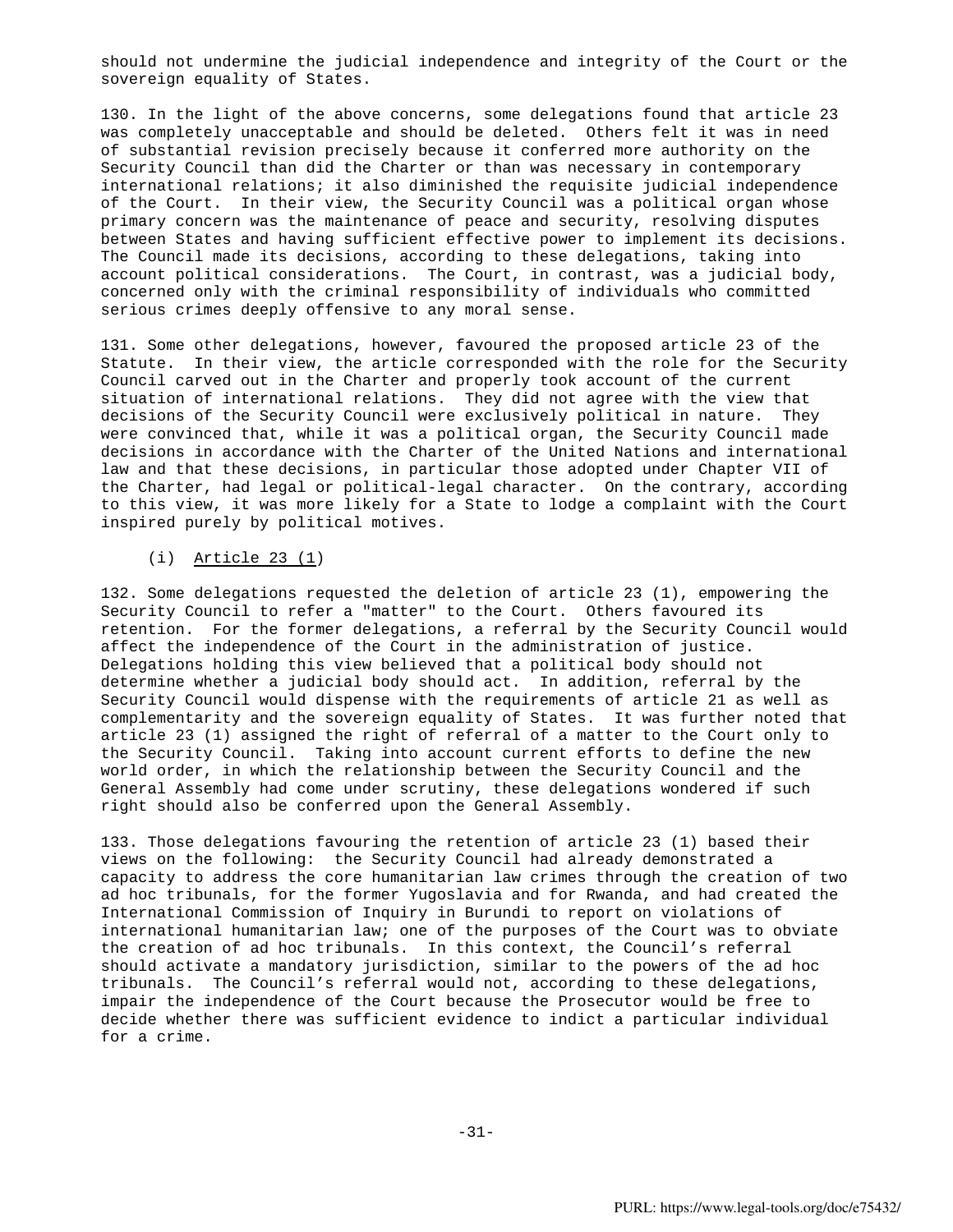should not undermine the judicial independence and integrity of the Court or the sovereign equality of States.

130. In the light of the above concerns, some delegations found that article 23 was completely unacceptable and should be deleted. Others felt it was in need of substantial revision precisely because it conferred more authority on the Security Council than did the Charter or than was necessary in contemporary international relations; it also diminished the requisite judicial independence of the Court. In their view, the Security Council was a political organ whose primary concern was the maintenance of peace and security, resolving disputes between States and having sufficient effective power to implement its decisions. The Council made its decisions, according to these delegations, taking into account political considerations. The Court, in contrast, was a judicial body, concerned only with the criminal responsibility of individuals who committed serious crimes deeply offensive to any moral sense.

131. Some other delegations, however, favoured the proposed article 23 of the Statute. In their view, the article corresponded with the role for the Security Council carved out in the Charter and properly took account of the current situation of international relations. They did not agree with the view that decisions of the Security Council were exclusively political in nature. They were convinced that, while it was a political organ, the Security Council made decisions in accordance with the Charter of the United Nations and international law and that these decisions, in particular those adopted under Chapter VII of the Charter, had legal or political-legal character. On the contrary, according to this view, it was more likely for a State to lodge a complaint with the Court inspired purely by political motives.

(i) Article 23 (1)

132. Some delegations requested the deletion of article 23 (1), empowering the Security Council to refer a "matter" to the Court. Others favoured its retention. For the former delegations, a referral by the Security Council would affect the independence of the Court in the administration of justice. Delegations holding this view believed that a political body should not determine whether a judicial body should act. In addition, referral by the Security Council would dispense with the requirements of article 21 as well as complementarity and the sovereign equality of States. It was further noted that article 23 (1) assigned the right of referral of a matter to the Court only to the Security Council. Taking into account current efforts to define the new world order, in which the relationship between the Security Council and the General Assembly had come under scrutiny, these delegations wondered if such right should also be conferred upon the General Assembly.

133. Those delegations favouring the retention of article 23 (1) based their views on the following: the Security Council had already demonstrated a capacity to address the core humanitarian law crimes through the creation of two ad hoc tribunals, for the former Yugoslavia and for Rwanda, and had created the International Commission of Inquiry in Burundi to report on violations of international humanitarian law; one of the purposes of the Court was to obviate the creation of ad hoc tribunals. In this context, the Council's referral should activate a mandatory jurisdiction, similar to the powers of the ad hoc tribunals. The Council's referral would not, according to these delegations, impair the independence of the Court because the Prosecutor would be free to decide whether there was sufficient evidence to indict a particular individual for a crime.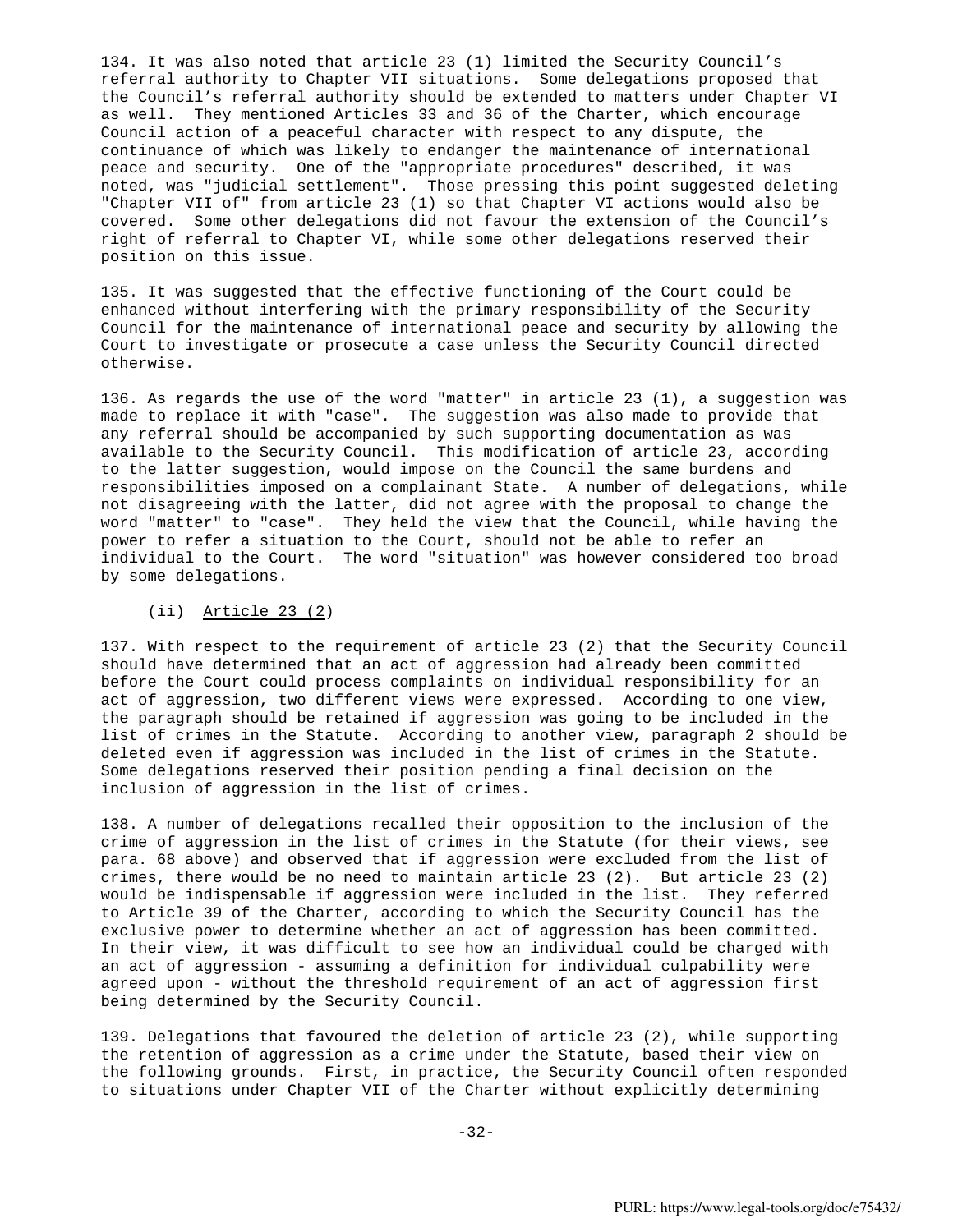134. It was also noted that article 23 (1) limited the Security Council's referral authority to Chapter VII situations. Some delegations proposed that the Council's referral authority should be extended to matters under Chapter VI as well. They mentioned Articles 33 and 36 of the Charter, which encourage Council action of a peaceful character with respect to any dispute, the continuance of which was likely to endanger the maintenance of international peace and security. One of the "appropriate procedures" described, it was noted, was "judicial settlement". Those pressing this point suggested deleting "Chapter VII of" from article 23 (1) so that Chapter VI actions would also be covered. Some other delegations did not favour the extension of the Council's right of referral to Chapter VI, while some other delegations reserved their position on this issue.

135. It was suggested that the effective functioning of the Court could be enhanced without interfering with the primary responsibility of the Security Council for the maintenance of international peace and security by allowing the Court to investigate or prosecute a case unless the Security Council directed otherwise.

136. As regards the use of the word "matter" in article 23 (1), a suggestion was made to replace it with "case". The suggestion was also made to provide that any referral should be accompanied by such supporting documentation as was available to the Security Council. This modification of article 23, according to the latter suggestion, would impose on the Council the same burdens and responsibilities imposed on a complainant State. A number of delegations, while not disagreeing with the latter, did not agree with the proposal to change the word "matter" to "case". They held the view that the Council, while having the power to refer a situation to the Court, should not be able to refer an individual to the Court. The word "situation" was however considered too broad by some delegations.

#### (ii) Article 23 (2)

137. With respect to the requirement of article 23 (2) that the Security Council should have determined that an act of aggression had already been committed before the Court could process complaints on individual responsibility for an act of aggression, two different views were expressed. According to one view, the paragraph should be retained if aggression was going to be included in the list of crimes in the Statute. According to another view, paragraph 2 should be deleted even if aggression was included in the list of crimes in the Statute. Some delegations reserved their position pending a final decision on the inclusion of aggression in the list of crimes.

138. A number of delegations recalled their opposition to the inclusion of the crime of aggression in the list of crimes in the Statute (for their views, see para. 68 above) and observed that if aggression were excluded from the list of crimes, there would be no need to maintain article 23 (2). But article 23 (2) would be indispensable if aggression were included in the list. They referred to Article 39 of the Charter, according to which the Security Council has the exclusive power to determine whether an act of aggression has been committed. In their view, it was difficult to see how an individual could be charged with an act of aggression - assuming a definition for individual culpability were agreed upon - without the threshold requirement of an act of aggression first being determined by the Security Council.

139. Delegations that favoured the deletion of article 23 (2), while supporting the retention of aggression as a crime under the Statute, based their view on the following grounds. First, in practice, the Security Council often responded to situations under Chapter VII of the Charter without explicitly determining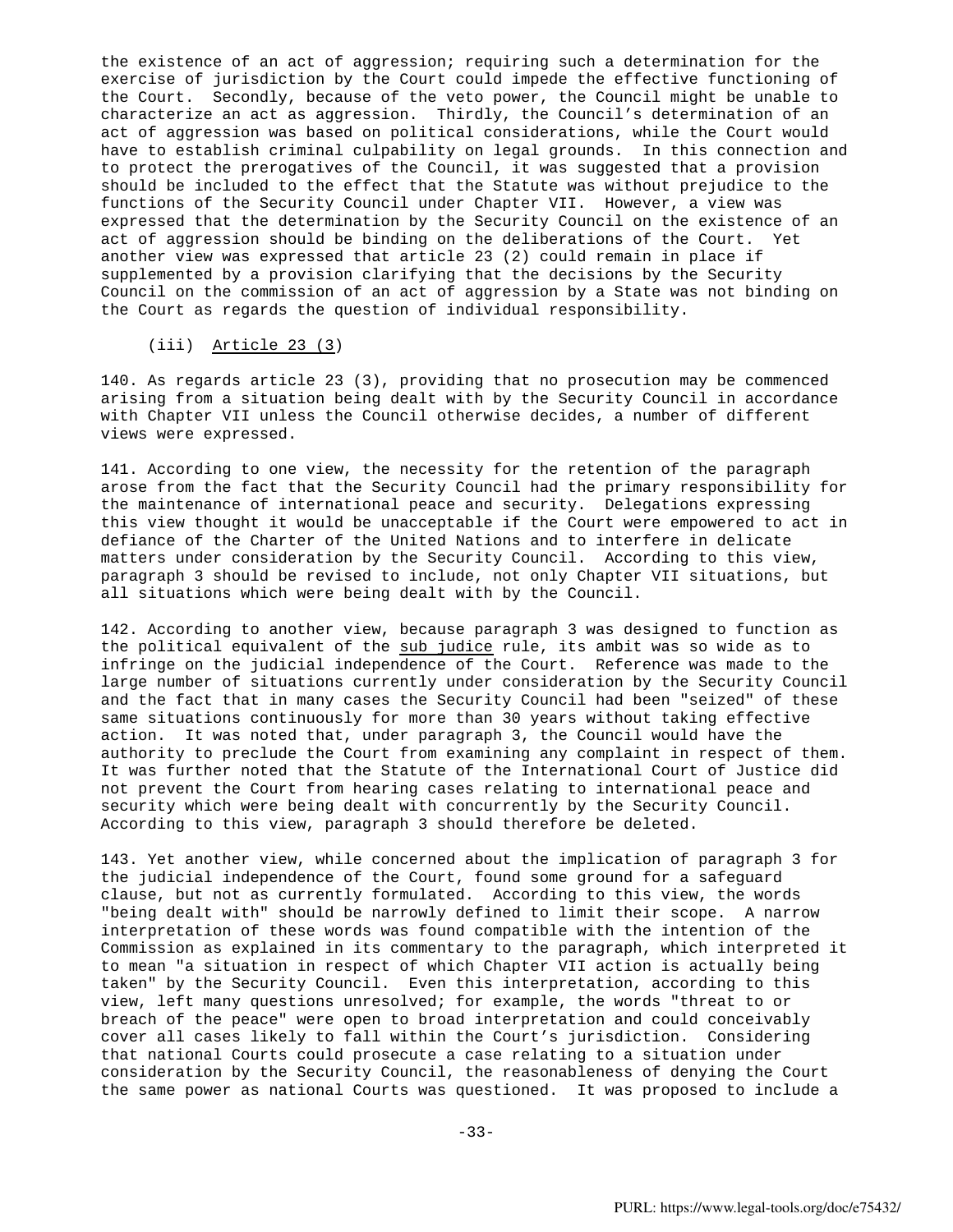the existence of an act of aggression; requiring such a determination for the exercise of jurisdiction by the Court could impede the effective functioning of the Court. Secondly, because of the veto power, the Council might be unable to characterize an act as aggression. Thirdly, the Council's determination of an act of aggression was based on political considerations, while the Court would have to establish criminal culpability on legal grounds. In this connection and to protect the prerogatives of the Council, it was suggested that a provision should be included to the effect that the Statute was without prejudice to the functions of the Security Council under Chapter VII. However, a view was expressed that the determination by the Security Council on the existence of an act of aggression should be binding on the deliberations of the Court. Yet another view was expressed that article 23 (2) could remain in place if supplemented by a provision clarifying that the decisions by the Security Council on the commission of an act of aggression by a State was not binding on the Court as regards the question of individual responsibility.

(iii) Article 23 (3)

140. As regards article 23 (3), providing that no prosecution may be commenced arising from a situation being dealt with by the Security Council in accordance with Chapter VII unless the Council otherwise decides, a number of different views were expressed.

141. According to one view, the necessity for the retention of the paragraph arose from the fact that the Security Council had the primary responsibility for the maintenance of international peace and security. Delegations expressing this view thought it would be unacceptable if the Court were empowered to act in defiance of the Charter of the United Nations and to interfere in delicate matters under consideration by the Security Council. According to this view, paragraph 3 should be revised to include, not only Chapter VII situations, but all situations which were being dealt with by the Council.

142. According to another view, because paragraph 3 was designed to function as the political equivalent of the sub judice rule, its ambit was so wide as to infringe on the judicial independence of the Court. Reference was made to the large number of situations currently under consideration by the Security Council and the fact that in many cases the Security Council had been "seized" of these same situations continuously for more than 30 years without taking effective action. It was noted that, under paragraph 3, the Council would have the authority to preclude the Court from examining any complaint in respect of them. It was further noted that the Statute of the International Court of Justice did not prevent the Court from hearing cases relating to international peace and security which were being dealt with concurrently by the Security Council. According to this view, paragraph 3 should therefore be deleted.

143. Yet another view, while concerned about the implication of paragraph 3 for the judicial independence of the Court, found some ground for a safeguard clause, but not as currently formulated. According to this view, the words "being dealt with" should be narrowly defined to limit their scope. A narrow interpretation of these words was found compatible with the intention of the Commission as explained in its commentary to the paragraph, which interpreted it to mean "a situation in respect of which Chapter VII action is actually being taken" by the Security Council. Even this interpretation, according to this view, left many questions unresolved; for example, the words "threat to or breach of the peace" were open to broad interpretation and could conceivably cover all cases likely to fall within the Court's jurisdiction. Considering that national Courts could prosecute a case relating to a situation under consideration by the Security Council, the reasonableness of denying the Court the same power as national Courts was questioned. It was proposed to include a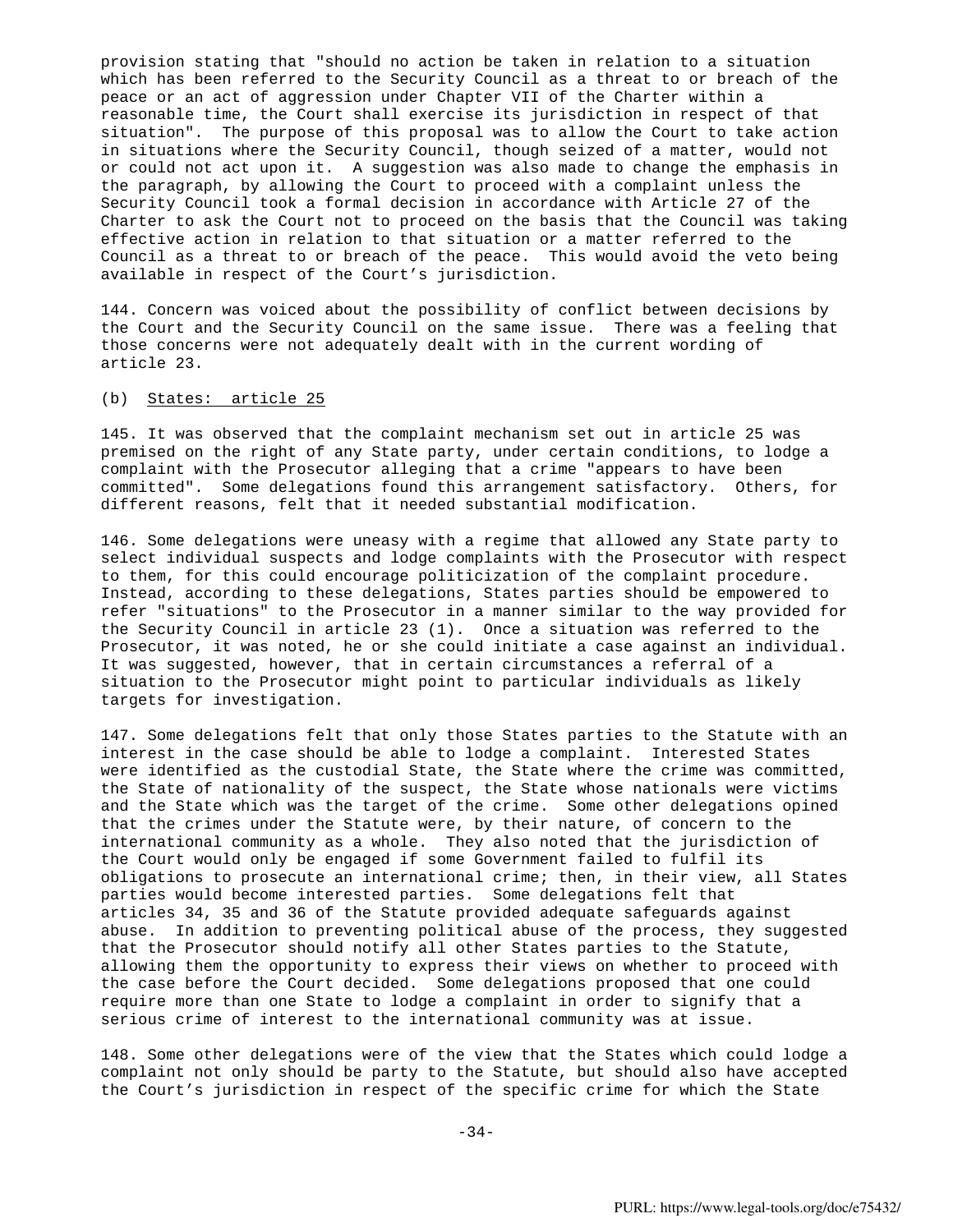provision stating that "should no action be taken in relation to a situation which has been referred to the Security Council as a threat to or breach of the peace or an act of aggression under Chapter VII of the Charter within a reasonable time, the Court shall exercise its jurisdiction in respect of that situation". The purpose of this proposal was to allow the Court to take action in situations where the Security Council, though seized of a matter, would not or could not act upon it. A suggestion was also made to change the emphasis in the paragraph, by allowing the Court to proceed with a complaint unless the Security Council took a formal decision in accordance with Article 27 of the Charter to ask the Court not to proceed on the basis that the Council was taking effective action in relation to that situation or a matter referred to the Council as a threat to or breach of the peace. This would avoid the veto being available in respect of the Court's jurisdiction.

144. Concern was voiced about the possibility of conflict between decisions by the Court and the Security Council on the same issue. There was a feeling that those concerns were not adequately dealt with in the current wording of article 23.

# (b) States: article 25

145. It was observed that the complaint mechanism set out in article 25 was premised on the right of any State party, under certain conditions, to lodge a complaint with the Prosecutor alleging that a crime "appears to have been committed". Some delegations found this arrangement satisfactory. Others, for different reasons, felt that it needed substantial modification.

146. Some delegations were uneasy with a regime that allowed any State party to select individual suspects and lodge complaints with the Prosecutor with respect to them, for this could encourage politicization of the complaint procedure. Instead, according to these delegations, States parties should be empowered to refer "situations" to the Prosecutor in a manner similar to the way provided for the Security Council in article 23 (1). Once a situation was referred to the Prosecutor, it was noted, he or she could initiate a case against an individual. It was suggested, however, that in certain circumstances a referral of a situation to the Prosecutor might point to particular individuals as likely targets for investigation.

147. Some delegations felt that only those States parties to the Statute with an interest in the case should be able to lodge a complaint. Interested States were identified as the custodial State, the State where the crime was committed, the State of nationality of the suspect, the State whose nationals were victims and the State which was the target of the crime. Some other delegations opined that the crimes under the Statute were, by their nature, of concern to the international community as a whole. They also noted that the jurisdiction of the Court would only be engaged if some Government failed to fulfil its obligations to prosecute an international crime; then, in their view, all States parties would become interested parties. Some delegations felt that articles 34, 35 and 36 of the Statute provided adequate safeguards against abuse. In addition to preventing political abuse of the process, they suggested that the Prosecutor should notify all other States parties to the Statute, allowing them the opportunity to express their views on whether to proceed with the case before the Court decided. Some delegations proposed that one could require more than one State to lodge a complaint in order to signify that a serious crime of interest to the international community was at issue.

148. Some other delegations were of the view that the States which could lodge a complaint not only should be party to the Statute, but should also have accepted the Court's jurisdiction in respect of the specific crime for which the State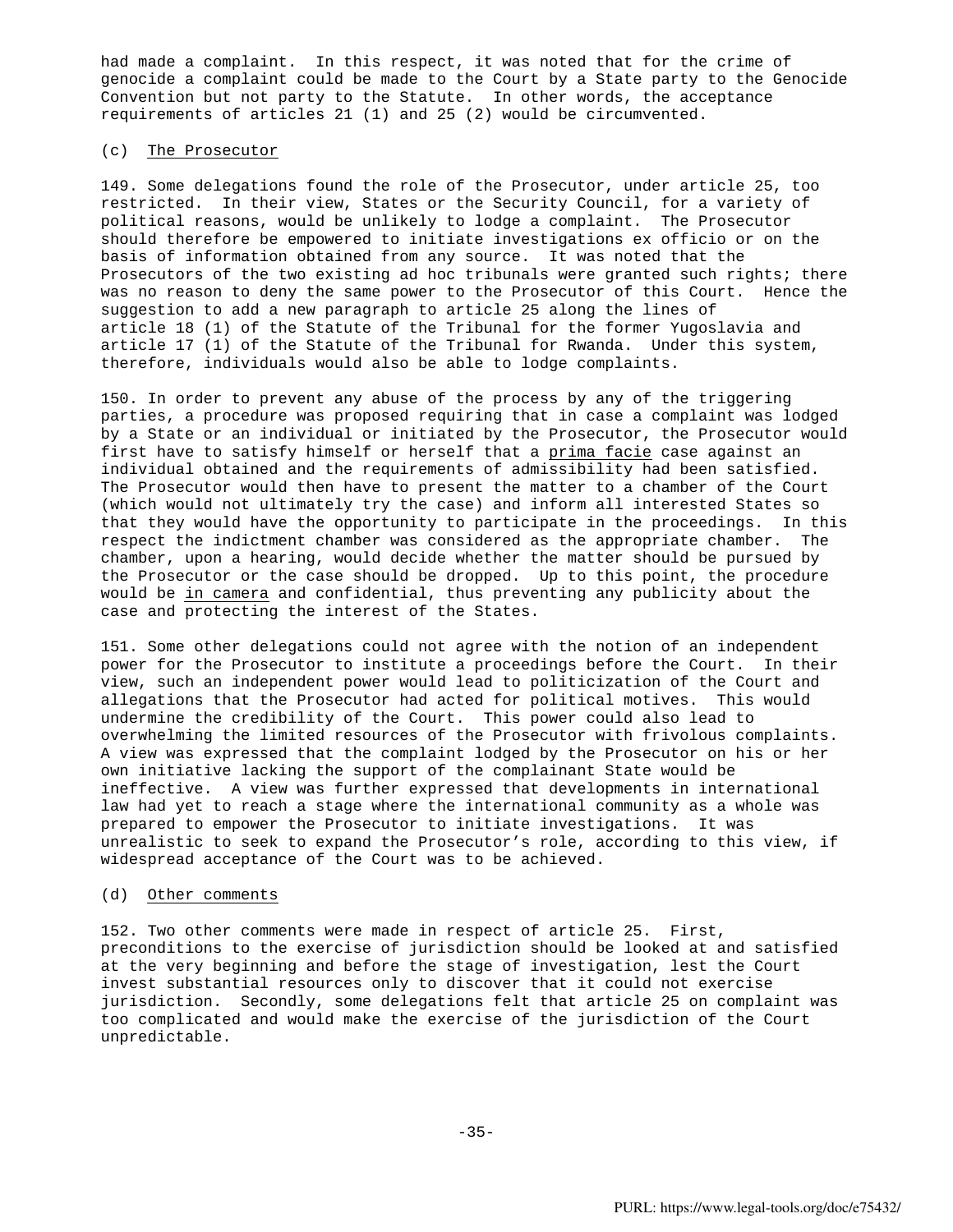had made a complaint. In this respect, it was noted that for the crime of genocide a complaint could be made to the Court by a State party to the Genocide Convention but not party to the Statute. In other words, the acceptance requirements of articles 21 (1) and 25 (2) would be circumvented.

### (c) The Prosecutor

149. Some delegations found the role of the Prosecutor, under article 25, too restricted. In their view, States or the Security Council, for a variety of political reasons, would be unlikely to lodge a complaint. The Prosecutor should therefore be empowered to initiate investigations ex officio or on the basis of information obtained from any source. It was noted that the Prosecutors of the two existing ad hoc tribunals were granted such rights; there was no reason to deny the same power to the Prosecutor of this Court. Hence the suggestion to add a new paragraph to article 25 along the lines of article 18 (1) of the Statute of the Tribunal for the former Yugoslavia and article 17 (1) of the Statute of the Tribunal for Rwanda. Under this system, therefore, individuals would also be able to lodge complaints.

150. In order to prevent any abuse of the process by any of the triggering parties, a procedure was proposed requiring that in case a complaint was lodged by a State or an individual or initiated by the Prosecutor, the Prosecutor would first have to satisfy himself or herself that a prima facie case against an individual obtained and the requirements of admissibility had been satisfied. The Prosecutor would then have to present the matter to a chamber of the Court (which would not ultimately try the case) and inform all interested States so that they would have the opportunity to participate in the proceedings. In this respect the indictment chamber was considered as the appropriate chamber. The chamber, upon a hearing, would decide whether the matter should be pursued by the Prosecutor or the case should be dropped. Up to this point, the procedure would be in camera and confidential, thus preventing any publicity about the case and protecting the interest of the States.

151. Some other delegations could not agree with the notion of an independent power for the Prosecutor to institute a proceedings before the Court. In their view, such an independent power would lead to politicization of the Court and allegations that the Prosecutor had acted for political motives. This would undermine the credibility of the Court. This power could also lead to overwhelming the limited resources of the Prosecutor with frivolous complaints. A view was expressed that the complaint lodged by the Prosecutor on his or her own initiative lacking the support of the complainant State would be ineffective. A view was further expressed that developments in international law had yet to reach a stage where the international community as a whole was prepared to empower the Prosecutor to initiate investigations. It was unrealistic to seek to expand the Prosecutor's role, according to this view, if widespread acceptance of the Court was to be achieved.

# (d) Other comments

152. Two other comments were made in respect of article 25. First, preconditions to the exercise of jurisdiction should be looked at and satisfied at the very beginning and before the stage of investigation, lest the Court invest substantial resources only to discover that it could not exercise jurisdiction. Secondly, some delegations felt that article 25 on complaint was too complicated and would make the exercise of the jurisdiction of the Court unpredictable.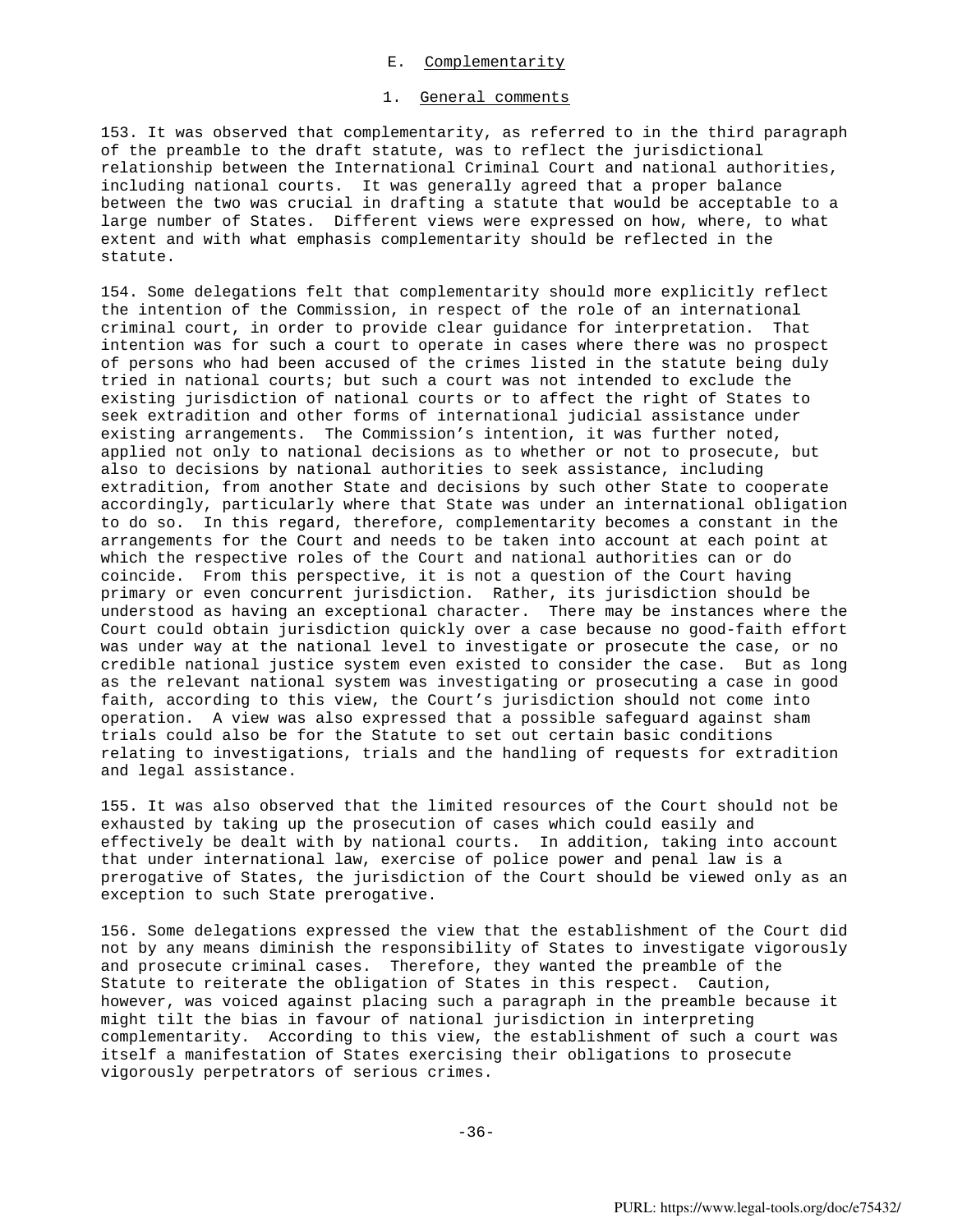## E. Complementarity

## 1. General comments

153. It was observed that complementarity, as referred to in the third paragraph of the preamble to the draft statute, was to reflect the jurisdictional relationship between the International Criminal Court and national authorities, including national courts. It was generally agreed that a proper balance between the two was crucial in drafting a statute that would be acceptable to a large number of States. Different views were expressed on how, where, to what extent and with what emphasis complementarity should be reflected in the statute.

154. Some delegations felt that complementarity should more explicitly reflect the intention of the Commission, in respect of the role of an international criminal court, in order to provide clear guidance for interpretation. That intention was for such a court to operate in cases where there was no prospect of persons who had been accused of the crimes listed in the statute being duly tried in national courts; but such a court was not intended to exclude the existing jurisdiction of national courts or to affect the right of States to seek extradition and other forms of international judicial assistance under existing arrangements. The Commission's intention, it was further noted, applied not only to national decisions as to whether or not to prosecute, but also to decisions by national authorities to seek assistance, including extradition, from another State and decisions by such other State to cooperate accordingly, particularly where that State was under an international obligation to do so. In this regard, therefore, complementarity becomes a constant in the arrangements for the Court and needs to be taken into account at each point at which the respective roles of the Court and national authorities can or do coincide. From this perspective, it is not a question of the Court having primary or even concurrent jurisdiction. Rather, its jurisdiction should be understood as having an exceptional character. There may be instances where the Court could obtain jurisdiction quickly over a case because no good-faith effort was under way at the national level to investigate or prosecute the case, or no credible national justice system even existed to consider the case. But as long as the relevant national system was investigating or prosecuting a case in good faith, according to this view, the Court's jurisdiction should not come into operation. A view was also expressed that a possible safeguard against sham trials could also be for the Statute to set out certain basic conditions relating to investigations, trials and the handling of requests for extradition and legal assistance.

155. It was also observed that the limited resources of the Court should not be exhausted by taking up the prosecution of cases which could easily and effectively be dealt with by national courts. In addition, taking into account that under international law, exercise of police power and penal law is a prerogative of States, the jurisdiction of the Court should be viewed only as an exception to such State prerogative.

156. Some delegations expressed the view that the establishment of the Court did not by any means diminish the responsibility of States to investigate vigorously and prosecute criminal cases. Therefore, they wanted the preamble of the Statute to reiterate the obligation of States in this respect. Caution, however, was voiced against placing such a paragraph in the preamble because it might tilt the bias in favour of national jurisdiction in interpreting complementarity. According to this view, the establishment of such a court was itself a manifestation of States exercising their obligations to prosecute vigorously perpetrators of serious crimes.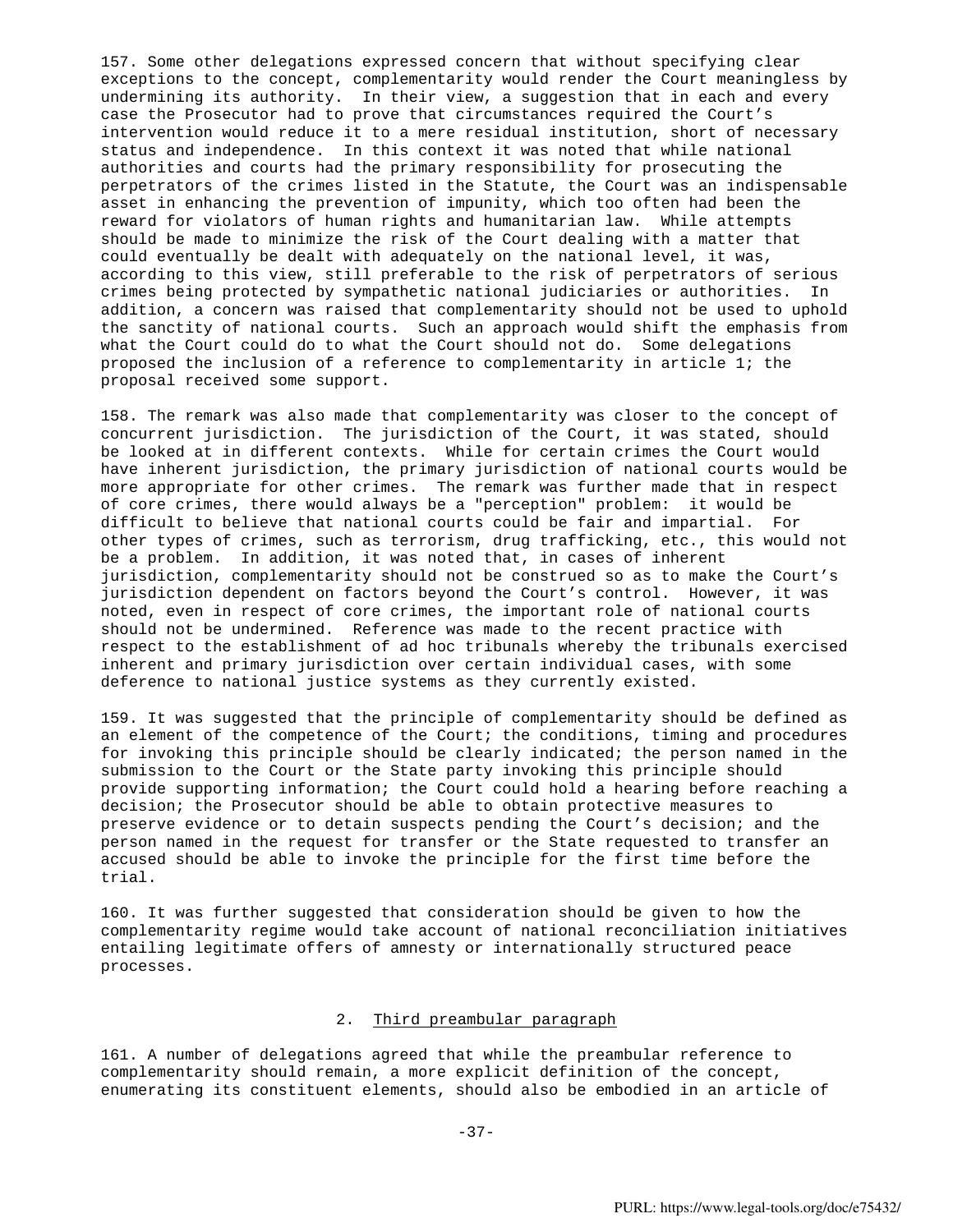157. Some other delegations expressed concern that without specifying clear exceptions to the concept, complementarity would render the Court meaningless by undermining its authority. In their view, a suggestion that in each and every case the Prosecutor had to prove that circumstances required the Court's intervention would reduce it to a mere residual institution, short of necessary status and independence. In this context it was noted that while national authorities and courts had the primary responsibility for prosecuting the perpetrators of the crimes listed in the Statute, the Court was an indispensable asset in enhancing the prevention of impunity, which too often had been the reward for violators of human rights and humanitarian law. While attempts should be made to minimize the risk of the Court dealing with a matter that could eventually be dealt with adequately on the national level, it was, according to this view, still preferable to the risk of perpetrators of serious crimes being protected by sympathetic national judiciaries or authorities. In addition, a concern was raised that complementarity should not be used to uphold the sanctity of national courts. Such an approach would shift the emphasis from what the Court could do to what the Court should not do. Some delegations proposed the inclusion of a reference to complementarity in article 1; the proposal received some support.

158. The remark was also made that complementarity was closer to the concept of concurrent jurisdiction. The jurisdiction of the Court, it was stated, should be looked at in different contexts. While for certain crimes the Court would have inherent jurisdiction, the primary jurisdiction of national courts would be more appropriate for other crimes. The remark was further made that in respect of core crimes, there would always be a "perception" problem: it would be difficult to believe that national courts could be fair and impartial. For other types of crimes, such as terrorism, drug trafficking, etc., this would not be a problem. In addition, it was noted that, in cases of inherent jurisdiction, complementarity should not be construed so as to make the Court's jurisdiction dependent on factors beyond the Court's control. However, it was noted, even in respect of core crimes, the important role of national courts should not be undermined. Reference was made to the recent practice with respect to the establishment of ad hoc tribunals whereby the tribunals exercised inherent and primary jurisdiction over certain individual cases, with some deference to national justice systems as they currently existed.

159. It was suggested that the principle of complementarity should be defined as an element of the competence of the Court; the conditions, timing and procedures for invoking this principle should be clearly indicated; the person named in the submission to the Court or the State party invoking this principle should provide supporting information; the Court could hold a hearing before reaching a decision; the Prosecutor should be able to obtain protective measures to preserve evidence or to detain suspects pending the Court's decision; and the person named in the request for transfer or the State requested to transfer an accused should be able to invoke the principle for the first time before the trial.

160. It was further suggested that consideration should be given to how the complementarity regime would take account of national reconciliation initiatives entailing legitimate offers of amnesty or internationally structured peace processes.

# 2. Third preambular paragraph

161. A number of delegations agreed that while the preambular reference to complementarity should remain, a more explicit definition of the concept, enumerating its constituent elements, should also be embodied in an article of

 $-37-$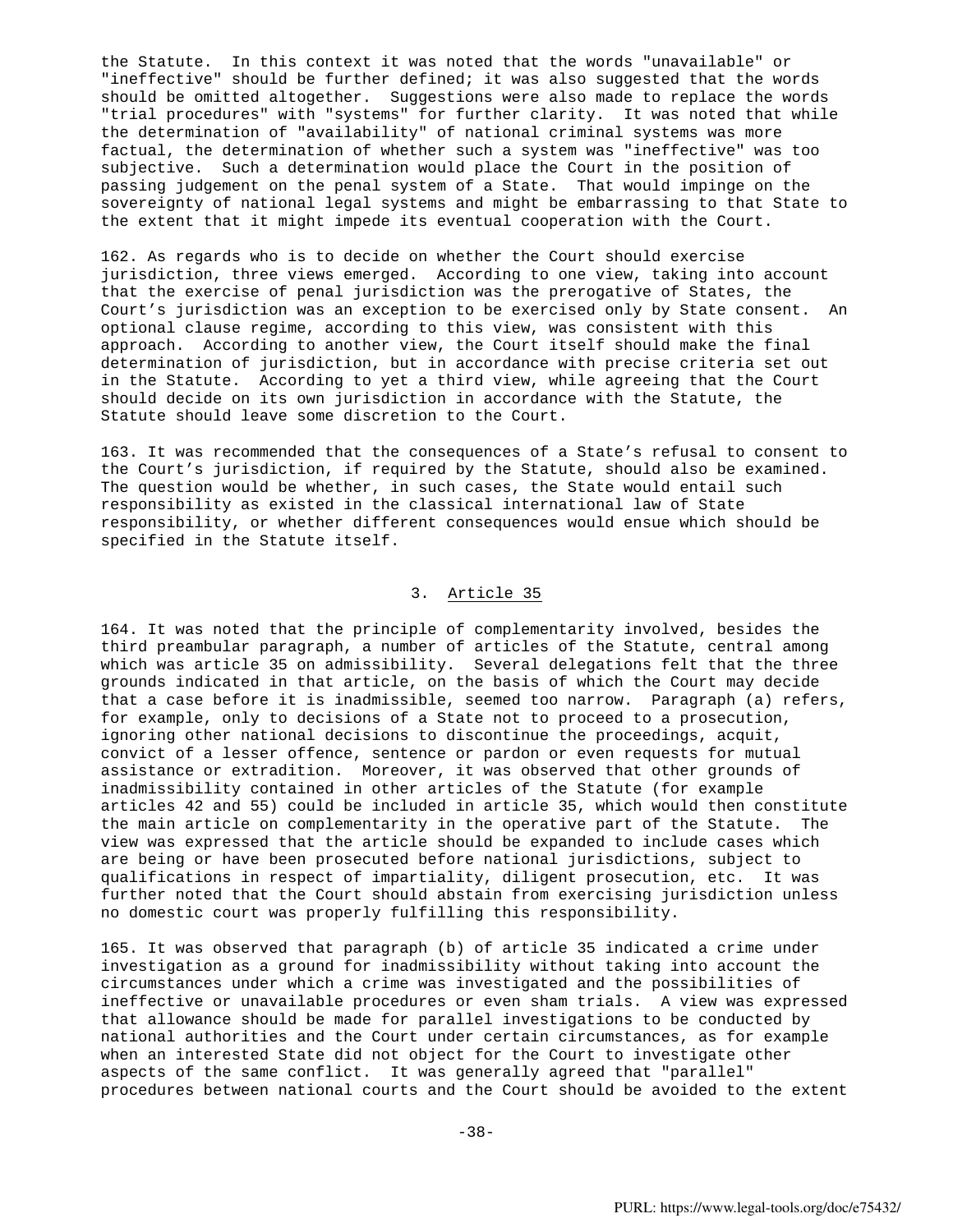the Statute. In this context it was noted that the words "unavailable" or "ineffective" should be further defined; it was also suggested that the words should be omitted altogether. Suggestions were also made to replace the words "trial procedures" with "systems" for further clarity. It was noted that while the determination of "availability" of national criminal systems was more factual, the determination of whether such a system was "ineffective" was too subjective. Such a determination would place the Court in the position of passing judgement on the penal system of a State. That would impinge on the sovereignty of national legal systems and might be embarrassing to that State to the extent that it might impede its eventual cooperation with the Court.

162. As regards who is to decide on whether the Court should exercise jurisdiction, three views emerged. According to one view, taking into account that the exercise of penal jurisdiction was the prerogative of States, the Court's jurisdiction was an exception to be exercised only by State consent. An optional clause regime, according to this view, was consistent with this approach. According to another view, the Court itself should make the final determination of jurisdiction, but in accordance with precise criteria set out in the Statute. According to yet a third view, while agreeing that the Court should decide on its own jurisdiction in accordance with the Statute, the Statute should leave some discretion to the Court.

163. It was recommended that the consequences of a State's refusal to consent to the Court's jurisdiction, if required by the Statute, should also be examined. The question would be whether, in such cases, the State would entail such responsibility as existed in the classical international law of State responsibility, or whether different consequences would ensue which should be specified in the Statute itself.

# 3. Article 35

164. It was noted that the principle of complementarity involved, besides the third preambular paragraph, a number of articles of the Statute, central among which was article 35 on admissibility. Several delegations felt that the three grounds indicated in that article, on the basis of which the Court may decide that a case before it is inadmissible, seemed too narrow. Paragraph (a) refers, for example, only to decisions of a State not to proceed to a prosecution, ignoring other national decisions to discontinue the proceedings, acquit, convict of a lesser offence, sentence or pardon or even requests for mutual assistance or extradition. Moreover, it was observed that other grounds of inadmissibility contained in other articles of the Statute (for example articles 42 and 55) could be included in article 35, which would then constitute the main article on complementarity in the operative part of the Statute. The view was expressed that the article should be expanded to include cases which are being or have been prosecuted before national jurisdictions, subject to qualifications in respect of impartiality, diligent prosecution, etc. It was further noted that the Court should abstain from exercising jurisdiction unless no domestic court was properly fulfilling this responsibility.

165. It was observed that paragraph (b) of article 35 indicated a crime under investigation as a ground for inadmissibility without taking into account the circumstances under which a crime was investigated and the possibilities of ineffective or unavailable procedures or even sham trials. A view was expressed that allowance should be made for parallel investigations to be conducted by national authorities and the Court under certain circumstances, as for example when an interested State did not object for the Court to investigate other aspects of the same conflict. It was generally agreed that "parallel" procedures between national courts and the Court should be avoided to the extent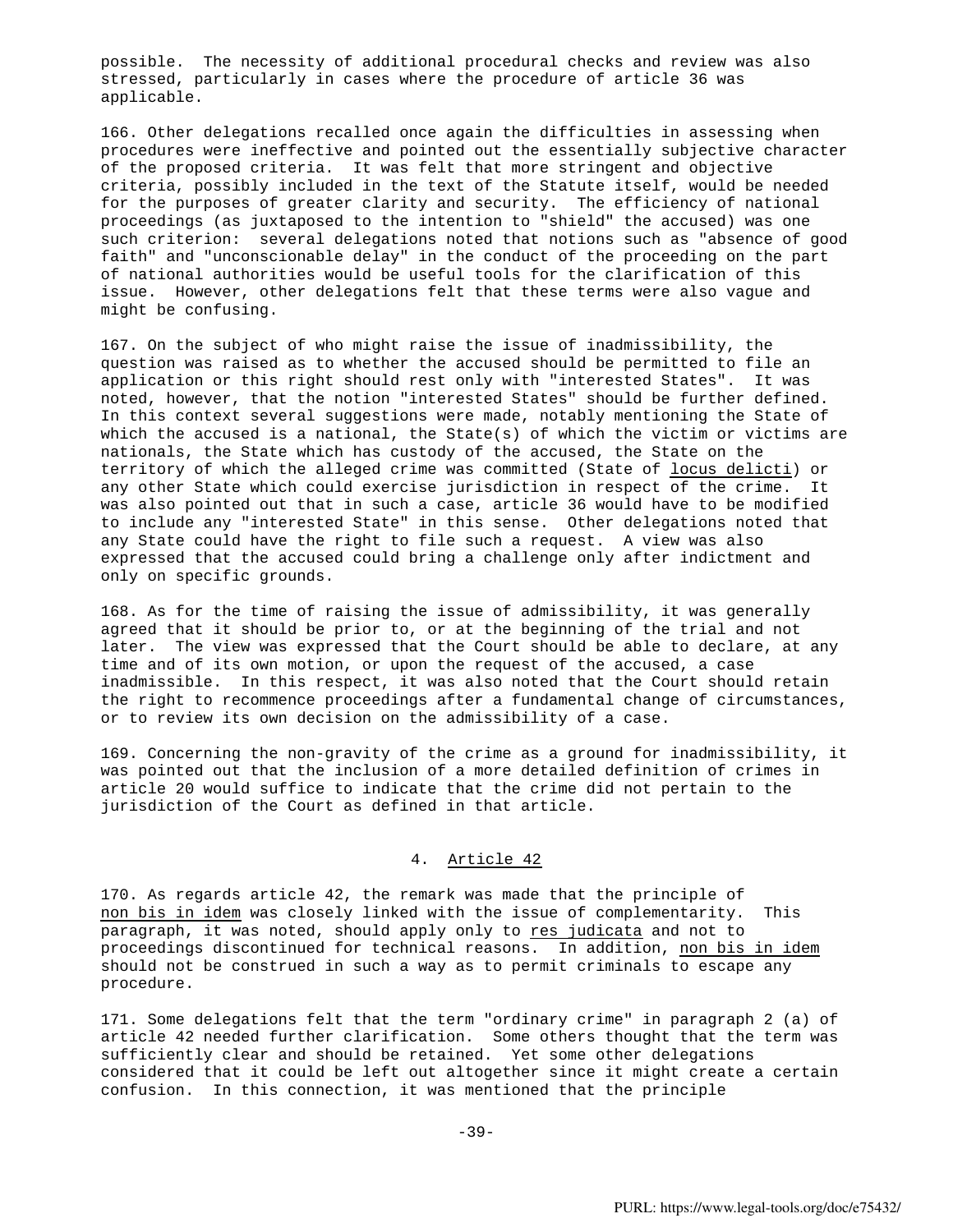possible. The necessity of additional procedural checks and review was also stressed, particularly in cases where the procedure of article 36 was applicable.

166. Other delegations recalled once again the difficulties in assessing when procedures were ineffective and pointed out the essentially subjective character of the proposed criteria. It was felt that more stringent and objective criteria, possibly included in the text of the Statute itself, would be needed for the purposes of greater clarity and security. The efficiency of national proceedings (as juxtaposed to the intention to "shield" the accused) was one such criterion: several delegations noted that notions such as "absence of good faith" and "unconscionable delay" in the conduct of the proceeding on the part of national authorities would be useful tools for the clarification of this issue. However, other delegations felt that these terms were also vague and might be confusing.

167. On the subject of who might raise the issue of inadmissibility, the question was raised as to whether the accused should be permitted to file an application or this right should rest only with "interested States". It was noted, however, that the notion "interested States" should be further defined. In this context several suggestions were made, notably mentioning the State of which the accused is a national, the State(s) of which the victim or victims are nationals, the State which has custody of the accused, the State on the territory of which the alleged crime was committed (State of locus delicti) or any other State which could exercise jurisdiction in respect of the crime. It was also pointed out that in such a case, article 36 would have to be modified to include any "interested State" in this sense. Other delegations noted that any State could have the right to file such a request. A view was also expressed that the accused could bring a challenge only after indictment and only on specific grounds.

168. As for the time of raising the issue of admissibility, it was generally agreed that it should be prior to, or at the beginning of the trial and not later. The view was expressed that the Court should be able to declare, at any time and of its own motion, or upon the request of the accused, a case inadmissible. In this respect, it was also noted that the Court should retain the right to recommence proceedings after a fundamental change of circumstances, or to review its own decision on the admissibility of a case.

169. Concerning the non-gravity of the crime as a ground for inadmissibility, it was pointed out that the inclusion of a more detailed definition of crimes in article 20 would suffice to indicate that the crime did not pertain to the jurisdiction of the Court as defined in that article.

# 4. Article 42

170. As regards article 42, the remark was made that the principle of non bis in idem was closely linked with the issue of complementarity. This paragraph, it was noted, should apply only to res judicata and not to proceedings discontinued for technical reasons. In addition, non bis in idem should not be construed in such a way as to permit criminals to escape any procedure.

171. Some delegations felt that the term "ordinary crime" in paragraph 2 (a) of article 42 needed further clarification. Some others thought that the term was sufficiently clear and should be retained. Yet some other delegations considered that it could be left out altogether since it might create a certain confusion. In this connection, it was mentioned that the principle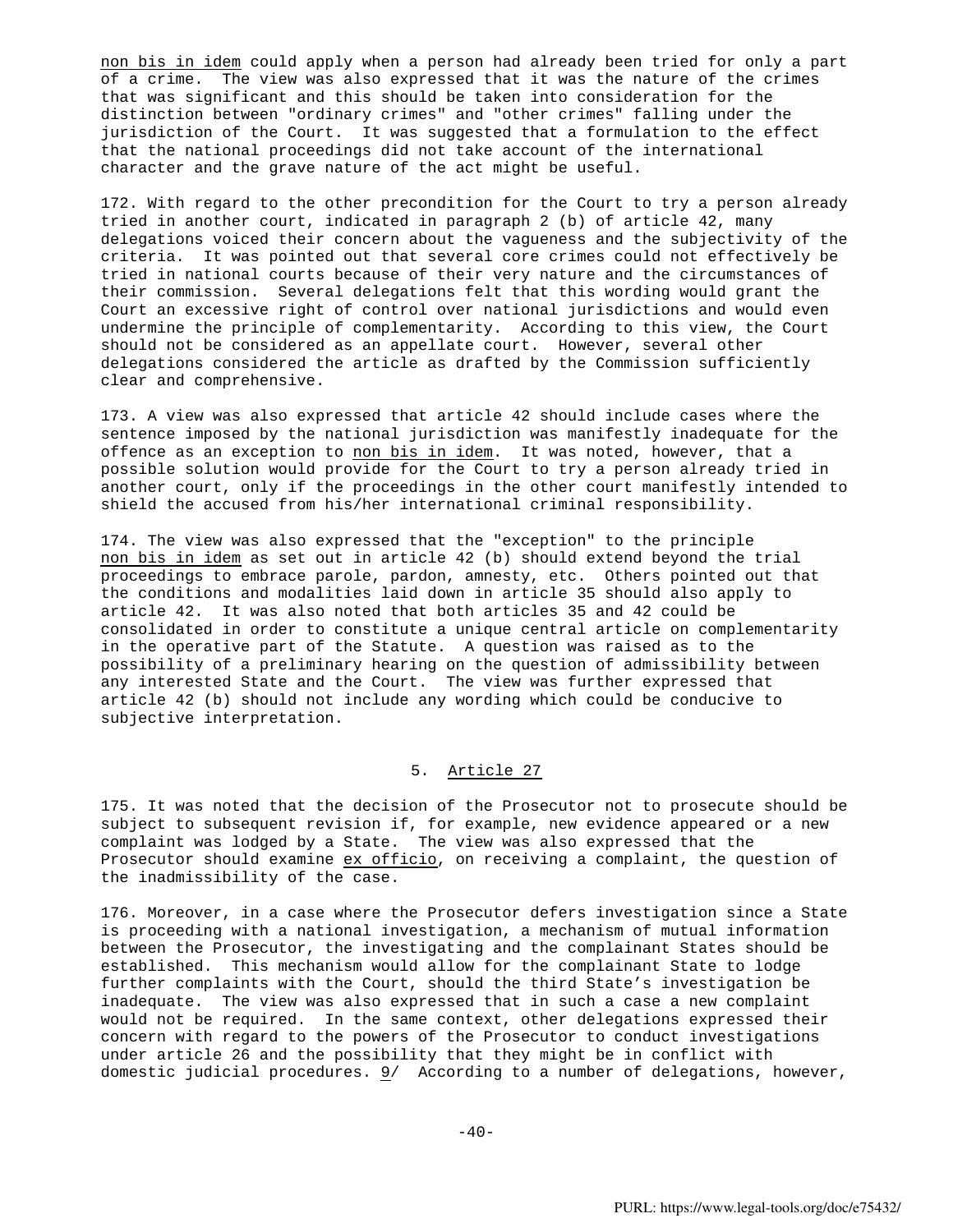non bis in idem could apply when a person had already been tried for only a part of a crime. The view was also expressed that it was the nature of the crimes that was significant and this should be taken into consideration for the distinction between "ordinary crimes" and "other crimes" falling under the jurisdiction of the Court. It was suggested that a formulation to the effect that the national proceedings did not take account of the international character and the grave nature of the act might be useful.

172. With regard to the other precondition for the Court to try a person already tried in another court, indicated in paragraph 2 (b) of article 42, many delegations voiced their concern about the vagueness and the subjectivity of the criteria. It was pointed out that several core crimes could not effectively be tried in national courts because of their very nature and the circumstances of their commission. Several delegations felt that this wording would grant the Court an excessive right of control over national jurisdictions and would even undermine the principle of complementarity. According to this view, the Court should not be considered as an appellate court. However, several other delegations considered the article as drafted by the Commission sufficiently clear and comprehensive.

173. A view was also expressed that article 42 should include cases where the sentence imposed by the national jurisdiction was manifestly inadequate for the offence as an exception to non bis in idem. It was noted, however, that a possible solution would provide for the Court to try a person already tried in another court, only if the proceedings in the other court manifestly intended to shield the accused from his/her international criminal responsibility.

174. The view was also expressed that the "exception" to the principle non bis in idem as set out in article 42 (b) should extend beyond the trial proceedings to embrace parole, pardon, amnesty, etc. Others pointed out that the conditions and modalities laid down in article 35 should also apply to article 42. It was also noted that both articles 35 and 42 could be consolidated in order to constitute a unique central article on complementarity in the operative part of the Statute. A question was raised as to the possibility of a preliminary hearing on the question of admissibility between any interested State and the Court. The view was further expressed that article 42 (b) should not include any wording which could be conducive to subjective interpretation.

# 5. Article 27

175. It was noted that the decision of the Prosecutor not to prosecute should be subject to subsequent revision if, for example, new evidence appeared or a new complaint was lodged by a State. The view was also expressed that the Prosecutor should examine ex officio, on receiving a complaint, the question of the inadmissibility of the case.

176. Moreover, in a case where the Prosecutor defers investigation since a State is proceeding with a national investigation, a mechanism of mutual information between the Prosecutor, the investigating and the complainant States should be established. This mechanism would allow for the complainant State to lodge further complaints with the Court, should the third State's investigation be inadequate. The view was also expressed that in such a case a new complaint would not be required. In the same context, other delegations expressed their concern with regard to the powers of the Prosecutor to conduct investigations under article 26 and the possibility that they might be in conflict with domestic judicial procedures. 9/ According to a number of delegations, however,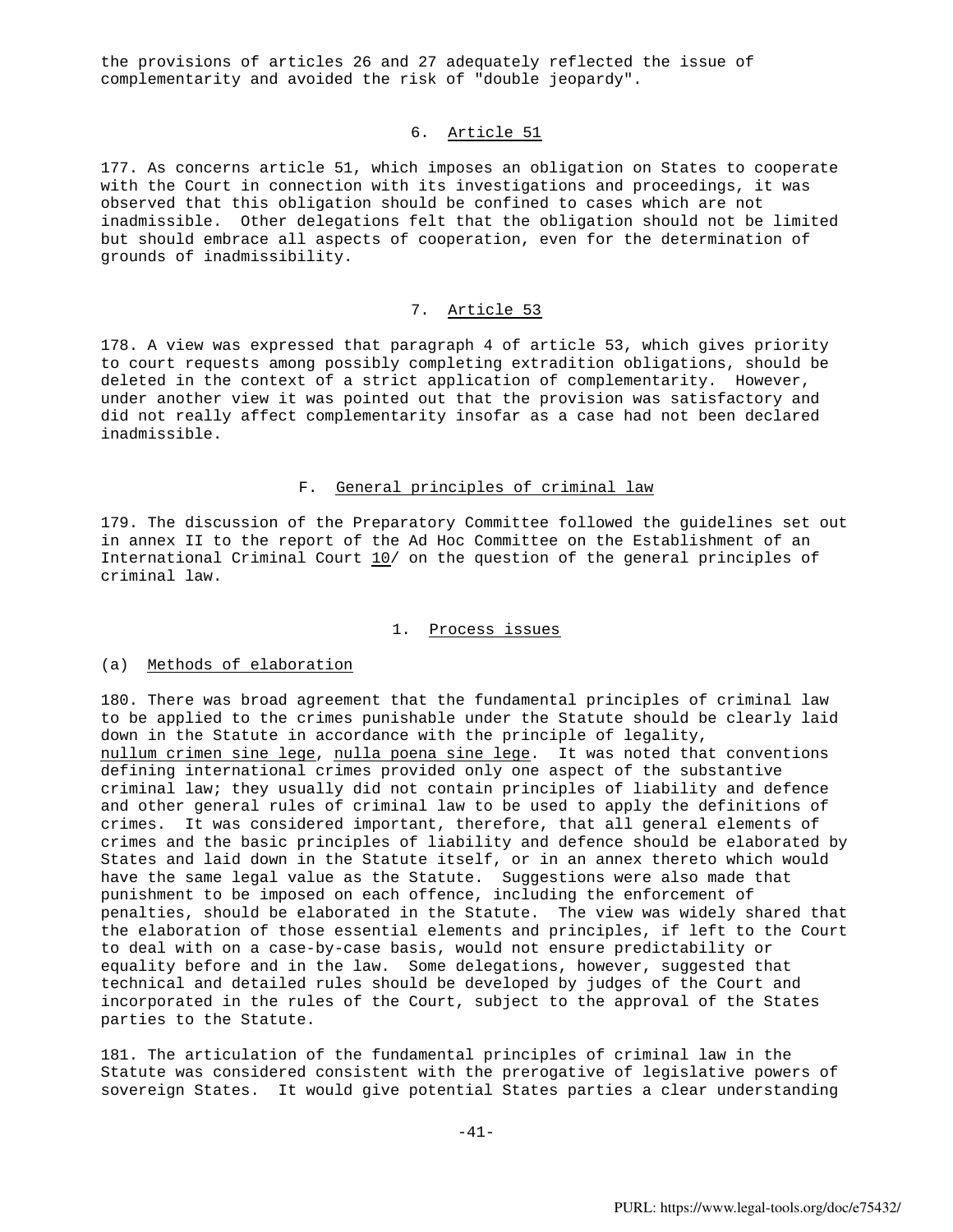the provisions of articles 26 and 27 adequately reflected the issue of complementarity and avoided the risk of "double jeopardy".

## 6. Article 51

177. As concerns article 51, which imposes an obligation on States to cooperate with the Court in connection with its investigations and proceedings, it was observed that this obligation should be confined to cases which are not inadmissible. Other delegations felt that the obligation should not be limited but should embrace all aspects of cooperation, even for the determination of grounds of inadmissibility.

# 7. Article 53

178. A view was expressed that paragraph 4 of article 53, which gives priority to court requests among possibly completing extradition obligations, should be deleted in the context of a strict application of complementarity. However, under another view it was pointed out that the provision was satisfactory and did not really affect complementarity insofar as a case had not been declared inadmissible.

## F. General principles of criminal law

179. The discussion of the Preparatory Committee followed the guidelines set out in annex II to the report of the Ad Hoc Committee on the Establishment of an International Criminal Court 10/ on the question of the general principles of criminal law.

### 1. Process issues

# (a) Methods of elaboration

180. There was broad agreement that the fundamental principles of criminal law to be applied to the crimes punishable under the Statute should be clearly laid down in the Statute in accordance with the principle of legality, nullum crimen sine lege, nulla poena sine lege. It was noted that conventions defining international crimes provided only one aspect of the substantive criminal law; they usually did not contain principles of liability and defence and other general rules of criminal law to be used to apply the definitions of crimes. It was considered important, therefore, that all general elements of crimes and the basic principles of liability and defence should be elaborated by States and laid down in the Statute itself, or in an annex thereto which would have the same legal value as the Statute. Suggestions were also made that punishment to be imposed on each offence, including the enforcement of penalties, should be elaborated in the Statute. The view was widely shared that the elaboration of those essential elements and principles, if left to the Court to deal with on a case-by-case basis, would not ensure predictability or equality before and in the law. Some delegations, however, suggested that technical and detailed rules should be developed by judges of the Court and incorporated in the rules of the Court, subject to the approval of the States parties to the Statute.

181. The articulation of the fundamental principles of criminal law in the Statute was considered consistent with the prerogative of legislative powers of sovereign States. It would give potential States parties a clear understanding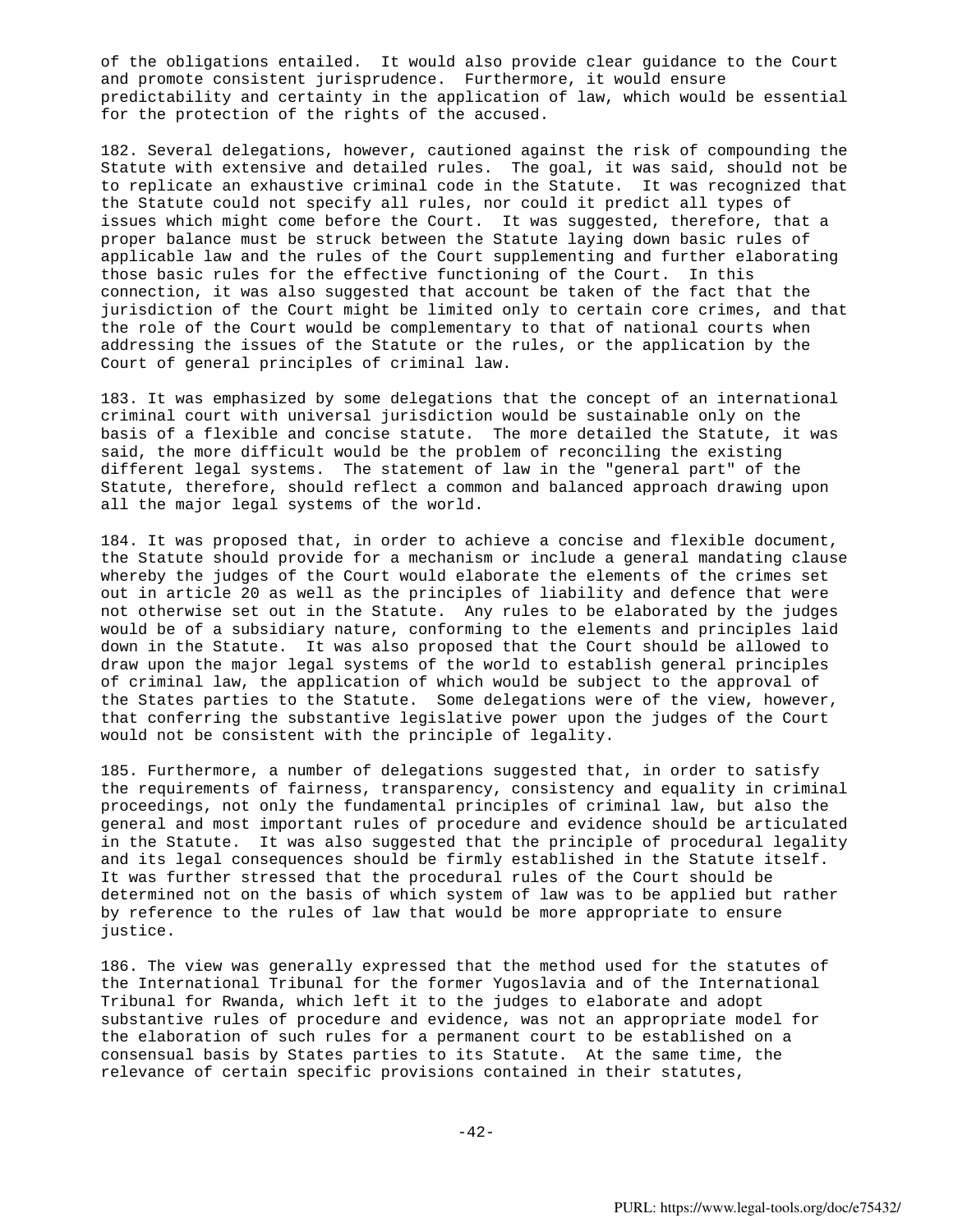of the obligations entailed. It would also provide clear guidance to the Court and promote consistent jurisprudence. Furthermore, it would ensure predictability and certainty in the application of law, which would be essential for the protection of the rights of the accused.

182. Several delegations, however, cautioned against the risk of compounding the Statute with extensive and detailed rules. The goal, it was said, should not be to replicate an exhaustive criminal code in the Statute. It was recognized that the Statute could not specify all rules, nor could it predict all types of issues which might come before the Court. It was suggested, therefore, that a proper balance must be struck between the Statute laying down basic rules of applicable law and the rules of the Court supplementing and further elaborating those basic rules for the effective functioning of the Court. In this connection, it was also suggested that account be taken of the fact that the jurisdiction of the Court might be limited only to certain core crimes, and that the role of the Court would be complementary to that of national courts when addressing the issues of the Statute or the rules, or the application by the Court of general principles of criminal law.

183. It was emphasized by some delegations that the concept of an international criminal court with universal jurisdiction would be sustainable only on the basis of a flexible and concise statute. The more detailed the Statute, it was said, the more difficult would be the problem of reconciling the existing different legal systems. The statement of law in the "general part" of the Statute, therefore, should reflect a common and balanced approach drawing upon all the major legal systems of the world.

184. It was proposed that, in order to achieve a concise and flexible document, the Statute should provide for a mechanism or include a general mandating clause whereby the judges of the Court would elaborate the elements of the crimes set out in article 20 as well as the principles of liability and defence that were not otherwise set out in the Statute. Any rules to be elaborated by the judges would be of a subsidiary nature, conforming to the elements and principles laid down in the Statute. It was also proposed that the Court should be allowed to draw upon the major legal systems of the world to establish general principles of criminal law, the application of which would be subject to the approval of the States parties to the Statute. Some delegations were of the view, however, that conferring the substantive legislative power upon the judges of the Court would not be consistent with the principle of legality.

185. Furthermore, a number of delegations suggested that, in order to satisfy the requirements of fairness, transparency, consistency and equality in criminal proceedings, not only the fundamental principles of criminal law, but also the general and most important rules of procedure and evidence should be articulated in the Statute. It was also suggested that the principle of procedural legality and its legal consequences should be firmly established in the Statute itself. It was further stressed that the procedural rules of the Court should be determined not on the basis of which system of law was to be applied but rather by reference to the rules of law that would be more appropriate to ensure justice.

186. The view was generally expressed that the method used for the statutes of the International Tribunal for the former Yugoslavia and of the International Tribunal for Rwanda, which left it to the judges to elaborate and adopt substantive rules of procedure and evidence, was not an appropriate model for the elaboration of such rules for a permanent court to be established on a consensual basis by States parties to its Statute. At the same time, the relevance of certain specific provisions contained in their statutes,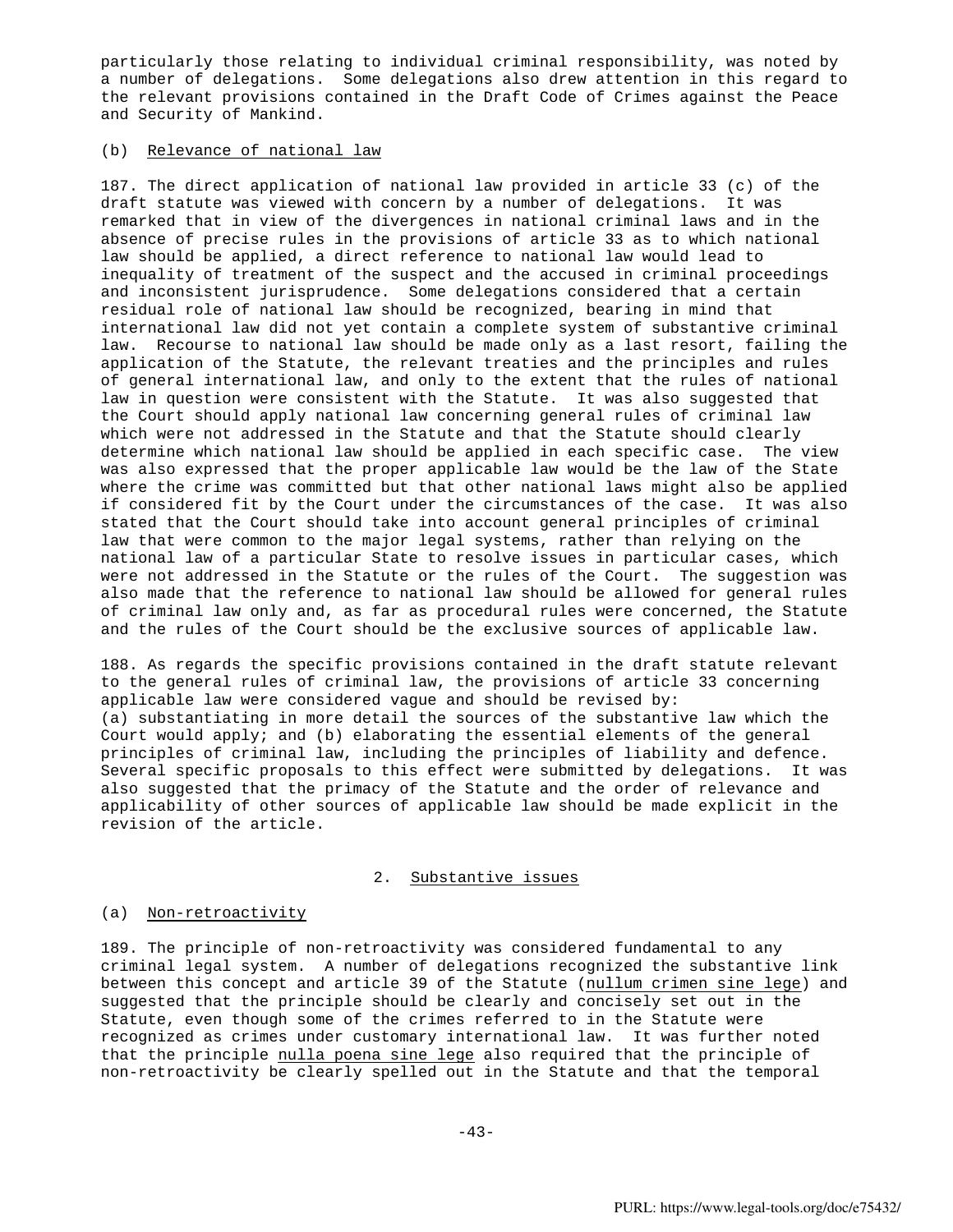particularly those relating to individual criminal responsibility, was noted by a number of delegations. Some delegations also drew attention in this regard to the relevant provisions contained in the Draft Code of Crimes against the Peace and Security of Mankind.

## (b) Relevance of national law

187. The direct application of national law provided in article 33 (c) of the draft statute was viewed with concern by a number of delegations. It was remarked that in view of the divergences in national criminal laws and in the absence of precise rules in the provisions of article 33 as to which national law should be applied, a direct reference to national law would lead to inequality of treatment of the suspect and the accused in criminal proceedings and inconsistent jurisprudence. Some delegations considered that a certain residual role of national law should be recognized, bearing in mind that international law did not yet contain a complete system of substantive criminal law. Recourse to national law should be made only as a last resort, failing the application of the Statute, the relevant treaties and the principles and rules of general international law, and only to the extent that the rules of national law in question were consistent with the Statute. It was also suggested that the Court should apply national law concerning general rules of criminal law which were not addressed in the Statute and that the Statute should clearly determine which national law should be applied in each specific case. The view was also expressed that the proper applicable law would be the law of the State where the crime was committed but that other national laws might also be applied if considered fit by the Court under the circumstances of the case. It was also stated that the Court should take into account general principles of criminal law that were common to the major legal systems, rather than relying on the national law of a particular State to resolve issues in particular cases, which were not addressed in the Statute or the rules of the Court. The suggestion was also made that the reference to national law should be allowed for general rules of criminal law only and, as far as procedural rules were concerned, the Statute and the rules of the Court should be the exclusive sources of applicable law.

188. As regards the specific provisions contained in the draft statute relevant to the general rules of criminal law, the provisions of article 33 concerning applicable law were considered vague and should be revised by: (a) substantiating in more detail the sources of the substantive law which the Court would apply; and (b) elaborating the essential elements of the general principles of criminal law, including the principles of liability and defence. Several specific proposals to this effect were submitted by delegations. It was also suggested that the primacy of the Statute and the order of relevance and applicability of other sources of applicable law should be made explicit in the revision of the article.

# 2. Substantive issues

#### (a) Non-retroactivity

189. The principle of non-retroactivity was considered fundamental to any criminal legal system. A number of delegations recognized the substantive link between this concept and article 39 of the Statute (nullum crimen sine lege) and suggested that the principle should be clearly and concisely set out in the Statute, even though some of the crimes referred to in the Statute were recognized as crimes under customary international law. It was further noted that the principle nulla poena sine lege also required that the principle of non-retroactivity be clearly spelled out in the Statute and that the temporal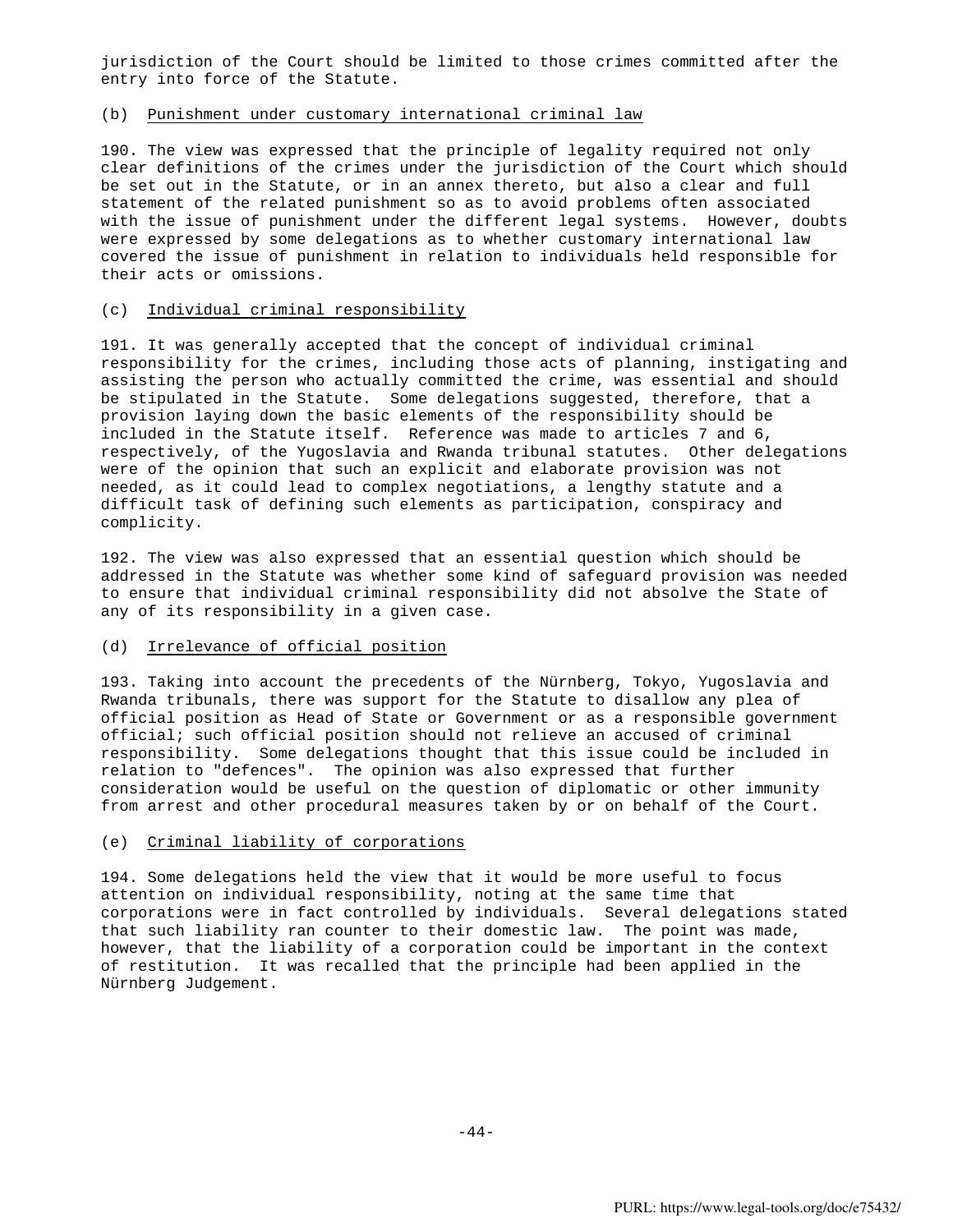jurisdiction of the Court should be limited to those crimes committed after the entry into force of the Statute.

## (b) Punishment under customary international criminal law

190. The view was expressed that the principle of legality required not only clear definitions of the crimes under the jurisdiction of the Court which should be set out in the Statute, or in an annex thereto, but also a clear and full statement of the related punishment so as to avoid problems often associated with the issue of punishment under the different legal systems. However, doubts were expressed by some delegations as to whether customary international law covered the issue of punishment in relation to individuals held responsible for their acts or omissions.

# (c) Individual criminal responsibility

191. It was generally accepted that the concept of individual criminal responsibility for the crimes, including those acts of planning, instigating and assisting the person who actually committed the crime, was essential and should be stipulated in the Statute. Some delegations suggested, therefore, that a provision laying down the basic elements of the responsibility should be included in the Statute itself. Reference was made to articles 7 and 6, respectively, of the Yugoslavia and Rwanda tribunal statutes. Other delegations were of the opinion that such an explicit and elaborate provision was not needed, as it could lead to complex negotiations, a lengthy statute and a difficult task of defining such elements as participation, conspiracy and complicity.

192. The view was also expressed that an essential question which should be addressed in the Statute was whether some kind of safeguard provision was needed to ensure that individual criminal responsibility did not absolve the State of any of its responsibility in a given case.

## (d) Irrelevance of official position

193. Taking into account the precedents of the Nürnberg, Tokyo, Yugoslavia and Rwanda tribunals, there was support for the Statute to disallow any plea of official position as Head of State or Government or as a responsible government official; such official position should not relieve an accused of criminal responsibility. Some delegations thought that this issue could be included in relation to "defences". The opinion was also expressed that further consideration would be useful on the question of diplomatic or other immunity from arrest and other procedural measures taken by or on behalf of the Court.

## (e) Criminal liability of corporations

194. Some delegations held the view that it would be more useful to focus attention on individual responsibility, noting at the same time that corporations were in fact controlled by individuals. Several delegations stated that such liability ran counter to their domestic law. The point was made, however, that the liability of a corporation could be important in the context of restitution. It was recalled that the principle had been applied in the Nürnberg Judgement.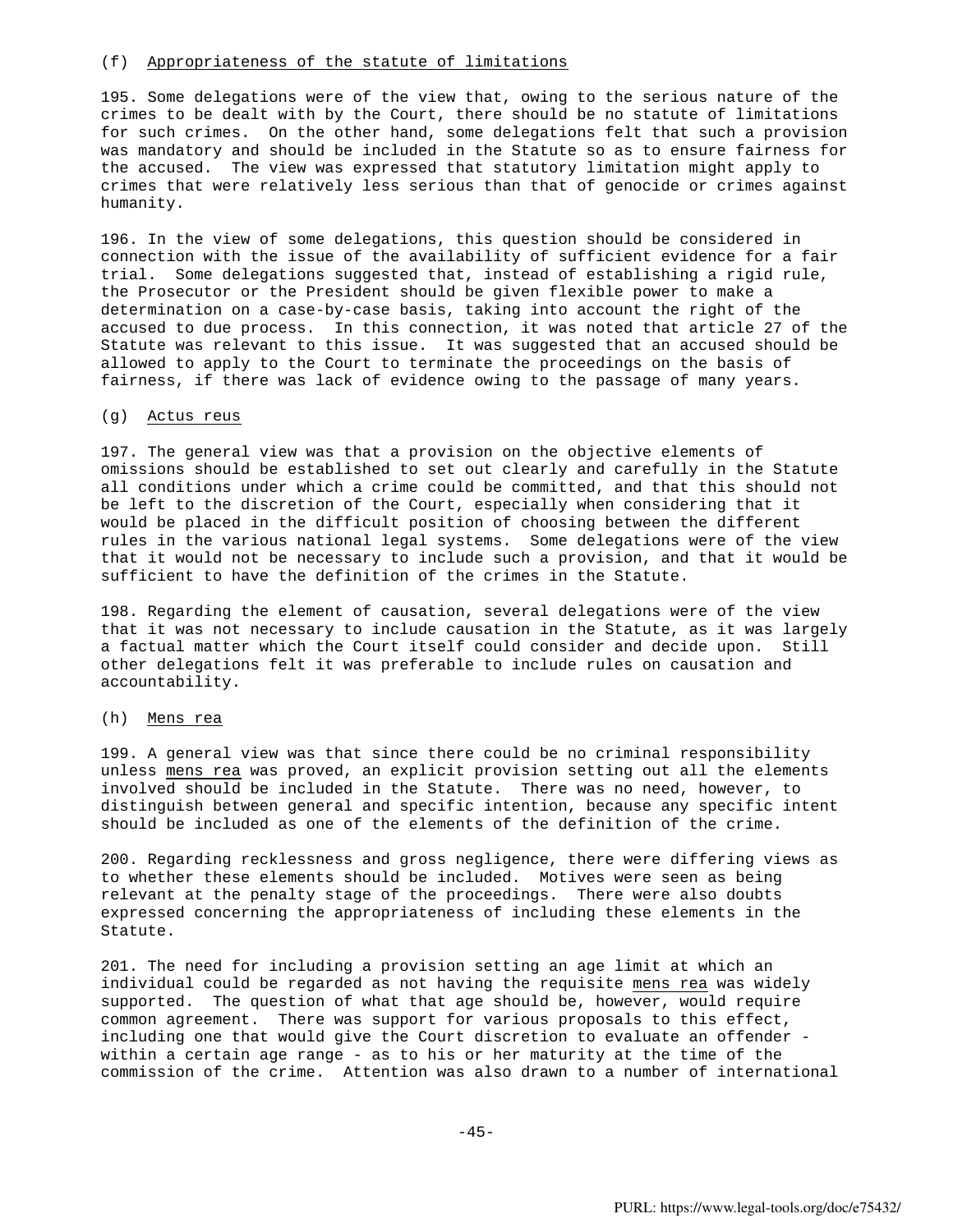## (f) Appropriateness of the statute of limitations

195. Some delegations were of the view that, owing to the serious nature of the crimes to be dealt with by the Court, there should be no statute of limitations for such crimes. On the other hand, some delegations felt that such a provision was mandatory and should be included in the Statute so as to ensure fairness for the accused. The view was expressed that statutory limitation might apply to crimes that were relatively less serious than that of genocide or crimes against humanity.

196. In the view of some delegations, this question should be considered in connection with the issue of the availability of sufficient evidence for a fair trial. Some delegations suggested that, instead of establishing a rigid rule, the Prosecutor or the President should be given flexible power to make a determination on a case-by-case basis, taking into account the right of the accused to due process. In this connection, it was noted that article 27 of the Statute was relevant to this issue. It was suggested that an accused should be allowed to apply to the Court to terminate the proceedings on the basis of fairness, if there was lack of evidence owing to the passage of many years.

### (g) Actus reus

197. The general view was that a provision on the objective elements of omissions should be established to set out clearly and carefully in the Statute all conditions under which a crime could be committed, and that this should not be left to the discretion of the Court, especially when considering that it would be placed in the difficult position of choosing between the different rules in the various national legal systems. Some delegations were of the view that it would not be necessary to include such a provision, and that it would be sufficient to have the definition of the crimes in the Statute.

198. Regarding the element of causation, several delegations were of the view that it was not necessary to include causation in the Statute, as it was largely a factual matter which the Court itself could consider and decide upon. Still other delegations felt it was preferable to include rules on causation and accountability.

## (h) Mens rea

199. A general view was that since there could be no criminal responsibility unless mens rea was proved, an explicit provision setting out all the elements involved should be included in the Statute. There was no need, however, to distinguish between general and specific intention, because any specific intent should be included as one of the elements of the definition of the crime.

200. Regarding recklessness and gross negligence, there were differing views as to whether these elements should be included. Motives were seen as being relevant at the penalty stage of the proceedings. There were also doubts expressed concerning the appropriateness of including these elements in the Statute.

201. The need for including a provision setting an age limit at which an individual could be regarded as not having the requisite mens rea was widely supported. The question of what that age should be, however, would require common agreement. There was support for various proposals to this effect, including one that would give the Court discretion to evaluate an offender within a certain age range - as to his or her maturity at the time of the commission of the crime. Attention was also drawn to a number of international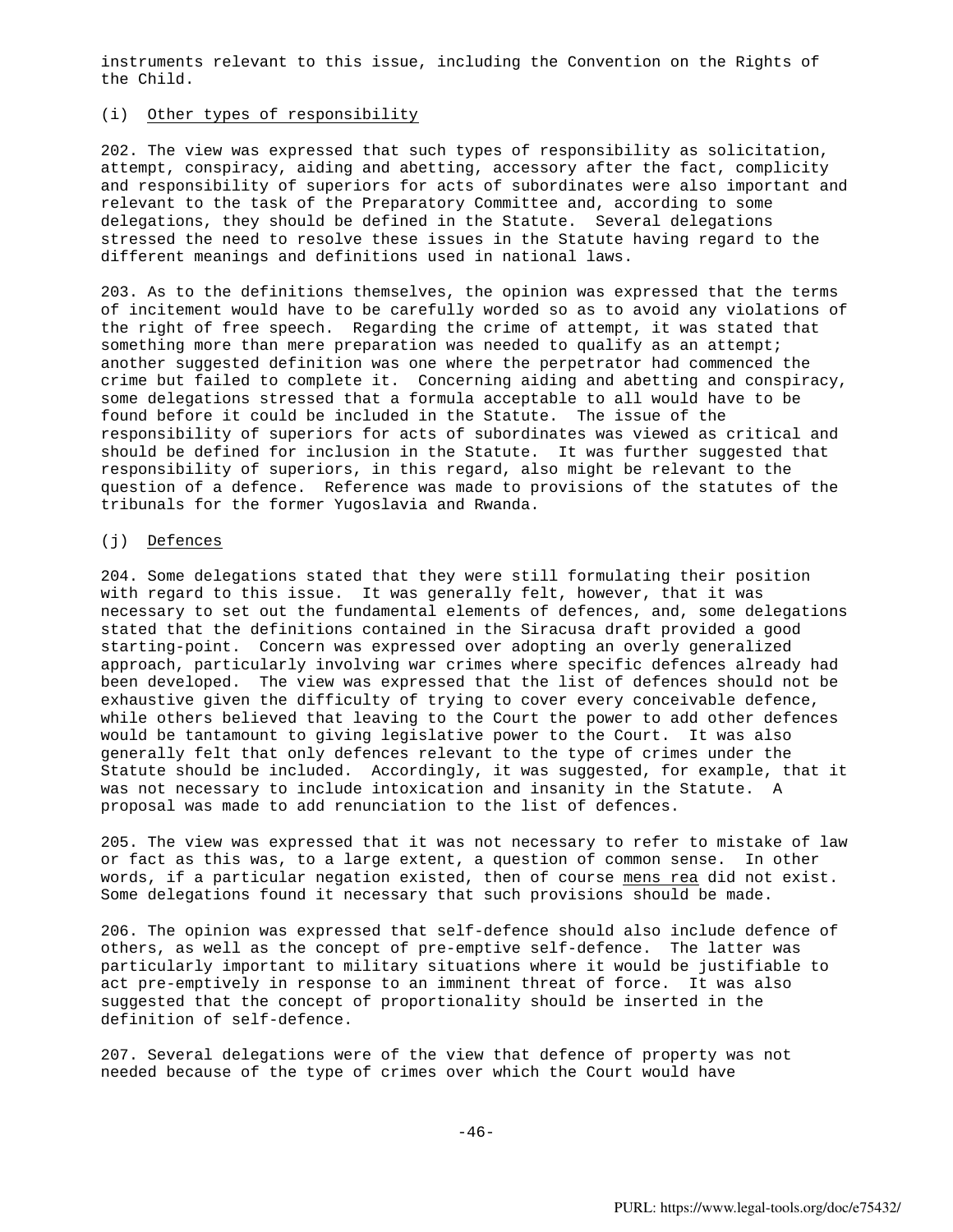instruments relevant to this issue, including the Convention on the Rights of the Child.

#### (i) Other types of responsibility

202. The view was expressed that such types of responsibility as solicitation, attempt, conspiracy, aiding and abetting, accessory after the fact, complicity and responsibility of superiors for acts of subordinates were also important and relevant to the task of the Preparatory Committee and, according to some delegations, they should be defined in the Statute. Several delegations stressed the need to resolve these issues in the Statute having regard to the different meanings and definitions used in national laws.

203. As to the definitions themselves, the opinion was expressed that the terms of incitement would have to be carefully worded so as to avoid any violations of the right of free speech. Regarding the crime of attempt, it was stated that something more than mere preparation was needed to qualify as an attempt; another suggested definition was one where the perpetrator had commenced the crime but failed to complete it. Concerning aiding and abetting and conspiracy, some delegations stressed that a formula acceptable to all would have to be found before it could be included in the Statute. The issue of the responsibility of superiors for acts of subordinates was viewed as critical and should be defined for inclusion in the Statute. It was further suggested that responsibility of superiors, in this regard, also might be relevant to the question of a defence. Reference was made to provisions of the statutes of the tribunals for the former Yugoslavia and Rwanda.

## (j) Defences

204. Some delegations stated that they were still formulating their position with regard to this issue. It was generally felt, however, that it was necessary to set out the fundamental elements of defences, and, some delegations stated that the definitions contained in the Siracusa draft provided a good starting-point. Concern was expressed over adopting an overly generalized approach, particularly involving war crimes where specific defences already had been developed. The view was expressed that the list of defences should not be exhaustive given the difficulty of trying to cover every conceivable defence, while others believed that leaving to the Court the power to add other defences would be tantamount to giving legislative power to the Court. It was also generally felt that only defences relevant to the type of crimes under the Statute should be included. Accordingly, it was suggested, for example, that it was not necessary to include intoxication and insanity in the Statute. A proposal was made to add renunciation to the list of defences.

205. The view was expressed that it was not necessary to refer to mistake of law or fact as this was, to a large extent, a question of common sense. In other words, if a particular negation existed, then of course mens rea did not exist. Some delegations found it necessary that such provisions should be made.

206. The opinion was expressed that self-defence should also include defence of others, as well as the concept of pre-emptive self-defence. The latter was particularly important to military situations where it would be justifiable to act pre-emptively in response to an imminent threat of force. It was also suggested that the concept of proportionality should be inserted in the definition of self-defence.

207. Several delegations were of the view that defence of property was not needed because of the type of crimes over which the Court would have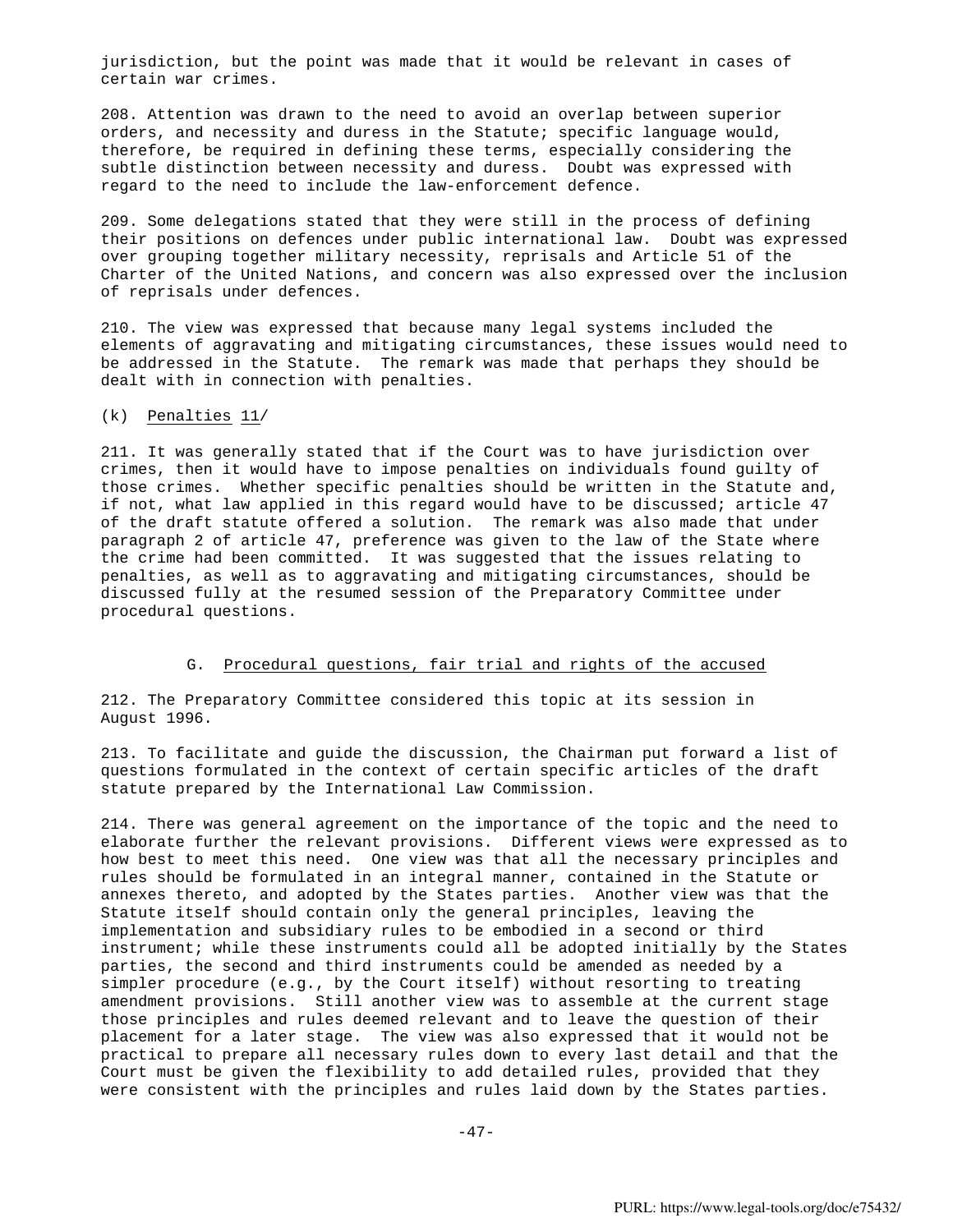jurisdiction, but the point was made that it would be relevant in cases of certain war crimes.

208. Attention was drawn to the need to avoid an overlap between superior orders, and necessity and duress in the Statute; specific language would, therefore, be required in defining these terms, especially considering the subtle distinction between necessity and duress. Doubt was expressed with regard to the need to include the law-enforcement defence.

209. Some delegations stated that they were still in the process of defining their positions on defences under public international law. Doubt was expressed over grouping together military necessity, reprisals and Article 51 of the Charter of the United Nations, and concern was also expressed over the inclusion of reprisals under defences.

210. The view was expressed that because many legal systems included the elements of aggravating and mitigating circumstances, these issues would need to be addressed in the Statute. The remark was made that perhaps they should be dealt with in connection with penalties.

## (k) Penalties  $11/$

211. It was generally stated that if the Court was to have jurisdiction over crimes, then it would have to impose penalties on individuals found guilty of those crimes. Whether specific penalties should be written in the Statute and, if not, what law applied in this regard would have to be discussed; article 47 of the draft statute offered a solution. The remark was also made that under paragraph 2 of article 47, preference was given to the law of the State where the crime had been committed. It was suggested that the issues relating to penalties, as well as to aggravating and mitigating circumstances, should be discussed fully at the resumed session of the Preparatory Committee under procedural questions.

# G. Procedural questions, fair trial and rights of the accused

212. The Preparatory Committee considered this topic at its session in August 1996.

213. To facilitate and guide the discussion, the Chairman put forward a list of questions formulated in the context of certain specific articles of the draft statute prepared by the International Law Commission.

214. There was general agreement on the importance of the topic and the need to elaborate further the relevant provisions. Different views were expressed as to how best to meet this need. One view was that all the necessary principles and rules should be formulated in an integral manner, contained in the Statute or annexes thereto, and adopted by the States parties. Another view was that the Statute itself should contain only the general principles, leaving the implementation and subsidiary rules to be embodied in a second or third instrument; while these instruments could all be adopted initially by the States parties, the second and third instruments could be amended as needed by a simpler procedure (e.g., by the Court itself) without resorting to treating amendment provisions. Still another view was to assemble at the current stage those principles and rules deemed relevant and to leave the question of their placement for a later stage. The view was also expressed that it would not be practical to prepare all necessary rules down to every last detail and that the Court must be given the flexibility to add detailed rules, provided that they were consistent with the principles and rules laid down by the States parties.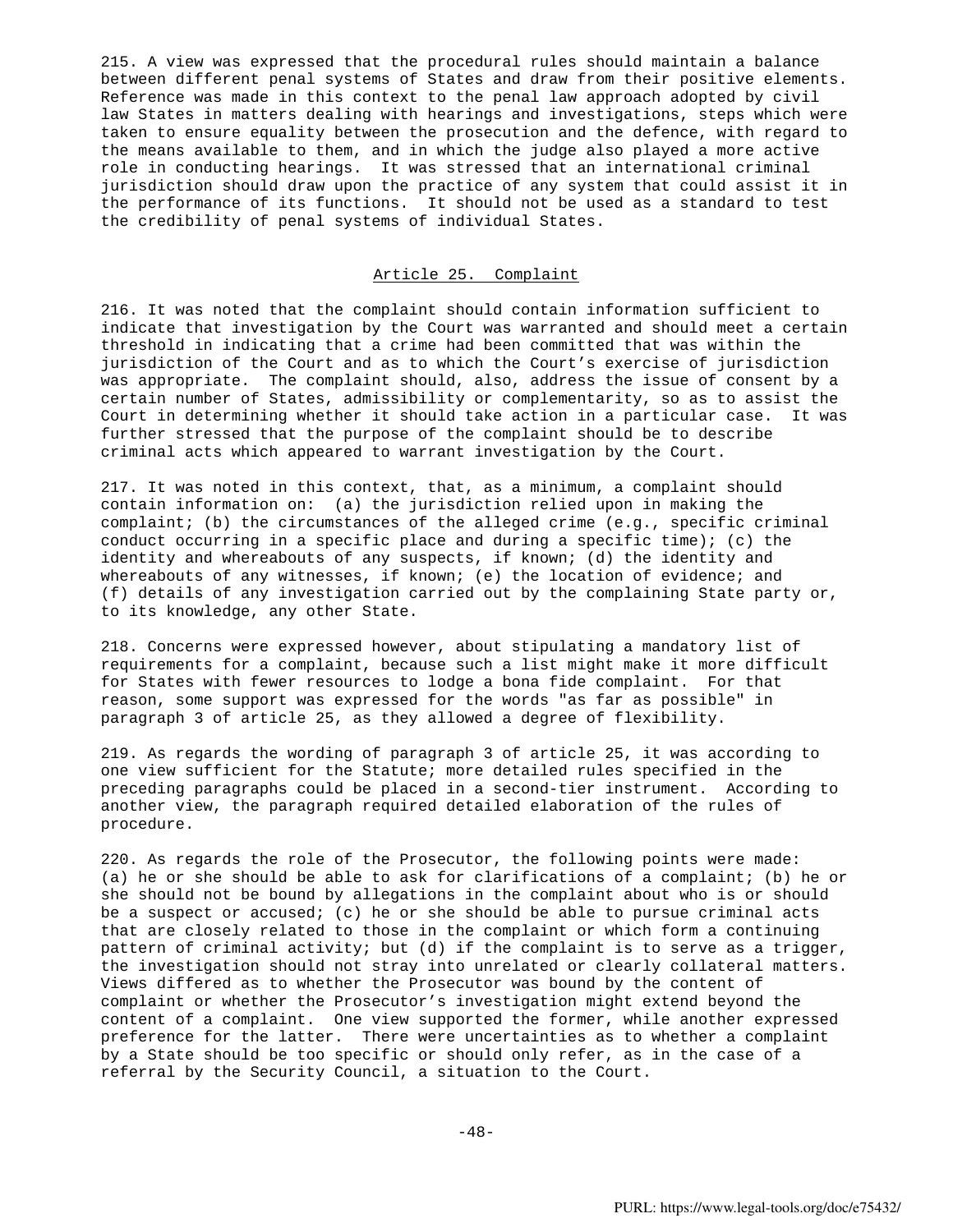215. A view was expressed that the procedural rules should maintain a balance between different penal systems of States and draw from their positive elements. Reference was made in this context to the penal law approach adopted by civil law States in matters dealing with hearings and investigations, steps which were taken to ensure equality between the prosecution and the defence, with regard to the means available to them, and in which the judge also played a more active role in conducting hearings. It was stressed that an international criminal jurisdiction should draw upon the practice of any system that could assist it in the performance of its functions. It should not be used as a standard to test the credibility of penal systems of individual States.

# Article 25. Complaint

216. It was noted that the complaint should contain information sufficient to indicate that investigation by the Court was warranted and should meet a certain threshold in indicating that a crime had been committed that was within the jurisdiction of the Court and as to which the Court's exercise of jurisdiction was appropriate. The complaint should, also, address the issue of consent by a certain number of States, admissibility or complementarity, so as to assist the Court in determining whether it should take action in a particular case. It was further stressed that the purpose of the complaint should be to describe criminal acts which appeared to warrant investigation by the Court.

217. It was noted in this context, that, as a minimum, a complaint should contain information on: (a) the jurisdiction relied upon in making the complaint; (b) the circumstances of the alleged crime (e.g., specific criminal conduct occurring in a specific place and during a specific time); (c) the identity and whereabouts of any suspects, if known; (d) the identity and whereabouts of any witnesses, if known; (e) the location of evidence; and (f) details of any investigation carried out by the complaining State party or, to its knowledge, any other State.

218. Concerns were expressed however, about stipulating a mandatory list of requirements for a complaint, because such a list might make it more difficult for States with fewer resources to lodge a bona fide complaint. For that reason, some support was expressed for the words "as far as possible" in paragraph 3 of article 25, as they allowed a degree of flexibility.

219. As regards the wording of paragraph 3 of article 25, it was according to one view sufficient for the Statute; more detailed rules specified in the preceding paragraphs could be placed in a second-tier instrument. According to another view, the paragraph required detailed elaboration of the rules of procedure.

220. As regards the role of the Prosecutor, the following points were made: (a) he or she should be able to ask for clarifications of a complaint; (b) he or she should not be bound by allegations in the complaint about who is or should be a suspect or accused; (c) he or she should be able to pursue criminal acts that are closely related to those in the complaint or which form a continuing pattern of criminal activity; but (d) if the complaint is to serve as a trigger, the investigation should not stray into unrelated or clearly collateral matters. Views differed as to whether the Prosecutor was bound by the content of complaint or whether the Prosecutor's investigation might extend beyond the content of a complaint. One view supported the former, while another expressed preference for the latter. There were uncertainties as to whether a complaint by a State should be too specific or should only refer, as in the case of a referral by the Security Council, a situation to the Court.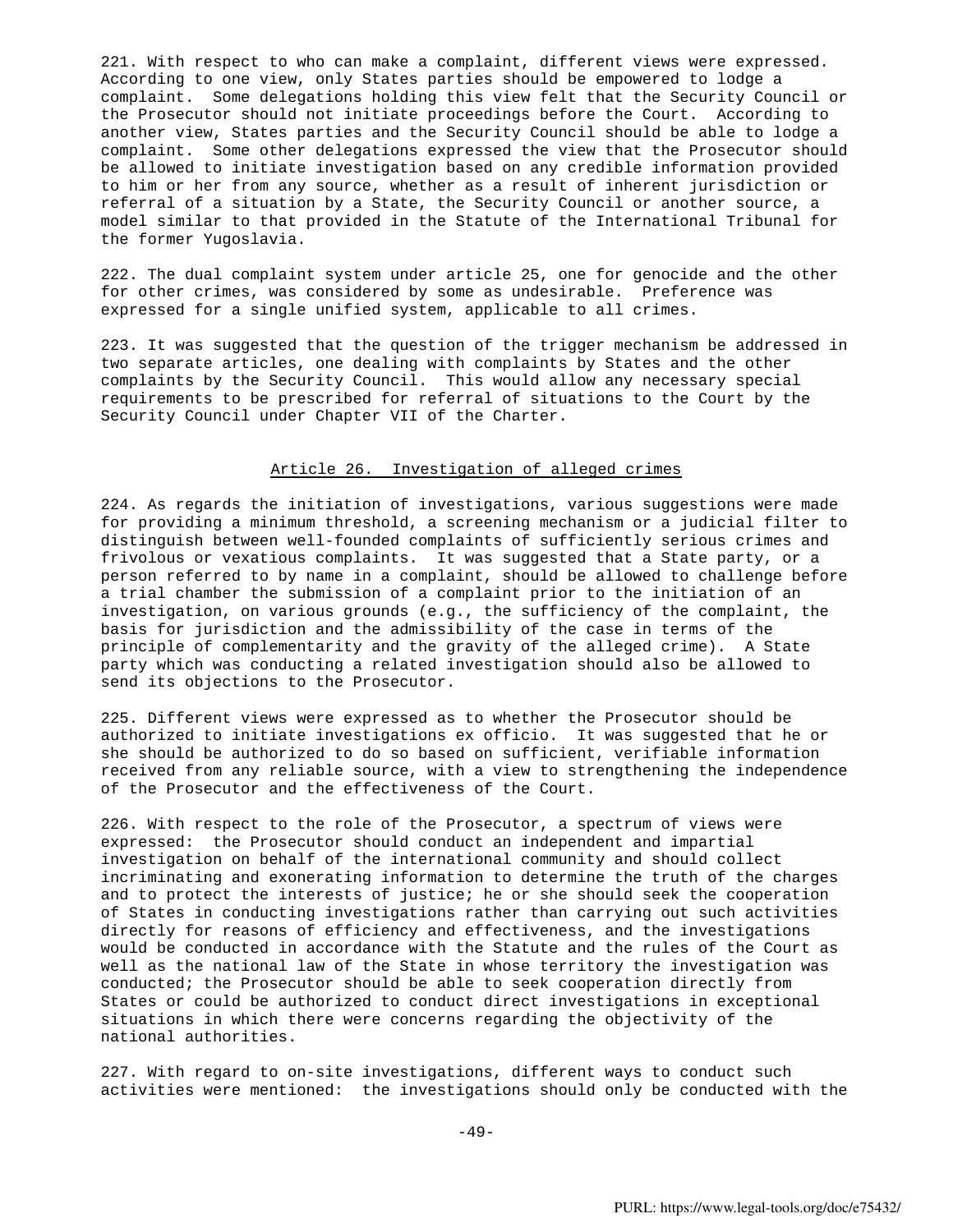221. With respect to who can make a complaint, different views were expressed. According to one view, only States parties should be empowered to lodge a complaint. Some delegations holding this view felt that the Security Council or the Prosecutor should not initiate proceedings before the Court. According to another view, States parties and the Security Council should be able to lodge a complaint. Some other delegations expressed the view that the Prosecutor should be allowed to initiate investigation based on any credible information provided to him or her from any source, whether as a result of inherent jurisdiction or referral of a situation by a State, the Security Council or another source, a model similar to that provided in the Statute of the International Tribunal for the former Yugoslavia.

222. The dual complaint system under article 25, one for genocide and the other for other crimes, was considered by some as undesirable. Preference was expressed for a single unified system, applicable to all crimes.

223. It was suggested that the question of the trigger mechanism be addressed in two separate articles, one dealing with complaints by States and the other complaints by the Security Council. This would allow any necessary special requirements to be prescribed for referral of situations to the Court by the Security Council under Chapter VII of the Charter.

# Article 26. Investigation of alleged crimes

224. As regards the initiation of investigations, various suggestions were made for providing a minimum threshold, a screening mechanism or a judicial filter to distinguish between well-founded complaints of sufficiently serious crimes and frivolous or vexatious complaints. It was suggested that a State party, or a person referred to by name in a complaint, should be allowed to challenge before a trial chamber the submission of a complaint prior to the initiation of an investigation, on various grounds (e.g., the sufficiency of the complaint, the basis for jurisdiction and the admissibility of the case in terms of the principle of complementarity and the gravity of the alleged crime). A State party which was conducting a related investigation should also be allowed to send its objections to the Prosecutor.

225. Different views were expressed as to whether the Prosecutor should be authorized to initiate investigations ex officio. It was suggested that he or she should be authorized to do so based on sufficient, verifiable information received from any reliable source, with a view to strengthening the independence of the Prosecutor and the effectiveness of the Court.

226. With respect to the role of the Prosecutor, a spectrum of views were expressed: the Prosecutor should conduct an independent and impartial investigation on behalf of the international community and should collect incriminating and exonerating information to determine the truth of the charges and to protect the interests of justice; he or she should seek the cooperation of States in conducting investigations rather than carrying out such activities directly for reasons of efficiency and effectiveness, and the investigations would be conducted in accordance with the Statute and the rules of the Court as well as the national law of the State in whose territory the investigation was conducted; the Prosecutor should be able to seek cooperation directly from States or could be authorized to conduct direct investigations in exceptional situations in which there were concerns regarding the objectivity of the national authorities.

227. With regard to on-site investigations, different ways to conduct such activities were mentioned: the investigations should only be conducted with the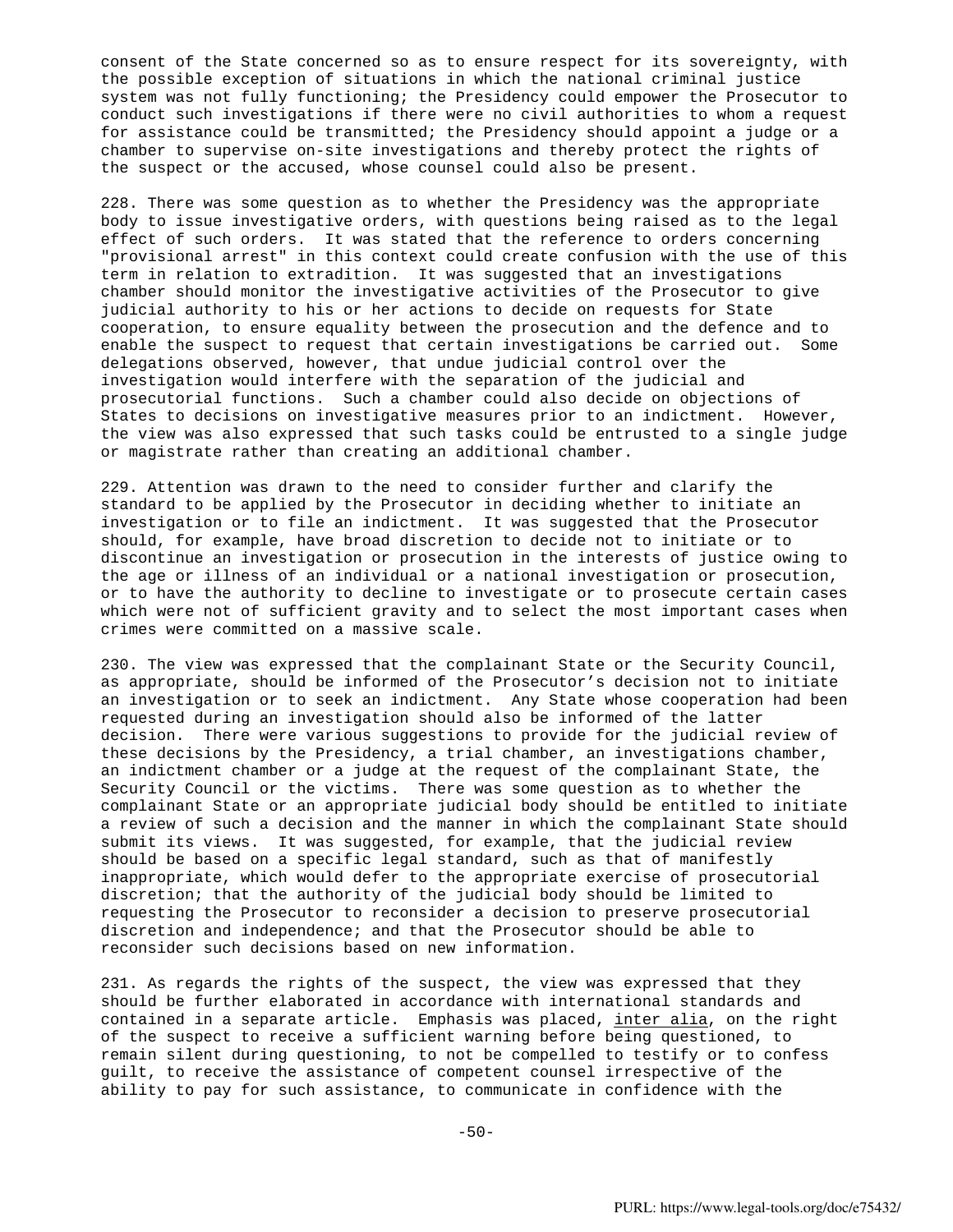consent of the State concerned so as to ensure respect for its sovereignty, with the possible exception of situations in which the national criminal justice system was not fully functioning; the Presidency could empower the Prosecutor to conduct such investigations if there were no civil authorities to whom a request for assistance could be transmitted; the Presidency should appoint a judge or a chamber to supervise on-site investigations and thereby protect the rights of the suspect or the accused, whose counsel could also be present.

228. There was some question as to whether the Presidency was the appropriate body to issue investigative orders, with questions being raised as to the legal effect of such orders. It was stated that the reference to orders concerning "provisional arrest" in this context could create confusion with the use of this term in relation to extradition. It was suggested that an investigations chamber should monitor the investigative activities of the Prosecutor to give judicial authority to his or her actions to decide on requests for State cooperation, to ensure equality between the prosecution and the defence and to enable the suspect to request that certain investigations be carried out. Some delegations observed, however, that undue judicial control over the investigation would interfere with the separation of the judicial and prosecutorial functions. Such a chamber could also decide on objections of States to decisions on investigative measures prior to an indictment. However, the view was also expressed that such tasks could be entrusted to a single judge or magistrate rather than creating an additional chamber.

229. Attention was drawn to the need to consider further and clarify the standard to be applied by the Prosecutor in deciding whether to initiate an investigation or to file an indictment. It was suggested that the Prosecutor should, for example, have broad discretion to decide not to initiate or to discontinue an investigation or prosecution in the interests of justice owing to the age or illness of an individual or a national investigation or prosecution, or to have the authority to decline to investigate or to prosecute certain cases which were not of sufficient gravity and to select the most important cases when crimes were committed on a massive scale.

230. The view was expressed that the complainant State or the Security Council, as appropriate, should be informed of the Prosecutor's decision not to initiate an investigation or to seek an indictment. Any State whose cooperation had been requested during an investigation should also be informed of the latter decision. There were various suggestions to provide for the judicial review of these decisions by the Presidency, a trial chamber, an investigations chamber, an indictment chamber or a judge at the request of the complainant State, the Security Council or the victims. There was some question as to whether the complainant State or an appropriate judicial body should be entitled to initiate a review of such a decision and the manner in which the complainant State should submit its views. It was suggested, for example, that the judicial review should be based on a specific legal standard, such as that of manifestly inappropriate, which would defer to the appropriate exercise of prosecutorial discretion; that the authority of the judicial body should be limited to requesting the Prosecutor to reconsider a decision to preserve prosecutorial discretion and independence; and that the Prosecutor should be able to reconsider such decisions based on new information.

231. As regards the rights of the suspect, the view was expressed that they should be further elaborated in accordance with international standards and contained in a separate article. Emphasis was placed, inter alia, on the right of the suspect to receive a sufficient warning before being questioned, to remain silent during questioning, to not be compelled to testify or to confess guilt, to receive the assistance of competent counsel irrespective of the ability to pay for such assistance, to communicate in confidence with the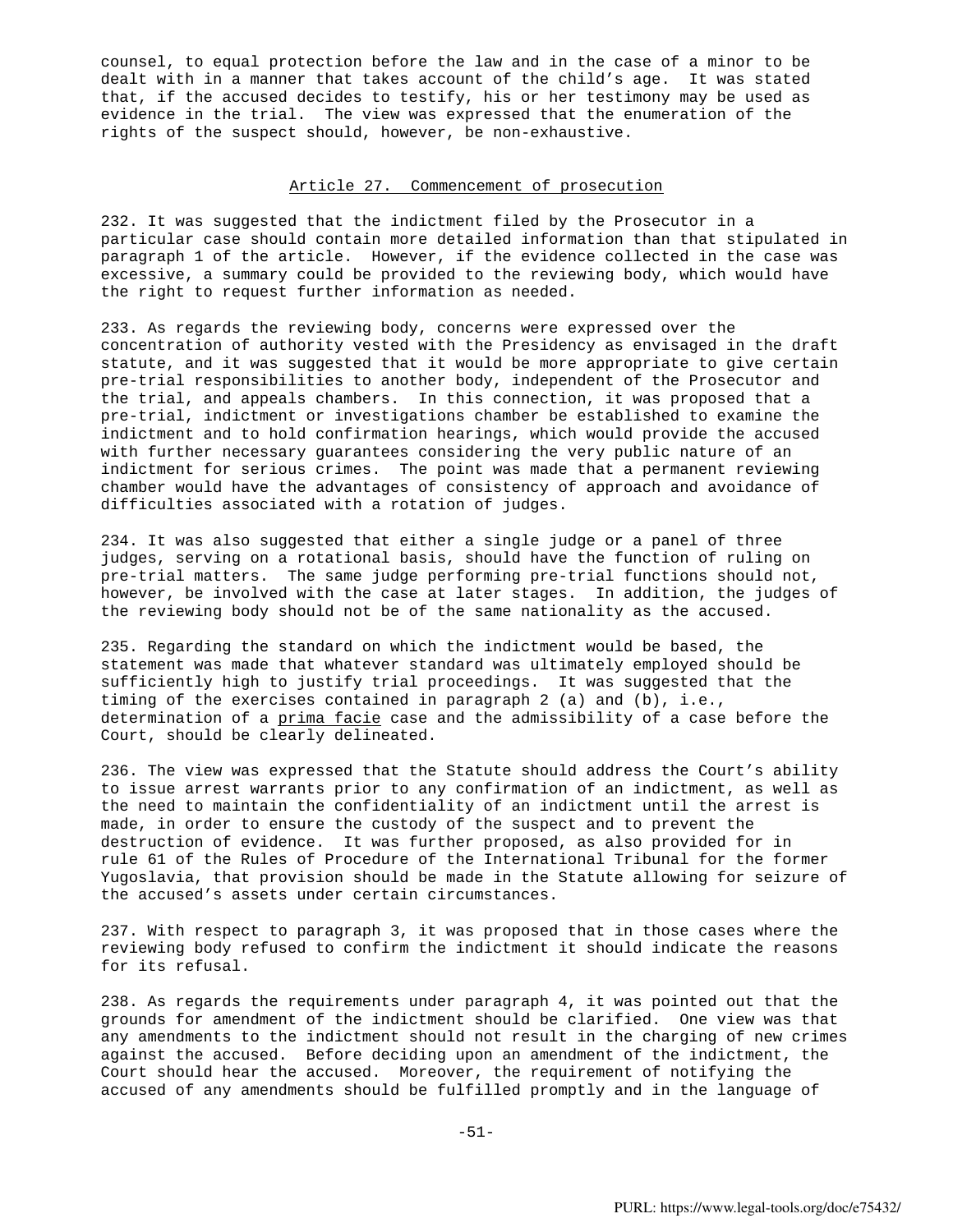counsel, to equal protection before the law and in the case of a minor to be dealt with in a manner that takes account of the child's age. It was stated that, if the accused decides to testify, his or her testimony may be used as evidence in the trial. The view was expressed that the enumeration of the rights of the suspect should, however, be non-exhaustive.

### Article 27. Commencement of prosecution

232. It was suggested that the indictment filed by the Prosecutor in a particular case should contain more detailed information than that stipulated in paragraph 1 of the article. However, if the evidence collected in the case was excessive, a summary could be provided to the reviewing body, which would have the right to request further information as needed.

233. As regards the reviewing body, concerns were expressed over the concentration of authority vested with the Presidency as envisaged in the draft statute, and it was suggested that it would be more appropriate to give certain pre-trial responsibilities to another body, independent of the Prosecutor and the trial, and appeals chambers. In this connection, it was proposed that a pre-trial, indictment or investigations chamber be established to examine the indictment and to hold confirmation hearings, which would provide the accused with further necessary guarantees considering the very public nature of an indictment for serious crimes. The point was made that a permanent reviewing chamber would have the advantages of consistency of approach and avoidance of difficulties associated with a rotation of judges.

234. It was also suggested that either a single judge or a panel of three judges, serving on a rotational basis, should have the function of ruling on pre-trial matters. The same judge performing pre-trial functions should not, however, be involved with the case at later stages. In addition, the judges of the reviewing body should not be of the same nationality as the accused.

235. Regarding the standard on which the indictment would be based, the statement was made that whatever standard was ultimately employed should be sufficiently high to justify trial proceedings. It was suggested that the timing of the exercises contained in paragraph 2 (a) and (b), i.e., determination of a prima facie case and the admissibility of a case before the Court, should be clearly delineated.

236. The view was expressed that the Statute should address the Court's ability to issue arrest warrants prior to any confirmation of an indictment, as well as the need to maintain the confidentiality of an indictment until the arrest is made, in order to ensure the custody of the suspect and to prevent the destruction of evidence. It was further proposed, as also provided for in rule 61 of the Rules of Procedure of the International Tribunal for the former Yugoslavia, that provision should be made in the Statute allowing for seizure of the accused's assets under certain circumstances.

237. With respect to paragraph 3, it was proposed that in those cases where the reviewing body refused to confirm the indictment it should indicate the reasons for its refusal.

238. As regards the requirements under paragraph 4, it was pointed out that the grounds for amendment of the indictment should be clarified. One view was that any amendments to the indictment should not result in the charging of new crimes against the accused. Before deciding upon an amendment of the indictment, the Court should hear the accused. Moreover, the requirement of notifying the accused of any amendments should be fulfilled promptly and in the language of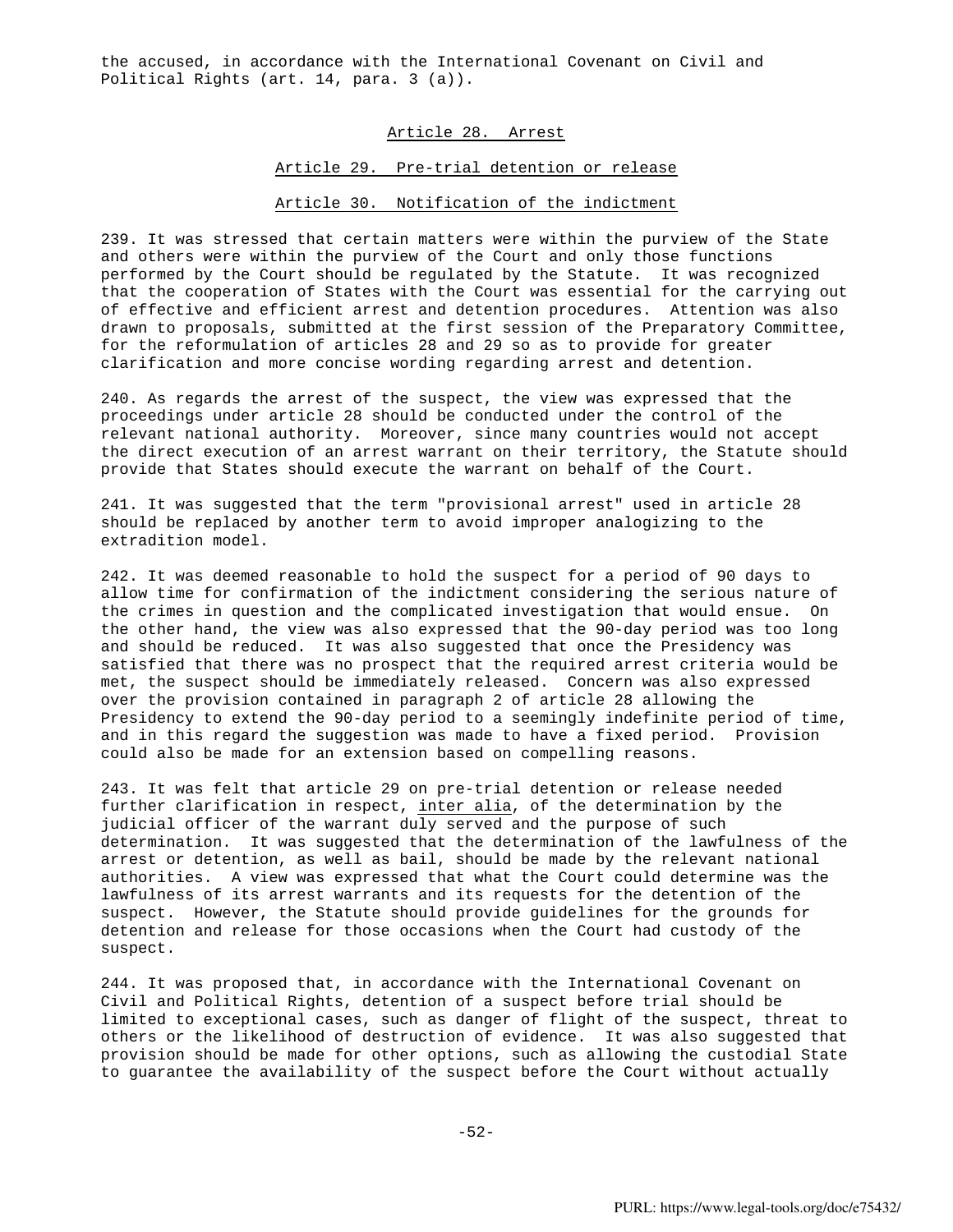the accused, in accordance with the International Covenant on Civil and Political Rights (art. 14, para. 3 (a)).

#### Article 28. Arrest

#### Article 29. Pre-trial detention or release

# Article 30. Notification of the indictment

239. It was stressed that certain matters were within the purview of the State and others were within the purview of the Court and only those functions performed by the Court should be regulated by the Statute. It was recognized that the cooperation of States with the Court was essential for the carrying out of effective and efficient arrest and detention procedures. Attention was also drawn to proposals, submitted at the first session of the Preparatory Committee, for the reformulation of articles 28 and 29 so as to provide for greater clarification and more concise wording regarding arrest and detention.

240. As regards the arrest of the suspect, the view was expressed that the proceedings under article 28 should be conducted under the control of the relevant national authority. Moreover, since many countries would not accept the direct execution of an arrest warrant on their territory, the Statute should provide that States should execute the warrant on behalf of the Court.

241. It was suggested that the term "provisional arrest" used in article 28 should be replaced by another term to avoid improper analogizing to the extradition model.

242. It was deemed reasonable to hold the suspect for a period of 90 days to allow time for confirmation of the indictment considering the serious nature of the crimes in question and the complicated investigation that would ensue. On the other hand, the view was also expressed that the 90-day period was too long and should be reduced. It was also suggested that once the Presidency was satisfied that there was no prospect that the required arrest criteria would be met, the suspect should be immediately released. Concern was also expressed over the provision contained in paragraph 2 of article 28 allowing the Presidency to extend the 90-day period to a seemingly indefinite period of time, and in this regard the suggestion was made to have a fixed period. Provision could also be made for an extension based on compelling reasons.

243. It was felt that article 29 on pre-trial detention or release needed further clarification in respect, inter alia, of the determination by the judicial officer of the warrant duly served and the purpose of such determination. It was suggested that the determination of the lawfulness of the arrest or detention, as well as bail, should be made by the relevant national authorities. A view was expressed that what the Court could determine was the lawfulness of its arrest warrants and its requests for the detention of the suspect. However, the Statute should provide guidelines for the grounds for detention and release for those occasions when the Court had custody of the suspect.

244. It was proposed that, in accordance with the International Covenant on Civil and Political Rights, detention of a suspect before trial should be limited to exceptional cases, such as danger of flight of the suspect, threat to others or the likelihood of destruction of evidence. It was also suggested that provision should be made for other options, such as allowing the custodial State to guarantee the availability of the suspect before the Court without actually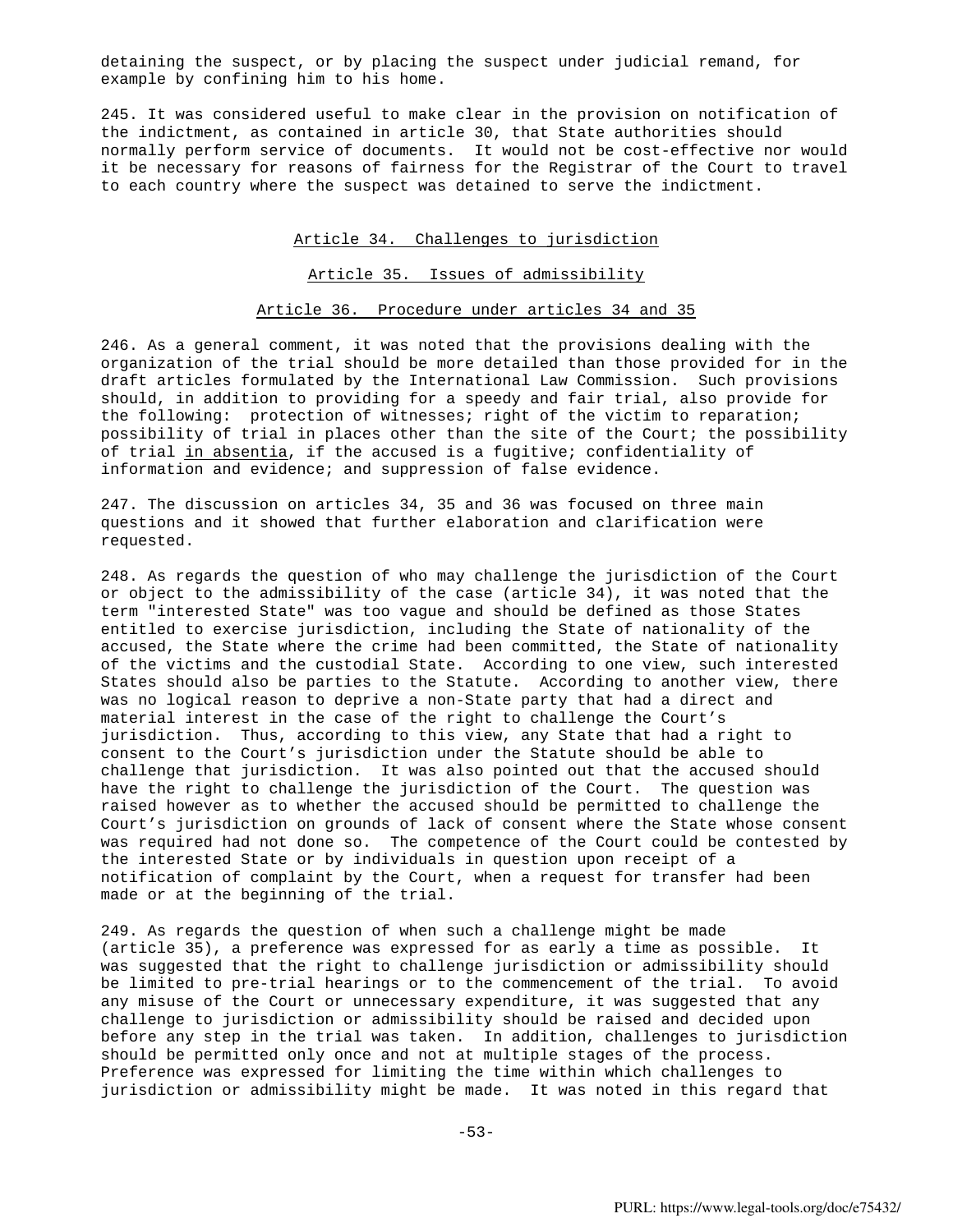detaining the suspect, or by placing the suspect under judicial remand, for example by confining him to his home.

245. It was considered useful to make clear in the provision on notification of the indictment, as contained in article 30, that State authorities should normally perform service of documents. It would not be cost-effective nor would it be necessary for reasons of fairness for the Registrar of the Court to travel to each country where the suspect was detained to serve the indictment.

## Article 34. Challenges to jurisdiction

#### Article 35. Issues of admissibility

# Article 36. Procedure under articles 34 and 35

246. As a general comment, it was noted that the provisions dealing with the organization of the trial should be more detailed than those provided for in the draft articles formulated by the International Law Commission. Such provisions should, in addition to providing for a speedy and fair trial, also provide for the following: protection of witnesses; right of the victim to reparation; possibility of trial in places other than the site of the Court; the possibility of trial in absentia, if the accused is a fugitive; confidentiality of information and evidence; and suppression of false evidence.

247. The discussion on articles 34, 35 and 36 was focused on three main questions and it showed that further elaboration and clarification were requested.

248. As regards the question of who may challenge the jurisdiction of the Court or object to the admissibility of the case (article 34), it was noted that the term "interested State" was too vague and should be defined as those States entitled to exercise jurisdiction, including the State of nationality of the accused, the State where the crime had been committed, the State of nationality of the victims and the custodial State. According to one view, such interested States should also be parties to the Statute. According to another view, there was no logical reason to deprive a non-State party that had a direct and material interest in the case of the right to challenge the Court's jurisdiction. Thus, according to this view, any State that had a right to consent to the Court's jurisdiction under the Statute should be able to challenge that jurisdiction. It was also pointed out that the accused should have the right to challenge the jurisdiction of the Court. The question was raised however as to whether the accused should be permitted to challenge the Court's jurisdiction on grounds of lack of consent where the State whose consent was required had not done so. The competence of the Court could be contested by the interested State or by individuals in question upon receipt of a notification of complaint by the Court, when a request for transfer had been made or at the beginning of the trial.

249. As regards the question of when such a challenge might be made (article 35), a preference was expressed for as early a time as possible. It was suggested that the right to challenge jurisdiction or admissibility should be limited to pre-trial hearings or to the commencement of the trial. To avoid any misuse of the Court or unnecessary expenditure, it was suggested that any challenge to jurisdiction or admissibility should be raised and decided upon before any step in the trial was taken. In addition, challenges to jurisdiction should be permitted only once and not at multiple stages of the process. Preference was expressed for limiting the time within which challenges to jurisdiction or admissibility might be made. It was noted in this regard that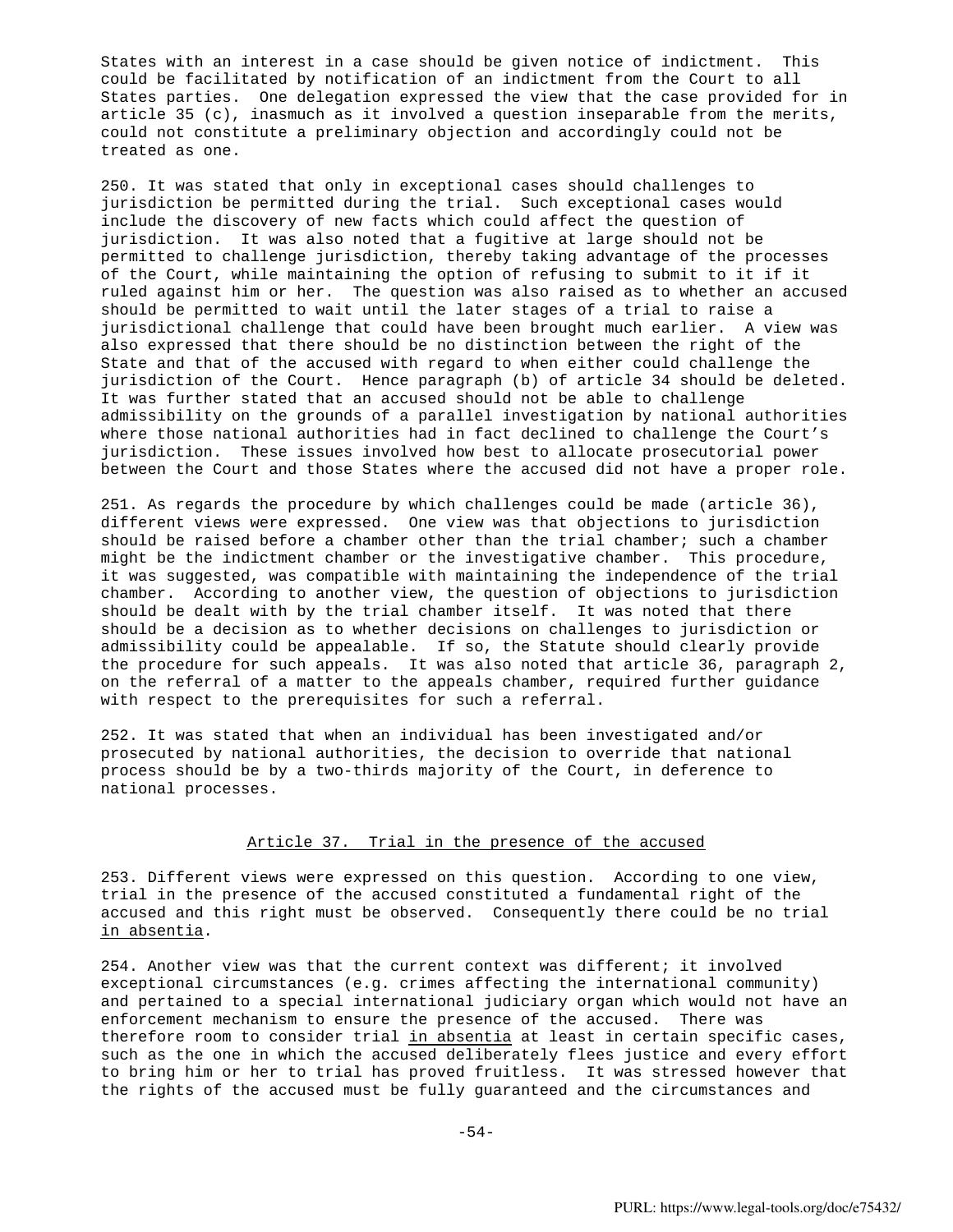States with an interest in a case should be given notice of indictment. This could be facilitated by notification of an indictment from the Court to all States parties. One delegation expressed the view that the case provided for in article 35 (c), inasmuch as it involved a question inseparable from the merits, could not constitute a preliminary objection and accordingly could not be treated as one.

250. It was stated that only in exceptional cases should challenges to jurisdiction be permitted during the trial. Such exceptional cases would include the discovery of new facts which could affect the question of jurisdiction. It was also noted that a fugitive at large should not be permitted to challenge jurisdiction, thereby taking advantage of the processes of the Court, while maintaining the option of refusing to submit to it if it ruled against him or her. The question was also raised as to whether an accused should be permitted to wait until the later stages of a trial to raise a jurisdictional challenge that could have been brought much earlier. A view was also expressed that there should be no distinction between the right of the State and that of the accused with regard to when either could challenge the jurisdiction of the Court. Hence paragraph (b) of article 34 should be deleted. It was further stated that an accused should not be able to challenge admissibility on the grounds of a parallel investigation by national authorities where those national authorities had in fact declined to challenge the Court's jurisdiction. These issues involved how best to allocate prosecutorial power between the Court and those States where the accused did not have a proper role.

251. As regards the procedure by which challenges could be made (article 36), different views were expressed. One view was that objections to jurisdiction should be raised before a chamber other than the trial chamber; such a chamber might be the indictment chamber or the investigative chamber. This procedure, it was suggested, was compatible with maintaining the independence of the trial chamber. According to another view, the question of objections to jurisdiction should be dealt with by the trial chamber itself. It was noted that there should be a decision as to whether decisions on challenges to jurisdiction or admissibility could be appealable. If so, the Statute should clearly provide the procedure for such appeals. It was also noted that article 36, paragraph 2, on the referral of a matter to the appeals chamber, required further guidance with respect to the prerequisites for such a referral.

252. It was stated that when an individual has been investigated and/or prosecuted by national authorities, the decision to override that national process should be by a two-thirds majority of the Court, in deference to national processes.

# Article 37. Trial in the presence of the accused

253. Different views were expressed on this question. According to one view, trial in the presence of the accused constituted a fundamental right of the accused and this right must be observed. Consequently there could be no trial in absentia.

254. Another view was that the current context was different; it involved exceptional circumstances (e.g. crimes affecting the international community) and pertained to a special international judiciary organ which would not have an enforcement mechanism to ensure the presence of the accused. There was therefore room to consider trial in absentia at least in certain specific cases, such as the one in which the accused deliberately flees justice and every effort to bring him or her to trial has proved fruitless. It was stressed however that the rights of the accused must be fully guaranteed and the circumstances and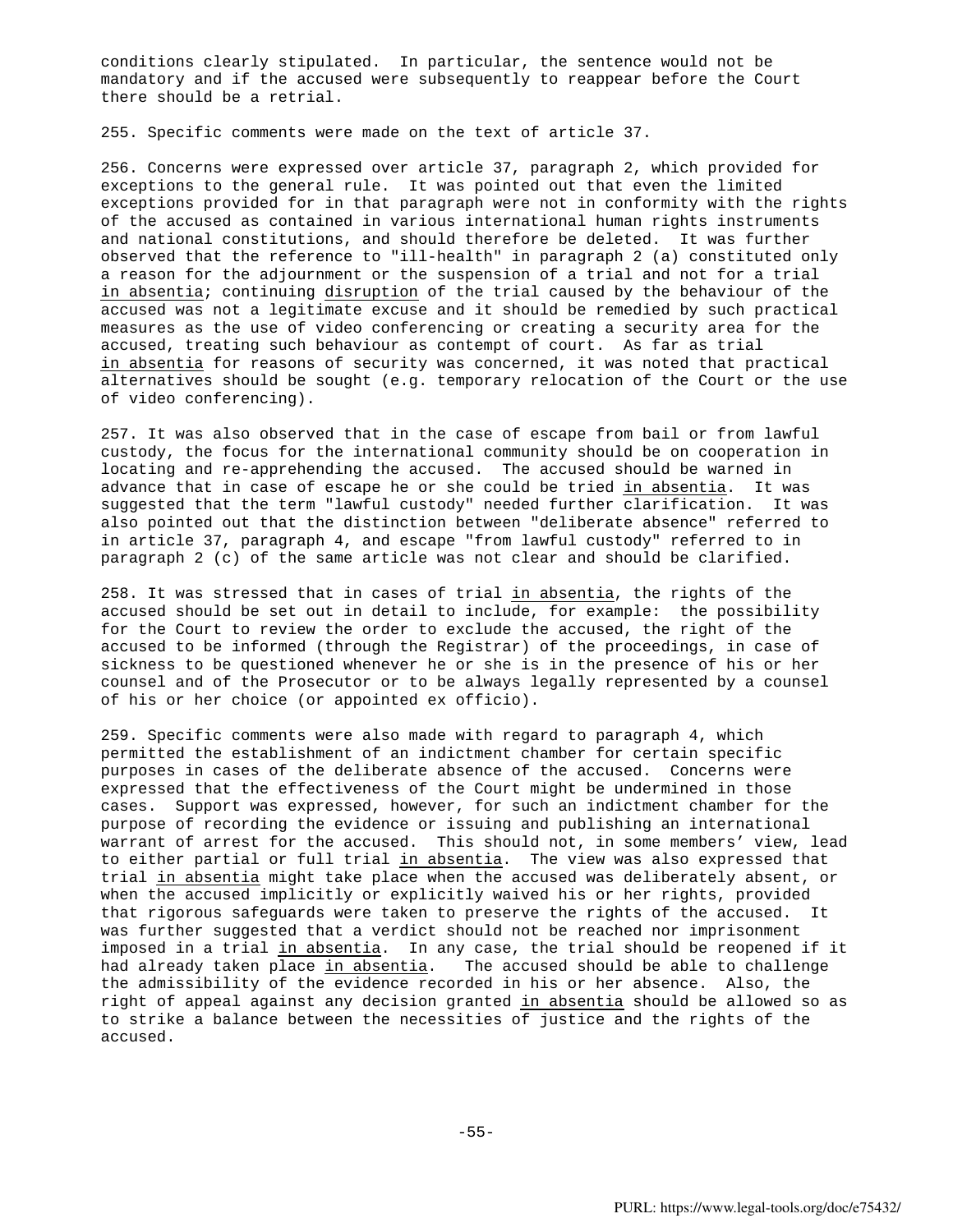conditions clearly stipulated. In particular, the sentence would not be mandatory and if the accused were subsequently to reappear before the Court there should be a retrial.

255. Specific comments were made on the text of article 37.

256. Concerns were expressed over article 37, paragraph 2, which provided for exceptions to the general rule. It was pointed out that even the limited exceptions provided for in that paragraph were not in conformity with the rights of the accused as contained in various international human rights instruments and national constitutions, and should therefore be deleted. It was further observed that the reference to "ill-health" in paragraph 2 (a) constituted only a reason for the adjournment or the suspension of a trial and not for a trial in absentia; continuing disruption of the trial caused by the behaviour of the accused was not a legitimate excuse and it should be remedied by such practical measures as the use of video conferencing or creating a security area for the accused, treating such behaviour as contempt of court. As far as trial in absentia for reasons of security was concerned, it was noted that practical alternatives should be sought (e.g. temporary relocation of the Court or the use of video conferencing).

257. It was also observed that in the case of escape from bail or from lawful custody, the focus for the international community should be on cooperation in locating and re-apprehending the accused. The accused should be warned in advance that in case of escape he or she could be tried in absentia. It was suggested that the term "lawful custody" needed further clarification. It was also pointed out that the distinction between "deliberate absence" referred to in article 37, paragraph 4, and escape "from lawful custody" referred to in paragraph 2 (c) of the same article was not clear and should be clarified.

258. It was stressed that in cases of trial in absentia, the rights of the accused should be set out in detail to include, for example: the possibility for the Court to review the order to exclude the accused, the right of the accused to be informed (through the Registrar) of the proceedings, in case of sickness to be questioned whenever he or she is in the presence of his or her counsel and of the Prosecutor or to be always legally represented by a counsel of his or her choice (or appointed ex officio).

259. Specific comments were also made with regard to paragraph 4, which permitted the establishment of an indictment chamber for certain specific purposes in cases of the deliberate absence of the accused. Concerns were expressed that the effectiveness of the Court might be undermined in those cases. Support was expressed, however, for such an indictment chamber for the purpose of recording the evidence or issuing and publishing an international warrant of arrest for the accused. This should not, in some members' view, lead to either partial or full trial in absentia. The view was also expressed that trial in absentia might take place when the accused was deliberately absent, or when the accused implicitly or explicitly waived his or her rights, provided that rigorous safeguards were taken to preserve the rights of the accused. It was further suggested that a verdict should not be reached nor imprisonment imposed in a trial in absentia. In any case, the trial should be reopened if it had already taken place in absentia. The accused should be able to challenge the admissibility of the evidence recorded in his or her absence. Also, the right of appeal against any decision granted in absentia should be allowed so as to strike a balance between the necessities of justice and the rights of the accused.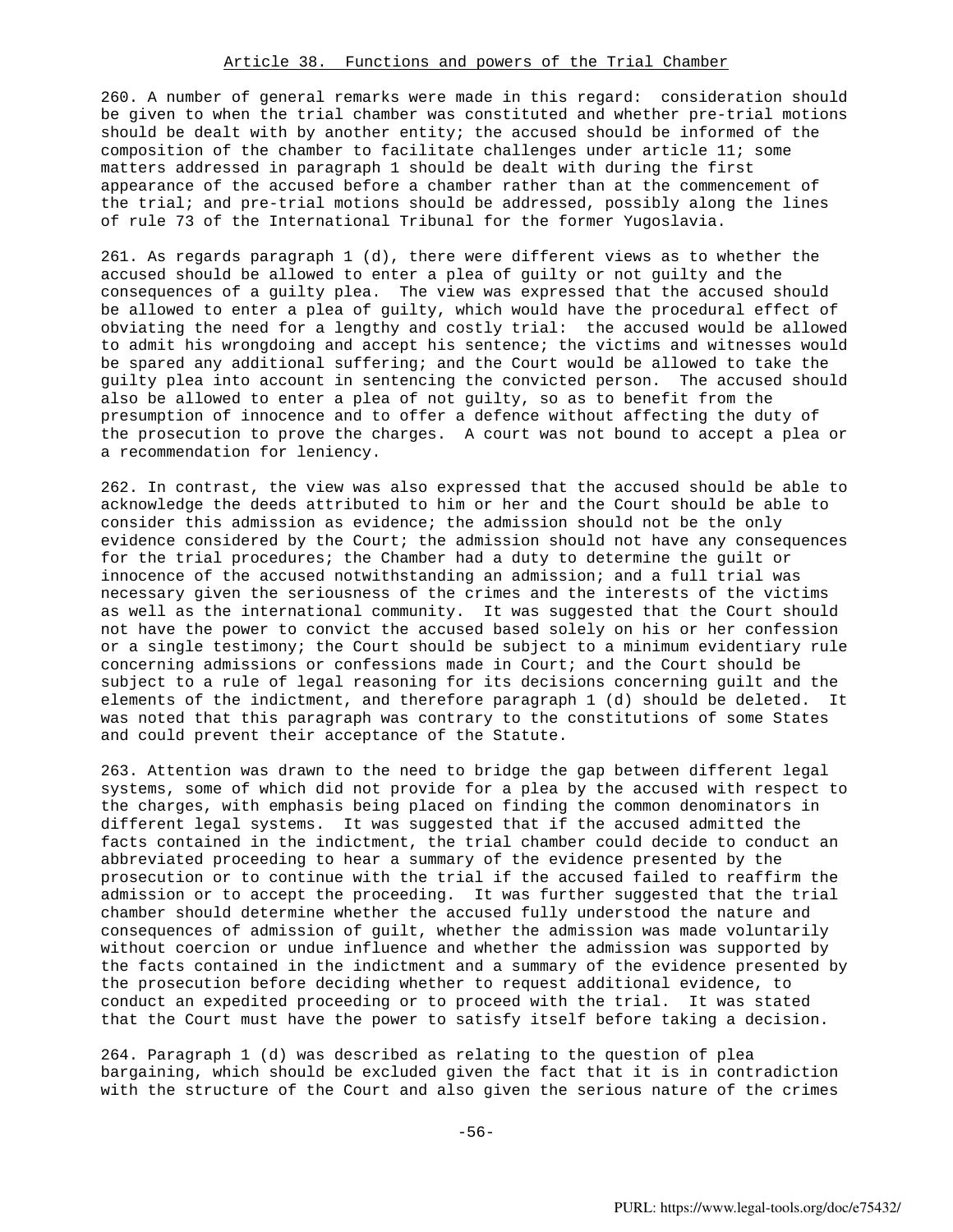260. A number of general remarks were made in this regard: consideration should be given to when the trial chamber was constituted and whether pre-trial motions should be dealt with by another entity; the accused should be informed of the composition of the chamber to facilitate challenges under article 11; some matters addressed in paragraph 1 should be dealt with during the first appearance of the accused before a chamber rather than at the commencement of the trial; and pre-trial motions should be addressed, possibly along the lines of rule 73 of the International Tribunal for the former Yugoslavia.

261. As regards paragraph 1 (d), there were different views as to whether the accused should be allowed to enter a plea of guilty or not guilty and the consequences of a guilty plea. The view was expressed that the accused should be allowed to enter a plea of guilty, which would have the procedural effect of obviating the need for a lengthy and costly trial: the accused would be allowed to admit his wrongdoing and accept his sentence; the victims and witnesses would be spared any additional suffering; and the Court would be allowed to take the guilty plea into account in sentencing the convicted person. The accused should also be allowed to enter a plea of not guilty, so as to benefit from the presumption of innocence and to offer a defence without affecting the duty of the prosecution to prove the charges. A court was not bound to accept a plea or a recommendation for leniency.

262. In contrast, the view was also expressed that the accused should be able to acknowledge the deeds attributed to him or her and the Court should be able to consider this admission as evidence; the admission should not be the only evidence considered by the Court; the admission should not have any consequences for the trial procedures; the Chamber had a duty to determine the guilt or innocence of the accused notwithstanding an admission; and a full trial was necessary given the seriousness of the crimes and the interests of the victims as well as the international community. It was suggested that the Court should not have the power to convict the accused based solely on his or her confession or a single testimony; the Court should be subject to a minimum evidentiary rule concerning admissions or confessions made in Court; and the Court should be subject to a rule of legal reasoning for its decisions concerning guilt and the elements of the indictment, and therefore paragraph 1 (d) should be deleted. It was noted that this paragraph was contrary to the constitutions of some States and could prevent their acceptance of the Statute.

263. Attention was drawn to the need to bridge the gap between different legal systems, some of which did not provide for a plea by the accused with respect to the charges, with emphasis being placed on finding the common denominators in different legal systems. It was suggested that if the accused admitted the facts contained in the indictment, the trial chamber could decide to conduct an abbreviated proceeding to hear a summary of the evidence presented by the prosecution or to continue with the trial if the accused failed to reaffirm the admission or to accept the proceeding. It was further suggested that the trial chamber should determine whether the accused fully understood the nature and consequences of admission of guilt, whether the admission was made voluntarily without coercion or undue influence and whether the admission was supported by the facts contained in the indictment and a summary of the evidence presented by the prosecution before deciding whether to request additional evidence, to conduct an expedited proceeding or to proceed with the trial. It was stated that the Court must have the power to satisfy itself before taking a decision.

264. Paragraph 1 (d) was described as relating to the question of plea bargaining, which should be excluded given the fact that it is in contradiction with the structure of the Court and also given the serious nature of the crimes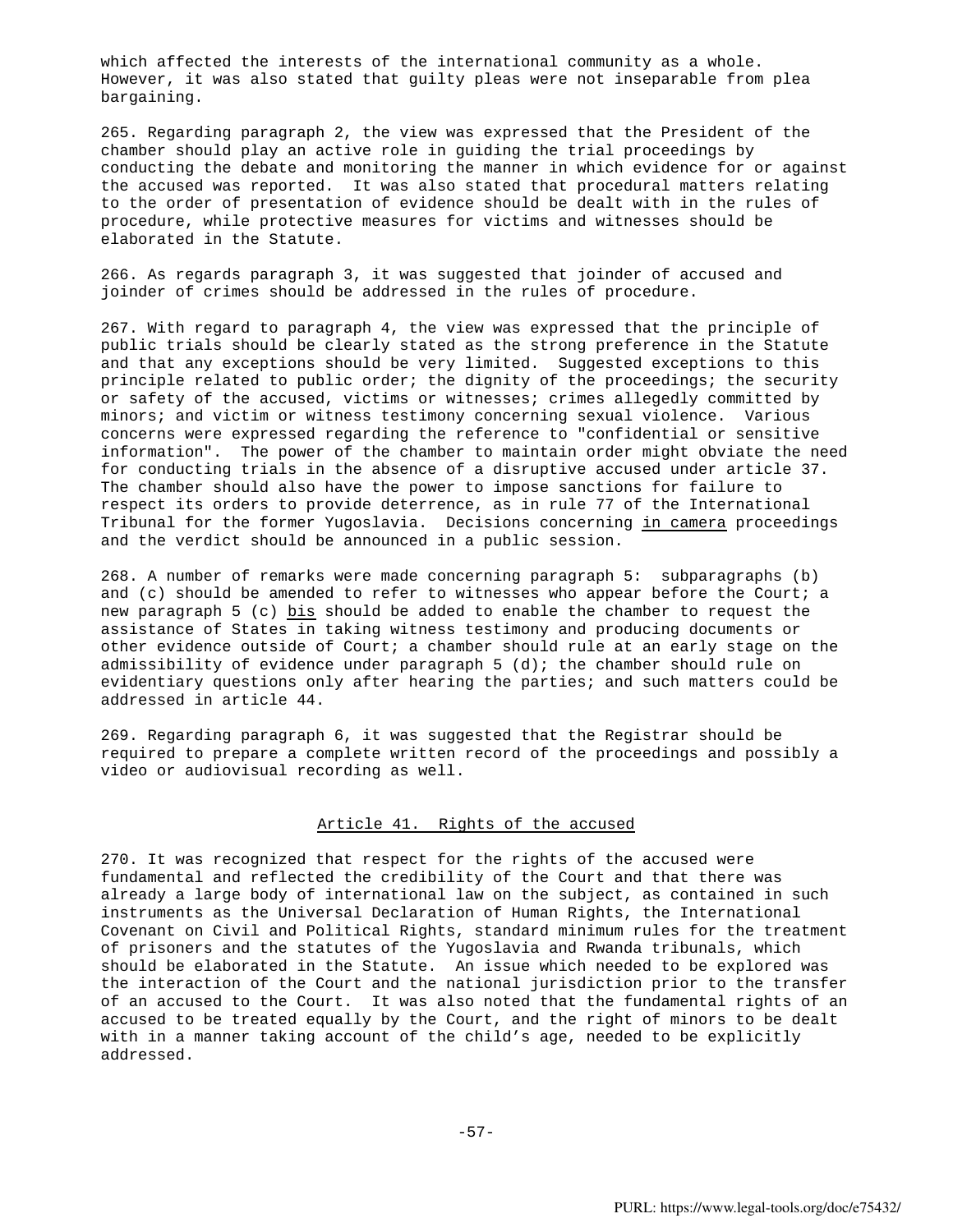which affected the interests of the international community as a whole. However, it was also stated that guilty pleas were not inseparable from plea bargaining.

265. Regarding paragraph 2, the view was expressed that the President of the chamber should play an active role in guiding the trial proceedings by conducting the debate and monitoring the manner in which evidence for or against the accused was reported. It was also stated that procedural matters relating to the order of presentation of evidence should be dealt with in the rules of procedure, while protective measures for victims and witnesses should be elaborated in the Statute.

266. As regards paragraph 3, it was suggested that joinder of accused and joinder of crimes should be addressed in the rules of procedure.

267. With regard to paragraph 4, the view was expressed that the principle of public trials should be clearly stated as the strong preference in the Statute and that any exceptions should be very limited. Suggested exceptions to this principle related to public order; the dignity of the proceedings; the security or safety of the accused, victims or witnesses; crimes allegedly committed by minors; and victim or witness testimony concerning sexual violence. Various concerns were expressed regarding the reference to "confidential or sensitive information". The power of the chamber to maintain order might obviate the need for conducting trials in the absence of a disruptive accused under article 37. The chamber should also have the power to impose sanctions for failure to respect its orders to provide deterrence, as in rule 77 of the International Tribunal for the former Yugoslavia. Decisions concerning in camera proceedings and the verdict should be announced in a public session.

268. A number of remarks were made concerning paragraph 5: subparagraphs (b) and (c) should be amended to refer to witnesses who appear before the Court; a new paragraph 5 (c) bis should be added to enable the chamber to request the assistance of States in taking witness testimony and producing documents or other evidence outside of Court; a chamber should rule at an early stage on the admissibility of evidence under paragraph 5 (d); the chamber should rule on evidentiary questions only after hearing the parties; and such matters could be addressed in article 44.

269. Regarding paragraph 6, it was suggested that the Registrar should be required to prepare a complete written record of the proceedings and possibly a video or audiovisual recording as well.

#### Article 41. Rights of the accused

270. It was recognized that respect for the rights of the accused were fundamental and reflected the credibility of the Court and that there was already a large body of international law on the subject, as contained in such instruments as the Universal Declaration of Human Rights, the International Covenant on Civil and Political Rights, standard minimum rules for the treatment of prisoners and the statutes of the Yugoslavia and Rwanda tribunals, which should be elaborated in the Statute. An issue which needed to be explored was the interaction of the Court and the national jurisdiction prior to the transfer of an accused to the Court. It was also noted that the fundamental rights of an accused to be treated equally by the Court, and the right of minors to be dealt with in a manner taking account of the child's age, needed to be explicitly addressed.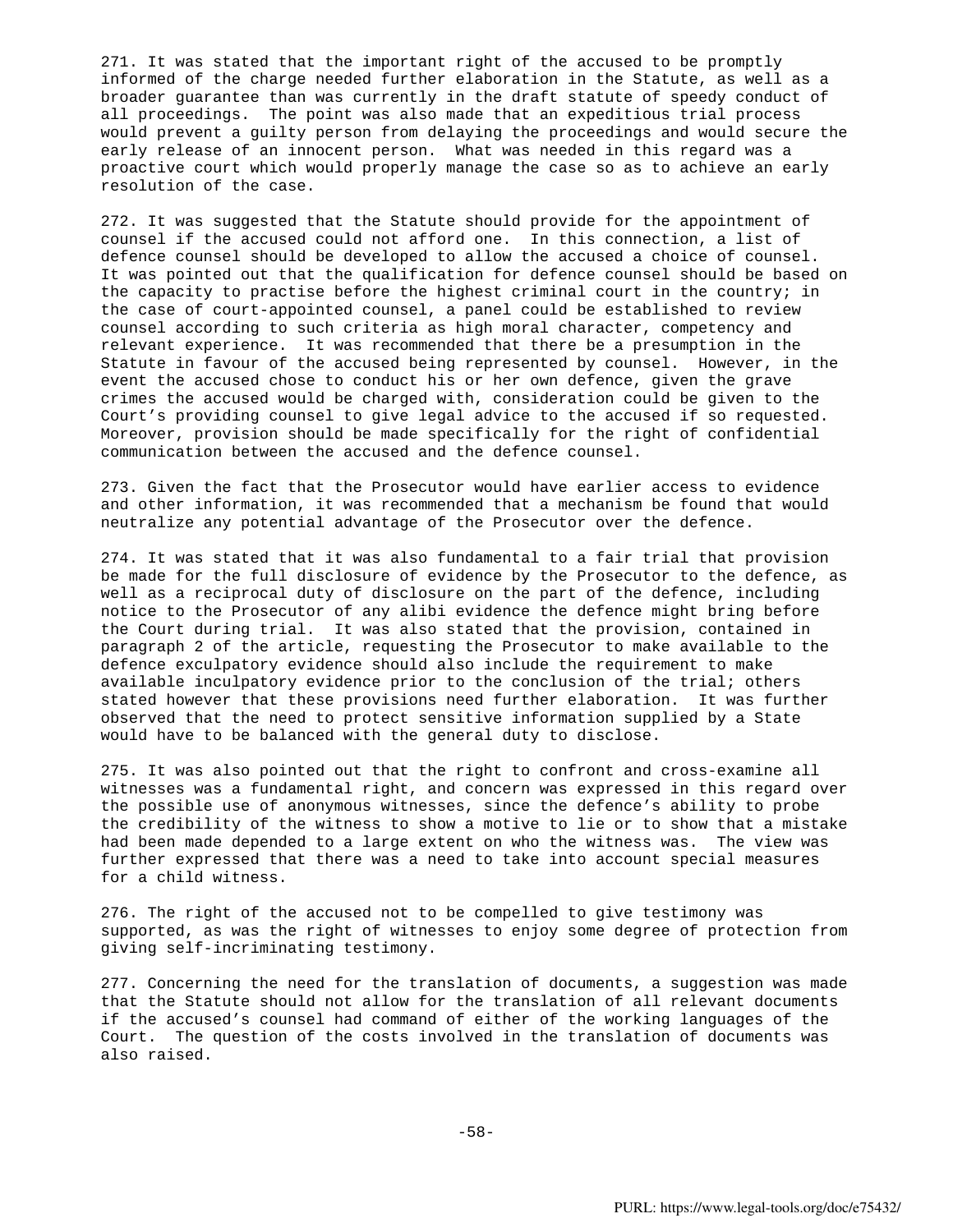271. It was stated that the important right of the accused to be promptly informed of the charge needed further elaboration in the Statute, as well as a broader guarantee than was currently in the draft statute of speedy conduct of all proceedings. The point was also made that an expeditious trial process would prevent a guilty person from delaying the proceedings and would secure the early release of an innocent person. What was needed in this regard was a proactive court which would properly manage the case so as to achieve an early resolution of the case.

272. It was suggested that the Statute should provide for the appointment of counsel if the accused could not afford one. In this connection, a list of defence counsel should be developed to allow the accused a choice of counsel. It was pointed out that the qualification for defence counsel should be based on the capacity to practise before the highest criminal court in the country; in the case of court-appointed counsel, a panel could be established to review counsel according to such criteria as high moral character, competency and relevant experience. It was recommended that there be a presumption in the Statute in favour of the accused being represented by counsel. However, in the event the accused chose to conduct his or her own defence, given the grave crimes the accused would be charged with, consideration could be given to the Court's providing counsel to give legal advice to the accused if so requested. Moreover, provision should be made specifically for the right of confidential communication between the accused and the defence counsel.

273. Given the fact that the Prosecutor would have earlier access to evidence and other information, it was recommended that a mechanism be found that would neutralize any potential advantage of the Prosecutor over the defence.

274. It was stated that it was also fundamental to a fair trial that provision be made for the full disclosure of evidence by the Prosecutor to the defence, as well as a reciprocal duty of disclosure on the part of the defence, including notice to the Prosecutor of any alibi evidence the defence might bring before the Court during trial. It was also stated that the provision, contained in paragraph 2 of the article, requesting the Prosecutor to make available to the defence exculpatory evidence should also include the requirement to make available inculpatory evidence prior to the conclusion of the trial; others stated however that these provisions need further elaboration. It was further observed that the need to protect sensitive information supplied by a State would have to be balanced with the general duty to disclose.

275. It was also pointed out that the right to confront and cross-examine all witnesses was a fundamental right, and concern was expressed in this regard over the possible use of anonymous witnesses, since the defence's ability to probe the credibility of the witness to show a motive to lie or to show that a mistake had been made depended to a large extent on who the witness was. The view was further expressed that there was a need to take into account special measures for a child witness.

276. The right of the accused not to be compelled to give testimony was supported, as was the right of witnesses to enjoy some degree of protection from giving self-incriminating testimony.

277. Concerning the need for the translation of documents, a suggestion was made that the Statute should not allow for the translation of all relevant documents if the accused's counsel had command of either of the working languages of the Court. The question of the costs involved in the translation of documents was also raised.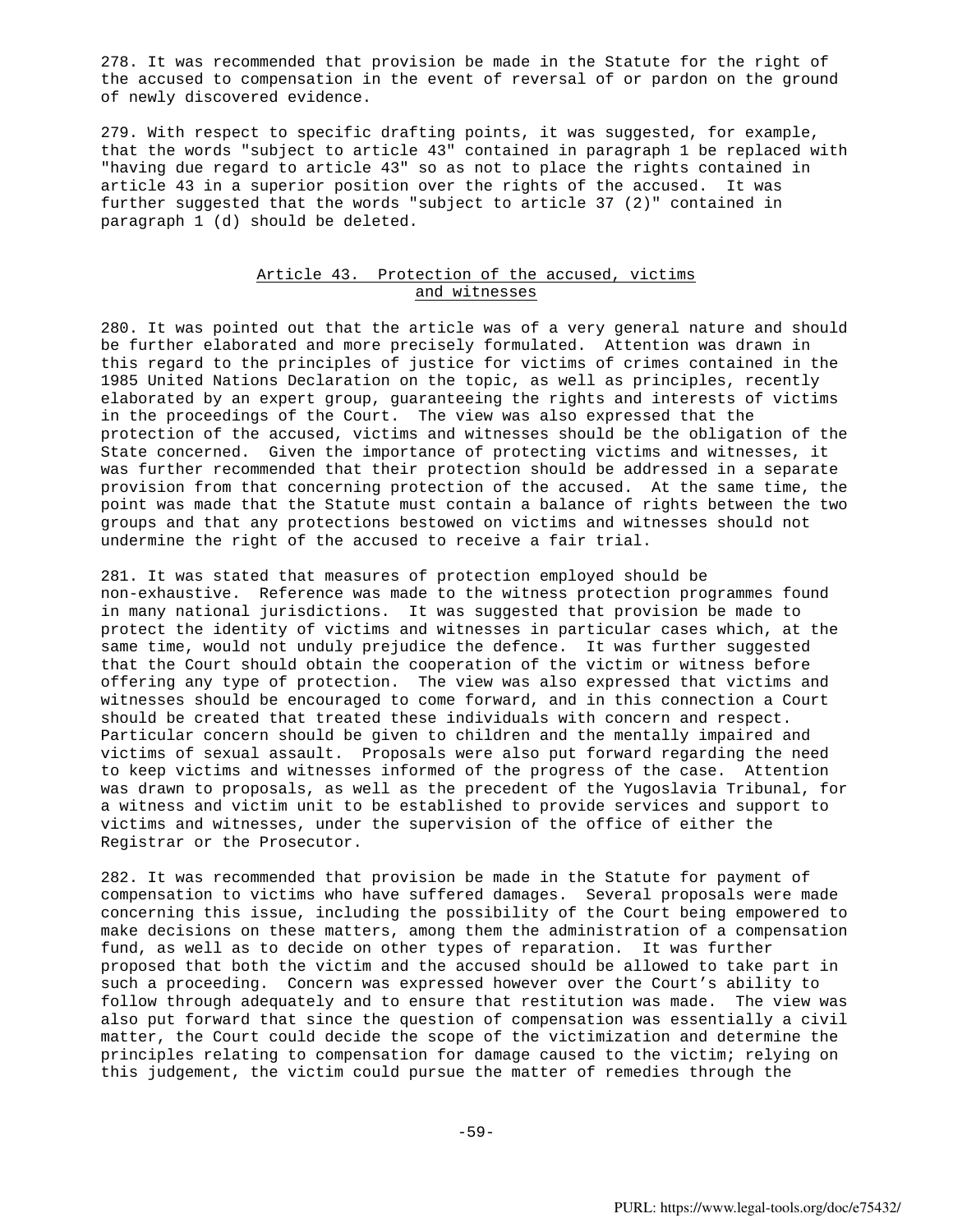278. It was recommended that provision be made in the Statute for the right of the accused to compensation in the event of reversal of or pardon on the ground of newly discovered evidence.

279. With respect to specific drafting points, it was suggested, for example, that the words "subject to article 43" contained in paragraph 1 be replaced with "having due regard to article 43" so as not to place the rights contained in article 43 in a superior position over the rights of the accused. It was further suggested that the words "subject to article 37 (2)" contained in paragraph 1 (d) should be deleted.

## Article 43. Protection of the accused, victims and witnesses

280. It was pointed out that the article was of a very general nature and should be further elaborated and more precisely formulated. Attention was drawn in this regard to the principles of justice for victims of crimes contained in the 1985 United Nations Declaration on the topic, as well as principles, recently elaborated by an expert group, guaranteeing the rights and interests of victims in the proceedings of the Court. The view was also expressed that the protection of the accused, victims and witnesses should be the obligation of the State concerned. Given the importance of protecting victims and witnesses, it was further recommended that their protection should be addressed in a separate provision from that concerning protection of the accused. At the same time, the point was made that the Statute must contain a balance of rights between the two groups and that any protections bestowed on victims and witnesses should not undermine the right of the accused to receive a fair trial.

281. It was stated that measures of protection employed should be non-exhaustive. Reference was made to the witness protection programmes found in many national jurisdictions. It was suggested that provision be made to protect the identity of victims and witnesses in particular cases which, at the same time, would not unduly prejudice the defence. It was further suggested that the Court should obtain the cooperation of the victim or witness before offering any type of protection. The view was also expressed that victims and witnesses should be encouraged to come forward, and in this connection a Court should be created that treated these individuals with concern and respect. Particular concern should be given to children and the mentally impaired and victims of sexual assault. Proposals were also put forward regarding the need to keep victims and witnesses informed of the progress of the case. Attention was drawn to proposals, as well as the precedent of the Yugoslavia Tribunal, for a witness and victim unit to be established to provide services and support to victims and witnesses, under the supervision of the office of either the Registrar or the Prosecutor.

282. It was recommended that provision be made in the Statute for payment of compensation to victims who have suffered damages. Several proposals were made concerning this issue, including the possibility of the Court being empowered to make decisions on these matters, among them the administration of a compensation fund, as well as to decide on other types of reparation. It was further proposed that both the victim and the accused should be allowed to take part in such a proceeding. Concern was expressed however over the Court's ability to follow through adequately and to ensure that restitution was made. The view was also put forward that since the question of compensation was essentially a civil matter, the Court could decide the scope of the victimization and determine the principles relating to compensation for damage caused to the victim; relying on this judgement, the victim could pursue the matter of remedies through the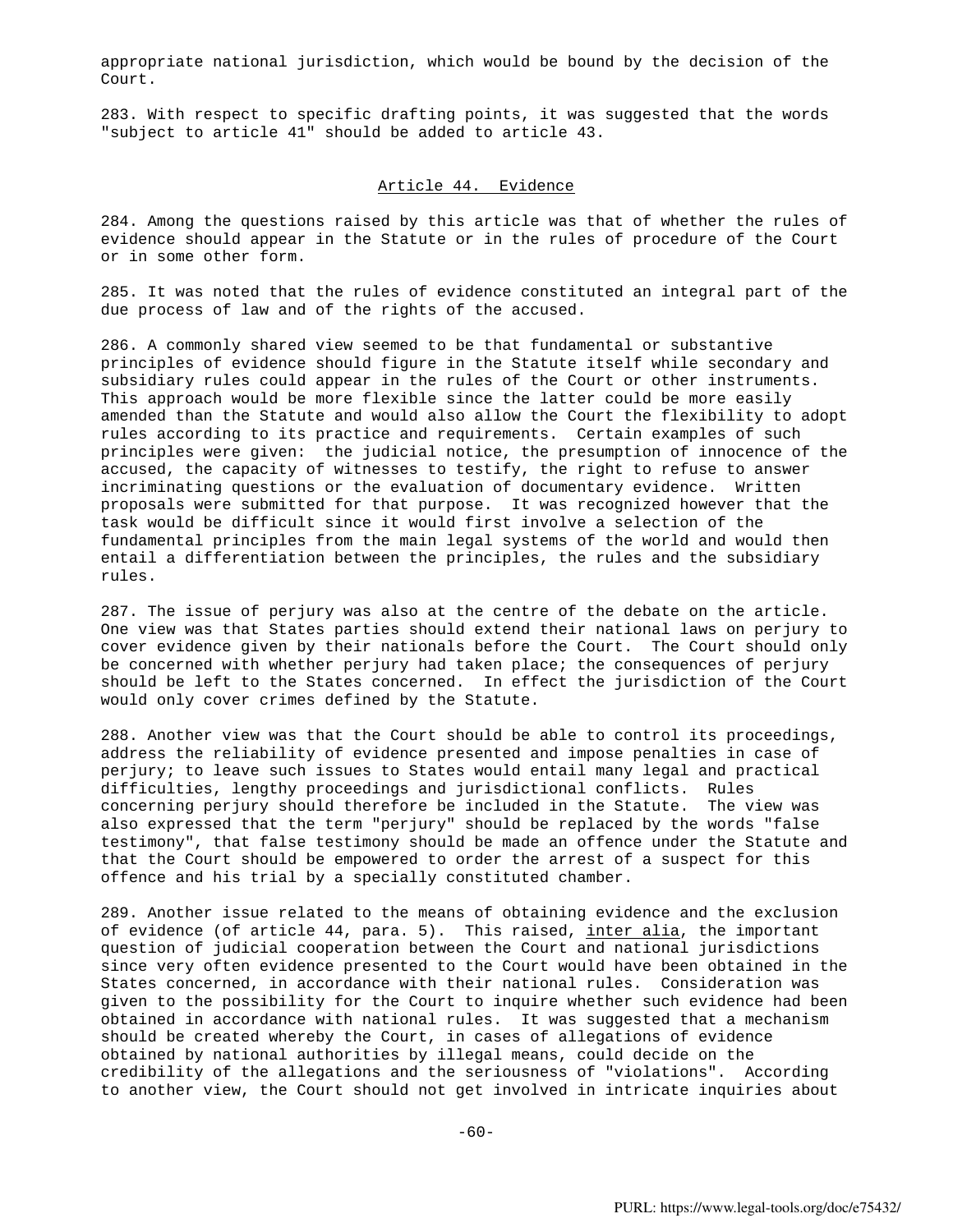appropriate national jurisdiction, which would be bound by the decision of the Court.

283. With respect to specific drafting points, it was suggested that the words "subject to article 41" should be added to article 43.

#### Article 44. Evidence

284. Among the questions raised by this article was that of whether the rules of evidence should appear in the Statute or in the rules of procedure of the Court or in some other form.

285. It was noted that the rules of evidence constituted an integral part of the due process of law and of the rights of the accused.

286. A commonly shared view seemed to be that fundamental or substantive principles of evidence should figure in the Statute itself while secondary and subsidiary rules could appear in the rules of the Court or other instruments. This approach would be more flexible since the latter could be more easily amended than the Statute and would also allow the Court the flexibility to adopt rules according to its practice and requirements. Certain examples of such principles were given: the judicial notice, the presumption of innocence of the accused, the capacity of witnesses to testify, the right to refuse to answer incriminating questions or the evaluation of documentary evidence. Written proposals were submitted for that purpose. It was recognized however that the task would be difficult since it would first involve a selection of the fundamental principles from the main legal systems of the world and would then entail a differentiation between the principles, the rules and the subsidiary rules.

287. The issue of perjury was also at the centre of the debate on the article. One view was that States parties should extend their national laws on perjury to cover evidence given by their nationals before the Court. The Court should only be concerned with whether perjury had taken place; the consequences of perjury should be left to the States concerned. In effect the jurisdiction of the Court would only cover crimes defined by the Statute.

288. Another view was that the Court should be able to control its proceedings, address the reliability of evidence presented and impose penalties in case of perjury; to leave such issues to States would entail many legal and practical difficulties, lengthy proceedings and jurisdictional conflicts. Rules concerning perjury should therefore be included in the Statute. The view was also expressed that the term "perjury" should be replaced by the words "false testimony", that false testimony should be made an offence under the Statute and that the Court should be empowered to order the arrest of a suspect for this offence and his trial by a specially constituted chamber.

289. Another issue related to the means of obtaining evidence and the exclusion of evidence (of article 44, para. 5). This raised, inter alia, the important question of judicial cooperation between the Court and national jurisdictions since very often evidence presented to the Court would have been obtained in the States concerned, in accordance with their national rules. Consideration was given to the possibility for the Court to inquire whether such evidence had been obtained in accordance with national rules. It was suggested that a mechanism should be created whereby the Court, in cases of allegations of evidence obtained by national authorities by illegal means, could decide on the credibility of the allegations and the seriousness of "violations". According to another view, the Court should not get involved in intricate inquiries about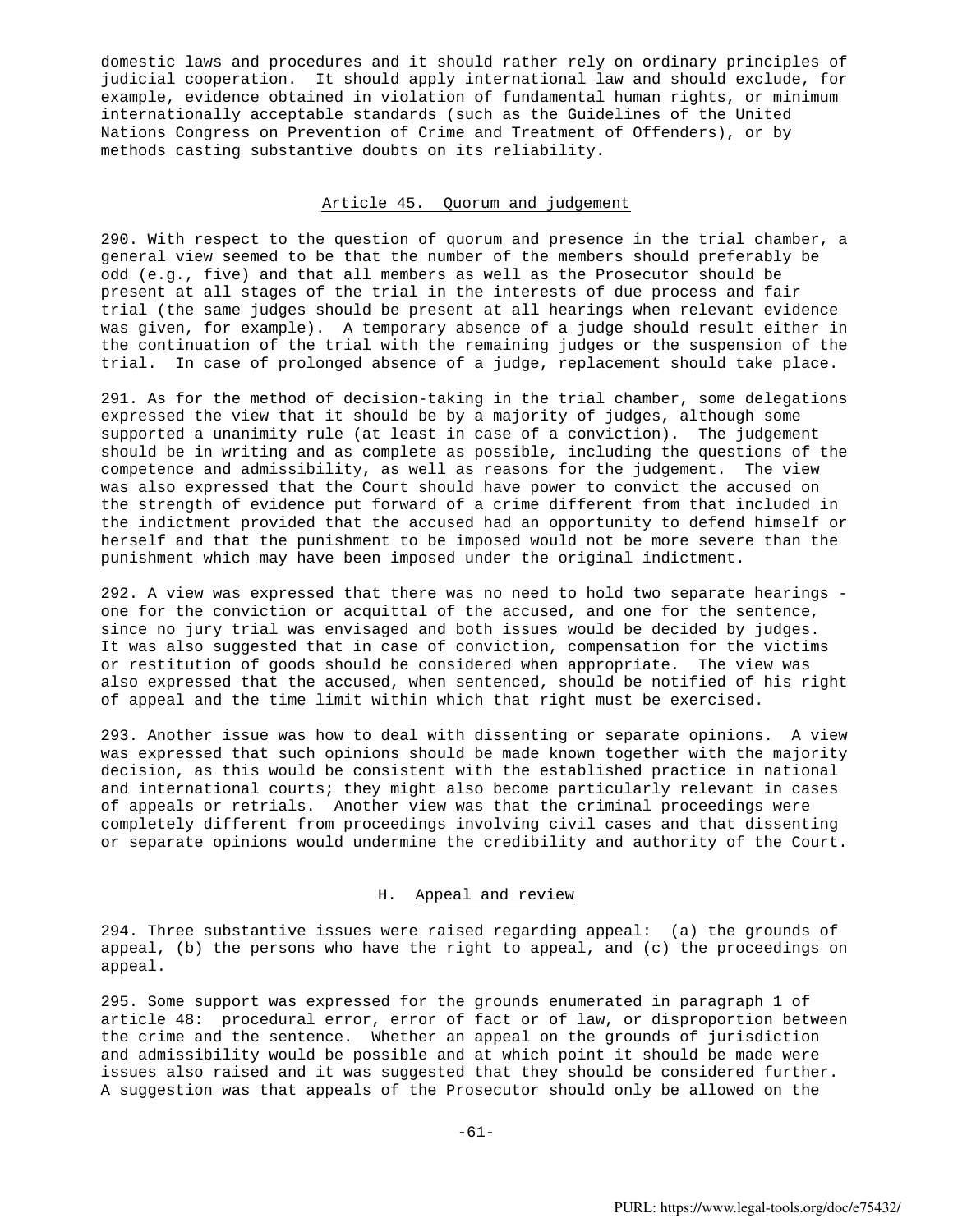domestic laws and procedures and it should rather rely on ordinary principles of judicial cooperation. It should apply international law and should exclude, for example, evidence obtained in violation of fundamental human rights, or minimum internationally acceptable standards (such as the Guidelines of the United Nations Congress on Prevention of Crime and Treatment of Offenders), or by methods casting substantive doubts on its reliability.

# Article 45. Quorum and judgement

290. With respect to the question of quorum and presence in the trial chamber, a general view seemed to be that the number of the members should preferably be odd (e.g., five) and that all members as well as the Prosecutor should be present at all stages of the trial in the interests of due process and fair trial (the same judges should be present at all hearings when relevant evidence was given, for example). A temporary absence of a judge should result either in the continuation of the trial with the remaining judges or the suspension of the trial. In case of prolonged absence of a judge, replacement should take place.

291. As for the method of decision-taking in the trial chamber, some delegations expressed the view that it should be by a majority of judges, although some supported a unanimity rule (at least in case of a conviction). The judgement should be in writing and as complete as possible, including the questions of the competence and admissibility, as well as reasons for the judgement. The view was also expressed that the Court should have power to convict the accused on the strength of evidence put forward of a crime different from that included in the indictment provided that the accused had an opportunity to defend himself or herself and that the punishment to be imposed would not be more severe than the punishment which may have been imposed under the original indictment.

292. A view was expressed that there was no need to hold two separate hearings one for the conviction or acquittal of the accused, and one for the sentence, since no jury trial was envisaged and both issues would be decided by judges. It was also suggested that in case of conviction, compensation for the victims or restitution of goods should be considered when appropriate. The view was also expressed that the accused, when sentenced, should be notified of his right of appeal and the time limit within which that right must be exercised.

293. Another issue was how to deal with dissenting or separate opinions. A view was expressed that such opinions should be made known together with the majority decision, as this would be consistent with the established practice in national and international courts; they might also become particularly relevant in cases of appeals or retrials. Another view was that the criminal proceedings were completely different from proceedings involving civil cases and that dissenting or separate opinions would undermine the credibility and authority of the Court.

## H. Appeal and review

294. Three substantive issues were raised regarding appeal: (a) the grounds of appeal, (b) the persons who have the right to appeal, and (c) the proceedings on appeal.

295. Some support was expressed for the grounds enumerated in paragraph 1 of article 48: procedural error, error of fact or of law, or disproportion between the crime and the sentence. Whether an appeal on the grounds of jurisdiction and admissibility would be possible and at which point it should be made were issues also raised and it was suggested that they should be considered further. A suggestion was that appeals of the Prosecutor should only be allowed on the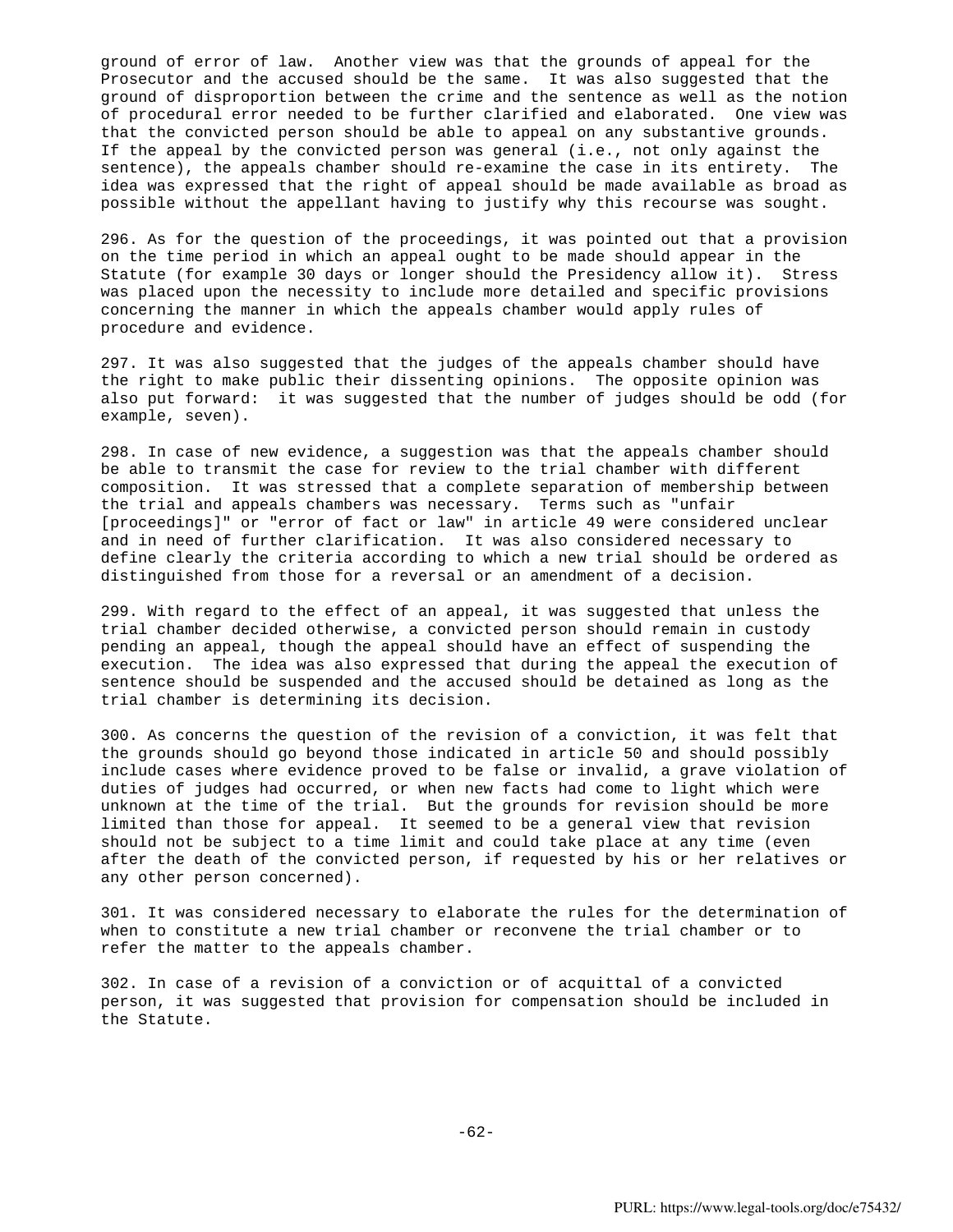ground of error of law. Another view was that the grounds of appeal for the Prosecutor and the accused should be the same. It was also suggested that the ground of disproportion between the crime and the sentence as well as the notion of procedural error needed to be further clarified and elaborated. One view was that the convicted person should be able to appeal on any substantive grounds. If the appeal by the convicted person was general (i.e., not only against the sentence), the appeals chamber should re-examine the case in its entirety. The idea was expressed that the right of appeal should be made available as broad as possible without the appellant having to justify why this recourse was sought.

296. As for the question of the proceedings, it was pointed out that a provision on the time period in which an appeal ought to be made should appear in the Statute (for example 30 days or longer should the Presidency allow it). Stress was placed upon the necessity to include more detailed and specific provisions concerning the manner in which the appeals chamber would apply rules of procedure and evidence.

297. It was also suggested that the judges of the appeals chamber should have the right to make public their dissenting opinions. The opposite opinion was also put forward: it was suggested that the number of judges should be odd (for example, seven).

298. In case of new evidence, a suggestion was that the appeals chamber should be able to transmit the case for review to the trial chamber with different composition. It was stressed that a complete separation of membership between the trial and appeals chambers was necessary. Terms such as "unfair [proceedings]" or "error of fact or law" in article 49 were considered unclear and in need of further clarification. It was also considered necessary to define clearly the criteria according to which a new trial should be ordered as distinguished from those for a reversal or an amendment of a decision.

299. With regard to the effect of an appeal, it was suggested that unless the trial chamber decided otherwise, a convicted person should remain in custody pending an appeal, though the appeal should have an effect of suspending the execution. The idea was also expressed that during the appeal the execution of sentence should be suspended and the accused should be detained as long as the trial chamber is determining its decision.

300. As concerns the question of the revision of a conviction, it was felt that the grounds should go beyond those indicated in article 50 and should possibly include cases where evidence proved to be false or invalid, a grave violation of duties of judges had occurred, or when new facts had come to light which were unknown at the time of the trial. But the grounds for revision should be more limited than those for appeal. It seemed to be a general view that revision should not be subject to a time limit and could take place at any time (even after the death of the convicted person, if requested by his or her relatives or any other person concerned).

301. It was considered necessary to elaborate the rules for the determination of when to constitute a new trial chamber or reconvene the trial chamber or to refer the matter to the appeals chamber.

302. In case of a revision of a conviction or of acquittal of a convicted person, it was suggested that provision for compensation should be included in the Statute.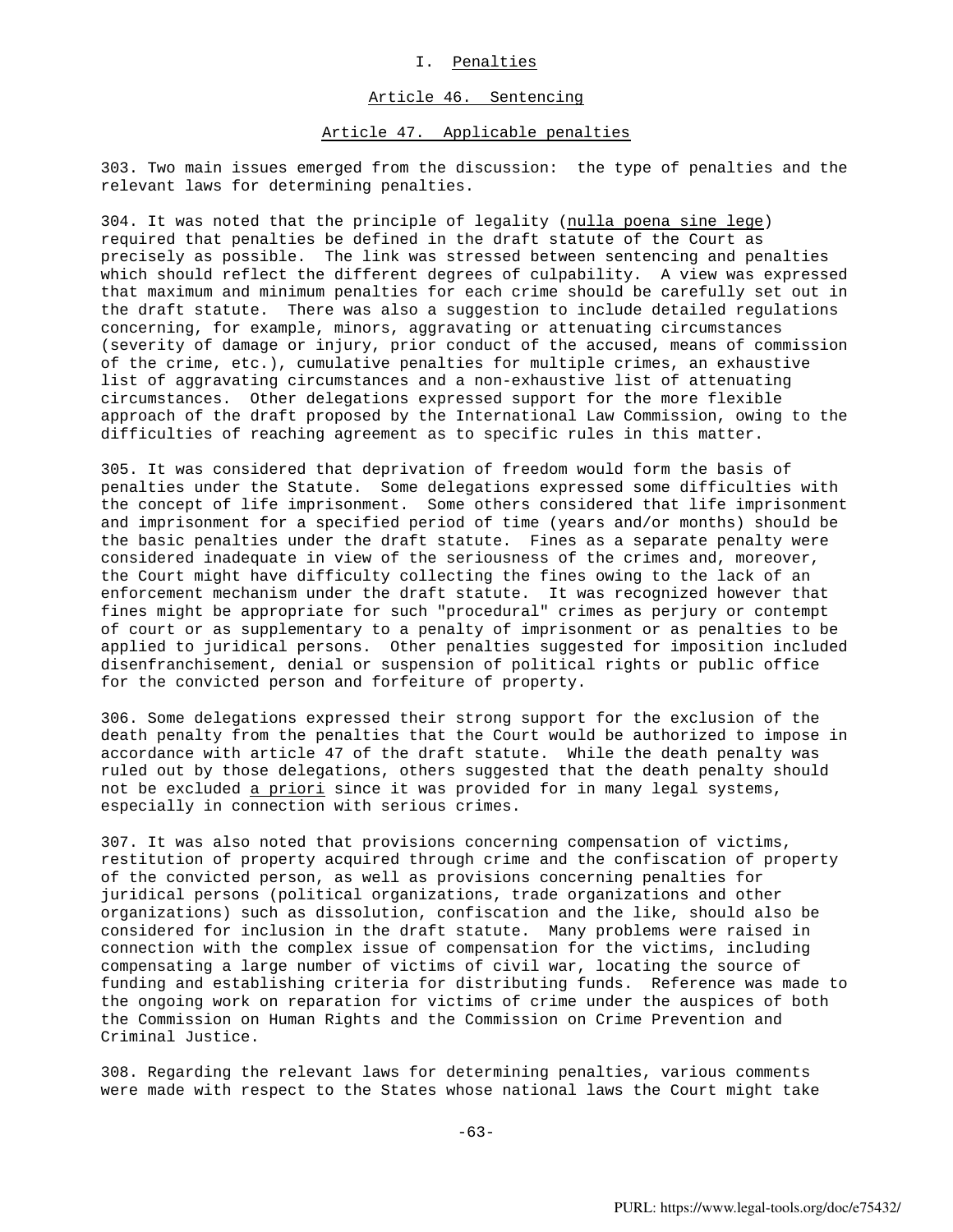#### I. Penalties

## Article 46. Sentencing

#### Article 47. Applicable penalties

303. Two main issues emerged from the discussion: the type of penalties and the relevant laws for determining penalties.

304. It was noted that the principle of legality (nulla poena sine lege) required that penalties be defined in the draft statute of the Court as precisely as possible. The link was stressed between sentencing and penalties which should reflect the different degrees of culpability. A view was expressed that maximum and minimum penalties for each crime should be carefully set out in the draft statute. There was also a suggestion to include detailed regulations concerning, for example, minors, aggravating or attenuating circumstances (severity of damage or injury, prior conduct of the accused, means of commission of the crime, etc.), cumulative penalties for multiple crimes, an exhaustive list of aggravating circumstances and a non-exhaustive list of attenuating circumstances. Other delegations expressed support for the more flexible approach of the draft proposed by the International Law Commission, owing to the difficulties of reaching agreement as to specific rules in this matter.

305. It was considered that deprivation of freedom would form the basis of penalties under the Statute. Some delegations expressed some difficulties with the concept of life imprisonment. Some others considered that life imprisonment and imprisonment for a specified period of time (years and/or months) should be the basic penalties under the draft statute. Fines as a separate penalty were considered inadequate in view of the seriousness of the crimes and, moreover, the Court might have difficulty collecting the fines owing to the lack of an enforcement mechanism under the draft statute. It was recognized however that fines might be appropriate for such "procedural" crimes as perjury or contempt of court or as supplementary to a penalty of imprisonment or as penalties to be applied to juridical persons. Other penalties suggested for imposition included disenfranchisement, denial or suspension of political rights or public office for the convicted person and forfeiture of property.

306. Some delegations expressed their strong support for the exclusion of the death penalty from the penalties that the Court would be authorized to impose in accordance with article 47 of the draft statute. While the death penalty was ruled out by those delegations, others suggested that the death penalty should not be excluded a priori since it was provided for in many legal systems, especially in connection with serious crimes.

307. It was also noted that provisions concerning compensation of victims, restitution of property acquired through crime and the confiscation of property of the convicted person, as well as provisions concerning penalties for juridical persons (political organizations, trade organizations and other organizations) such as dissolution, confiscation and the like, should also be considered for inclusion in the draft statute. Many problems were raised in connection with the complex issue of compensation for the victims, including compensating a large number of victims of civil war, locating the source of funding and establishing criteria for distributing funds. Reference was made to the ongoing work on reparation for victims of crime under the auspices of both the Commission on Human Rights and the Commission on Crime Prevention and Criminal Justice.

308. Regarding the relevant laws for determining penalties, various comments were made with respect to the States whose national laws the Court might take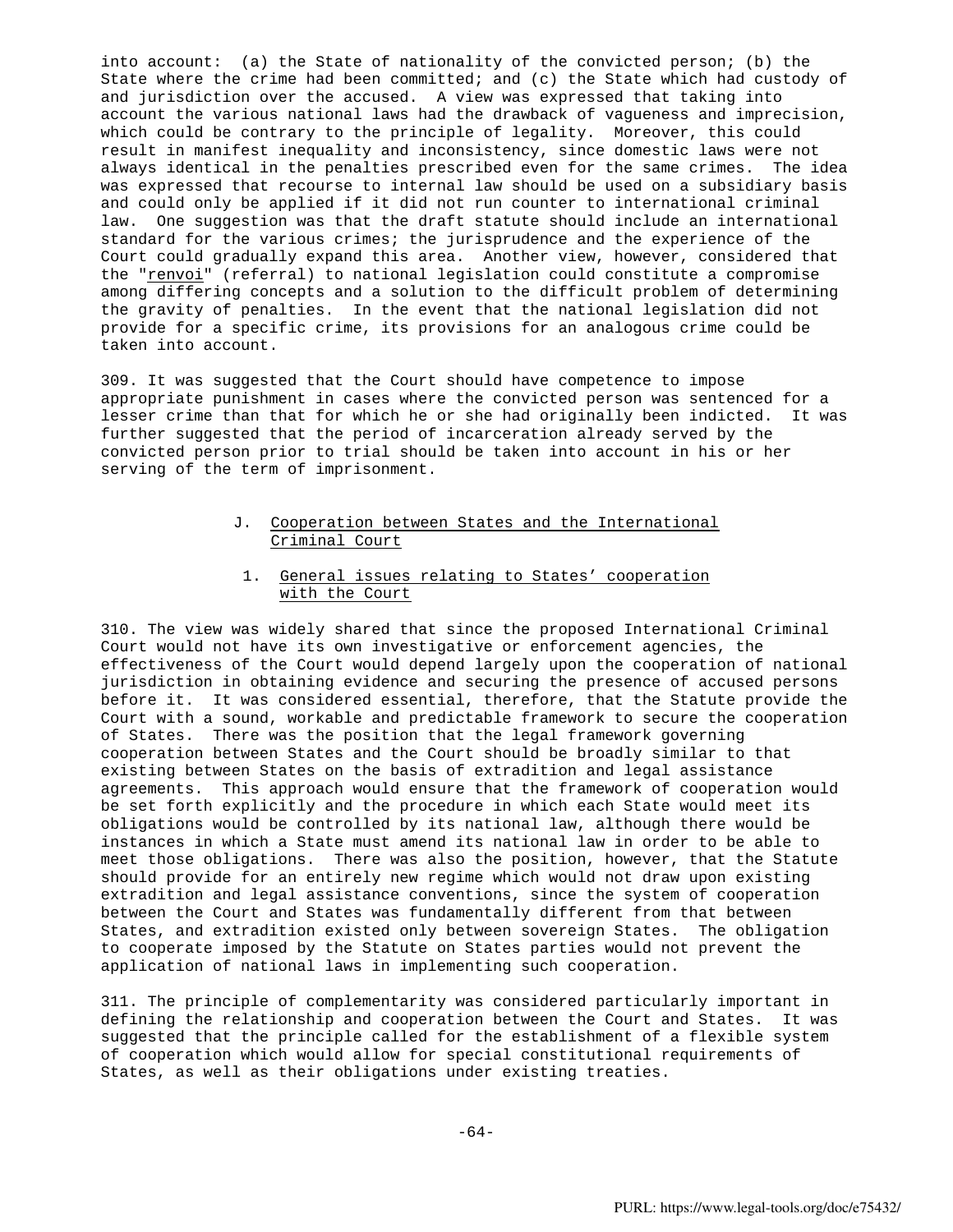into account: (a) the State of nationality of the convicted person; (b) the State where the crime had been committed; and (c) the State which had custody of and jurisdiction over the accused. A view was expressed that taking into account the various national laws had the drawback of vagueness and imprecision, which could be contrary to the principle of legality. Moreover, this could result in manifest inequality and inconsistency, since domestic laws were not always identical in the penalties prescribed even for the same crimes. The idea was expressed that recourse to internal law should be used on a subsidiary basis and could only be applied if it did not run counter to international criminal law. One suggestion was that the draft statute should include an international standard for the various crimes; the jurisprudence and the experience of the Court could gradually expand this area. Another view, however, considered that the "renvoi" (referral) to national legislation could constitute a compromise among differing concepts and a solution to the difficult problem of determining the gravity of penalties. In the event that the national legislation did not provide for a specific crime, its provisions for an analogous crime could be taken into account.

309. It was suggested that the Court should have competence to impose appropriate punishment in cases where the convicted person was sentenced for a lesser crime than that for which he or she had originally been indicted. It was further suggested that the period of incarceration already served by the convicted person prior to trial should be taken into account in his or her serving of the term of imprisonment.

# J. Cooperation between States and the International Criminal Court

# 1. General issues relating to States' cooperation with the Court

310. The view was widely shared that since the proposed International Criminal Court would not have its own investigative or enforcement agencies, the effectiveness of the Court would depend largely upon the cooperation of national jurisdiction in obtaining evidence and securing the presence of accused persons before it. It was considered essential, therefore, that the Statute provide the Court with a sound, workable and predictable framework to secure the cooperation of States. There was the position that the legal framework governing cooperation between States and the Court should be broadly similar to that existing between States on the basis of extradition and legal assistance agreements. This approach would ensure that the framework of cooperation would be set forth explicitly and the procedure in which each State would meet its obligations would be controlled by its national law, although there would be instances in which a State must amend its national law in order to be able to meet those obligations. There was also the position, however, that the Statute should provide for an entirely new regime which would not draw upon existing extradition and legal assistance conventions, since the system of cooperation between the Court and States was fundamentally different from that between States, and extradition existed only between sovereign States. The obligation to cooperate imposed by the Statute on States parties would not prevent the application of national laws in implementing such cooperation.

311. The principle of complementarity was considered particularly important in defining the relationship and cooperation between the Court and States. It was suggested that the principle called for the establishment of a flexible system of cooperation which would allow for special constitutional requirements of States, as well as their obligations under existing treaties.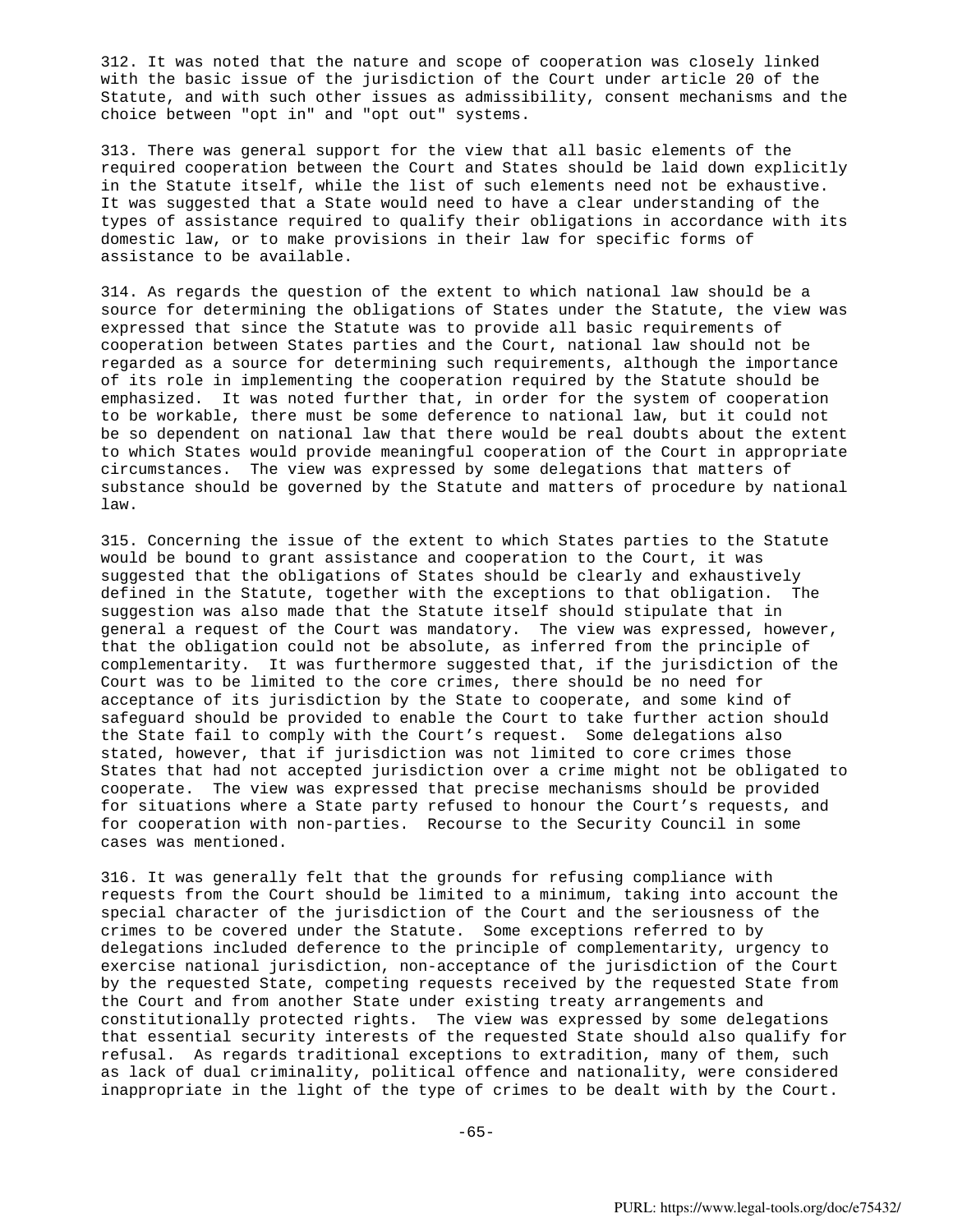312. It was noted that the nature and scope of cooperation was closely linked with the basic issue of the jurisdiction of the Court under article 20 of the Statute, and with such other issues as admissibility, consent mechanisms and the choice between "opt in" and "opt out" systems.

313. There was general support for the view that all basic elements of the required cooperation between the Court and States should be laid down explicitly in the Statute itself, while the list of such elements need not be exhaustive. It was suggested that a State would need to have a clear understanding of the types of assistance required to qualify their obligations in accordance with its domestic law, or to make provisions in their law for specific forms of assistance to be available.

314. As regards the question of the extent to which national law should be a source for determining the obligations of States under the Statute, the view was expressed that since the Statute was to provide all basic requirements of cooperation between States parties and the Court, national law should not be regarded as a source for determining such requirements, although the importance of its role in implementing the cooperation required by the Statute should be emphasized. It was noted further that, in order for the system of cooperation to be workable, there must be some deference to national law, but it could not be so dependent on national law that there would be real doubts about the extent to which States would provide meaningful cooperation of the Court in appropriate circumstances. The view was expressed by some delegations that matters of substance should be governed by the Statute and matters of procedure by national law.

315. Concerning the issue of the extent to which States parties to the Statute would be bound to grant assistance and cooperation to the Court, it was suggested that the obligations of States should be clearly and exhaustively defined in the Statute, together with the exceptions to that obligation. The suggestion was also made that the Statute itself should stipulate that in general a request of the Court was mandatory. The view was expressed, however, that the obligation could not be absolute, as inferred from the principle of complementarity. It was furthermore suggested that, if the jurisdiction of the Court was to be limited to the core crimes, there should be no need for acceptance of its jurisdiction by the State to cooperate, and some kind of safeguard should be provided to enable the Court to take further action should the State fail to comply with the Court's request. Some delegations also stated, however, that if jurisdiction was not limited to core crimes those States that had not accepted jurisdiction over a crime might not be obligated to cooperate. The view was expressed that precise mechanisms should be provided for situations where a State party refused to honour the Court's requests, and for cooperation with non-parties. Recourse to the Security Council in some cases was mentioned.

316. It was generally felt that the grounds for refusing compliance with requests from the Court should be limited to a minimum, taking into account the special character of the jurisdiction of the Court and the seriousness of the crimes to be covered under the Statute. Some exceptions referred to by delegations included deference to the principle of complementarity, urgency to exercise national jurisdiction, non-acceptance of the jurisdiction of the Court by the requested State, competing requests received by the requested State from the Court and from another State under existing treaty arrangements and constitutionally protected rights. The view was expressed by some delegations that essential security interests of the requested State should also qualify for refusal. As regards traditional exceptions to extradition, many of them, such as lack of dual criminality, political offence and nationality, were considered inappropriate in the light of the type of crimes to be dealt with by the Court.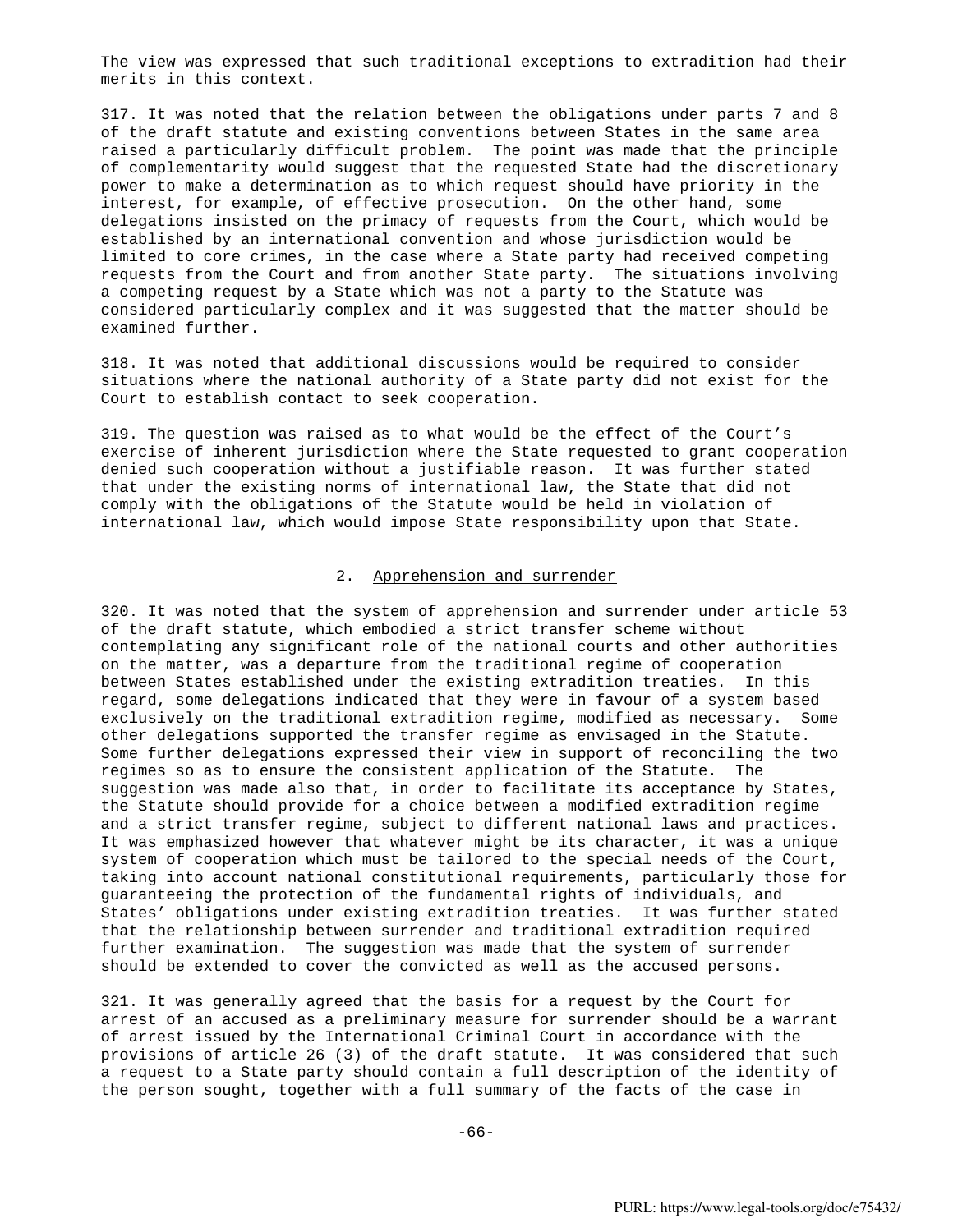The view was expressed that such traditional exceptions to extradition had their merits in this context.

317. It was noted that the relation between the obligations under parts 7 and 8 of the draft statute and existing conventions between States in the same area raised a particularly difficult problem. The point was made that the principle of complementarity would suggest that the requested State had the discretionary power to make a determination as to which request should have priority in the interest, for example, of effective prosecution. On the other hand, some delegations insisted on the primacy of requests from the Court, which would be established by an international convention and whose jurisdiction would be limited to core crimes, in the case where a State party had received competing requests from the Court and from another State party. The situations involving a competing request by a State which was not a party to the Statute was considered particularly complex and it was suggested that the matter should be examined further.

318. It was noted that additional discussions would be required to consider situations where the national authority of a State party did not exist for the Court to establish contact to seek cooperation.

319. The question was raised as to what would be the effect of the Court's exercise of inherent jurisdiction where the State requested to grant cooperation denied such cooperation without a justifiable reason. It was further stated that under the existing norms of international law, the State that did not comply with the obligations of the Statute would be held in violation of international law, which would impose State responsibility upon that State.

#### 2. Apprehension and surrender

320. It was noted that the system of apprehension and surrender under article 53 of the draft statute, which embodied a strict transfer scheme without contemplating any significant role of the national courts and other authorities on the matter, was a departure from the traditional regime of cooperation between States established under the existing extradition treaties. In this regard, some delegations indicated that they were in favour of a system based exclusively on the traditional extradition regime, modified as necessary. Some other delegations supported the transfer regime as envisaged in the Statute. Some further delegations expressed their view in support of reconciling the two regimes so as to ensure the consistent application of the Statute. The suggestion was made also that, in order to facilitate its acceptance by States, the Statute should provide for a choice between a modified extradition regime and a strict transfer regime, subject to different national laws and practices. It was emphasized however that whatever might be its character, it was a unique system of cooperation which must be tailored to the special needs of the Court, taking into account national constitutional requirements, particularly those for guaranteeing the protection of the fundamental rights of individuals, and States' obligations under existing extradition treaties. It was further stated that the relationship between surrender and traditional extradition required further examination. The suggestion was made that the system of surrender should be extended to cover the convicted as well as the accused persons.

321. It was generally agreed that the basis for a request by the Court for arrest of an accused as a preliminary measure for surrender should be a warrant of arrest issued by the International Criminal Court in accordance with the provisions of article 26 (3) of the draft statute. It was considered that such a request to a State party should contain a full description of the identity of the person sought, together with a full summary of the facts of the case in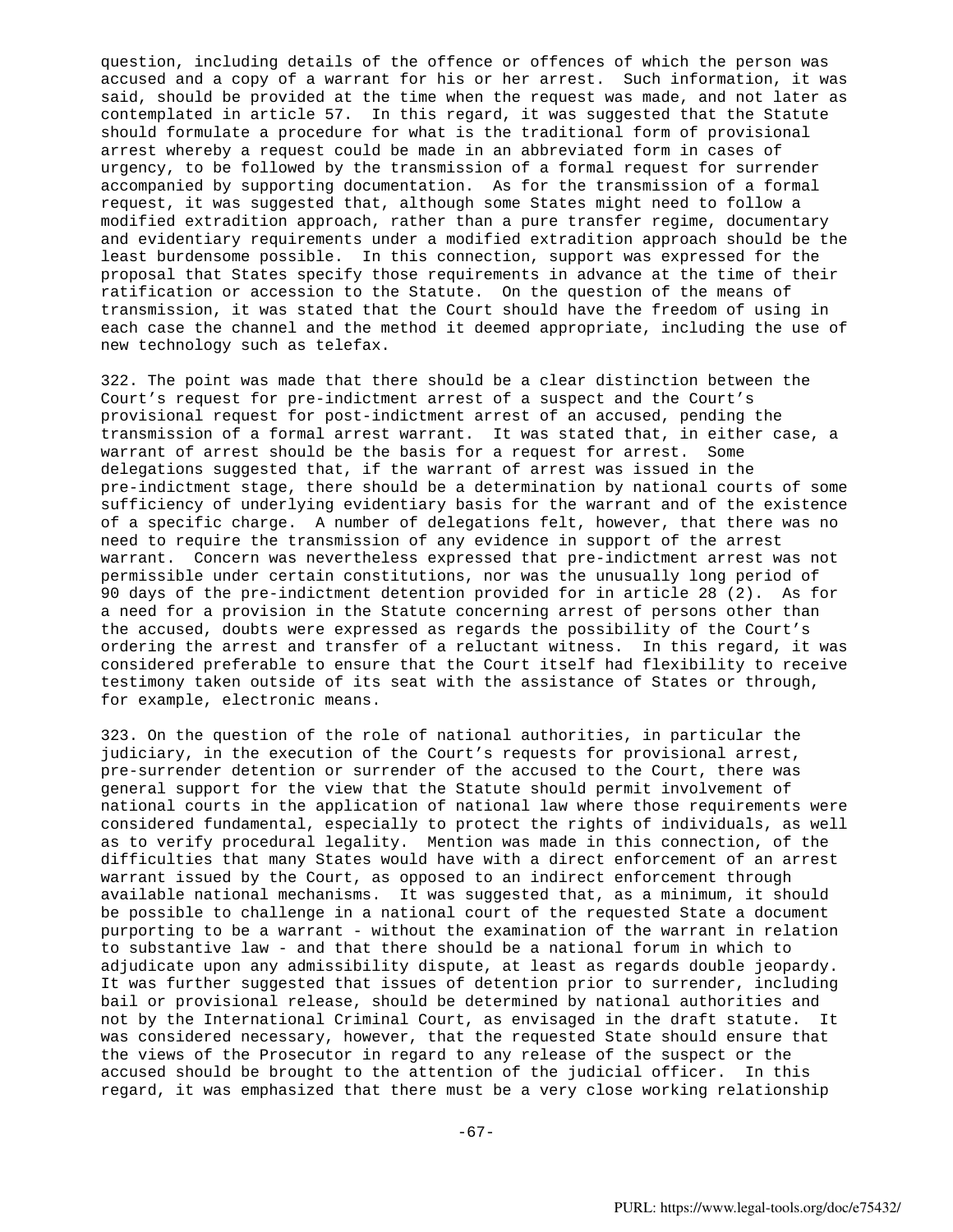question, including details of the offence or offences of which the person was accused and a copy of a warrant for his or her arrest. Such information, it was said, should be provided at the time when the request was made, and not later as contemplated in article 57. In this regard, it was suggested that the Statute should formulate a procedure for what is the traditional form of provisional arrest whereby a request could be made in an abbreviated form in cases of urgency, to be followed by the transmission of a formal request for surrender accompanied by supporting documentation. As for the transmission of a formal request, it was suggested that, although some States might need to follow a modified extradition approach, rather than a pure transfer regime, documentary and evidentiary requirements under a modified extradition approach should be the least burdensome possible. In this connection, support was expressed for the proposal that States specify those requirements in advance at the time of their ratification or accession to the Statute. On the question of the means of transmission, it was stated that the Court should have the freedom of using in each case the channel and the method it deemed appropriate, including the use of new technology such as telefax.

322. The point was made that there should be a clear distinction between the Court's request for pre-indictment arrest of a suspect and the Court's provisional request for post-indictment arrest of an accused, pending the transmission of a formal arrest warrant. It was stated that, in either case, a warrant of arrest should be the basis for a request for arrest. Some delegations suggested that, if the warrant of arrest was issued in the pre-indictment stage, there should be a determination by national courts of some sufficiency of underlying evidentiary basis for the warrant and of the existence of a specific charge. A number of delegations felt, however, that there was no need to require the transmission of any evidence in support of the arrest warrant. Concern was nevertheless expressed that pre-indictment arrest was not permissible under certain constitutions, nor was the unusually long period of 90 days of the pre-indictment detention provided for in article 28 (2). As for a need for a provision in the Statute concerning arrest of persons other than the accused, doubts were expressed as regards the possibility of the Court's ordering the arrest and transfer of a reluctant witness. In this regard, it was considered preferable to ensure that the Court itself had flexibility to receive testimony taken outside of its seat with the assistance of States or through, for example, electronic means.

323. On the question of the role of national authorities, in particular the judiciary, in the execution of the Court's requests for provisional arrest, pre-surrender detention or surrender of the accused to the Court, there was general support for the view that the Statute should permit involvement of national courts in the application of national law where those requirements were considered fundamental, especially to protect the rights of individuals, as well as to verify procedural legality. Mention was made in this connection, of the difficulties that many States would have with a direct enforcement of an arrest warrant issued by the Court, as opposed to an indirect enforcement through available national mechanisms. It was suggested that, as a minimum, it should be possible to challenge in a national court of the requested State a document purporting to be a warrant - without the examination of the warrant in relation to substantive law - and that there should be a national forum in which to adjudicate upon any admissibility dispute, at least as regards double jeopardy. It was further suggested that issues of detention prior to surrender, including bail or provisional release, should be determined by national authorities and not by the International Criminal Court, as envisaged in the draft statute. It was considered necessary, however, that the requested State should ensure that the views of the Prosecutor in regard to any release of the suspect or the accused should be brought to the attention of the judicial officer. In this regard, it was emphasized that there must be a very close working relationship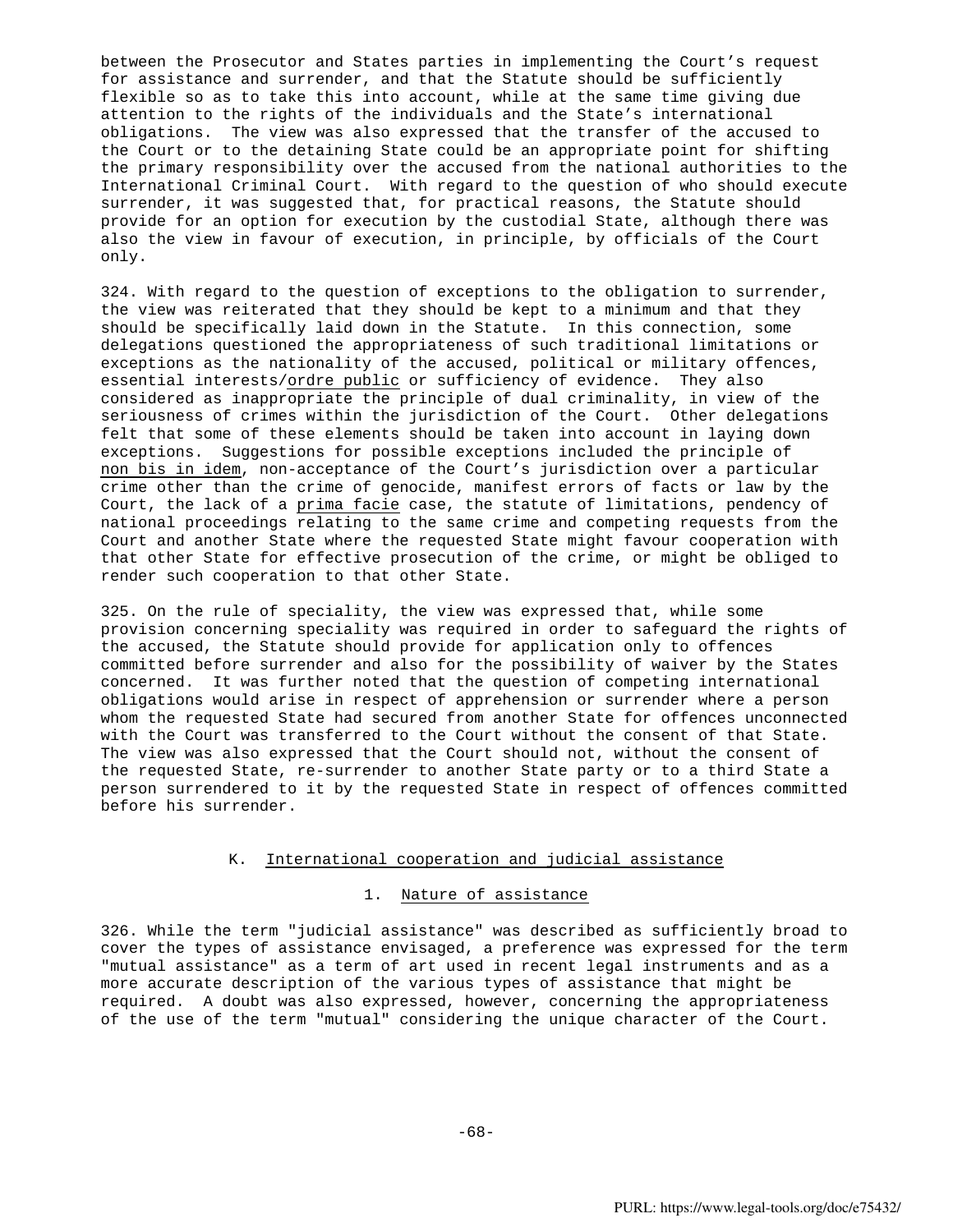between the Prosecutor and States parties in implementing the Court's request for assistance and surrender, and that the Statute should be sufficiently flexible so as to take this into account, while at the same time giving due attention to the rights of the individuals and the State's international obligations. The view was also expressed that the transfer of the accused to the Court or to the detaining State could be an appropriate point for shifting the primary responsibility over the accused from the national authorities to the International Criminal Court. With regard to the question of who should execute surrender, it was suggested that, for practical reasons, the Statute should provide for an option for execution by the custodial State, although there was also the view in favour of execution, in principle, by officials of the Court only.

324. With regard to the question of exceptions to the obligation to surrender, the view was reiterated that they should be kept to a minimum and that they should be specifically laid down in the Statute. In this connection, some delegations questioned the appropriateness of such traditional limitations or exceptions as the nationality of the accused, political or military offences, essential interests/ordre public or sufficiency of evidence. They also considered as inappropriate the principle of dual criminality, in view of the seriousness of crimes within the jurisdiction of the Court. Other delegations felt that some of these elements should be taken into account in laying down exceptions. Suggestions for possible exceptions included the principle of non bis in idem, non-acceptance of the Court's jurisdiction over a particular crime other than the crime of genocide, manifest errors of facts or law by the Court, the lack of a prima facie case, the statute of limitations, pendency of national proceedings relating to the same crime and competing requests from the Court and another State where the requested State might favour cooperation with that other State for effective prosecution of the crime, or might be obliged to render such cooperation to that other State.

325. On the rule of speciality, the view was expressed that, while some provision concerning speciality was required in order to safeguard the rights of the accused, the Statute should provide for application only to offences committed before surrender and also for the possibility of waiver by the States concerned. It was further noted that the question of competing international obligations would arise in respect of apprehension or surrender where a person whom the requested State had secured from another State for offences unconnected with the Court was transferred to the Court without the consent of that State. The view was also expressed that the Court should not, without the consent of the requested State, re-surrender to another State party or to a third State a person surrendered to it by the requested State in respect of offences committed before his surrender.

# K. International cooperation and judicial assistance

# 1. Nature of assistance

326. While the term "judicial assistance" was described as sufficiently broad to cover the types of assistance envisaged, a preference was expressed for the term "mutual assistance" as a term of art used in recent legal instruments and as a more accurate description of the various types of assistance that might be required. A doubt was also expressed, however, concerning the appropriateness of the use of the term "mutual" considering the unique character of the Court.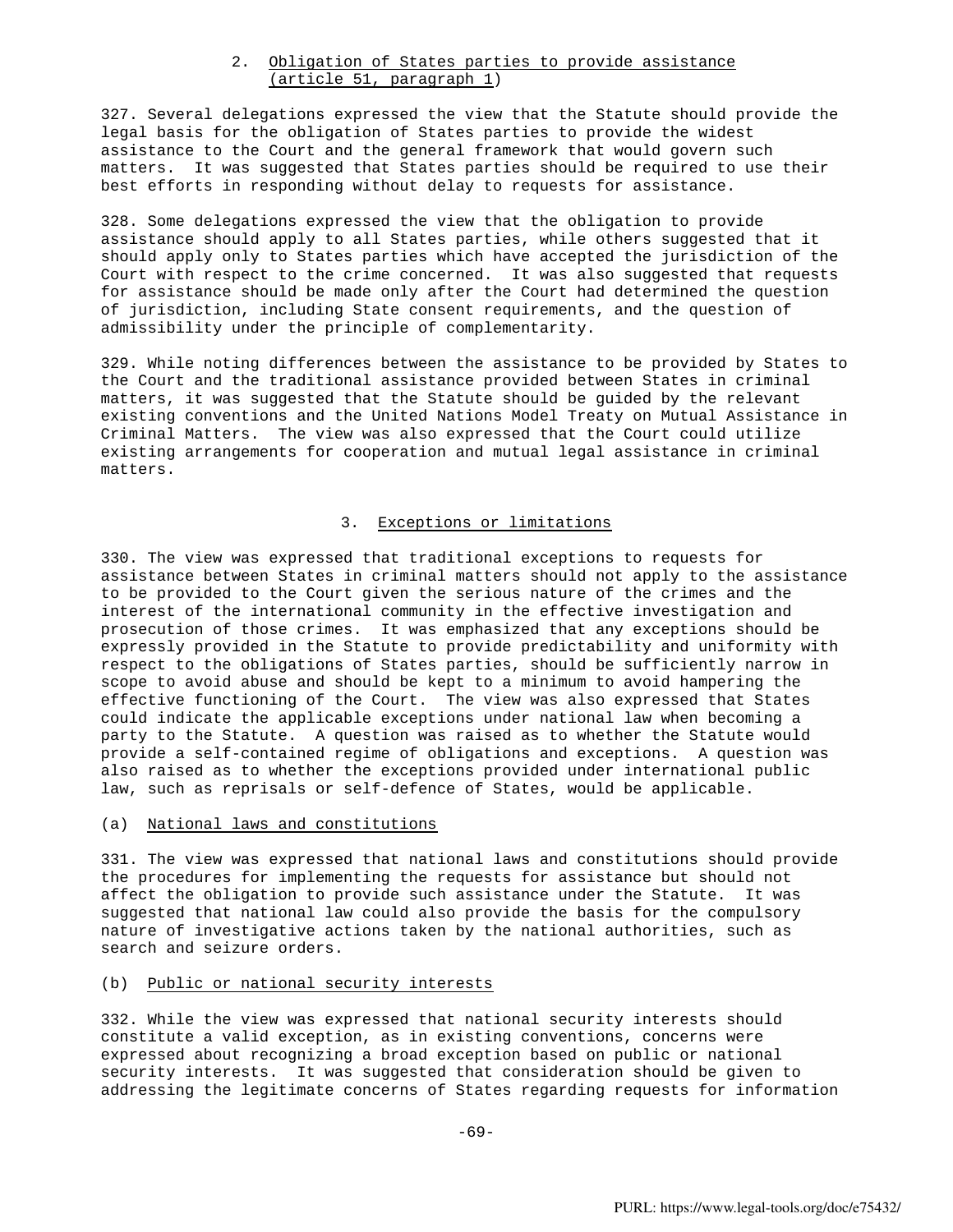## 2. Obligation of States parties to provide assistance (article 51, paragraph 1)

327. Several delegations expressed the view that the Statute should provide the legal basis for the obligation of States parties to provide the widest assistance to the Court and the general framework that would govern such matters. It was suggested that States parties should be required to use their best efforts in responding without delay to requests for assistance.

328. Some delegations expressed the view that the obligation to provide assistance should apply to all States parties, while others suggested that it should apply only to States parties which have accepted the jurisdiction of the Court with respect to the crime concerned. It was also suggested that requests for assistance should be made only after the Court had determined the question of jurisdiction, including State consent requirements, and the question of admissibility under the principle of complementarity.

329. While noting differences between the assistance to be provided by States to the Court and the traditional assistance provided between States in criminal matters, it was suggested that the Statute should be guided by the relevant existing conventions and the United Nations Model Treaty on Mutual Assistance in Criminal Matters. The view was also expressed that the Court could utilize existing arrangements for cooperation and mutual legal assistance in criminal matters.

# 3. Exceptions or limitations

330. The view was expressed that traditional exceptions to requests for assistance between States in criminal matters should not apply to the assistance to be provided to the Court given the serious nature of the crimes and the interest of the international community in the effective investigation and prosecution of those crimes. It was emphasized that any exceptions should be expressly provided in the Statute to provide predictability and uniformity with respect to the obligations of States parties, should be sufficiently narrow in scope to avoid abuse and should be kept to a minimum to avoid hampering the effective functioning of the Court. The view was also expressed that States could indicate the applicable exceptions under national law when becoming a party to the Statute. A question was raised as to whether the Statute would provide a self-contained regime of obligations and exceptions. A question was also raised as to whether the exceptions provided under international public law, such as reprisals or self-defence of States, would be applicable.

#### (a) National laws and constitutions

331. The view was expressed that national laws and constitutions should provide the procedures for implementing the requests for assistance but should not affect the obligation to provide such assistance under the Statute. It was suggested that national law could also provide the basis for the compulsory nature of investigative actions taken by the national authorities, such as search and seizure orders.

## (b) Public or national security interests

332. While the view was expressed that national security interests should constitute a valid exception, as in existing conventions, concerns were expressed about recognizing a broad exception based on public or national security interests. It was suggested that consideration should be given to addressing the legitimate concerns of States regarding requests for information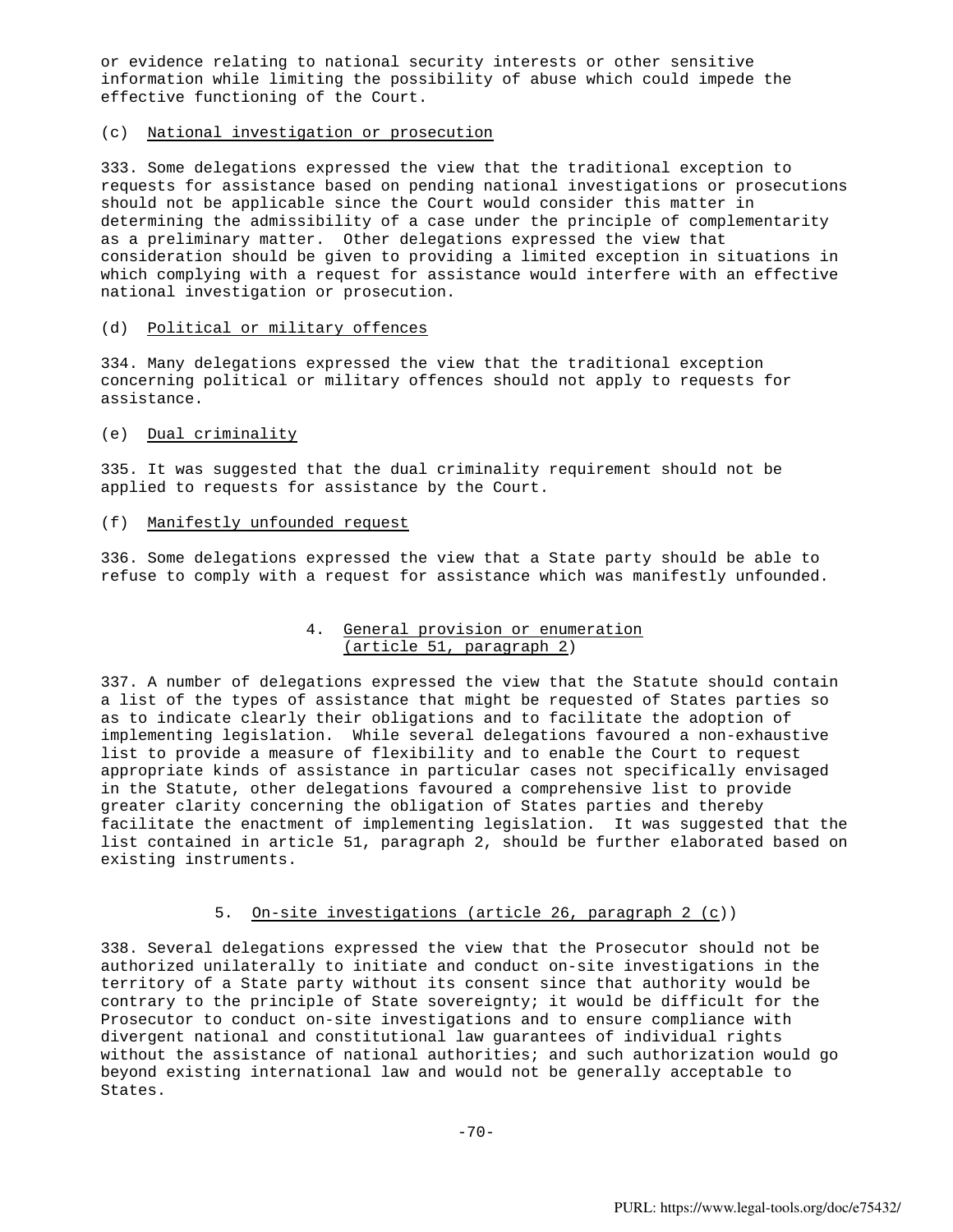or evidence relating to national security interests or other sensitive information while limiting the possibility of abuse which could impede the effective functioning of the Court.

#### (c) National investigation or prosecution

333. Some delegations expressed the view that the traditional exception to requests for assistance based on pending national investigations or prosecutions should not be applicable since the Court would consider this matter in determining the admissibility of a case under the principle of complementarity as a preliminary matter. Other delegations expressed the view that consideration should be given to providing a limited exception in situations in which complying with a request for assistance would interfere with an effective national investigation or prosecution.

## (d) Political or military offences

334. Many delegations expressed the view that the traditional exception concerning political or military offences should not apply to requests for assistance.

## (e) Dual criminality

335. It was suggested that the dual criminality requirement should not be applied to requests for assistance by the Court.

## (f) Manifestly unfounded request

336. Some delegations expressed the view that a State party should be able to refuse to comply with a request for assistance which was manifestly unfounded.

## 4. General provision or enumeration (article 51, paragraph 2)

337. A number of delegations expressed the view that the Statute should contain a list of the types of assistance that might be requested of States parties so as to indicate clearly their obligations and to facilitate the adoption of implementing legislation. While several delegations favoured a non-exhaustive list to provide a measure of flexibility and to enable the Court to request appropriate kinds of assistance in particular cases not specifically envisaged in the Statute, other delegations favoured a comprehensive list to provide greater clarity concerning the obligation of States parties and thereby facilitate the enactment of implementing legislation. It was suggested that the list contained in article 51, paragraph 2, should be further elaborated based on existing instruments.

## 5. On-site investigations (article 26, paragraph 2 (c))

338. Several delegations expressed the view that the Prosecutor should not be authorized unilaterally to initiate and conduct on-site investigations in the territory of a State party without its consent since that authority would be contrary to the principle of State sovereignty; it would be difficult for the Prosecutor to conduct on-site investigations and to ensure compliance with divergent national and constitutional law guarantees of individual rights without the assistance of national authorities; and such authorization would go beyond existing international law and would not be generally acceptable to States.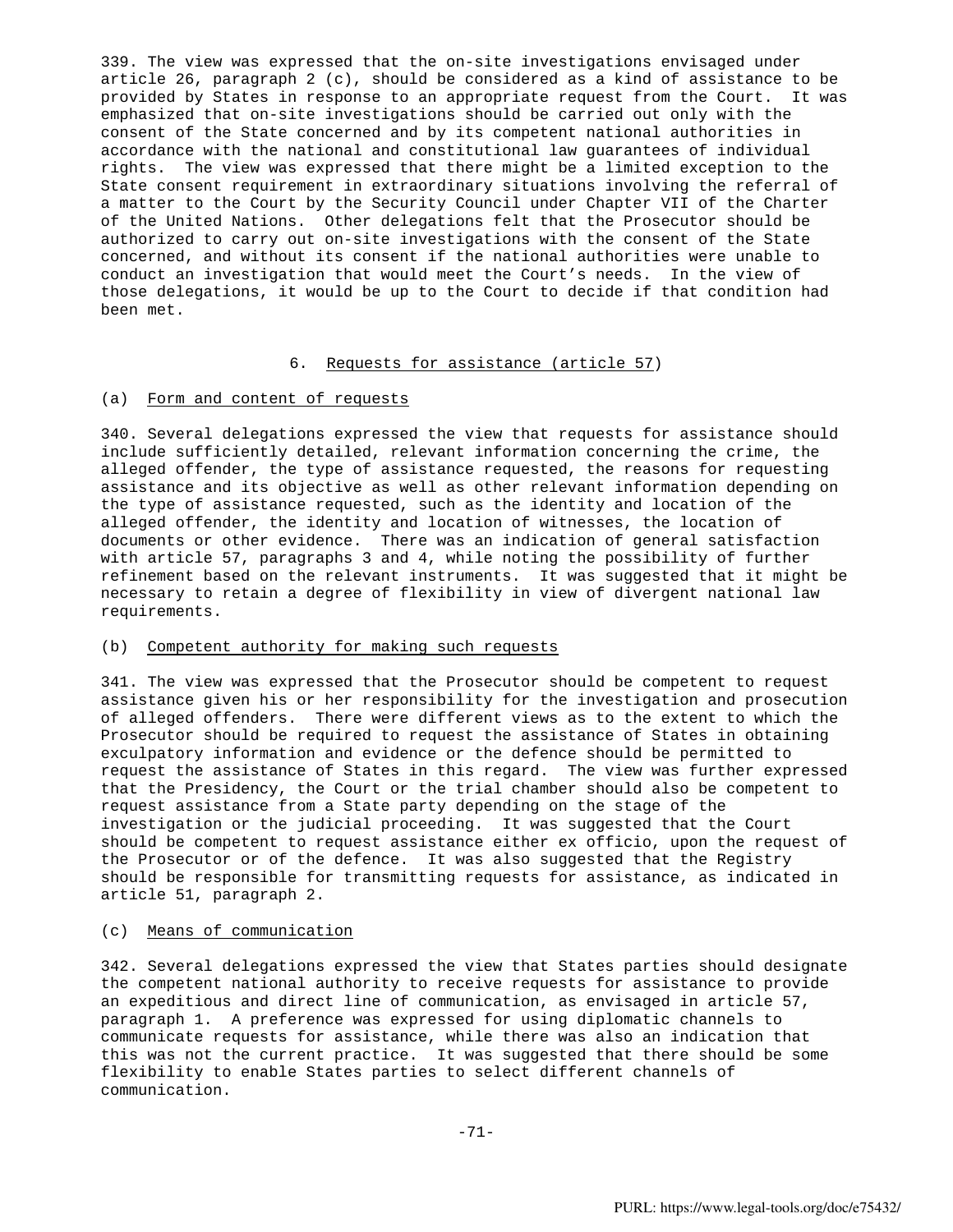339. The view was expressed that the on-site investigations envisaged under article 26, paragraph 2 (c), should be considered as a kind of assistance to be provided by States in response to an appropriate request from the Court. It was emphasized that on-site investigations should be carried out only with the consent of the State concerned and by its competent national authorities in accordance with the national and constitutional law guarantees of individual rights. The view was expressed that there might be a limited exception to the State consent requirement in extraordinary situations involving the referral of a matter to the Court by the Security Council under Chapter VII of the Charter of the United Nations. Other delegations felt that the Prosecutor should be authorized to carry out on-site investigations with the consent of the State concerned, and without its consent if the national authorities were unable to conduct an investigation that would meet the Court's needs. In the view of those delegations, it would be up to the Court to decide if that condition had been met.

#### 6. Requests for assistance (article 57)

#### (a) Form and content of requests

340. Several delegations expressed the view that requests for assistance should include sufficiently detailed, relevant information concerning the crime, the alleged offender, the type of assistance requested, the reasons for requesting assistance and its objective as well as other relevant information depending on the type of assistance requested, such as the identity and location of the alleged offender, the identity and location of witnesses, the location of documents or other evidence. There was an indication of general satisfaction with article 57, paragraphs 3 and 4, while noting the possibility of further refinement based on the relevant instruments. It was suggested that it might be necessary to retain a degree of flexibility in view of divergent national law requirements.

#### (b) Competent authority for making such requests

341. The view was expressed that the Prosecutor should be competent to request assistance given his or her responsibility for the investigation and prosecution of alleged offenders. There were different views as to the extent to which the Prosecutor should be required to request the assistance of States in obtaining exculpatory information and evidence or the defence should be permitted to request the assistance of States in this regard. The view was further expressed that the Presidency, the Court or the trial chamber should also be competent to request assistance from a State party depending on the stage of the investigation or the judicial proceeding. It was suggested that the Court should be competent to request assistance either ex officio, upon the request of the Prosecutor or of the defence. It was also suggested that the Registry should be responsible for transmitting requests for assistance, as indicated in article 51, paragraph 2.

### (c) Means of communication

342. Several delegations expressed the view that States parties should designate the competent national authority to receive requests for assistance to provide an expeditious and direct line of communication, as envisaged in article 57, paragraph 1. A preference was expressed for using diplomatic channels to communicate requests for assistance, while there was also an indication that this was not the current practice. It was suggested that there should be some flexibility to enable States parties to select different channels of communication.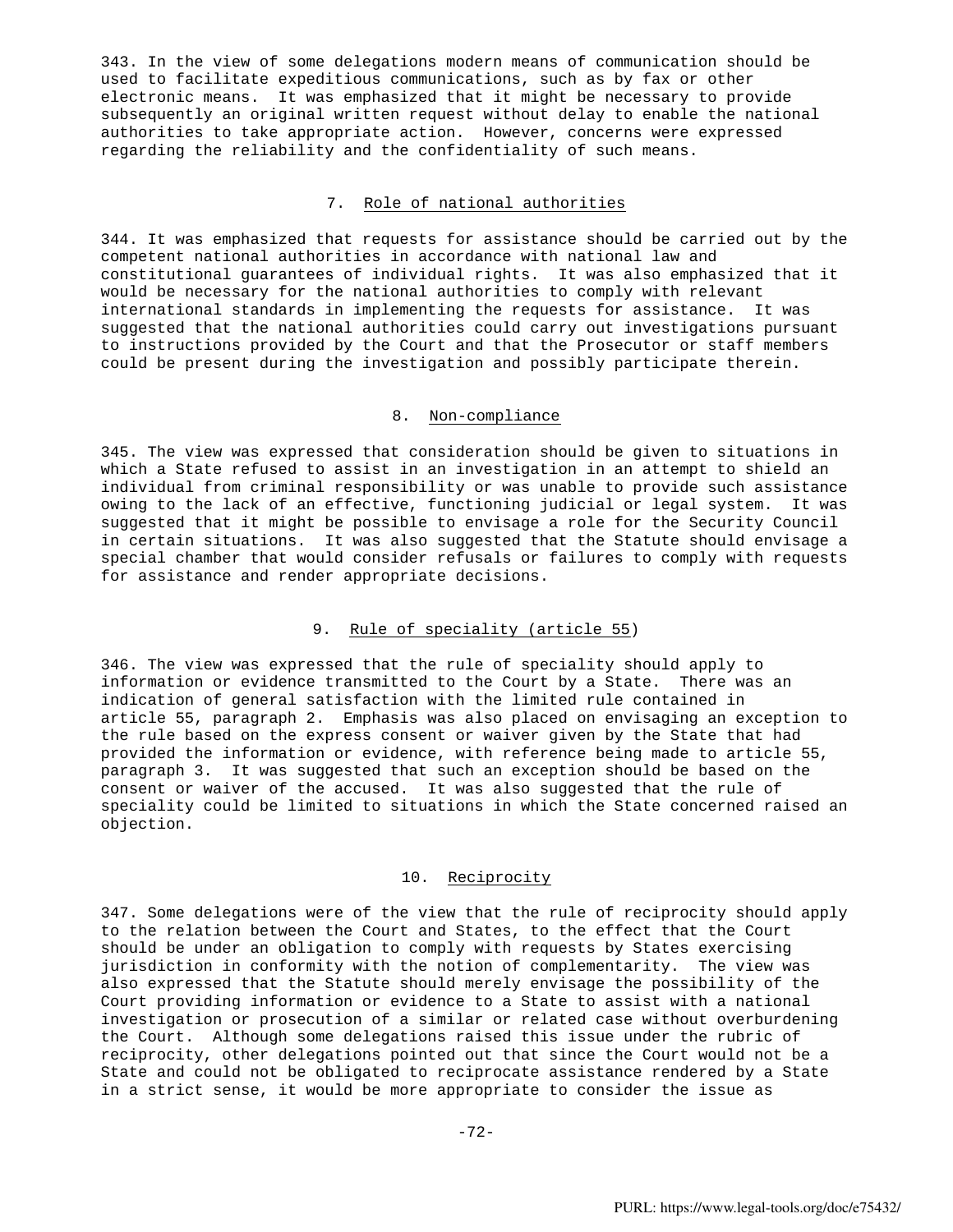343. In the view of some delegations modern means of communication should be used to facilitate expeditious communications, such as by fax or other electronic means. It was emphasized that it might be necessary to provide subsequently an original written request without delay to enable the national authorities to take appropriate action. However, concerns were expressed regarding the reliability and the confidentiality of such means.

# 7. Role of national authorities

344. It was emphasized that requests for assistance should be carried out by the competent national authorities in accordance with national law and constitutional guarantees of individual rights. It was also emphasized that it would be necessary for the national authorities to comply with relevant international standards in implementing the requests for assistance. It was suggested that the national authorities could carry out investigations pursuant to instructions provided by the Court and that the Prosecutor or staff members could be present during the investigation and possibly participate therein.

## 8. Non-compliance

345. The view was expressed that consideration should be given to situations in which a State refused to assist in an investigation in an attempt to shield an individual from criminal responsibility or was unable to provide such assistance owing to the lack of an effective, functioning judicial or legal system. It was suggested that it might be possible to envisage a role for the Security Council in certain situations. It was also suggested that the Statute should envisage a special chamber that would consider refusals or failures to comply with requests for assistance and render appropriate decisions.

# 9. Rule of speciality (article 55)

346. The view was expressed that the rule of speciality should apply to information or evidence transmitted to the Court by a State. There was an indication of general satisfaction with the limited rule contained in article 55, paragraph 2. Emphasis was also placed on envisaging an exception to the rule based on the express consent or waiver given by the State that had provided the information or evidence, with reference being made to article 55, paragraph 3. It was suggested that such an exception should be based on the consent or waiver of the accused. It was also suggested that the rule of speciality could be limited to situations in which the State concerned raised an objection.

# 10. Reciprocity

347. Some delegations were of the view that the rule of reciprocity should apply to the relation between the Court and States, to the effect that the Court should be under an obligation to comply with requests by States exercising jurisdiction in conformity with the notion of complementarity. The view was also expressed that the Statute should merely envisage the possibility of the Court providing information or evidence to a State to assist with a national investigation or prosecution of a similar or related case without overburdening the Court. Although some delegations raised this issue under the rubric of reciprocity, other delegations pointed out that since the Court would not be a State and could not be obligated to reciprocate assistance rendered by a State in a strict sense, it would be more appropriate to consider the issue as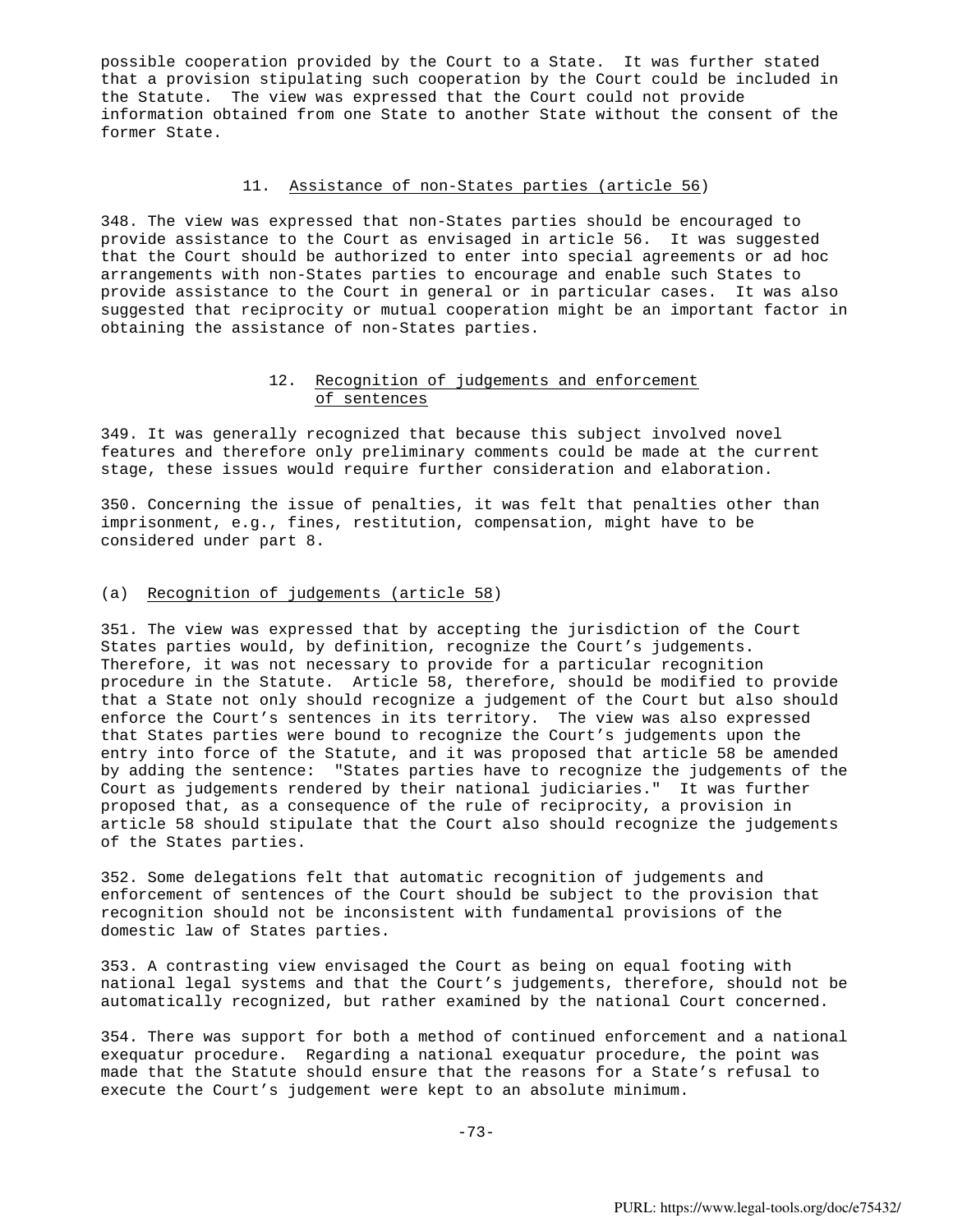possible cooperation provided by the Court to a State. It was further stated that a provision stipulating such cooperation by the Court could be included in the Statute. The view was expressed that the Court could not provide information obtained from one State to another State without the consent of the former State.

# 11. Assistance of non-States parties (article 56)

348. The view was expressed that non-States parties should be encouraged to provide assistance to the Court as envisaged in article 56. It was suggested that the Court should be authorized to enter into special agreements or ad hoc arrangements with non-States parties to encourage and enable such States to provide assistance to the Court in general or in particular cases. It was also suggested that reciprocity or mutual cooperation might be an important factor in obtaining the assistance of non-States parties.

## 12. Recognition of judgements and enforcement of sentences

349. It was generally recognized that because this subject involved novel features and therefore only preliminary comments could be made at the current stage, these issues would require further consideration and elaboration.

350. Concerning the issue of penalties, it was felt that penalties other than imprisonment, e.g., fines, restitution, compensation, might have to be considered under part 8.

## (a) Recognition of judgements (article 58)

351. The view was expressed that by accepting the jurisdiction of the Court States parties would, by definition, recognize the Court's judgements. Therefore, it was not necessary to provide for a particular recognition procedure in the Statute. Article 58, therefore, should be modified to provide that a State not only should recognize a judgement of the Court but also should enforce the Court's sentences in its territory. The view was also expressed that States parties were bound to recognize the Court's judgements upon the entry into force of the Statute, and it was proposed that article 58 be amended by adding the sentence: "States parties have to recognize the judgements of the Court as judgements rendered by their national judiciaries." It was further proposed that, as a consequence of the rule of reciprocity, a provision in article 58 should stipulate that the Court also should recognize the judgements of the States parties.

352. Some delegations felt that automatic recognition of judgements and enforcement of sentences of the Court should be subject to the provision that recognition should not be inconsistent with fundamental provisions of the domestic law of States parties.

353. A contrasting view envisaged the Court as being on equal footing with national legal systems and that the Court's judgements, therefore, should not be automatically recognized, but rather examined by the national Court concerned.

354. There was support for both a method of continued enforcement and a national exequatur procedure. Regarding a national exequatur procedure, the point was made that the Statute should ensure that the reasons for a State's refusal to execute the Court's judgement were kept to an absolute minimum.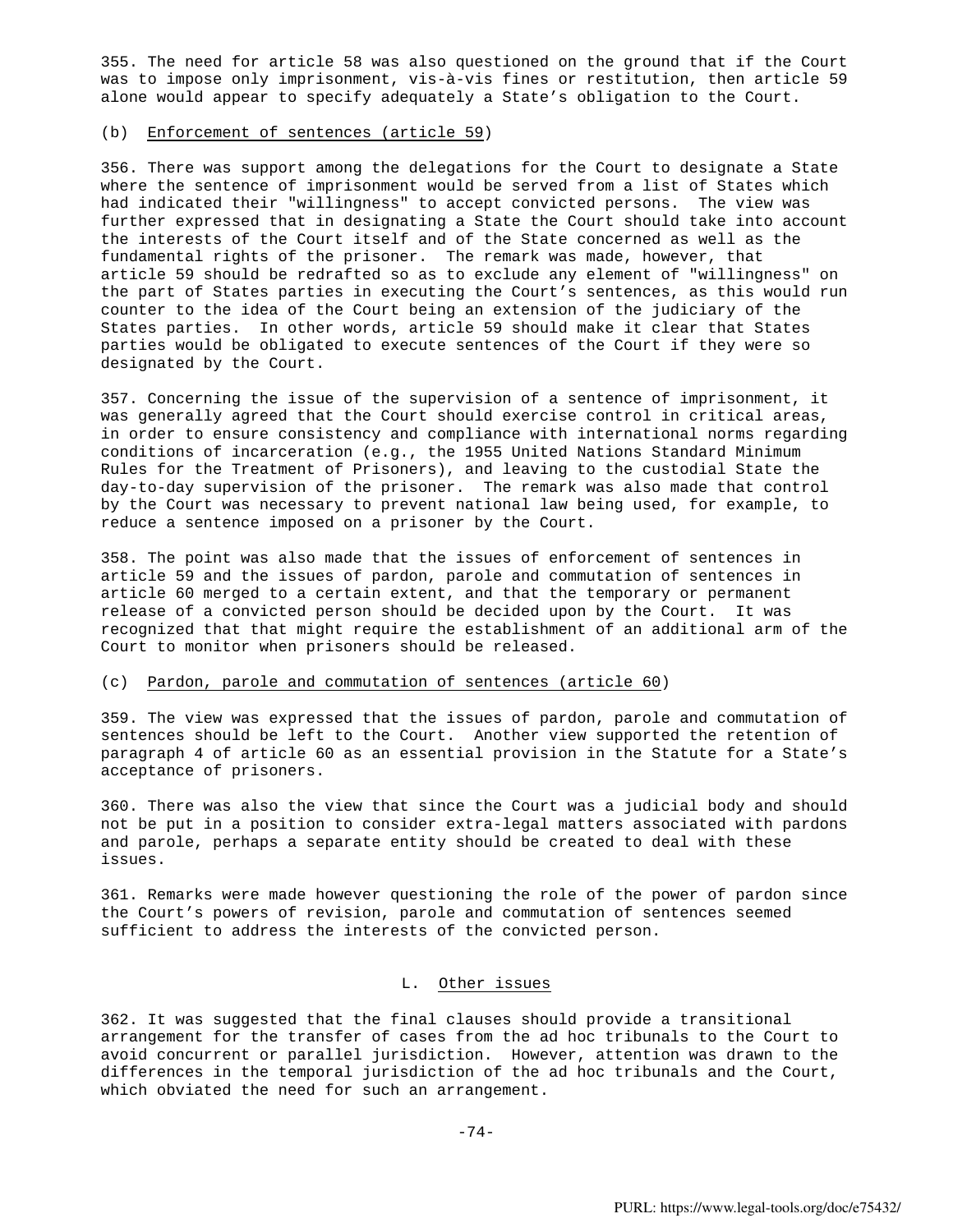355. The need for article 58 was also questioned on the ground that if the Court was to impose only imprisonment, vis-à-vis fines or restitution, then article 59 alone would appear to specify adequately a State's obligation to the Court.

#### (b) Enforcement of sentences (article 59)

356. There was support among the delegations for the Court to designate a State where the sentence of imprisonment would be served from a list of States which had indicated their "willingness" to accept convicted persons. The view was further expressed that in designating a State the Court should take into account the interests of the Court itself and of the State concerned as well as the fundamental rights of the prisoner. The remark was made, however, that article 59 should be redrafted so as to exclude any element of "willingness" on the part of States parties in executing the Court's sentences, as this would run counter to the idea of the Court being an extension of the judiciary of the States parties. In other words, article 59 should make it clear that States parties would be obligated to execute sentences of the Court if they were so designated by the Court.

357. Concerning the issue of the supervision of a sentence of imprisonment, it was generally agreed that the Court should exercise control in critical areas, in order to ensure consistency and compliance with international norms regarding conditions of incarceration (e.g., the 1955 United Nations Standard Minimum Rules for the Treatment of Prisoners), and leaving to the custodial State the day-to-day supervision of the prisoner. The remark was also made that control by the Court was necessary to prevent national law being used, for example, to reduce a sentence imposed on a prisoner by the Court.

358. The point was also made that the issues of enforcement of sentences in article 59 and the issues of pardon, parole and commutation of sentences in article 60 merged to a certain extent, and that the temporary or permanent release of a convicted person should be decided upon by the Court. It was recognized that that might require the establishment of an additional arm of the Court to monitor when prisoners should be released.

#### (c) Pardon, parole and commutation of sentences (article 60)

359. The view was expressed that the issues of pardon, parole and commutation of sentences should be left to the Court. Another view supported the retention of paragraph 4 of article 60 as an essential provision in the Statute for a State's acceptance of prisoners.

360. There was also the view that since the Court was a judicial body and should not be put in a position to consider extra-legal matters associated with pardons and parole, perhaps a separate entity should be created to deal with these issues.

361. Remarks were made however questioning the role of the power of pardon since the Court's powers of revision, parole and commutation of sentences seemed sufficient to address the interests of the convicted person.

# L. Other issues

362. It was suggested that the final clauses should provide a transitional arrangement for the transfer of cases from the ad hoc tribunals to the Court to avoid concurrent or parallel jurisdiction. However, attention was drawn to the differences in the temporal jurisdiction of the ad hoc tribunals and the Court, which obviated the need for such an arrangement.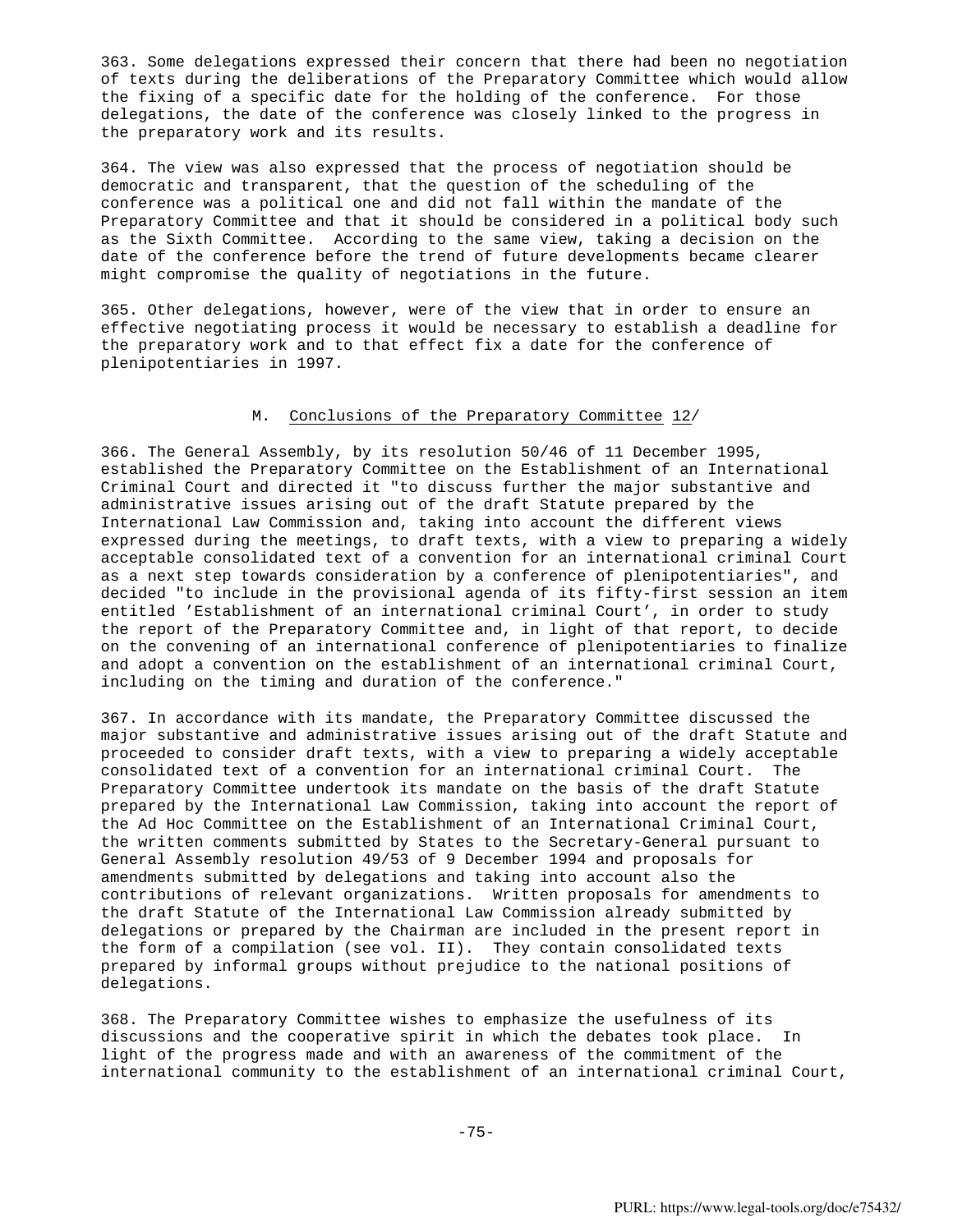363. Some delegations expressed their concern that there had been no negotiation of texts during the deliberations of the Preparatory Committee which would allow the fixing of a specific date for the holding of the conference. For those delegations, the date of the conference was closely linked to the progress in the preparatory work and its results.

364. The view was also expressed that the process of negotiation should be democratic and transparent, that the question of the scheduling of the conference was a political one and did not fall within the mandate of the Preparatory Committee and that it should be considered in a political body such as the Sixth Committee. According to the same view, taking a decision on the date of the conference before the trend of future developments became clearer might compromise the quality of negotiations in the future.

365. Other delegations, however, were of the view that in order to ensure an effective negotiating process it would be necessary to establish a deadline for the preparatory work and to that effect fix a date for the conference of plenipotentiaries in 1997.

## M. Conclusions of the Preparatory Committee 12/

366. The General Assembly, by its resolution 50/46 of 11 December 1995, established the Preparatory Committee on the Establishment of an International Criminal Court and directed it "to discuss further the major substantive and administrative issues arising out of the draft Statute prepared by the International Law Commission and, taking into account the different views expressed during the meetings, to draft texts, with a view to preparing a widely acceptable consolidated text of a convention for an international criminal Court as a next step towards consideration by a conference of plenipotentiaries", and decided "to include in the provisional agenda of its fifty-first session an item entitled 'Establishment of an international criminal Court', in order to study the report of the Preparatory Committee and, in light of that report, to decide on the convening of an international conference of plenipotentiaries to finalize and adopt a convention on the establishment of an international criminal Court, including on the timing and duration of the conference."

367. In accordance with its mandate, the Preparatory Committee discussed the major substantive and administrative issues arising out of the draft Statute and proceeded to consider draft texts, with a view to preparing a widely acceptable consolidated text of a convention for an international criminal Court. The Preparatory Committee undertook its mandate on the basis of the draft Statute prepared by the International Law Commission, taking into account the report of the Ad Hoc Committee on the Establishment of an International Criminal Court, the written comments submitted by States to the Secretary-General pursuant to General Assembly resolution 49/53 of 9 December 1994 and proposals for amendments submitted by delegations and taking into account also the contributions of relevant organizations. Written proposals for amendments to the draft Statute of the International Law Commission already submitted by delegations or prepared by the Chairman are included in the present report in the form of a compilation (see vol. II). They contain consolidated texts prepared by informal groups without prejudice to the national positions of delegations.

368. The Preparatory Committee wishes to emphasize the usefulness of its discussions and the cooperative spirit in which the debates took place. In light of the progress made and with an awareness of the commitment of the international community to the establishment of an international criminal Court,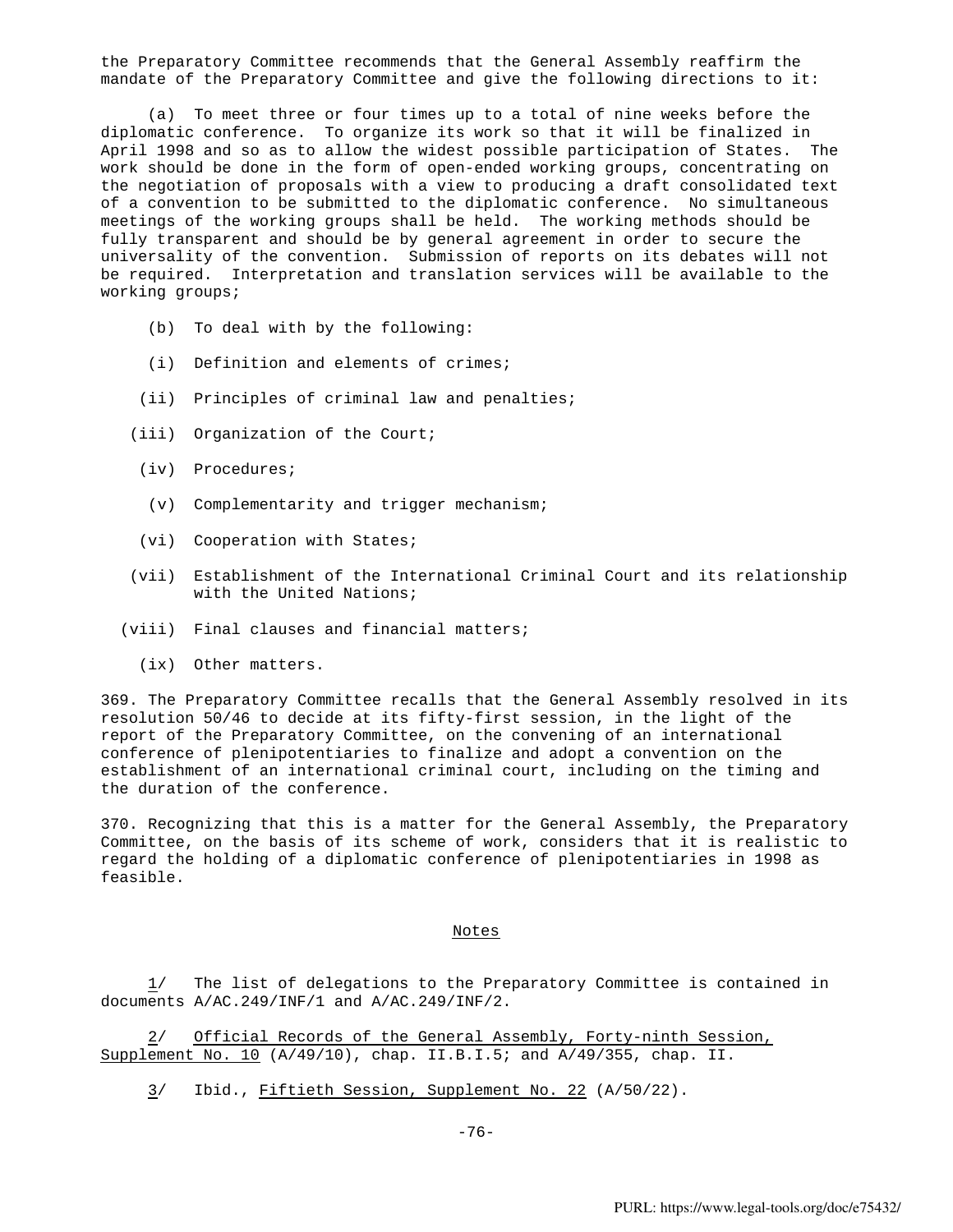the Preparatory Committee recommends that the General Assembly reaffirm the mandate of the Preparatory Committee and give the following directions to it:

(a) To meet three or four times up to a total of nine weeks before the diplomatic conference. To organize its work so that it will be finalized in April 1998 and so as to allow the widest possible participation of States. The work should be done in the form of open-ended working groups, concentrating on the negotiation of proposals with a view to producing a draft consolidated text of a convention to be submitted to the diplomatic conference. No simultaneous meetings of the working groups shall be held. The working methods should be fully transparent and should be by general agreement in order to secure the universality of the convention. Submission of reports on its debates will not be required. Interpretation and translation services will be available to the working groups;

- (b) To deal with by the following:
- (i) Definition and elements of crimes;
- (ii) Principles of criminal law and penalties;
- (iii) Organization of the Court;
- (iv) Procedures;
- (v) Complementarity and trigger mechanism;
- (vi) Cooperation with States;
- (vii) Establishment of the International Criminal Court and its relationship with the United Nations;
- (viii) Final clauses and financial matters;
	- (ix) Other matters.

369. The Preparatory Committee recalls that the General Assembly resolved in its resolution 50/46 to decide at its fifty-first session, in the light of the report of the Preparatory Committee, on the convening of an international conference of plenipotentiaries to finalize and adopt a convention on the establishment of an international criminal court, including on the timing and the duration of the conference.

370. Recognizing that this is a matter for the General Assembly, the Preparatory Committee, on the basis of its scheme of work, considers that it is realistic to regard the holding of a diplomatic conference of plenipotentiaries in 1998 as feasible.

#### Notes

1/ The list of delegations to the Preparatory Committee is contained in documents A/AC.249/INF/1 and A/AC.249/INF/2.

2/ Official Records of the General Assembly, Forty-ninth Session, Supplement No.  $10$  (A/49/10), chap. II.B.I.5; and A/49/355, chap. II.

3/ Ibid., Fiftieth Session, Supplement No. 22 (A/50/22).